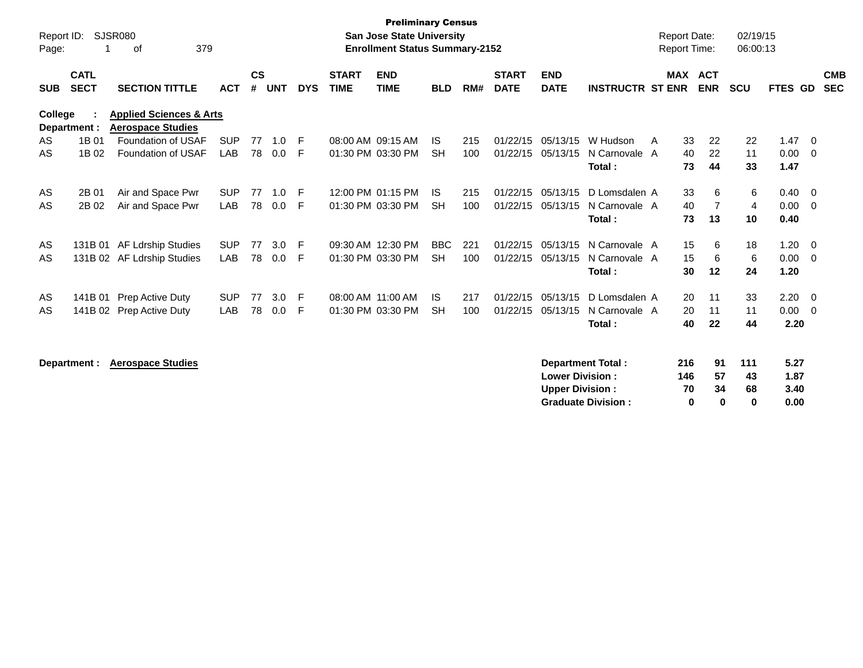| Report ID:<br>Page: | 1                          | SJSR080<br>379<br>оf                                           |            |                    |            |            |                             | <b>Preliminary Census</b><br><b>San Jose State University</b><br><b>Enrollment Status Summary-2152</b> |            |     |                             |                           |                          | <b>Report Date:</b><br><b>Report Time:</b> |         |                | 02/19/15<br>06:00:13 |         |                          |                          |
|---------------------|----------------------------|----------------------------------------------------------------|------------|--------------------|------------|------------|-----------------------------|--------------------------------------------------------------------------------------------------------|------------|-----|-----------------------------|---------------------------|--------------------------|--------------------------------------------|---------|----------------|----------------------|---------|--------------------------|--------------------------|
| <b>SUB</b>          | <b>CATL</b><br><b>SECT</b> | <b>SECTION TITTLE</b>                                          | <b>ACT</b> | $\mathsf{cs}$<br># | <b>UNT</b> | <b>DYS</b> | <b>START</b><br><b>TIME</b> | <b>END</b><br><b>TIME</b>                                                                              | <b>BLD</b> | RM# | <b>START</b><br><b>DATE</b> | <b>END</b><br><b>DATE</b> | <b>INSTRUCTR ST ENR</b>  |                                            | MAX ACT | <b>ENR</b>     | <b>SCU</b>           | FTES GD |                          | <b>CMB</b><br><b>SEC</b> |
| College             | Department :               | <b>Applied Sciences &amp; Arts</b><br><b>Aerospace Studies</b> |            |                    |            |            |                             |                                                                                                        |            |     |                             |                           |                          |                                            |         |                |                      |         |                          |                          |
| AS                  | 1B 01                      | Foundation of USAF                                             | <b>SUP</b> | 77                 | 1.0        | E          |                             | 08:00 AM 09:15 AM                                                                                      | IS.        | 215 | 01/22/15                    | 05/13/15                  | W Hudson                 | A                                          | 33      | 22             | 22                   | 1.47    | $\Omega$                 |                          |
| AS                  | 1B 02                      | Foundation of USAF                                             | <b>LAB</b> | 78                 | 0.0        | F          |                             | 01:30 PM 03:30 PM                                                                                      | <b>SH</b>  | 100 | 01/22/15                    | 05/13/15                  | N Carnovale A            |                                            | 40      | 22             | 11                   | 0.00    | $\overline{\phantom{0}}$ |                          |
|                     |                            |                                                                |            |                    |            |            |                             |                                                                                                        |            |     |                             |                           | Total:                   |                                            | 73      | 44             | 33                   | 1.47    |                          |                          |
| AS                  | 2B 01                      | Air and Space Pwr                                              | <b>SUP</b> | 77                 | 1.0        | F          |                             | 12:00 PM 01:15 PM                                                                                      | IS.        | 215 | 01/22/15                    | 05/13/15                  | D Lomsdalen A            |                                            | 33      | 6              | 6                    | 0.40    | - 0                      |                          |
| AS                  | 2B 02                      | Air and Space Pwr                                              | LAB        | 78                 | 0.0        | F          |                             | 01:30 PM 03:30 PM                                                                                      | <b>SH</b>  | 100 | 01/22/15                    | 05/13/15                  | N Carnovale A            |                                            | 40      | $\overline{7}$ | 4                    | 0.00    | - 0                      |                          |
|                     |                            |                                                                |            |                    |            |            |                             |                                                                                                        |            |     |                             |                           | Total:                   |                                            | 73      | 13             | 10                   | 0.40    |                          |                          |
| AS                  |                            | 131B 01 AF Ldrship Studies                                     | <b>SUP</b> | 77                 | 3.0        | E          |                             | 09:30 AM 12:30 PM                                                                                      | <b>BBC</b> | 221 | 01/22/15                    | 05/13/15                  | N Carnovale A            |                                            | 15      | 6              | 18                   | 1.20    | - 0                      |                          |
| AS                  |                            | 131B 02 AF Ldrship Studies                                     | <b>LAB</b> | 78                 | 0.0        | F          |                             | 01:30 PM 03:30 PM                                                                                      | <b>SH</b>  | 100 | 01/22/15                    | 05/13/15                  | N Carnovale A            |                                            | 15      | 6              | 6                    | 0.00    | - 0                      |                          |
|                     |                            |                                                                |            |                    |            |            |                             |                                                                                                        |            |     |                             |                           | Total:                   |                                            | 30      | 12             | 24                   | 1.20    |                          |                          |
| AS                  |                            | 141B 01 Prep Active Duty                                       | <b>SUP</b> | 77                 | 3.0        | F          |                             | 08:00 AM 11:00 AM                                                                                      | IS.        | 217 | 01/22/15                    | 05/13/15                  | D Lomsdalen A            |                                            | 20      | 11             | 33                   | 2.20    | - 0                      |                          |
| AS                  | 141B 02                    | Prep Active Duty                                               | LAB        | 78                 | 0.0        | F          |                             | 01:30 PM 03:30 PM                                                                                      | <b>SH</b>  | 100 | 01/22/15                    | 05/13/15                  | N Carnovale A            |                                            | 20      | 11             | 11                   | 0.00    | - 0                      |                          |
|                     |                            |                                                                |            |                    |            |            |                             |                                                                                                        |            |     |                             |                           | Total:                   |                                            | 40      | 22             | 44                   | 2.20    |                          |                          |
|                     | Department :               | <b>Aerospace Studies</b>                                       |            |                    |            |            |                             |                                                                                                        |            |     |                             |                           | <b>Department Total:</b> |                                            | 216     | 91             | 111                  | 5.27    |                          |                          |

| <b>Lower Division :</b>   | 146 | 57           | 43 | 1.87 |
|---------------------------|-----|--------------|----|------|
| <b>Upper Division:</b>    | 70. | 34           | 68 | 3.40 |
| <b>Graduate Division:</b> | n   | $\mathbf{u}$ | o  | 0.00 |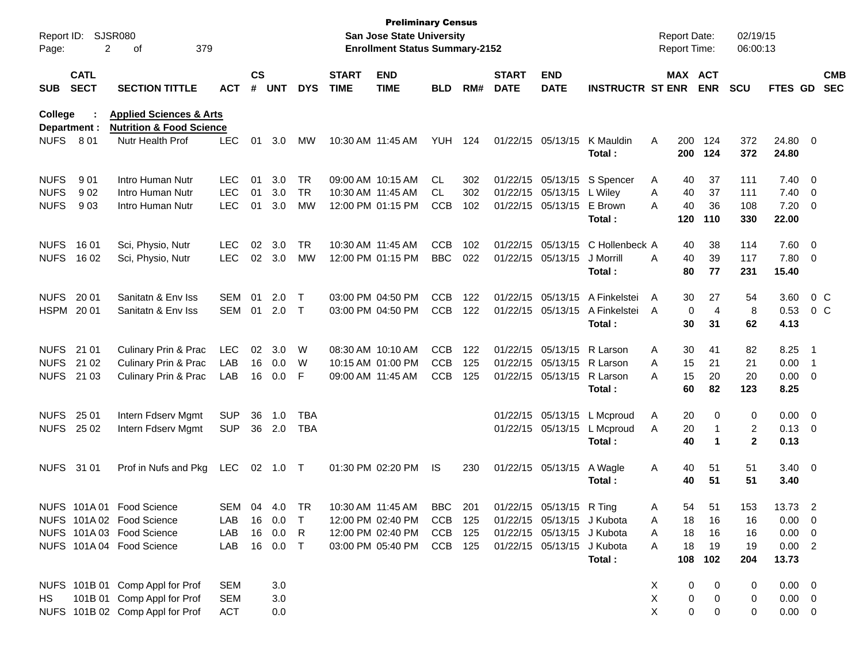| Report ID:<br>Page:                       | 2                          | SJSR080<br>379<br>οf                                                                             |                                        |                    |                      |                   |                             | <b>Preliminary Census</b><br><b>San Jose State University</b><br><b>Enrollment Status Summary-2152</b> |                                        |                   |                                        |                                                          |                                        |             |                      | <b>Report Date:</b><br><b>Report Time:</b> | 02/19/15<br>06:00:13   |                                              |                                           |                          |
|-------------------------------------------|----------------------------|--------------------------------------------------------------------------------------------------|----------------------------------------|--------------------|----------------------|-------------------|-----------------------------|--------------------------------------------------------------------------------------------------------|----------------------------------------|-------------------|----------------------------------------|----------------------------------------------------------|----------------------------------------|-------------|----------------------|--------------------------------------------|------------------------|----------------------------------------------|-------------------------------------------|--------------------------|
| <b>SUB</b>                                | <b>CATL</b><br><b>SECT</b> | <b>SECTION TITTLE</b>                                                                            | <b>ACT</b>                             | $\mathsf{cs}$<br># | <b>UNT</b>           | <b>DYS</b>        | <b>START</b><br><b>TIME</b> | <b>END</b><br><b>TIME</b>                                                                              | <b>BLD</b>                             | RM#               | <b>START</b><br><b>DATE</b>            | <b>END</b><br><b>DATE</b>                                | <b>INSTRUCTR ST ENR</b>                |             |                      | MAX ACT<br><b>ENR</b>                      | <b>SCU</b>             | <b>FTES GD</b>                               |                                           | <b>CMB</b><br><b>SEC</b> |
| <b>College</b>                            | Department :               | <b>Applied Sciences &amp; Arts</b><br><b>Nutrition &amp; Food Science</b>                        |                                        |                    |                      |                   |                             |                                                                                                        |                                        |                   |                                        |                                                          |                                        |             |                      |                                            |                        |                                              |                                           |                          |
| <b>NUFS</b>                               | 8 01                       | Nutr Health Prof                                                                                 | <b>LEC</b>                             | 01                 | 3.0                  | МW                |                             | 10:30 AM 11:45 AM                                                                                      | YUH                                    | 124               | 01/22/15 05/13/15                      |                                                          | K Mauldin<br>Total:                    | A           | 200<br>200           | 124<br>124                                 | 372<br>372             | 24.80<br>24.80                               | $\overline{\mathbf{0}}$                   |                          |
| <b>NUFS</b><br><b>NUFS</b>                | 901<br>902                 | Intro Human Nutr<br>Intro Human Nutr                                                             | <b>LEC</b><br><b>LEC</b>               | 01<br>01           | 3.0<br>3.0           | TR<br><b>TR</b>   |                             | 09:00 AM 10:15 AM<br>10:30 AM 11:45 AM                                                                 | CL.<br>CL.                             | 302<br>302        | 01/22/15 05/13/15<br>01/22/15 05/13/15 |                                                          | S Spencer<br>L Wiley                   | A<br>Α      | 40<br>40             | 37<br>37                                   | 111<br>111             | 7.40<br>7.40                                 | - 0<br>$\overline{0}$                     |                          |
| <b>NUFS</b>                               | 903                        | Intro Human Nutr                                                                                 | <b>LEC</b>                             | 01                 | 3.0                  | <b>MW</b>         |                             | 12:00 PM 01:15 PM                                                                                      | <b>CCB</b>                             | 102               | 01/22/15 05/13/15                      |                                                          | E Brown<br>Total:                      | A           | 40<br>120            | 36<br>110                                  | 108<br>330             | 7.20<br>22.00                                | $\overline{0}$                            |                          |
| <b>NUFS</b><br><b>NUFS</b>                | 16 01<br>16 02             | Sci, Physio, Nutr<br>Sci, Physio, Nutr                                                           | <b>LEC</b><br><b>LEC</b>               | 02                 | 3.0<br>02 3.0        | TR<br><b>MW</b>   | 10:30 AM 11:45 AM           | 12:00 PM 01:15 PM                                                                                      | <b>CCB</b><br><b>BBC</b>               | 102<br>022        | 01/22/15 05/13/15                      | 01/22/15 05/13/15                                        | C Hollenbeck A<br>J Morrill<br>Total:  | A           | 40<br>40<br>80       | 38<br>39<br>77                             | 114<br>117<br>231      | 7.60<br>7.80<br>15.40                        | $\overline{\mathbf{0}}$<br>$\overline{0}$ |                          |
| <b>NUFS</b><br>HSPM 2001                  | 20 01                      | Sanitatn & Env Iss<br>Sanitatn & Env Iss                                                         | SEM<br>SEM                             | 01<br>01           | 2.0<br>2.0           | $\top$<br>$\top$  |                             | 03:00 PM 04:50 PM<br>03:00 PM 04:50 PM                                                                 | <b>CCB</b><br><b>CCB</b>               | 122<br>122        | 01/22/15 05/13/15<br>01/22/15 05/13/15 |                                                          | A Finkelstei<br>A Finkelstei<br>Total: | A<br>A      | 30<br>0<br>30        | 27<br>$\overline{4}$<br>31                 | 54<br>8<br>62          | 3.60<br>0.53<br>4.13                         |                                           | $0\,$ C<br>$0\,$ C       |
| <b>NUFS</b><br><b>NUFS</b><br><b>NUFS</b> | 21 01<br>21 02<br>21 03    | Culinary Prin & Prac<br>Culinary Prin & Prac<br>Culinary Prin & Prac                             | <b>LEC</b><br>LAB<br>LAB               | 02<br>16           | 3.0<br>16 0.0<br>0.0 | W<br>W<br>F       |                             | 08:30 AM 10:10 AM<br>10:15 AM 01:00 PM<br>09:00 AM 11:45 AM                                            | <b>CCB</b><br><b>CCB</b><br><b>CCB</b> | 122<br>125<br>125 | 01/22/15 05/13/15                      | 01/22/15 05/13/15 R Larson<br>01/22/15 05/13/15          | R Larson<br>R Larson<br>Total:         | A<br>A<br>A | 30<br>15<br>15<br>60 | 41<br>21<br>20<br>82                       | 82<br>21<br>20<br>123  | 8.25<br>0.00<br>0.00<br>8.25                 | - 1<br>- 1<br>$\overline{\mathbf{0}}$     |                          |
| <b>NUFS</b><br><b>NUFS</b>                | 25 01<br>25 02             | Intern Fdserv Mgmt<br>Intern Fdserv Mgmt                                                         | <b>SUP</b><br><b>SUP</b>               | 36                 | 1.0<br>36 2.0        | <b>TBA</b><br>TBA |                             |                                                                                                        |                                        |                   |                                        | 01/22/15 05/13/15<br>01/22/15 05/13/15                   | L Mcproud<br>L Mcproud<br>Total:       | A<br>A      | 20<br>20<br>40       | 0<br>1<br>$\blacktriangleleft$             | 0<br>2<br>$\mathbf{2}$ | 0.00<br>$0.13 \ 0$<br>0.13                   | $\overline{\mathbf{0}}$                   |                          |
| NUFS 31 01                                |                            | Prof in Nufs and Pkg                                                                             | LEC                                    |                    | 02 1.0               | $\top$            |                             | 01:30 PM 02:20 PM                                                                                      | IS                                     | 230               | 01/22/15 05/13/15                      |                                                          | A Wagle<br>Total:                      | Α           | 40<br>40             | 51<br>51                                   | 51<br>51               | $3.40 \quad 0$<br>3.40                       |                                           |                          |
|                                           |                            | NUFS 101A 01 Food Science<br>NUFS 101A 02 Food Science                                           | SEM 04 4.0 TR<br>LAB                   |                    | 16  0.0              | $\top$            |                             | 10:30 AM 11:45 AM<br>12:00 PM 02:40 PM                                                                 | <b>BBC</b><br>CCB 125                  | 201               |                                        | 01/22/15 05/13/15 R Ting<br>01/22/15 05/13/15 J Kubota   |                                        | A<br>A      | 54<br>18             | 51<br>16                                   | 153<br>16              | 13.73<br>0.00                                | - 2<br>$\overline{\mathbf{0}}$            |                          |
|                                           |                            | NUFS 101A 03 Food Science<br>NUFS 101A 04 Food Science                                           | LAB<br>LAB                             |                    | 16 0.0<br>16 0.0     | R<br>$\top$       |                             | 12:00 PM 02:40 PM<br>03:00 PM 05:40 PM                                                                 | CCB 125<br>CCB 125                     |                   |                                        | 01/22/15 05/13/15 J Kubota<br>01/22/15 05/13/15 J Kubota | Total:                                 | A<br>A      | 18<br>18<br>108      | 16<br>19<br>102                            | 16<br>19<br>204        | 0.00<br>0.00 2<br>13.73                      | $\overline{\mathbf{0}}$                   |                          |
| HS                                        |                            | NUFS 101B 01 Comp Appl for Prof<br>101B 01 Comp Appl for Prof<br>NUFS 101B 02 Comp Appl for Prof | <b>SEM</b><br><b>SEM</b><br><b>ACT</b> |                    | 3.0<br>3.0<br>0.0    |                   |                             |                                                                                                        |                                        |                   |                                        |                                                          |                                        | X<br>X<br>X | 0<br>0<br>0          | 0<br>0<br>0                                | 0<br>0<br>0            | $0.00 \quad 0$<br>$0.00 \t 0$<br>$0.00 \t 0$ |                                           |                          |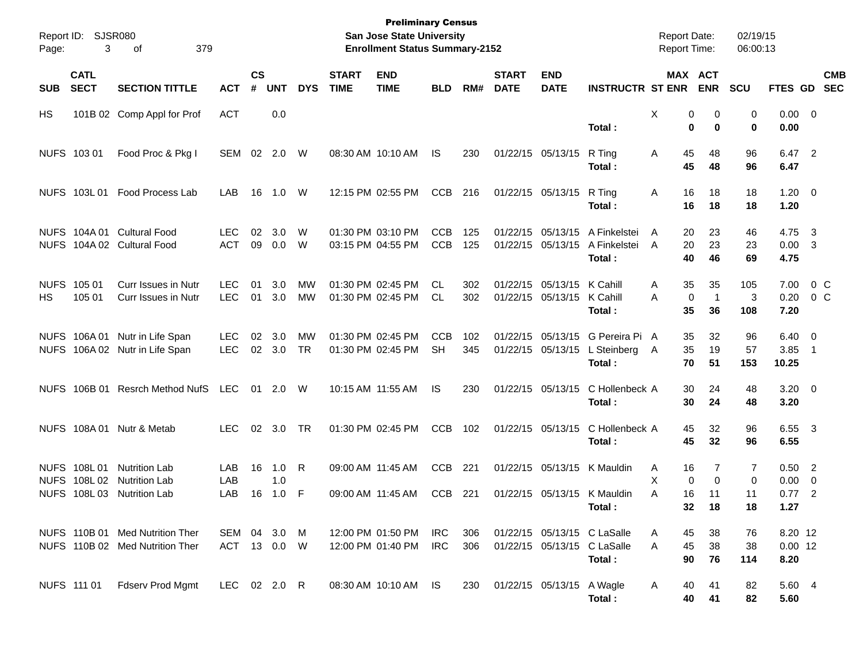| Page:             | Report ID: SJSR080<br>3              | 379<br>οf                                                          |                              |                             |                   |                 |                             | <b>Preliminary Census</b><br>San Jose State University<br><b>Enrollment Status Summary-2152</b> |                          |            |                             |                                                          |                                                                      | <b>Report Date:</b><br>Report Time: |                                      | 02/19/15<br>06:00:13                      |                              |                                                     |
|-------------------|--------------------------------------|--------------------------------------------------------------------|------------------------------|-----------------------------|-------------------|-----------------|-----------------------------|-------------------------------------------------------------------------------------------------|--------------------------|------------|-----------------------------|----------------------------------------------------------|----------------------------------------------------------------------|-------------------------------------|--------------------------------------|-------------------------------------------|------------------------------|-----------------------------------------------------|
| <b>SUB</b>        | <b>CATL</b><br><b>SECT</b>           | <b>SECTION TITTLE</b>                                              | <b>ACT</b>                   | $\mathbf{c}\mathbf{s}$<br># | <b>UNT</b>        | <b>DYS</b>      | <b>START</b><br><b>TIME</b> | <b>END</b><br><b>TIME</b>                                                                       | <b>BLD</b>               | RM#        | <b>START</b><br><b>DATE</b> | <b>END</b><br><b>DATE</b>                                | <b>INSTRUCTR ST ENR</b>                                              |                                     | MAX ACT<br><b>ENR</b>                | <b>SCU</b>                                |                              | <b>CMB</b><br>FTES GD SEC                           |
| HS                |                                      | 101B 02 Comp Appl for Prof                                         | <b>ACT</b>                   |                             | 0.0               |                 |                             |                                                                                                 |                          |            |                             |                                                          | Total:                                                               | Χ                                   | 0<br>0<br>0<br>$\bf{0}$              | 0<br>$\bf{0}$                             | $0.00 \t 0$<br>0.00          |                                                     |
|                   | NUFS 103 01                          | Food Proc & Pkg I                                                  | SEM 02 2.0                   |                             |                   | W               |                             | 08:30 AM 10:10 AM                                                                               | IS                       | 230        |                             | 01/22/15 05/13/15                                        | R Ting<br>Total:                                                     | 45<br>A<br>45                       | 48<br>48                             | 96<br>96                                  | 6.47 2<br>6.47               |                                                     |
|                   | NUFS 103L01                          | Food Process Lab                                                   | LAB                          | 16                          | 1.0               | W               |                             | 12:15 PM 02:55 PM                                                                               | <b>CCB</b>               | 216        |                             | 01/22/15 05/13/15                                        | R Ting<br>Total:                                                     | Α<br>16<br>16                       | 18<br>18                             | 18<br>18                                  | $1.20 \t 0$<br>1.20          |                                                     |
|                   | NUFS 104A 01                         | <b>Cultural Food</b><br>NUFS 104A 02 Cultural Food                 | <b>LEC</b><br><b>ACT</b>     | 02<br>09                    | 3.0<br>0.0        | W<br>W          |                             | 01:30 PM 03:10 PM<br>03:15 PM 04:55 PM                                                          | <b>CCB</b><br><b>CCB</b> | 125<br>125 |                             | 01/22/15 05/13/15<br>01/22/15 05/13/15                   | A Finkelstei<br>A Finkelstei<br>Total:                               | 20<br>A<br>20<br>A<br>40            | 23<br>23<br>46                       | 46<br>23<br>69                            | 4.75<br>0.00<br>4.75         | -3<br>$\overline{\mathbf{3}}$                       |
| <b>NUFS</b><br>HS | 105 01<br>105 01                     | Curr Issues in Nutr<br>Curr Issues in Nutr                         | <b>LEC</b><br><b>LEC</b>     | 01<br>01                    | 3.0<br>3.0        | MW<br><b>MW</b> |                             | 01:30 PM 02:45 PM<br>01:30 PM 02:45 PM                                                          | CL<br>CL                 | 302<br>302 |                             | 01/22/15 05/13/15 K Cahill<br>01/22/15 05/13/15 K Cahill | Total:                                                               | 35<br>A<br>Α<br>35                  | 35<br>0<br>$\overline{1}$<br>36      | 105<br>3<br>108                           | 7.00<br>0.20<br>7.20         | $0\,C$<br>0 <sup>o</sup>                            |
|                   | NUFS 106A01                          | Nutr in Life Span<br>NUFS 106A 02 Nutr in Life Span                | <b>LEC</b><br><b>LEC</b>     | 02<br>02                    | 3.0<br>3.0        | MW<br><b>TR</b> |                             | 01:30 PM 02:45 PM<br>01:30 PM 02:45 PM                                                          | <b>CCB</b><br><b>SH</b>  | 102<br>345 |                             | 01/22/15 05/13/15                                        | 01/22/15 05/13/15 G Pereira Pi A<br>L Steinberg A<br>Total:          | 35<br>35<br>70                      | 32<br>19<br>51                       | 96<br>57<br>153                           | 6.40<br>3.85<br>10.25        | $\overline{\mathbf{0}}$<br>$\overline{\phantom{1}}$ |
|                   |                                      | NUFS 106B 01 Resrch Method NufS                                    | <b>LEC</b>                   |                             | 01 2.0            | W               |                             | 10:15 AM 11:55 AM                                                                               | IS                       | 230        |                             | 01/22/15 05/13/15                                        | C Hollenbeck A<br>Total:                                             | 30<br>30                            | 24<br>24                             | 48<br>48                                  | $3.20 \ 0$<br>3.20           |                                                     |
|                   | <b>NUFS 108A01</b>                   | Nutr & Metab                                                       | <b>LEC</b>                   |                             | 02 3.0            | <b>TR</b>       |                             | 01:30 PM 02:45 PM                                                                               | <b>CCB</b>               | 102        |                             | 01/22/15 05/13/15                                        | C Hollenbeck A<br>Total:                                             | 45<br>45                            | 32<br>32                             | 96<br>96                                  | 6.55 3<br>6.55               |                                                     |
| <b>NUFS</b>       | NUFS 108L01<br>108L02<br>NUFS 108L03 | <b>Nutrition Lab</b><br><b>Nutrition Lab</b><br>Nutrition Lab      | LAB<br>LAB<br>LAB            | 16<br>16                    | 1.0<br>1.0<br>1.0 | R<br>-F         |                             | 09:00 AM 11:45 AM<br>09:00 AM 11:45 AM                                                          | <b>CCB</b><br><b>CCB</b> | 221<br>221 |                             |                                                          | 01/22/15 05/13/15 K Mauldin<br>01/22/15 05/13/15 K Mauldin<br>Total: | 16<br>A<br>X<br>16<br>Α             | 7<br>0<br>$\Omega$<br>11<br>32<br>18 | $\overline{7}$<br>$\mathbf 0$<br>11<br>18 | 0.50<br>0.00<br>0.77<br>1.27 | $\overline{\phantom{0}}^2$<br>0<br>$\overline{2}$   |
|                   |                                      | NUFS 110B 01 Med Nutrition Ther<br>NUFS 110B 02 Med Nutrition Ther | SEM 04 3.0 M<br>ACT 13 0.0 W |                             |                   |                 |                             | 12:00 PM 01:50 PM<br>12:00 PM 01:40 PM                                                          | IRC<br><b>IRC</b>        | 306<br>306 |                             |                                                          | 01/22/15 05/13/15 C LaSalle<br>01/22/15 05/13/15 C LaSalle<br>Total: | 45<br>A<br>45<br>A<br>90            | 38<br>38<br>76                       | 76<br>38<br>114                           | 8.20 12<br>$0.00$ 12<br>8.20 |                                                     |
|                   | NUFS 111 01                          | Fdserv Prod Mgmt                                                   | LEC 02 2.0 R                 |                             |                   |                 |                             | 08:30 AM 10:10 AM IS                                                                            |                          | 230        |                             | 01/22/15 05/13/15 A Wagle                                | Total:                                                               | 40<br>A                             | 41<br>40<br>41                       | 82<br>82                                  | 5.60 4<br>5.60               |                                                     |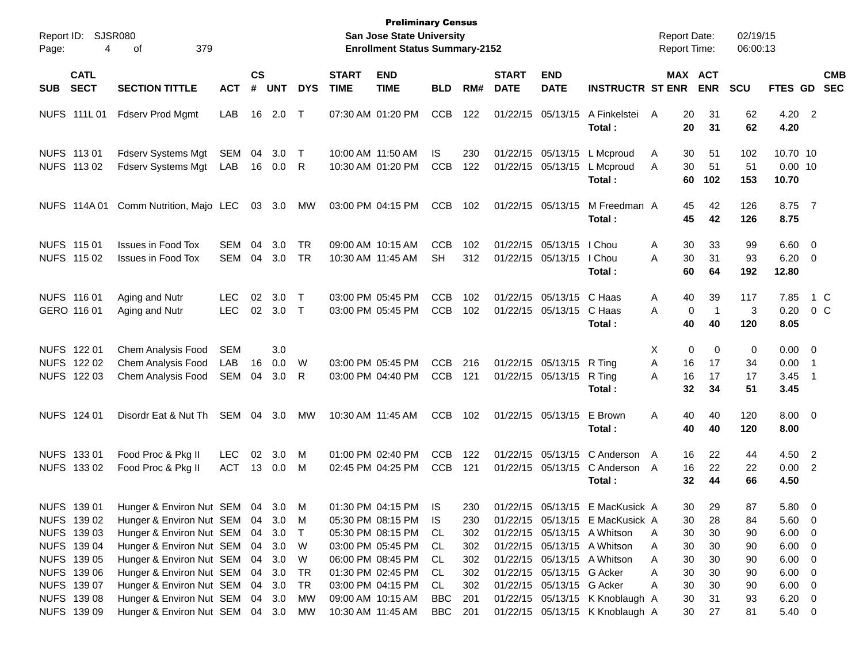| Page:      | Report ID: SJSR080<br>4                                                 | 379<br>οf                                                                                                                                                      |                          |                |                          |                            |                             | <b>Preliminary Census</b><br><b>San Jose State University</b><br><b>Enrollment Status Summary-2152</b> |                                       |                                 |                             |                                                        |                                                                                                                                  | <b>Report Date:</b><br><b>Report Time:</b> |                            | 02/19/15<br>06:00:13       |                                                                                |                                                      |                          |
|------------|-------------------------------------------------------------------------|----------------------------------------------------------------------------------------------------------------------------------------------------------------|--------------------------|----------------|--------------------------|----------------------------|-----------------------------|--------------------------------------------------------------------------------------------------------|---------------------------------------|---------------------------------|-----------------------------|--------------------------------------------------------|----------------------------------------------------------------------------------------------------------------------------------|--------------------------------------------|----------------------------|----------------------------|--------------------------------------------------------------------------------|------------------------------------------------------|--------------------------|
| <b>SUB</b> | <b>CATL</b><br><b>SECT</b>                                              | <b>SECTION TITTLE</b>                                                                                                                                          | <b>ACT</b>               | <b>CS</b><br># | <b>UNT</b>               | <b>DYS</b>                 | <b>START</b><br><b>TIME</b> | <b>END</b><br><b>TIME</b>                                                                              | <b>BLD</b>                            | RM#                             | <b>START</b><br><b>DATE</b> | <b>END</b><br><b>DATE</b>                              | <b>INSTRUCTR ST ENR</b>                                                                                                          |                                            | MAX ACT<br><b>ENR</b>      | <b>SCU</b>                 | <b>FTES GD</b>                                                                 |                                                      | <b>CMB</b><br><b>SEC</b> |
|            | NUFS 111L01                                                             | <b>Fdserv Prod Mgmt</b>                                                                                                                                        | LAB                      | 16             | 2.0                      | $\top$                     |                             | 07:30 AM 01:20 PM                                                                                      | <b>CCB</b>                            | 122                             |                             | 01/22/15 05/13/15                                      | A Finkelstei<br>Total:                                                                                                           | A<br>20<br>20                              | 31<br>31                   | 62<br>62                   | $4.20$ 2<br>4.20                                                               |                                                      |                          |
|            | NUFS 113 01<br>NUFS 113 02                                              | <b>Fdserv Systems Mgt</b><br>Fdserv Systems Mgt                                                                                                                | SEM<br>LAB               | 04             | 3.0<br>16  0.0  R        | $\top$                     |                             | 10:00 AM 11:50 AM<br>10:30 AM 01:20 PM                                                                 | IS.<br><b>CCB</b>                     | 230<br>122                      |                             | 01/22/15 05/13/15<br>01/22/15 05/13/15                 | L Mcproud<br>L Mcproud<br>Total:                                                                                                 | A<br>30<br>30<br>A<br>60                   | 51<br>51<br>102            | 102<br>51<br>153           | 10.70 10<br>$0.00$ 10<br>10.70                                                 |                                                      |                          |
|            | NUFS 114A 01                                                            | Comm Nutrition, Majo LEC                                                                                                                                       |                          |                | 03 3.0                   | МW                         |                             | 03:00 PM 04:15 PM                                                                                      | <b>CCB</b>                            | 102                             |                             | 01/22/15 05/13/15                                      | M Freedman A<br>Total:                                                                                                           | 45<br>45                                   | 42<br>42                   | 126<br>126                 | 8.75 7<br>8.75                                                                 |                                                      |                          |
|            | NUFS 115 01<br>NUFS 115 02                                              | <b>Issues in Food Tox</b><br><b>Issues in Food Tox</b>                                                                                                         | SEM<br>SEM               | 04<br>04       | 3.0<br>3.0               | <b>TR</b><br>TR            |                             | 09:00 AM 10:15 AM<br>10:30 AM 11:45 AM                                                                 | <b>CCB</b><br><b>SH</b>               | 102<br>312                      |                             | 01/22/15 05/13/15<br>01/22/15 05/13/15                 | I Chou<br>I Chou<br>Total:                                                                                                       | A<br>30<br>30<br>Α<br>60                   | 33<br>31<br>64             | 99<br>93<br>192            | $6.60$ 0<br>$6.20 \ 0$<br>12.80                                                |                                                      |                          |
|            | NUFS 116 01<br>GERO 116 01                                              | Aging and Nutr<br>Aging and Nutr                                                                                                                               | <b>LEC</b><br><b>LEC</b> | 02             | 3.0<br>02 3.0 T          | $\top$                     |                             | 03:00 PM 05:45 PM<br>03:00 PM 05:45 PM                                                                 | <b>CCB</b><br><b>CCB</b>              | 102<br>102                      |                             | 01/22/15 05/13/15 C Haas<br>01/22/15 05/13/15 C Haas   | Total:                                                                                                                           | 40<br>A<br>0<br>A<br>40                    | 39<br>$\mathbf 1$<br>40    | 117<br>3<br>120            | 7.85<br>$0.20 \t 0 C$<br>8.05                                                  |                                                      | 1 C                      |
|            | NUFS 122 01<br>NUFS 122 02<br>NUFS 122 03                               | Chem Analysis Food<br>Chem Analysis Food<br><b>Chem Analysis Food</b>                                                                                          | <b>SEM</b><br>LAB<br>SEM | 16<br>04       | 3.0<br>0.0<br>3.0        | W<br>R                     |                             | 03:00 PM 05:45 PM<br>03:00 PM 04:40 PM                                                                 | <b>CCB</b><br>CCB                     | 216<br>121                      |                             | 01/22/15 05/13/15 R Ting<br>01/22/15 05/13/15 R Ting   | Total:                                                                                                                           | 0<br>X<br>Α<br>16<br>16<br>Α<br>32         | 0<br>17<br>17<br>34        | 0<br>34<br>17<br>51        | $0.00 \t 0$<br>0.00<br>3.45<br>3.45                                            | $\overline{\phantom{1}}$<br>$\overline{\phantom{0}}$ |                          |
|            | NUFS 124 01                                                             | Disordr Eat & Nut Th                                                                                                                                           | SEM 04                   |                | 3.0                      | МW                         |                             | 10:30 AM 11:45 AM                                                                                      | <b>CCB</b>                            | 102                             |                             | 01/22/15 05/13/15                                      | E Brown<br>Total :                                                                                                               | 40<br>A<br>40                              | 40<br>40                   | 120<br>120                 | $8.00 \t 0$<br>8.00                                                            |                                                      |                          |
|            | NUFS 133 01<br>NUFS 133 02                                              | Food Proc & Pkg II<br>Food Proc & Pkg II                                                                                                                       | <b>LEC</b><br>ACT        | 02             | 3.0<br>13 0.0 M          | M                          |                             | 01:00 PM 02:40 PM<br>02:45 PM 04:25 PM                                                                 | <b>CCB</b><br><b>CCB</b>              | 122<br>121                      |                             | 01/22/15 05/13/15                                      | 01/22/15 05/13/15 C Anderson<br>C Anderson<br>Total :                                                                            | A<br>16<br>A<br>16<br>32                   | 22<br>22<br>44             | 44<br>22<br>66             | 4.50 2<br>$0.00$ 2<br>4.50                                                     |                                                      |                          |
|            | NUFS 139 01<br>NUFS 139 02<br>NUFS 139 03<br>NUFS 139 04                | Hunger & Environ Nut SEM 04 3.0 M<br>Hunger & Environ Nut SEM 04 3.0 M<br>Hunger & Environ Nut SEM 04<br>Hunger & Environ Nut SEM 04                           |                          |                | 3.0<br>3.0               | $\top$<br>- W              |                             | 01:30 PM 04:15 PM<br>05:30 PM 08:15 PM<br>05:30 PM 08:15 PM<br>03:00 PM 05:45 PM                       | IS.<br>IS.<br>CL.<br>CL.              | 230<br>230<br>302<br>302        |                             |                                                        | 01/22/15 05/13/15 E MacKusick A<br>01/22/15 05/13/15 E MacKusick A<br>01/22/15 05/13/15 A Whitson<br>01/22/15 05/13/15 A Whitson | 30<br>30<br>30<br>A<br>30<br>A             | 29<br>28<br>30<br>30       | 87<br>84<br>90<br>90       | $5.80\ 0$<br>$5.60 \t 0$<br>$6.00 \quad 0$<br>$6.00 \quad 0$                   |                                                      |                          |
|            | NUFS 139 05<br>NUFS 139 06<br>NUFS 139 07<br>NUFS 139 08<br>NUFS 139 09 | Hunger & Environ Nut SEM 04<br>Hunger & Environ Nut SEM 04<br>Hunger & Environ Nut SEM 04<br>Hunger & Environ Nut SEM 04<br>Hunger & Environ Nut SEM 04 3.0 MW |                          |                | 3.0<br>3.0<br>3.0<br>3.0 | W<br>TR<br><b>TR</b><br>МW |                             | 06:00 PM 08:45 PM<br>01:30 PM 02:45 PM<br>03:00 PM 04:15 PM<br>09:00 AM 10:15 AM<br>10:30 AM 11:45 AM  | CL.<br>CL.<br>CL<br>BBC<br><b>BBC</b> | 302<br>302<br>302<br>201<br>201 |                             | 01/22/15 05/13/15 G Acker<br>01/22/15 05/13/15 G Acker | 01/22/15 05/13/15 A Whitson<br>01/22/15 05/13/15 K Knoblaugh A<br>01/22/15 05/13/15 K Knoblaugh A                                | 30<br>A<br>30<br>Α<br>30<br>A<br>30<br>30  | 30<br>30<br>30<br>31<br>27 | 90<br>90<br>90<br>93<br>81 | $6.00 \quad 0$<br>$6.00 \quad 0$<br>$6.00 \quad 0$<br>$6.20 \quad 0$<br>5.40 0 |                                                      |                          |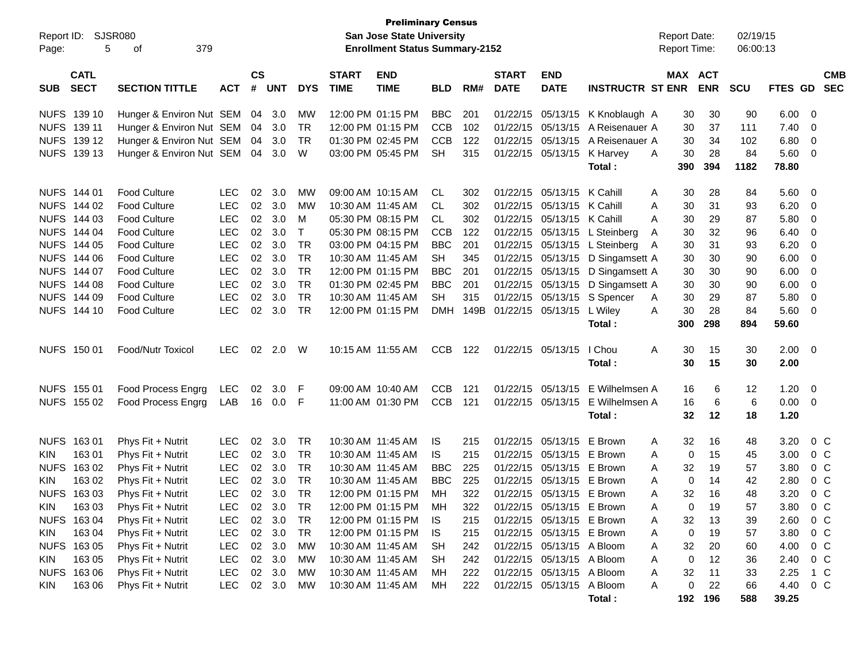| Report ID:<br>5<br>Page:                 | SJSR080<br>379<br>оf                   |                          |                    |                  |            |                             | <b>Preliminary Census</b><br><b>San Jose State University</b><br><b>Enrollment Status Summary-2152</b> |            |            |                             |                                                        |                                  | <b>Report Date:</b><br>Report Time: |            | 02/19/15<br>06:00:13 |                |                           |
|------------------------------------------|----------------------------------------|--------------------------|--------------------|------------------|------------|-----------------------------|--------------------------------------------------------------------------------------------------------|------------|------------|-----------------------------|--------------------------------------------------------|----------------------------------|-------------------------------------|------------|----------------------|----------------|---------------------------|
| <b>CATL</b><br><b>SECT</b><br><b>SUB</b> | <b>SECTION TITTLE</b>                  | <b>ACT</b>               | $\mathsf{cs}$<br># | <b>UNT</b>       | <b>DYS</b> | <b>START</b><br><b>TIME</b> | <b>END</b><br><b>TIME</b>                                                                              | <b>BLD</b> | RM#        | <b>START</b><br><b>DATE</b> | <b>END</b><br><b>DATE</b>                              | <b>INSTRUCTR ST ENR</b>          | MAX ACT                             | <b>ENR</b> | <b>SCU</b>           |                | <b>CMB</b><br>FTES GD SEC |
| NUFS 139 10                              | Hunger & Environ Nut SEM 04 3.0        |                          |                    |                  | МW         |                             | 12:00 PM 01:15 PM                                                                                      | <b>BBC</b> | 201        |                             |                                                        | 01/22/15 05/13/15 K Knoblaugh A  | 30                                  | 30         | 90                   | 6.00           | $\overline{\phantom{0}}$  |
| NUFS 139 11                              | Hunger & Environ Nut SEM               |                          | 04                 | 3.0              | <b>TR</b>  |                             | 12:00 PM 01:15 PM                                                                                      | <b>CCB</b> | 102        |                             | 01/22/15 05/13/15                                      | A Reisenauer A                   | 30                                  | 37         | 111                  | 7.40           | $\overline{\phantom{0}}$  |
| NUFS 139 12                              | Hunger & Environ Nut SEM 04            |                          |                    | 3.0              | TR         |                             | 01:30 PM 02:45 PM                                                                                      | <b>CCB</b> | 122        |                             | 01/22/15 05/13/15                                      | A Reisenauer A                   | 30                                  | 34         | 102                  | 6.80           | $\overline{\mathbf{0}}$   |
| NUFS 139 13                              | Hunger & Environ Nut SEM 04 3.0        |                          |                    |                  | W          |                             | 03:00 PM 05:45 PM                                                                                      | <b>SH</b>  | 315        |                             | 01/22/15 05/13/15 K Harvey                             |                                  | 30<br>A                             | 28         | 84                   | 5.60 0         |                           |
|                                          |                                        |                          |                    |                  |            |                             |                                                                                                        |            |            |                             |                                                        | Total:                           | 390                                 | 394        | 1182                 | 78.80          |                           |
| NUFS 144 01                              | <b>Food Culture</b>                    | <b>LEC</b>               | 02                 | 3.0              | МW         |                             | 09:00 AM 10:15 AM                                                                                      | CL         | 302        |                             | 01/22/15 05/13/15 K Cahill                             |                                  | 30<br>Α                             | 28         | 84                   | 5.60           | $\overline{\mathbf{0}}$   |
| NUFS 144 02                              | <b>Food Culture</b>                    | <b>LEC</b>               | 02                 | 3.0              | MW         |                             | 10:30 AM 11:45 AM                                                                                      | CL         | 302        |                             | 01/22/15 05/13/15 K Cahill                             |                                  | 30<br>Α                             | 31         | 93                   | 6.20           | $\overline{\mathbf{0}}$   |
| NUFS 144 03                              | <b>Food Culture</b>                    | <b>LEC</b>               | 02                 | 3.0              | M          |                             | 05:30 PM 08:15 PM                                                                                      | CL         | 302        |                             | 01/22/15 05/13/15 K Cahill                             |                                  | 30<br>A                             | 29         | 87                   | 5.80           | $\overline{\phantom{0}}$  |
| NUFS 144 04                              | <b>Food Culture</b>                    | <b>LEC</b>               | 02                 | 3.0              | $\top$     |                             | 05:30 PM 08:15 PM                                                                                      | <b>CCB</b> | 122        |                             |                                                        | 01/22/15 05/13/15 L Steinberg    | 30<br>A                             | 32         | 96                   | 6.40           | $\overline{\mathbf{0}}$   |
| NUFS 144 05                              | <b>Food Culture</b>                    | <b>LEC</b>               | 02                 | 3.0              | TR         |                             | 03:00 PM 04:15 PM                                                                                      | <b>BBC</b> | 201        |                             |                                                        | 01/22/15 05/13/15 L Steinberg    | 30<br>A                             | 31         | 93                   | 6.20           | $\overline{\mathbf{0}}$   |
| NUFS 144 06                              | <b>Food Culture</b>                    | <b>LEC</b>               | 02                 | 3.0              | <b>TR</b>  |                             | 10:30 AM 11:45 AM                                                                                      | <b>SH</b>  | 345        |                             |                                                        | 01/22/15 05/13/15 D Singamsett A | 30                                  | 30         | 90                   | 6.00           | $\overline{\mathbf{0}}$   |
| NUFS 144 07                              | <b>Food Culture</b>                    | <b>LEC</b>               | 02                 | 3.0              | <b>TR</b>  |                             | 12:00 PM 01:15 PM                                                                                      | <b>BBC</b> | 201        |                             |                                                        | 01/22/15 05/13/15 D Singamsett A | 30                                  | 30         | 90                   | 6.00           | $\overline{\mathbf{0}}$   |
| NUFS 144 08                              | <b>Food Culture</b>                    | <b>LEC</b>               | 02                 | 3.0              | <b>TR</b>  |                             | 01:30 PM 02:45 PM                                                                                      | <b>BBC</b> | 201        |                             |                                                        | 01/22/15 05/13/15 D Singamsett A | 30                                  | 30         | 90                   | 6.00           | $\overline{\mathbf{0}}$   |
| NUFS 144 09                              | <b>Food Culture</b>                    | <b>LEC</b>               | 02                 | 3.0              | <b>TR</b>  |                             | 10:30 AM 11:45 AM                                                                                      | <b>SH</b>  | 315        |                             | 01/22/15 05/13/15                                      | S Spencer                        | 30<br>A                             | 29         | 87                   | 5.80           | $\overline{\mathbf{0}}$   |
| NUFS 144 10                              | <b>Food Culture</b>                    | <b>LEC</b>               | 02                 | 3.0              | TR         |                             | 12:00 PM 01:15 PM                                                                                      | <b>DMH</b> | 149B       |                             | 01/22/15 05/13/15                                      | L Wiley                          | 30<br>Α                             | 28         | 84                   | $5.60 \quad 0$ |                           |
|                                          |                                        |                          |                    |                  |            |                             |                                                                                                        |            |            |                             |                                                        | Total:                           | 300                                 | 298        | 894                  | 59.60          |                           |
| NUFS 150 01                              | Food/Nutr Toxicol                      | <b>LEC</b>               | 02                 | 2.0              | W          |                             | 10:15 AM 11:55 AM                                                                                      | <b>CCB</b> | 122        |                             | 01/22/15 05/13/15                                      | I Chou                           | 30<br>A                             | 15         | 30                   | $2.00 \t 0$    |                           |
|                                          |                                        |                          |                    |                  |            |                             |                                                                                                        |            |            |                             |                                                        | Total:                           | 30                                  | 15         | 30                   | 2.00           |                           |
| NUFS 155 01                              | Food Process Engrg                     | <b>LEC</b>               | 02                 | 3.0              | -F         |                             | 09:00 AM 10:40 AM                                                                                      | <b>CCB</b> | 121        |                             | 01/22/15 05/13/15                                      | E Wilhelmsen A                   | 16                                  | 6          | $12 \,$              | 1.20           | $\overline{\mathbf{0}}$   |
| NUFS 155 02                              | Food Process Engrg                     | LAB                      | 16                 | 0.0              | -F         |                             | 11:00 AM 01:30 PM                                                                                      | <b>CCB</b> | 121        |                             | 01/22/15 05/13/15                                      | E Wilhelmsen A                   | 16                                  | 6          | 6                    | $0.00 \t 0$    |                           |
|                                          |                                        |                          |                    |                  |            |                             |                                                                                                        |            |            |                             |                                                        | Total:                           | 32                                  | 12         | 18                   | 1.20           |                           |
|                                          |                                        |                          |                    |                  |            |                             |                                                                                                        |            |            |                             |                                                        |                                  |                                     |            |                      |                |                           |
| NUFS 163 01                              | Phys Fit + Nutrit                      | <b>LEC</b>               | 02                 | 3.0              | TR         |                             | 10:30 AM 11:45 AM                                                                                      | IS.        | 215        |                             | 01/22/15 05/13/15                                      | E Brown                          | 32<br>A                             | 16         | 48                   | 3.20           | $0\,C$                    |
| 163 01<br>KIN.                           | Phys Fit + Nutrit                      | <b>LEC</b>               |                    | 02 3.0           | <b>TR</b>  |                             | 10:30 AM 11:45 AM                                                                                      | IS.        | 215        |                             | 01/22/15 05/13/15                                      | E Brown                          | 0<br>Α                              | 15         | 45                   | 3.00           | 0 C                       |
| NUFS 163 02                              | Phys Fit + Nutrit                      | <b>LEC</b>               |                    | 02 3.0           | <b>TR</b>  |                             | 10:30 AM 11:45 AM                                                                                      | <b>BBC</b> | 225        |                             | 01/22/15 05/13/15                                      | E Brown                          | 32<br>Α                             | 19         | 57                   | 3.80           | 0 C                       |
| 163 02<br>KIN.                           | Phys Fit + Nutrit                      | <b>LEC</b>               | 02                 | 3.0              | <b>TR</b>  |                             | 10:30 AM 11:45 AM                                                                                      | <b>BBC</b> | 225        |                             | 01/22/15 05/13/15 E Brown                              |                                  | $\mathbf 0$<br>A                    | 14         | 42                   | 2.80           | 0 C                       |
| NUFS 163 03                              | Phys Fit + Nutrit                      | <b>LEC</b>               |                    | 02 3.0<br>02 3.0 | <b>TR</b>  |                             | 12:00 PM 01:15 PM                                                                                      | MH         | 322        |                             | 01/22/15 05/13/15 E Brown                              |                                  | 32<br>Α                             | 16         | 48                   | 3.20           | 0 <sup>o</sup>            |
| <b>KIN</b><br>16303                      | Phys Fit + Nutrit                      | <b>LEC</b>               |                    |                  | <b>TR</b>  |                             | 12:00 PM 01:15 PM                                                                                      | MH         | 322        |                             | 01/22/15 05/13/15 E Brown                              |                                  | Α<br>0                              | 19         | 57                   | 3.80           | $0\,C$                    |
| NUFS 163 04<br>163 04<br>KIN             | Phys Fit + Nutrit<br>Phys Fit + Nutrit | <b>LEC</b><br><b>LEC</b> |                    | 02 3.0<br>02 3.0 | TR<br>TR   |                             | 12:00 PM 01:15 PM<br>12:00 PM 01:15 PM                                                                 | IS.        | 215<br>215 |                             | 01/22/15 05/13/15 E Brown<br>01/22/15 05/13/15 E Brown |                                  | 32<br>A<br>0                        | 13<br>19   | 39<br>57             | 2.60<br>3.80   | $0\,C$<br>$0\,C$          |
| NUFS 163 05                              | Phys Fit + Nutrit                      | <b>LEC</b>               |                    | 02 3.0           | МW         |                             | 10:30 AM 11:45 AM                                                                                      | IS.<br>SH  | 242        |                             | 01/22/15 05/13/15 A Bloom                              |                                  | Α<br>32<br>Α                        | 20         | 60                   | 4.00           | $0\,C$                    |
| 163 05<br>KIN                            | Phys Fit + Nutrit                      | <b>LEC</b>               |                    | 02 3.0           | МW         |                             | 10:30 AM 11:45 AM                                                                                      | SH.        | 242        |                             | 01/22/15 05/13/15 A Bloom                              |                                  | 0<br>Α                              | 12         | 36                   | 2.40           | $0\,C$                    |
| NUFS 163 06                              | Phys Fit + Nutrit                      | <b>LEC</b>               |                    | 02 3.0           | МW         |                             | 10:30 AM 11:45 AM                                                                                      | MН         | 222        |                             | 01/22/15 05/13/15 A Bloom                              |                                  | 32<br>Α                             | 11         | 33                   | 2.25           | 1 C                       |
| 163 06<br>KIN                            | Phys Fit + Nutrit                      | <b>LEC</b>               |                    | 02 3.0           | МW         |                             | 10:30 AM 11:45 AM                                                                                      | МH         | 222        |                             | 01/22/15 05/13/15 A Bloom                              |                                  | 0<br>A                              | 22         | 66                   | 4.40           | $0\,C$                    |
|                                          |                                        |                          |                    |                  |            |                             |                                                                                                        |            |            |                             |                                                        | Total:                           |                                     | 192 196    | 588                  | 39.25          |                           |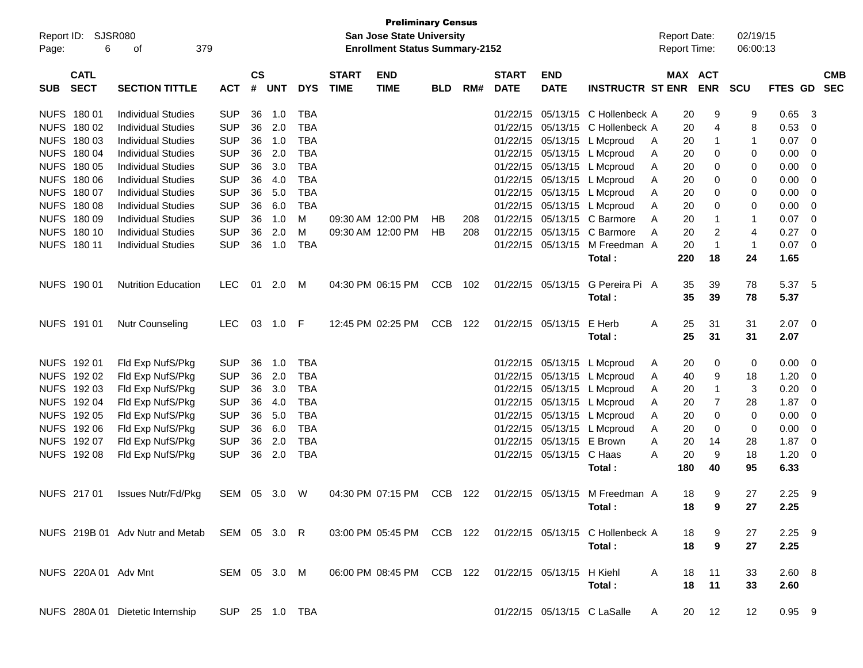| Report ID:<br>Page: | 6                          | <b>SJSR080</b><br>379<br>οf                  |                |                    |            |            |                             | <b>Preliminary Census</b><br><b>San Jose State University</b><br><b>Enrollment Status Summary-2152</b> |            |     |                             |                           |                                                            | <b>Report Date:</b><br><b>Report Time:</b> |                         | 02/19/15<br>06:00:13 |             |                          |
|---------------------|----------------------------|----------------------------------------------|----------------|--------------------|------------|------------|-----------------------------|--------------------------------------------------------------------------------------------------------|------------|-----|-----------------------------|---------------------------|------------------------------------------------------------|--------------------------------------------|-------------------------|----------------------|-------------|--------------------------|
| <b>SUB</b>          | <b>CATL</b><br><b>SECT</b> | <b>SECTION TITTLE</b>                        | <b>ACT</b>     | $\mathsf{cs}$<br># | <b>UNT</b> | <b>DYS</b> | <b>START</b><br><b>TIME</b> | <b>END</b><br><b>TIME</b>                                                                              | <b>BLD</b> | RM# | <b>START</b><br><b>DATE</b> | <b>END</b><br><b>DATE</b> | <b>INSTRUCTR ST ENR</b>                                    | MAX ACT                                    | <b>ENR</b>              | <b>SCU</b>           | FTES GD     | <b>CMB</b><br><b>SEC</b> |
|                     | NUFS 180 01                | <b>Individual Studies</b>                    | <b>SUP</b>     | 36                 | 1.0        | <b>TBA</b> |                             |                                                                                                        |            |     | 01/22/15                    | 05/13/15                  | C Hollenbeck A                                             | 20                                         | 9                       | 9                    | 0.65        | -3                       |
|                     | NUFS 180 02                | <b>Individual Studies</b>                    | <b>SUP</b>     | 36                 | 2.0        | <b>TBA</b> |                             |                                                                                                        |            |     | 01/22/15                    | 05/13/15                  | C Hollenbeck A                                             | 20                                         | 4                       | 8                    | 0.53        | 0                        |
|                     | NUFS 180 03                | <b>Individual Studies</b>                    | <b>SUP</b>     | 36                 | 1.0        | <b>TBA</b> |                             |                                                                                                        |            |     | 01/22/15                    | 05/13/15                  | L Mcproud                                                  | 20<br>A                                    | $\mathbf 1$             | 1                    | 0.07        | 0                        |
|                     | NUFS 180 04                | <b>Individual Studies</b>                    | <b>SUP</b>     | 36                 | 2.0        | <b>TBA</b> |                             |                                                                                                        |            |     | 01/22/15                    |                           | 05/13/15 L Mcproud                                         | 20<br>Α                                    | 0                       | 0                    | 0.00        | -0                       |
|                     | NUFS 180 05                | <b>Individual Studies</b>                    | <b>SUP</b>     | 36                 | 3.0        | <b>TBA</b> |                             |                                                                                                        |            |     | 01/22/15                    |                           | 05/13/15 L Mcproud                                         | 20<br>A                                    | 0                       | 0                    | 0.00        | 0                        |
|                     | NUFS 180 06                | <b>Individual Studies</b>                    | <b>SUP</b>     | 36                 | 4.0        | <b>TBA</b> |                             |                                                                                                        |            |     | 01/22/15                    |                           | 05/13/15 L Mcproud                                         | 20<br>A                                    | 0                       | 0                    | 0.00        | -0                       |
|                     | NUFS 180 07                | <b>Individual Studies</b>                    | <b>SUP</b>     | 36                 | 5.0        | <b>TBA</b> |                             |                                                                                                        |            |     | 01/22/15                    |                           | 05/13/15 L Mcproud                                         | 20<br>Α                                    | 0                       | 0                    | 0.00        | -0                       |
|                     | NUFS 180 08                | <b>Individual Studies</b>                    | <b>SUP</b>     | 36                 | 6.0        | <b>TBA</b> |                             |                                                                                                        |            |     | 01/22/15                    |                           | 05/13/15 L Mcproud                                         | 20<br>Α                                    | 0                       | 0                    | 0.00        | -0                       |
|                     | NUFS 180 09                | <b>Individual Studies</b>                    | <b>SUP</b>     | 36                 | 1.0        | M          |                             | 09:30 AM 12:00 PM                                                                                      | HB         | 208 | 01/22/15                    | 05/13/15                  | C Barmore                                                  | 20<br>A                                    | $\overline{\mathbf{1}}$ | 1                    | 0.07        | -0                       |
|                     | NUFS 180 10                | <b>Individual Studies</b>                    | <b>SUP</b>     | 36                 | 2.0        | M          |                             | 09:30 AM 12:00 PM                                                                                      | HB         | 208 | 01/22/15                    | 05/13/15                  | C Barmore                                                  | 20<br>A                                    | $\overline{2}$          | 4                    | 0.27        | -0                       |
|                     | NUFS 180 11                | <b>Individual Studies</b>                    | <b>SUP</b>     | 36                 | 1.0        | <b>TBA</b> |                             |                                                                                                        |            |     | 01/22/15                    | 05/13/15                  | M Freedman A                                               | 20                                         | $\overline{1}$          | $\mathbf{1}$         | 0.07        | - 0                      |
|                     |                            |                                              |                |                    |            |            |                             |                                                                                                        |            |     |                             |                           | Total:                                                     | 220                                        | 18                      | 24                   | 1.65        |                          |
|                     | NUFS 190 01                | <b>Nutrition Education</b>                   | <b>LEC</b>     | 01                 | 2.0        | M          |                             | 04:30 PM 06:15 PM                                                                                      | <b>CCB</b> | 102 |                             | 01/22/15 05/13/15         | G Pereira Pi A                                             | 35                                         | 39                      | 78                   | 5.37 5      |                          |
|                     |                            |                                              |                |                    |            |            |                             |                                                                                                        |            |     |                             |                           | Total:                                                     | 35                                         | 39                      | 78                   | 5.37        |                          |
|                     | NUFS 191 01                | <b>Nutr Counseling</b>                       | <b>LEC</b>     | 03                 | 1.0        | -F         |                             | 12:45 PM 02:25 PM                                                                                      | <b>CCB</b> | 122 | 01/22/15                    | 05/13/15                  | E Herb                                                     | A<br>25                                    | 31                      | 31                   | $2.07 \t 0$ |                          |
|                     |                            |                                              |                |                    |            |            |                             |                                                                                                        |            |     |                             |                           | Total:                                                     | 25                                         | 31                      | 31                   | 2.07        |                          |
|                     | NUFS 192 01                |                                              | <b>SUP</b>     | 36                 | 1.0        | <b>TBA</b> |                             |                                                                                                        |            |     | 01/22/15                    |                           | 05/13/15 L Mcproud                                         |                                            |                         | 0                    | 0.00        | - 0                      |
|                     | NUFS 192 02                | Fld Exp NufS/Pkg<br>Fld Exp NufS/Pkg         | <b>SUP</b>     | 36                 | 2.0        | <b>TBA</b> |                             |                                                                                                        |            |     | 01/22/15                    |                           |                                                            | 20<br>A<br>40                              | 0<br>9                  | 18                   | 1.20        | - 0                      |
|                     | NUFS 192 03                | Fld Exp NufS/Pkg                             | <b>SUP</b>     | 36                 | 3.0        | <b>TBA</b> |                             |                                                                                                        |            |     | 01/22/15                    | 05/13/15                  | 05/13/15 L Mcproud<br>L Mcproud                            | A<br>20<br>A                               | $\mathbf{1}$            | 3                    | 0.20        | -0                       |
|                     | NUFS 192 04                | Fld Exp NufS/Pkg                             | <b>SUP</b>     | 36                 | 4.0        | <b>TBA</b> |                             |                                                                                                        |            |     | 01/22/15                    | 05/13/15                  | L Mcproud                                                  | 20<br>A                                    | $\overline{7}$          | 28                   | 1.87        | -0                       |
|                     | NUFS 192 05                | Fld Exp NufS/Pkg                             | <b>SUP</b>     | 36                 | 5.0        | <b>TBA</b> |                             |                                                                                                        |            |     | 01/22/15                    | 05/13/15                  | L Mcproud                                                  | 20<br>A                                    | 0                       | 0                    | 0.00        | -0                       |
|                     | NUFS 192 06                | Fld Exp NufS/Pkg                             | <b>SUP</b>     | 36                 | 6.0        | <b>TBA</b> |                             |                                                                                                        |            |     | 01/22/15                    | 05/13/15                  | L Mcproud                                                  | 20<br>A                                    | 0                       | 0                    | 0.00        | 0                        |
|                     | NUFS 192 07                | Fld Exp NufS/Pkg                             | <b>SUP</b>     | 36                 | 2.0        | <b>TBA</b> |                             |                                                                                                        |            |     | 01/22/15                    | 05/13/15                  | E Brown                                                    | 20<br>A                                    | 14                      | 28                   | 1.87        | 0                        |
|                     | NUFS 192 08                | Fld Exp NufS/Pkg                             | <b>SUP</b>     | 36                 | 2.0        | <b>TBA</b> |                             |                                                                                                        |            |     | 01/22/15                    | 05/13/15 C Haas           |                                                            | 20<br>Α                                    | 9                       | 18                   | 1.20        | - 0                      |
|                     |                            |                                              |                |                    |            |            |                             |                                                                                                        |            |     |                             |                           | Total:                                                     | 180                                        | 40                      | 95                   | 6.33        |                          |
|                     | NUFS 217 01                | <b>Issues Nutr/Fd/Pkg</b>                    | SEM 05 3.0     |                    |            | W          |                             | 04:30 PM 07:15 PM                                                                                      | CCB        | 122 |                             |                           | 01/22/15 05/13/15 M Freedman A                             | 18                                         | 9                       | 27                   | 2.25        | - 9                      |
|                     |                            |                                              |                |                    |            |            |                             |                                                                                                        |            |     |                             |                           | Total :                                                    | 18                                         | 9                       | 27                   | 2.25        |                          |
|                     |                            |                                              |                |                    |            |            |                             |                                                                                                        |            |     |                             |                           |                                                            |                                            |                         |                      |             |                          |
|                     |                            | NUFS 219B 01 Adv Nutr and Metab SEM 05 3.0 R |                |                    |            |            |                             |                                                                                                        |            |     |                             |                           | 03:00 PM 05:45 PM CCB 122 01/22/15 05/13/15 C Hollenbeck A | 18                                         | 9                       | 27                   | $2.25$ 9    |                          |
|                     |                            |                                              |                |                    |            |            |                             |                                                                                                        |            |     |                             |                           | Total:                                                     | 18                                         | $\boldsymbol{9}$        | 27                   | 2.25        |                          |
|                     | NUFS 220A 01 Adv Mnt       |                                              | SEM 05 3.0 M   |                    |            |            |                             | 06:00 PM 08:45 PM CCB 122                                                                              |            |     |                             | 01/22/15 05/13/15 H Kiehl |                                                            | 18<br>A                                    | 11                      | 33                   | 2.60 8      |                          |
|                     |                            |                                              |                |                    |            |            |                             |                                                                                                        |            |     |                             |                           | Total:                                                     | 18                                         | 11                      | 33                   | 2.60        |                          |
|                     |                            | NUFS 280A 01 Dietetic Internship             | SUP 25 1.0 TBA |                    |            |            |                             |                                                                                                        |            |     |                             |                           | 01/22/15 05/13/15 C LaSalle                                | 20<br>A                                    | 12                      | 12                   | $0.95$ 9    |                          |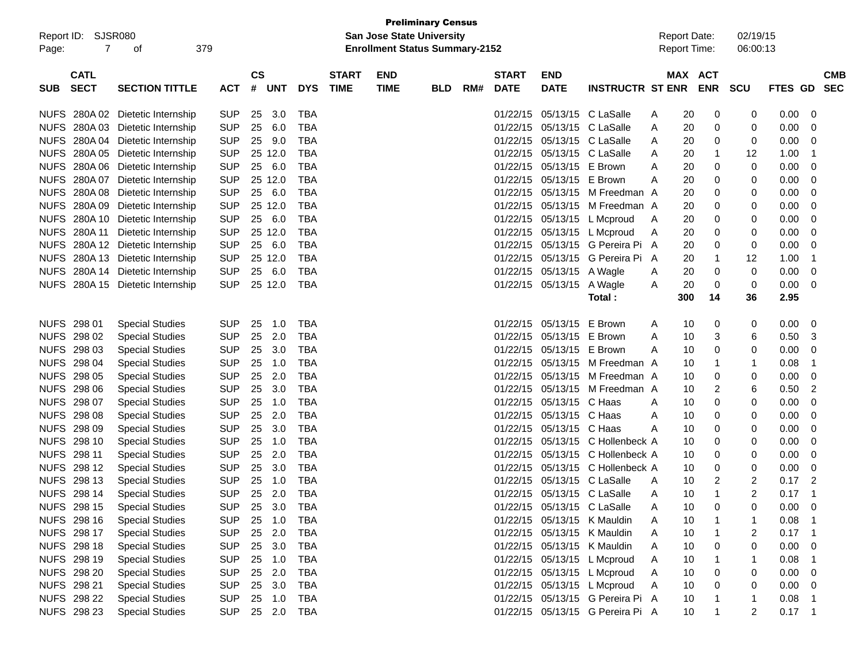| Report ID:<br>7<br>Page:                 | SJSR080<br>379<br>οf             |            |                                  |            |                             | <b>San Jose State University</b><br><b>Enrollment Status Summary-2152</b> | <b>Preliminary Census</b> |     |                             |                           |                                  |   | <b>Report Date:</b><br><b>Report Time:</b> |                          | 02/19/15<br>06:00:13 |          |              |                          |
|------------------------------------------|----------------------------------|------------|----------------------------------|------------|-----------------------------|---------------------------------------------------------------------------|---------------------------|-----|-----------------------------|---------------------------|----------------------------------|---|--------------------------------------------|--------------------------|----------------------|----------|--------------|--------------------------|
| <b>CATL</b><br><b>SECT</b><br><b>SUB</b> | <b>SECTION TITTLE</b>            | ACT        | $\mathsf{cs}$<br>#<br><b>UNT</b> | <b>DYS</b> | <b>START</b><br><b>TIME</b> | <b>END</b><br><b>TIME</b>                                                 | <b>BLD</b>                | RM# | <b>START</b><br><b>DATE</b> | <b>END</b><br><b>DATE</b> | <b>INSTRUCTR ST ENR</b>          |   | MAX                                        | <b>ACT</b><br><b>ENR</b> | <b>SCU</b>           | FTES GD  |              | <b>CMB</b><br><b>SEC</b> |
| NUFS 280A02                              | Dietetic Internship              | <b>SUP</b> | 3.0<br>25                        | <b>TBA</b> |                             |                                                                           |                           |     | 01/22/15                    | 05/13/15                  | C LaSalle                        | A | 20                                         | 0                        | 0                    | 0.00     | 0            |                          |
| NUFS 280A03                              | Dietetic Internship              | <b>SUP</b> | 6.0<br>25                        | <b>TBA</b> |                             |                                                                           |                           |     | 01/22/15                    |                           | 05/13/15 C LaSalle               | A | 20                                         | 0                        | 0                    | 0.00     | 0            |                          |
| <b>NUFS</b>                              | 280A 04 Dietetic Internship      | <b>SUP</b> | 9.0<br>25                        | <b>TBA</b> |                             |                                                                           |                           |     | 01/22/15                    | 05/13/15                  | C LaSalle                        | A | 20                                         | 0                        | 0                    | 0.00     | 0            |                          |
| <b>NUFS</b>                              | 280A 05 Dietetic Internship      | <b>SUP</b> | 25 12.0                          | <b>TBA</b> |                             |                                                                           |                           |     | 01/22/15                    |                           | 05/13/15 C LaSalle               | A | 20                                         | 1                        | 12                   | 1.00     | $\mathbf 1$  |                          |
| <b>NUFS</b><br>280A06                    | Dietetic Internship              | <b>SUP</b> | 6.0<br>25                        | <b>TBA</b> |                             |                                                                           |                           |     | 01/22/15                    | 05/13/15                  | E Brown                          | A | 20                                         | 0                        | 0                    | 0.00     | 0            |                          |
| <b>NUFS</b><br>280A 07                   | Dietetic Internship              | <b>SUP</b> | 25 12.0                          | <b>TBA</b> |                             |                                                                           |                           |     | 01/22/15                    | 05/13/15                  | E Brown                          | A | 20                                         | 0                        | 0                    | 0.00     | 0            |                          |
| <b>NUFS</b><br>280A 08                   | Dietetic Internship              | <b>SUP</b> | 6.0<br>25                        | <b>TBA</b> |                             |                                                                           |                           |     | 01/22/15                    |                           | 05/13/15 M Freedman A            |   | 20                                         | 0                        | 0                    | 0.00     | 0            |                          |
| <b>NUFS</b><br>280A 09                   | Dietetic Internship              | <b>SUP</b> | 25 12.0                          | <b>TBA</b> |                             |                                                                           |                           |     | 01/22/15                    | 05/13/15                  | M Freedman A                     |   | 20                                         | 0                        | 0                    | 0.00     | 0            |                          |
| <b>NUFS</b><br>280A 10                   | Dietetic Internship              | <b>SUP</b> | 6.0<br>25                        | <b>TBA</b> |                             |                                                                           |                           |     | 01/22/15                    | 05/13/15                  | L Mcproud                        | A | 20                                         | 0                        | 0                    | 0.00     | 0            |                          |
| <b>NUFS</b><br>280A 11                   | Dietetic Internship              | <b>SUP</b> | 25 12.0                          | <b>TBA</b> |                             |                                                                           |                           |     | 01/22/15                    |                           | 05/13/15 L Mcproud               | A | 20                                         | 0                        | 0                    | 0.00     | 0            |                          |
| <b>NUFS</b><br>280A 12                   | Dietetic Internship              | <b>SUP</b> | 6.0<br>25                        | <b>TBA</b> |                             |                                                                           |                           |     | 01/22/15                    |                           | 05/13/15 G Pereira Pi A          |   | 20                                         | 0                        | 0                    | 0.00     | 0            |                          |
| <b>NUFS</b><br>280A 13                   | Dietetic Internship              | <b>SUP</b> | 25 12.0                          | <b>TBA</b> |                             |                                                                           |                           |     | 01/22/15                    |                           | 05/13/15 G Pereira Pi A          |   | 20                                         | 1                        | 12                   | 1.00     | $\mathbf 1$  |                          |
| <b>NUFS</b>                              | 280A 14 Dietetic Internship      | <b>SUP</b> | 25<br>6.0                        | <b>TBA</b> |                             |                                                                           |                           |     | 01/22/15                    | 05/13/15 A Wagle          |                                  | A | 20                                         | 0                        | 0                    | 0.00     | 0            |                          |
|                                          | NUFS 280A 15 Dietetic Internship | <b>SUP</b> | 25 12.0                          | <b>TBA</b> |                             |                                                                           |                           |     |                             | 01/22/15 05/13/15 A Wagle |                                  | A | 20                                         | 0                        | 0                    | 0.00     | 0            |                          |
|                                          |                                  |            |                                  |            |                             |                                                                           |                           |     |                             |                           | Total:                           |   | 300                                        | 14                       | 36                   | 2.95     |              |                          |
|                                          |                                  |            |                                  |            |                             |                                                                           |                           |     |                             |                           |                                  |   |                                            |                          |                      |          |              |                          |
| NUFS 298 01                              | <b>Special Studies</b>           | <b>SUP</b> | 25<br>1.0                        | <b>TBA</b> |                             |                                                                           |                           |     | 01/22/15                    | 05/13/15                  | E Brown                          | A | 10                                         | 0                        | 0                    | 0.00     | 0            |                          |
| NUFS 298 02                              | <b>Special Studies</b>           | <b>SUP</b> | 2.0<br>25                        | <b>TBA</b> |                             |                                                                           |                           |     | 01/22/15                    | 05/13/15                  | E Brown                          | A | 10                                         | 3                        | 6                    | 0.50     | 3            |                          |
| NUFS 298 03                              | <b>Special Studies</b>           | <b>SUP</b> | 3.0<br>25                        | <b>TBA</b> |                             |                                                                           |                           |     | 01/22/15                    | 05/13/15                  | E Brown                          | A | 10                                         | 0                        | 0                    | 0.00     | 0            |                          |
| NUFS 298 04                              | <b>Special Studies</b>           | <b>SUP</b> | 25<br>1.0                        | <b>TBA</b> |                             |                                                                           |                           |     | 01/22/15                    |                           | 05/13/15 M Freedman A            |   | 10                                         | 1                        | -1                   | 0.08     | 1            |                          |
| NUFS 298 05                              | <b>Special Studies</b>           | <b>SUP</b> | 2.0<br>25                        | <b>TBA</b> |                             |                                                                           |                           |     | 01/22/15                    | 05/13/15                  | M Freedman A                     |   | 10                                         | 0                        | 0                    | 0.00     | 0            |                          |
| <b>NUFS</b><br>298 06                    | <b>Special Studies</b>           | <b>SUP</b> | 3.0<br>25                        | <b>TBA</b> |                             |                                                                           |                           |     | 01/22/15                    | 05/13/15                  | M Freedman A                     |   | 10                                         | 2                        | 6                    | 0.50     | 2            |                          |
| NUFS 298 07                              | <b>Special Studies</b>           | <b>SUP</b> | 25<br>1.0                        | <b>TBA</b> |                             |                                                                           |                           |     | 01/22/15                    | 05/13/15                  | C Haas                           | A | 10                                         | 0                        | 0                    | 0.00     | 0            |                          |
| NUFS 298 08                              | <b>Special Studies</b>           | <b>SUP</b> | 2.0<br>25                        | <b>TBA</b> |                             |                                                                           |                           |     | 01/22/15                    | 05/13/15                  | C Haas                           | A | 10                                         | 0                        | 0                    | 0.00     | 0            |                          |
| NUFS 298 09                              | <b>Special Studies</b>           | <b>SUP</b> | 3.0<br>25                        | <b>TBA</b> |                             |                                                                           |                           |     | 01/22/15                    | 05/13/15                  | C Haas                           | A | 10                                         | 0                        | 0                    | 0.00     | 0            |                          |
| NUFS 298 10                              | <b>Special Studies</b>           | <b>SUP</b> | 25<br>1.0                        | <b>TBA</b> |                             |                                                                           |                           |     | 01/22/15                    | 05/13/15                  | C Hollenbeck A                   |   | 10                                         | 0                        | 0                    | 0.00     | 0            |                          |
| <b>NUFS</b><br>298 11                    | <b>Special Studies</b>           | <b>SUP</b> | 2.0<br>25                        | <b>TBA</b> |                             |                                                                           |                           |     | 01/22/15                    | 05/13/15                  | C Hollenbeck A                   |   | 10                                         | 0                        | 0                    | 0.00     | 0            |                          |
| NUFS 298 12                              | <b>Special Studies</b>           | <b>SUP</b> | 3.0<br>25                        | <b>TBA</b> |                             |                                                                           |                           |     | 01/22/15                    | 05/13/15                  | C Hollenbeck A                   |   | 10                                         | 0                        | 0                    | 0.00     | 0            |                          |
| NUFS 298 13                              | <b>Special Studies</b>           | <b>SUP</b> | 25<br>1.0                        | <b>TBA</b> |                             |                                                                           |                           |     | 01/22/15                    | 05/13/15                  | C LaSalle                        | A | 10                                         | 2                        | 2                    | 0.17     | 2            |                          |
| NUFS 298 14                              | <b>Special Studies</b>           | <b>SUP</b> | 25<br>2.0                        | <b>TBA</b> |                             |                                                                           |                           |     | 01/22/15                    | 05/13/15 C LaSalle        |                                  | A | 10                                         | 1                        | 2                    | 0.17     | 1            |                          |
| NUFS 298 15                              | <b>Special Studies</b>           | <b>SUP</b> | 25 3.0                           | <b>TBA</b> |                             |                                                                           |                           |     |                             |                           | 01/22/15 05/13/15 C LaSalle      | А | 10                                         | 0                        | $\Omega$             | 0.00     | 0            |                          |
| NUFS 298 16                              | <b>Special Studies</b>           | <b>SUP</b> | 25 1.0                           | TBA        |                             |                                                                           |                           |     |                             |                           | 01/22/15 05/13/15 K Mauldin      | A | 10                                         | 1                        |                      | 0.08     | $\mathbf{1}$ |                          |
| NUFS 298 17                              | <b>Special Studies</b>           | <b>SUP</b> | 2.0<br>25                        | <b>TBA</b> |                             |                                                                           |                           |     |                             |                           | 01/22/15 05/13/15 K Mauldin      | A | 10                                         |                          | 2                    | 0.17     | $\mathbf 1$  |                          |
| NUFS 298 18                              | <b>Special Studies</b>           | <b>SUP</b> | 25<br>3.0                        | TBA        |                             |                                                                           |                           |     |                             |                           | 01/22/15 05/13/15 K Mauldin      | A | 10                                         | 0                        | 0                    | 0.00     | 0            |                          |
| NUFS 298 19                              | <b>Special Studies</b>           | <b>SUP</b> | 25<br>1.0                        | TBA        |                             |                                                                           |                           |     |                             |                           | 01/22/15 05/13/15 L Mcproud      | A | 10                                         |                          |                      | 0.08     | $\mathbf 1$  |                          |
| NUFS 298 20                              | <b>Special Studies</b>           | <b>SUP</b> | 25<br>2.0                        | TBA        |                             |                                                                           |                           |     |                             |                           | 01/22/15 05/13/15 L Mcproud      | A | 10                                         | 0                        | 0                    | 0.00     | 0            |                          |
| NUFS 298 21                              | <b>Special Studies</b>           | <b>SUP</b> | 3.0<br>25                        | TBA        |                             |                                                                           |                           |     |                             |                           | 01/22/15 05/13/15 L Mcproud      | A | 10                                         | 0                        | 0                    | 0.00     | 0            |                          |
| <b>NUFS 298 22</b>                       | <b>Special Studies</b>           | <b>SUP</b> | 25 1.0                           | TBA        |                             |                                                                           |                           |     |                             |                           | 01/22/15 05/13/15 G Pereira Pi A |   | 10                                         |                          |                      | 0.08     | $\mathbf 1$  |                          |
| NUFS 298 23                              | <b>Special Studies</b>           | <b>SUP</b> | 25 2.0                           | TBA        |                             |                                                                           |                           |     |                             |                           | 01/22/15 05/13/15 G Pereira Pi A |   | 10                                         | 1                        | 2                    | $0.17$ 1 |              |                          |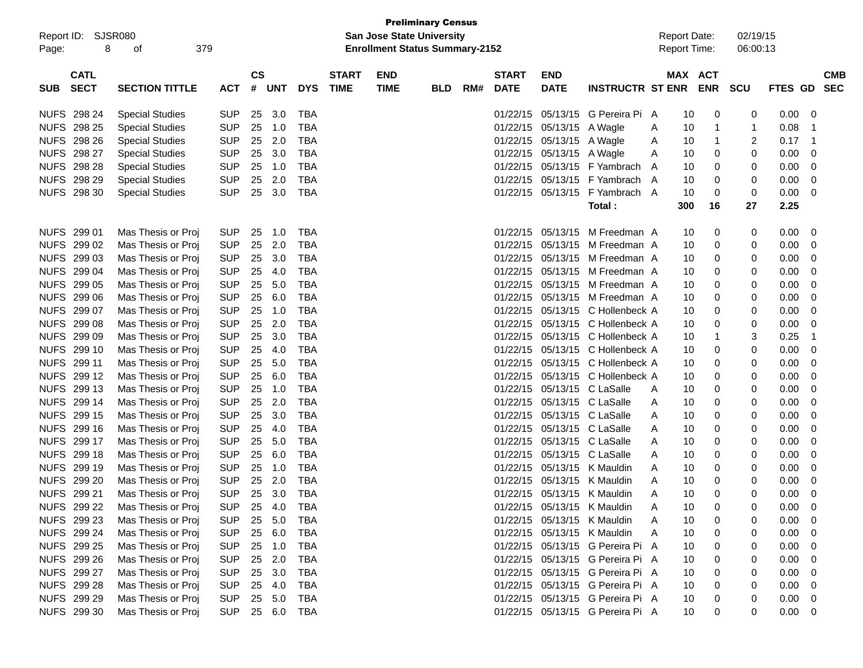| Report ID:  | <b>SJSR080</b> |                        |            |                        |            |            |              | San Jose State University             | <b>Preliminary Census</b> |     |              |                             |                                  |   | <b>Report Date:</b> |            | 02/19/15   |                |    |            |
|-------------|----------------|------------------------|------------|------------------------|------------|------------|--------------|---------------------------------------|---------------------------|-----|--------------|-----------------------------|----------------------------------|---|---------------------|------------|------------|----------------|----|------------|
| Page:       | 8              | 379<br>οf              |            |                        |            |            |              | <b>Enrollment Status Summary-2152</b> |                           |     |              |                             |                                  |   | <b>Report Time:</b> |            | 06:00:13   |                |    |            |
|             | <b>CATL</b>    |                        |            | $\mathbf{c}\mathbf{s}$ |            |            | <b>START</b> | <b>END</b>                            |                           |     | <b>START</b> | <b>END</b>                  |                                  |   | <b>MAX ACT</b>      |            |            |                |    | <b>CMB</b> |
| <b>SUB</b>  | <b>SECT</b>    | <b>SECTION TITTLE</b>  | <b>ACT</b> | #                      | <b>UNT</b> | <b>DYS</b> | <b>TIME</b>  | <b>TIME</b>                           | <b>BLD</b>                | RM# | <b>DATE</b>  | <b>DATE</b>                 | <b>INSTRUCTR ST ENR</b>          |   |                     | <b>ENR</b> | <b>SCU</b> | <b>FTES GD</b> |    | <b>SEC</b> |
| NUFS 298 24 |                | <b>Special Studies</b> | <b>SUP</b> | 25                     | 3.0        | TBA        |              |                                       |                           |     |              | 01/22/15 05/13/15           | G Pereira Pi A                   |   | 10                  | 0          | 0          | 0.00           | 0  |            |
| <b>NUFS</b> | 298 25         | <b>Special Studies</b> | <b>SUP</b> | 25                     | 1.0        | <b>TBA</b> |              |                                       |                           |     |              | 01/22/15 05/13/15           | A Wagle                          | A | 10                  | 1          | 1          | 0.08           | -1 |            |
| <b>NUFS</b> | 298 26         | <b>Special Studies</b> | <b>SUP</b> | 25                     | 2.0        | <b>TBA</b> |              |                                       |                           |     |              | 01/22/15 05/13/15           | A Wagle                          | A | 10                  | 1          | 2          | 0.17           | -1 |            |
| <b>NUFS</b> | 298 27         | <b>Special Studies</b> | <b>SUP</b> | 25                     | 3.0        | <b>TBA</b> |              |                                       |                           |     |              | 01/22/15 05/13/15           | A Wagle                          | Α | 10                  | 0          | 0          | 0.00           | 0  |            |
| <b>NUFS</b> | 298 28         | <b>Special Studies</b> | <b>SUP</b> | 25                     | 1.0        | <b>TBA</b> |              |                                       |                           |     | 01/22/15     |                             | 05/13/15 F Yambrach              | A | 10                  | 0          | 0          | 0.00           | 0  |            |
| <b>NUFS</b> | 298 29         | <b>Special Studies</b> | <b>SUP</b> | 25                     | 2.0        | <b>TBA</b> |              |                                       |                           |     |              |                             | 01/22/15 05/13/15 F Yambrach A   |   | 10                  | 0          | 0          | 0.00           | 0  |            |
| <b>NUFS</b> | 298 30         | <b>Special Studies</b> | <b>SUP</b> | 25                     | 3.0        | <b>TBA</b> |              |                                       |                           |     |              | 01/22/15 05/13/15           | F Yambrach A                     |   | 10                  | 0          | 0          | 0.00           | 0  |            |
|             |                |                        |            |                        |            |            |              |                                       |                           |     |              |                             | Total:                           |   | 300                 | 16         | 27         | 2.25           |    |            |
| NUFS 299 01 |                | Mas Thesis or Proj     | <b>SUP</b> | 25                     | 1.0        | <b>TBA</b> |              |                                       |                           |     |              | 01/22/15 05/13/15           | M Freedman A                     |   | 10                  | 0          | 0          | 0.00           | 0  |            |
| <b>NUFS</b> | 299 02         | Mas Thesis or Proj     | <b>SUP</b> | 25                     | 2.0        | <b>TBA</b> |              |                                       |                           |     |              | 01/22/15 05/13/15           | M Freedman A                     |   | 10                  | 0          | 0          | 0.00           | 0  |            |
| <b>NUFS</b> | 299 03         | Mas Thesis or Proj     | <b>SUP</b> | 25                     | 3.0        | <b>TBA</b> |              |                                       |                           |     |              | 01/22/15 05/13/15           | M Freedman A                     |   | 10                  | 0          | 0          | 0.00           | 0  |            |
| <b>NUFS</b> | 299 04         | Mas Thesis or Proj     | <b>SUP</b> | 25                     | 4.0        | <b>TBA</b> |              |                                       |                           |     |              | 01/22/15 05/13/15           | M Freedman A                     |   | 10                  | 0          | 0          | 0.00           | 0  |            |
| <b>NUFS</b> | 299 05         | Mas Thesis or Proj     | <b>SUP</b> | 25                     | 5.0        | <b>TBA</b> |              |                                       |                           |     |              | 01/22/15 05/13/15           | M Freedman A                     |   | 10                  | 0          | 0          | 0.00           | 0  |            |
| <b>NUFS</b> | 299 06         | Mas Thesis or Proj     | <b>SUP</b> | 25                     | 6.0        | <b>TBA</b> |              |                                       |                           |     |              | 01/22/15 05/13/15           | M Freedman A                     |   | 10                  | 0          | 0          | 0.00           | 0  |            |
| <b>NUFS</b> | 299 07         | Mas Thesis or Proj     | <b>SUP</b> | 25                     | 1.0        | <b>TBA</b> |              |                                       |                           |     |              | 01/22/15 05/13/15           | C Hollenbeck A                   |   | 10                  | 0          | 0          | 0.00           | 0  |            |
| <b>NUFS</b> | 299 08         | Mas Thesis or Proj     | <b>SUP</b> | 25                     | 2.0        | <b>TBA</b> |              |                                       |                           |     |              |                             | 01/22/15 05/13/15 C Hollenbeck A |   | 10                  | 0          | 0          | 0.00           | 0  |            |
| <b>NUFS</b> | 299 09         | Mas Thesis or Proj     | <b>SUP</b> | 25                     | 3.0        | <b>TBA</b> |              |                                       |                           |     |              |                             | 01/22/15 05/13/15 C Hollenbeck A |   | 10                  | 1          | 3          | 0.25           | -1 |            |
| <b>NUFS</b> | 299 10         | Mas Thesis or Proj     | <b>SUP</b> | 25                     | 4.0        | <b>TBA</b> |              |                                       |                           |     |              |                             | 01/22/15 05/13/15 C Hollenbeck A |   | 10                  | 0          | 0          | 0.00           | 0  |            |
| <b>NUFS</b> | 299 11         | Mas Thesis or Proj     | <b>SUP</b> | 25                     | 5.0        | <b>TBA</b> |              |                                       |                           |     |              |                             | 01/22/15 05/13/15 C Hollenbeck A |   | 10                  | 0          | 0          | 0.00           | 0  |            |
| <b>NUFS</b> | 299 12         | Mas Thesis or Proj     | <b>SUP</b> | 25                     | 6.0        | <b>TBA</b> |              |                                       |                           |     |              | 01/22/15 05/13/15           | C Hollenbeck A                   |   | 10                  | 0          | 0          | 0.00           | 0  |            |
| <b>NUFS</b> | 299 13         | Mas Thesis or Proj     | <b>SUP</b> | 25                     | 1.0        | <b>TBA</b> |              |                                       |                           |     |              | 01/22/15 05/13/15 C LaSalle |                                  | A | 10                  | 0          | 0          | 0.00           | 0  |            |
| <b>NUFS</b> | 299 14         | Mas Thesis or Proj     | <b>SUP</b> | 25                     | 2.0        | <b>TBA</b> |              |                                       |                           |     |              | 01/22/15 05/13/15 C LaSalle |                                  | A | 10                  | 0          | 0          | 0.00           | 0  |            |
| <b>NUFS</b> | 299 15         | Mas Thesis or Proj     | <b>SUP</b> | 25                     | 3.0        | <b>TBA</b> |              |                                       |                           |     |              | 01/22/15 05/13/15 C LaSalle |                                  | A | 10                  | 0          | 0          | 0.00           | 0  |            |
| <b>NUFS</b> | 299 16         | Mas Thesis or Proj     | <b>SUP</b> | 25                     | 4.0        | <b>TBA</b> |              |                                       |                           |     |              | 01/22/15 05/13/15 C LaSalle |                                  | A | 10                  | 0          | 0          | 0.00           | 0  |            |
| <b>NUFS</b> | 299 17         | Mas Thesis or Proj     | <b>SUP</b> | 25                     | 5.0        | <b>TBA</b> |              |                                       |                           |     |              | 01/22/15 05/13/15 C LaSalle |                                  | A | 10                  | 0          | 0          | 0.00           | 0  |            |
| <b>NUFS</b> | 299 18         | Mas Thesis or Proj     | <b>SUP</b> | 25                     | 6.0        | <b>TBA</b> |              |                                       |                           |     |              | 01/22/15 05/13/15 C LaSalle |                                  | Α | 10                  | 0          | 0          | 0.00           | 0  |            |
| <b>NUFS</b> | 299 19         | Mas Thesis or Proj     | <b>SUP</b> | 25                     | 1.0        | <b>TBA</b> |              |                                       |                           |     |              | 01/22/15 05/13/15           | K Mauldin                        | A | 10                  | 0          | 0          | 0.00           | 0  |            |
| <b>NUFS</b> | 299 20         | Mas Thesis or Proj     | <b>SUP</b> | 25                     | 2.0        | <b>TBA</b> |              |                                       |                           |     | 01/22/15     | 05/13/15                    | K Mauldin                        | A | 10                  | 0          | 0          | 0.00           | 0  |            |
| NUFS 299 21 |                | Mas Thesis or Proi     | <b>SUP</b> | 25                     | 3.0        | <b>TBA</b> |              |                                       |                           |     |              |                             | 01/22/15 05/13/15 K Mauldin      | A | 10                  | $\Omega$   | 0          | 0.00           | 0  |            |
| NUFS 299 22 |                | Mas Thesis or Proj     | <b>SUP</b> |                        | 25 4.0     | <b>TBA</b> |              |                                       |                           |     |              |                             | 01/22/15 05/13/15 K Mauldin      | A | 10                  | $\Omega$   | 0          | 0.00           | 0  |            |
| NUFS 299 23 |                | Mas Thesis or Proj     | <b>SUP</b> |                        | 25 5.0     | TBA        |              |                                       |                           |     |              |                             | 01/22/15 05/13/15 K Mauldin      | A | 10                  | 0          | 0          | $0.00 \quad 0$ |    |            |
| NUFS 299 24 |                | Mas Thesis or Proj     | <b>SUP</b> |                        | 25 6.0     | TBA        |              |                                       |                           |     |              |                             | 01/22/15 05/13/15 K Mauldin      | A | 10                  | 0          | 0          | 0.00           | 0  |            |
| NUFS 299 25 |                | Mas Thesis or Proj     | <b>SUP</b> |                        | 25 1.0     | TBA        |              |                                       |                           |     |              |                             | 01/22/15 05/13/15 G Pereira Pi A |   | 10                  | 0          | 0          | 0.00           | 0  |            |
| NUFS 299 26 |                | Mas Thesis or Proj     | <b>SUP</b> | 25                     | 2.0        | TBA        |              |                                       |                           |     |              |                             | 01/22/15 05/13/15 G Pereira Pi A |   | 10                  |            | 0          | 0.00           | 0  |            |
| NUFS 299 27 |                | Mas Thesis or Proj     | <b>SUP</b> |                        | 25 3.0     | TBA        |              |                                       |                           |     |              |                             | 01/22/15 05/13/15 G Pereira Pi A |   | 10                  | 0          | 0          | 0.00           | 0  |            |
| NUFS 299 28 |                | Mas Thesis or Proj     | <b>SUP</b> |                        | 25 4.0     | TBA        |              |                                       |                           |     |              |                             | 01/22/15 05/13/15 G Pereira Pi A |   | 10                  | 0          | 0          | 0.00           | 0  |            |
| NUFS 299 29 |                | Mas Thesis or Proj     | <b>SUP</b> |                        | 25 5.0     | TBA        |              |                                       |                           |     |              |                             | 01/22/15 05/13/15 G Pereira Pi A |   | 10                  | 0          | 0          | 0.00           | 0  |            |
| NUFS 299 30 |                | Mas Thesis or Proj     | <b>SUP</b> |                        | 25 6.0     | TBA        |              |                                       |                           |     |              |                             | 01/22/15 05/13/15 G Pereira Pi A |   | 10                  | 0          | 0          | $0.00 \t 0$    |    |            |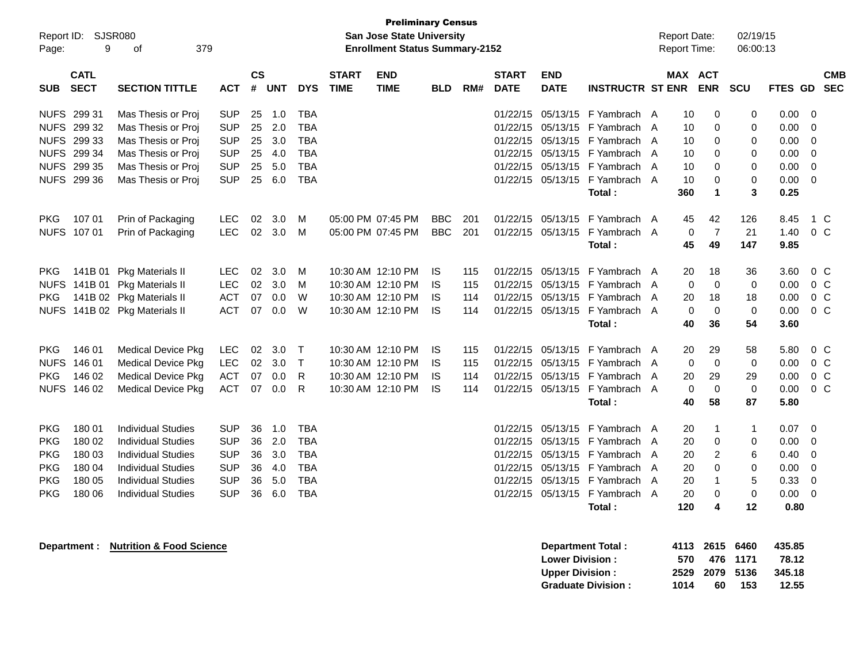| Page:       | <b>Preliminary Census</b><br>SJSR080<br>Report ID:<br><b>San Jose State University</b><br>9<br>379<br><b>Enrollment Status Summary-2152</b><br>οf<br>$\mathsf{cs}$<br><b>CATL</b><br><b>START</b><br><b>END</b><br><b>START</b><br><b>END</b> |                                     |            |    |            |              |             |                   |            |     |             |                        |                                          |  | <b>Report Date:</b><br>Report Time: |                   | 02/19/15<br>06:00:13 |                |                          |
|-------------|-----------------------------------------------------------------------------------------------------------------------------------------------------------------------------------------------------------------------------------------------|-------------------------------------|------------|----|------------|--------------|-------------|-------------------|------------|-----|-------------|------------------------|------------------------------------------|--|-------------------------------------|-------------------|----------------------|----------------|--------------------------|
| <b>SUB</b>  | <b>SECT</b>                                                                                                                                                                                                                                   | <b>SECTION TITTLE</b>               | <b>ACT</b> | #  | <b>UNT</b> | <b>DYS</b>   | <b>TIME</b> | <b>TIME</b>       | <b>BLD</b> | RM# | <b>DATE</b> | <b>DATE</b>            | <b>INSTRUCTR ST ENR</b>                  |  | MAX ACT                             | <b>ENR</b>        | <b>SCU</b>           | <b>FTES GD</b> | <b>CMB</b><br><b>SEC</b> |
| NUFS 299 31 |                                                                                                                                                                                                                                               | Mas Thesis or Proj                  | <b>SUP</b> | 25 | 1.0        | TBA          |             |                   |            |     | 01/22/15    |                        | 05/13/15 F Yambrach A                    |  | 10                                  | 0                 | 0                    | 0.00           | 0                        |
|             | NUFS 299 32                                                                                                                                                                                                                                   | Mas Thesis or Proj                  | <b>SUP</b> | 25 | 2.0        | <b>TBA</b>   |             |                   |            |     | 01/22/15    |                        | 05/13/15 F Yambrach A                    |  | 10                                  | 0                 | 0                    | 0.00           | 0                        |
|             | NUFS 299 33                                                                                                                                                                                                                                   | Mas Thesis or Proj                  | <b>SUP</b> | 25 | 3.0        | <b>TBA</b>   |             |                   |            |     | 01/22/15    |                        | 05/13/15 F Yambrach A                    |  | 10                                  | 0                 | 0                    | 0.00           | 0                        |
|             | NUFS 299 34                                                                                                                                                                                                                                   | Mas Thesis or Proj                  | <b>SUP</b> | 25 | 4.0        | <b>TBA</b>   |             |                   |            |     | 01/22/15    |                        | 05/13/15 F Yambrach A                    |  | 10                                  | 0                 | 0                    | 0.00           | 0                        |
|             | NUFS 299 35                                                                                                                                                                                                                                   | Mas Thesis or Proj                  | <b>SUP</b> | 25 | 5.0        | <b>TBA</b>   |             |                   |            |     | 01/22/15    |                        | 05/13/15 F Yambrach A                    |  | 10                                  | 0                 | 0                    | 0.00           | 0                        |
|             | NUFS 299 36                                                                                                                                                                                                                                   | Mas Thesis or Proj                  | <b>SUP</b> | 25 | 6.0        | <b>TBA</b>   |             |                   |            |     |             |                        | 01/22/15 05/13/15 F Yambrach A           |  | 10                                  | 0                 | 0                    | 0.00           | 0                        |
|             |                                                                                                                                                                                                                                               |                                     |            |    |            |              |             |                   |            |     |             |                        | Total:                                   |  | 360                                 | 1                 | 3                    | 0.25           |                          |
| <b>PKG</b>  | 107 01                                                                                                                                                                                                                                        | Prin of Packaging                   | LEC        | 02 | 3.0        | M            |             | 05:00 PM 07:45 PM | <b>BBC</b> | 201 | 01/22/15    | 05/13/15               | F Yambrach A                             |  | 45                                  | 42                | 126                  | 8.45           | 1 C                      |
|             | NUFS 107 01                                                                                                                                                                                                                                   | Prin of Packaging                   | <b>LEC</b> | 02 | 3.0        | M            |             | 05:00 PM 07:45 PM | <b>BBC</b> | 201 |             |                        | 01/22/15 05/13/15 F Yambrach A           |  | 0                                   | 7                 | 21                   | 1.40           | 0 <sup>C</sup>           |
|             |                                                                                                                                                                                                                                               |                                     |            |    |            |              |             |                   |            |     |             |                        | Total:                                   |  | 45                                  | 49                | 147                  | 9.85           |                          |
| <b>PKG</b>  | 141B 01                                                                                                                                                                                                                                       | Pkg Materials II                    | <b>LEC</b> | 02 | 3.0        | M            |             | 10:30 AM 12:10 PM | IS         | 115 | 01/22/15    | 05/13/15               | F Yambrach A                             |  | 20                                  | 18                | 36                   | 3.60           | $0\,C$                   |
|             | NUFS 141B 01                                                                                                                                                                                                                                  | Pkg Materials II                    | <b>LEC</b> | 02 | 3.0        | M            |             | 10:30 AM 12:10 PM | IS         | 115 | 01/22/15    | 05/13/15               | F Yambrach A                             |  | 0                                   | 0                 | 0                    | 0.00           | 0 <sup>C</sup>           |
| PKG.        |                                                                                                                                                                                                                                               | 141B 02 Pkg Materials II            | <b>ACT</b> | 07 | 0.0        | W            |             | 10:30 AM 12:10 PM | IS         | 114 | 01/22/15    | 05/13/15               | F Yambrach A                             |  | 20                                  | 18                | 18                   | 0.00           | 0 <sup>C</sup>           |
|             |                                                                                                                                                                                                                                               | NUFS 141B 02 Pkg Materials II       | <b>ACT</b> | 07 | 0.0        | W            |             | 10:30 AM 12:10 PM | IS         | 114 |             |                        | 01/22/15 05/13/15 F Yambrach A           |  | 0                                   | $\mathbf 0$       | 0                    | 0.00           | 0 <sup>C</sup>           |
|             |                                                                                                                                                                                                                                               |                                     |            |    |            |              |             |                   |            |     |             |                        | Total:                                   |  | 40                                  | 36                | 54                   | 3.60           |                          |
|             |                                                                                                                                                                                                                                               |                                     |            |    |            |              |             |                   |            |     |             |                        |                                          |  |                                     |                   |                      |                |                          |
| <b>PKG</b>  | 146 01                                                                                                                                                                                                                                        | <b>Medical Device Pkg</b>           | <b>LEC</b> | 02 | 3.0        | $\top$       |             | 10:30 AM 12:10 PM | IS         | 115 | 01/22/15    | 05/13/15               | F Yambrach A                             |  | 20                                  | 29                | 58                   | 5.80           | $0\,C$                   |
| <b>NUFS</b> | 146 01                                                                                                                                                                                                                                        | <b>Medical Device Pkg</b>           | <b>LEC</b> | 02 | 3.0        | $\mathsf{T}$ |             | 10:30 AM 12:10 PM | IS         | 115 | 01/22/15    |                        | 05/13/15 F Yambrach A                    |  | 0                                   | $\mathbf 0$       | 0                    | 0.00           | $0\,C$                   |
| <b>PKG</b>  | 146 02                                                                                                                                                                                                                                        | <b>Medical Device Pkg</b>           | <b>ACT</b> | 07 | 0.0        | R            |             | 10:30 AM 12:10 PM | IS         | 114 | 01/22/15    |                        | 05/13/15 F Yambrach A                    |  | 20                                  | 29                | 29                   | 0.00           | 0 <sup>C</sup>           |
|             | NUFS 146 02                                                                                                                                                                                                                                   | <b>Medical Device Pkg</b>           | <b>ACT</b> | 07 | 0.0        | R            |             | 10:30 AM 12:10 PM | IS         | 114 |             |                        | 01/22/15 05/13/15 F Yambrach A<br>Total: |  | 0<br>40                             | $\mathbf 0$<br>58 | 0<br>87              | 0.00<br>5.80   | 0 <sup>C</sup>           |
|             |                                                                                                                                                                                                                                               |                                     |            |    |            |              |             |                   |            |     |             |                        |                                          |  |                                     |                   |                      |                |                          |
| <b>PKG</b>  | 180 01                                                                                                                                                                                                                                        | <b>Individual Studies</b>           | <b>SUP</b> | 36 | 1.0        | TBA          |             |                   |            |     | 01/22/15    |                        | 05/13/15 F Yambrach A                    |  | 20                                  | 1                 | $\mathbf{1}$         | 0.07           | 0                        |
| <b>PKG</b>  | 180 02                                                                                                                                                                                                                                        | <b>Individual Studies</b>           | <b>SUP</b> | 36 | 2.0        | <b>TBA</b>   |             |                   |            |     | 01/22/15    |                        | 05/13/15 F Yambrach A                    |  | 20                                  | 0                 | 0                    | 0.00           | 0                        |
| <b>PKG</b>  | 180 03                                                                                                                                                                                                                                        | <b>Individual Studies</b>           | <b>SUP</b> | 36 | 3.0        | <b>TBA</b>   |             |                   |            |     | 01/22/15    |                        | 05/13/15 F Yambrach A                    |  | 20                                  | 2                 | 6                    | 0.40           | 0                        |
| <b>PKG</b>  | 180 04                                                                                                                                                                                                                                        | <b>Individual Studies</b>           | <b>SUP</b> | 36 | 4.0        | <b>TBA</b>   |             |                   |            |     | 01/22/15    |                        | 05/13/15 F Yambrach A                    |  | 20                                  | 0                 | 0                    | 0.00           | 0                        |
| <b>PKG</b>  | 180 05                                                                                                                                                                                                                                        | <b>Individual Studies</b>           | <b>SUP</b> | 36 | 5.0        | <b>TBA</b>   |             |                   |            |     | 01/22/15    |                        | 05/13/15 F Yambrach A                    |  | 20                                  | 1                 | 5                    | 0.33           | 0                        |
| <b>PKG</b>  | 180 06                                                                                                                                                                                                                                        | <b>Individual Studies</b>           | <b>SUP</b> | 36 | 6.0        | <b>TBA</b>   |             |                   |            |     |             |                        | 01/22/15 05/13/15 F Yambrach A           |  | 20                                  | $\Omega$          | $\Omega$             | 0.00           | 0                        |
|             |                                                                                                                                                                                                                                               |                                     |            |    |            |              |             |                   |            |     |             |                        | Total:                                   |  | 120                                 | 4                 | 12                   | 0.80           |                          |
|             | Department :                                                                                                                                                                                                                                  | <b>Nutrition &amp; Food Science</b> |            |    |            |              |             |                   |            |     |             |                        | <b>Department Total:</b>                 |  |                                     | 4113 2615 6460    |                      | 435.85         |                          |
|             |                                                                                                                                                                                                                                               |                                     |            |    |            |              |             |                   |            |     |             | <b>Lower Division:</b> |                                          |  | 570                                 |                   | 476 1171             | 78.12          |                          |
|             |                                                                                                                                                                                                                                               |                                     |            |    |            |              |             |                   |            |     |             | <b>Upper Division:</b> |                                          |  | 2529                                | 2079              | 5136                 | 345.18         |                          |
|             |                                                                                                                                                                                                                                               |                                     |            |    |            |              |             |                   |            |     |             |                        | <b>Graduate Division:</b>                |  | 1014                                | 60                | 153                  | 12.55          |                          |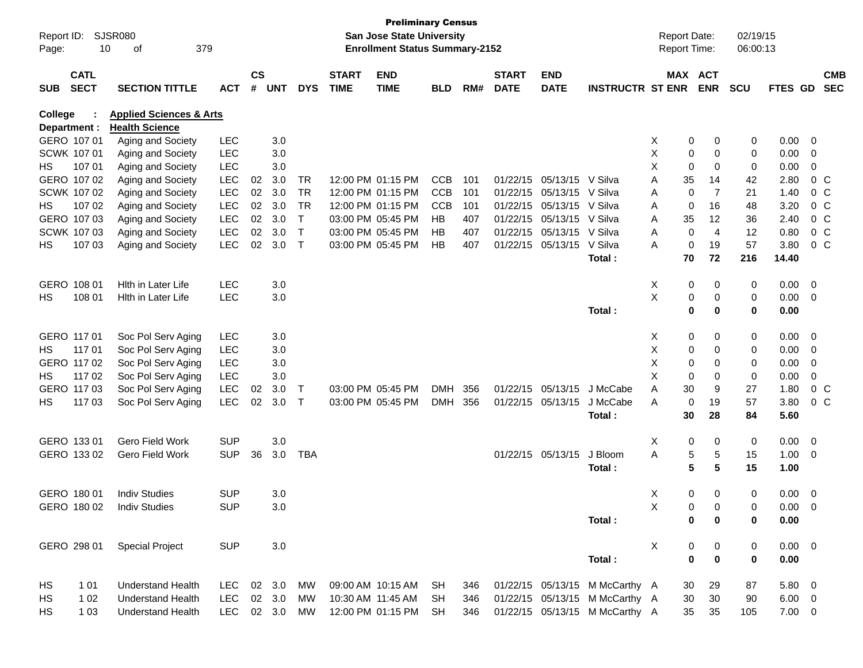| Report ID:<br>Page: | 10                         | SJSR080<br>379<br>οf               |            |               |         |            |                             | <b>Preliminary Census</b><br><b>San Jose State University</b><br><b>Enrollment Status Summary-2152</b> |            |     |                             |                           |                                |   |             | <b>Report Date:</b><br>Report Time: | 02/19/15<br>06:00:13 |             |                         |                          |
|---------------------|----------------------------|------------------------------------|------------|---------------|---------|------------|-----------------------------|--------------------------------------------------------------------------------------------------------|------------|-----|-----------------------------|---------------------------|--------------------------------|---|-------------|-------------------------------------|----------------------|-------------|-------------------------|--------------------------|
| <b>SUB</b>          | <b>CATL</b><br><b>SECT</b> | <b>SECTION TITTLE</b>              | <b>ACT</b> | $\mathsf{cs}$ | # UNT   | <b>DYS</b> | <b>START</b><br><b>TIME</b> | <b>END</b><br><b>TIME</b>                                                                              | <b>BLD</b> | RM# | <b>START</b><br><b>DATE</b> | <b>END</b><br><b>DATE</b> | <b>INSTRUCTR ST ENR</b>        |   |             | MAX ACT<br><b>ENR</b>               | <b>SCU</b>           | FTES GD     |                         | <b>CMB</b><br><b>SEC</b> |
| College             |                            | <b>Applied Sciences &amp; Arts</b> |            |               |         |            |                             |                                                                                                        |            |     |                             |                           |                                |   |             |                                     |                      |             |                         |                          |
|                     | Department :               | <b>Health Science</b>              |            |               |         |            |                             |                                                                                                        |            |     |                             |                           |                                |   |             |                                     |                      |             |                         |                          |
|                     | GERO 107 01                | Aging and Society                  | <b>LEC</b> |               | 3.0     |            |                             |                                                                                                        |            |     |                             |                           |                                | X | 0           | 0                                   | 0                    | 0.00        | $\overline{0}$          |                          |
|                     | SCWK 107 01                | Aging and Society                  | <b>LEC</b> |               | 3.0     |            |                             |                                                                                                        |            |     |                             |                           |                                | X | 0           | 0                                   | 0                    | 0.00        | 0                       |                          |
| HS                  | 107 01                     | Aging and Society                  | LEC        |               | 3.0     |            |                             |                                                                                                        |            |     |                             |                           |                                | Х | 0           | 0                                   | 0                    | 0.00        | 0                       |                          |
|                     | GERO 107 02                | Aging and Society                  | LEC        | 02            | 3.0     | TR         |                             | 12:00 PM 01:15 PM                                                                                      | <b>CCB</b> | 101 |                             | 01/22/15 05/13/15         | V Silva                        | Α | 35          | 14                                  | 42                   | 2.80        |                         | 0 <sup>o</sup>           |
|                     | SCWK 107 02                | Aging and Society                  | LEC        | 02            | 3.0     | <b>TR</b>  |                             | 12:00 PM 01:15 PM                                                                                      | <b>CCB</b> | 101 |                             | 01/22/15 05/13/15         | V Silva                        | Α | 0           | 7                                   | 21                   | 1.40        |                         | $0\,$ C                  |
| HS                  | 107 02                     | Aging and Society                  | LEC        | 02            | 3.0     | <b>TR</b>  |                             | 12:00 PM 01:15 PM                                                                                      | <b>CCB</b> | 101 |                             | 01/22/15 05/13/15         | V Silva                        | Α | 0           | 16                                  | 48                   | 3.20        |                         | $0\,$ C                  |
|                     | GERO 107 03                | Aging and Society                  | LEC        | 02            | 3.0     | Т          |                             | 03:00 PM 05:45 PM                                                                                      | HB         | 407 |                             | 01/22/15 05/13/15         | V Silva                        | Α | 35          | 12                                  | 36                   | 2.40        |                         | 0 <sup>o</sup>           |
|                     | <b>SCWK 107 03</b>         | Aging and Society                  | LEC        | 02            | 3.0     | Τ          |                             | 03:00 PM 05:45 PM                                                                                      | HB         | 407 |                             | 01/22/15 05/13/15         | V Silva                        | Α | 0           | $\overline{4}$                      | 12                   | 0.80        |                         | 0 <sup>o</sup>           |
| HS                  | 107 03                     | Aging and Society                  | LEC        | 02            | 3.0     | $\top$     |                             | 03:00 PM 05:45 PM                                                                                      | HB         | 407 |                             | 01/22/15 05/13/15         | V Silva                        | Α | 0           | 19                                  | 57                   | 3.80        |                         | $0\,$ C                  |
|                     |                            |                                    |            |               |         |            |                             |                                                                                                        |            |     |                             |                           | Total:                         |   | 70          | 72                                  | 216                  | 14.40       |                         |                          |
|                     | GERO 108 01                | <b>Hith in Later Life</b>          | <b>LEC</b> |               | 3.0     |            |                             |                                                                                                        |            |     |                             |                           |                                | X | 0           | 0                                   | 0                    | 0.00        | $\overline{0}$          |                          |
| HS                  | 108 01                     | <b>Hith in Later Life</b>          | <b>LEC</b> |               | $3.0\,$ |            |                             |                                                                                                        |            |     |                             |                           |                                | X | 0           | 0                                   | 0                    | 0.00        | $\overline{0}$          |                          |
|                     |                            |                                    |            |               |         |            |                             |                                                                                                        |            |     |                             |                           | Total:                         |   | $\mathbf 0$ | 0                                   | 0                    | 0.00        |                         |                          |
|                     | GERO 117 01                | Soc Pol Serv Aging                 | <b>LEC</b> |               | 3.0     |            |                             |                                                                                                        |            |     |                             |                           |                                | X | 0           | 0                                   | 0                    | 0.00        | 0                       |                          |
| HS                  | 117 01                     | Soc Pol Serv Aging                 | LEC        |               | 3.0     |            |                             |                                                                                                        |            |     |                             |                           |                                | X | 0           | 0                                   | 0                    | 0.00        | 0                       |                          |
|                     | GERO 117 02                | Soc Pol Serv Aging                 | LEC        |               | 3.0     |            |                             |                                                                                                        |            |     |                             |                           |                                | Х | 0           | 0                                   | 0                    | 0.00        | 0                       |                          |
| HS                  | 117 02                     | Soc Pol Serv Aging                 | LEC        |               | 3.0     |            |                             |                                                                                                        |            |     |                             |                           |                                | Х | 0           | 0                                   | 0                    | 0.00        | 0                       |                          |
|                     | GERO 117 03                | Soc Pol Serv Aging                 | <b>LEC</b> | 02            | 3.0     | T          |                             | 03:00 PM 05:45 PM                                                                                      | <b>DMH</b> | 356 |                             | 01/22/15 05/13/15         | J McCabe                       | Α | 30          | 9                                   | 27                   | 1.80        |                         | 0 <sup>C</sup>           |
| HS                  | 117 03                     | Soc Pol Serv Aging                 | LEC        | 02            | 3.0     | $\top$     |                             | 03:00 PM 05:45 PM                                                                                      | DMH        | 356 |                             | 01/22/15 05/13/15         | J McCabe                       | Α | 0           | 19                                  | 57                   | 3.80        |                         | $0\,$ C                  |
|                     |                            |                                    |            |               |         |            |                             |                                                                                                        |            |     |                             |                           | Total:                         |   | 30          | 28                                  | 84                   | 5.60        |                         |                          |
|                     | GERO 133 01                | Gero Field Work                    | <b>SUP</b> |               | 3.0     |            |                             |                                                                                                        |            |     |                             |                           |                                | X | 0           | 0                                   | 0                    | 0.00        | $\overline{0}$          |                          |
|                     | GERO 133 02                | <b>Gero Field Work</b>             | <b>SUP</b> | 36            | 3.0     | TBA        |                             |                                                                                                        |            |     |                             | 01/22/15 05/13/15         | J Bloom                        | Α | 5           | 5                                   | 15                   | 1.00        | 0                       |                          |
|                     |                            |                                    |            |               |         |            |                             |                                                                                                        |            |     |                             |                           | Total:                         |   | 5           | 5                                   | 15                   | 1.00        |                         |                          |
|                     | GERO 180 01                | <b>Indiv Studies</b>               | <b>SUP</b> |               | 3.0     |            |                             |                                                                                                        |            |     |                             |                           |                                | X | 0           | 0                                   | 0                    | 0.00        | $\overline{\mathbf{0}}$ |                          |
|                     | GERO 180 02                | <b>Indiv Studies</b>               | <b>SUP</b> |               | 3.0     |            |                             |                                                                                                        |            |     |                             |                           |                                | X | $\Omega$    | $\Omega$                            | $\Omega$             | $0.00 \t 0$ |                         |                          |
|                     |                            |                                    |            |               |         |            |                             |                                                                                                        |            |     |                             |                           | Total:                         |   | 0           | 0                                   | 0                    | 0.00        |                         |                          |
|                     | GERO 298 01                | <b>Special Project</b>             | <b>SUP</b> |               | $3.0\,$ |            |                             |                                                                                                        |            |     |                             |                           |                                | X | 0           | 0                                   | 0                    | $0.00 \t 0$ |                         |                          |
|                     |                            |                                    |            |               |         |            |                             |                                                                                                        |            |     |                             |                           | Total:                         |   | $\bf{0}$    | 0                                   | 0                    | 0.00        |                         |                          |
| HS                  | 1 0 1                      | <b>Understand Health</b>           | LEC.       |               | 02 3.0  | MW         |                             | 09:00 AM 10:15 AM                                                                                      | SH         | 346 |                             |                           | 01/22/15 05/13/15 M McCarthy A |   | 30          | 29                                  | 87                   | $5.80\ 0$   |                         |                          |
| HS                  | 1 0 2                      | <b>Understand Health</b>           | <b>LEC</b> |               | 02 3.0  | MW         |                             | 10:30 AM 11:45 AM                                                                                      | <b>SH</b>  | 346 |                             |                           | 01/22/15 05/13/15 M McCarthy A |   | 30          | 30                                  | 90                   | $6.00 \t 0$ |                         |                          |
| HS                  | 1 0 3                      | <b>Understand Health</b>           | LEC 02 3.0 |               |         | MW         |                             | 12:00 PM 01:15 PM                                                                                      | SH.        | 346 |                             |                           | 01/22/15 05/13/15 M McCarthy A |   | 35          | 35                                  | 105                  | $7.00 \t 0$ |                         |                          |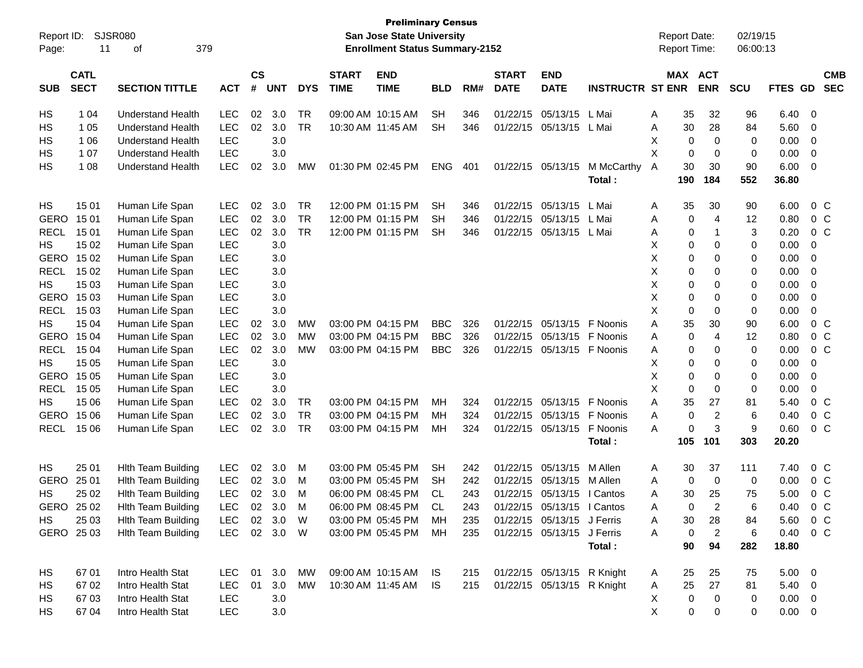| Report ID:<br>Page: | 11                         | <b>SJSR080</b><br>379<br>οf |            |                    |            |            |                             | <b>Preliminary Census</b><br>San Jose State University<br><b>Enrollment Status Summary-2152</b> |            |     |                             |                            |                         |   | <b>Report Date:</b><br>Report Time: |                | 02/19/15<br>06:00:13 |             |                          |  |
|---------------------|----------------------------|-----------------------------|------------|--------------------|------------|------------|-----------------------------|-------------------------------------------------------------------------------------------------|------------|-----|-----------------------------|----------------------------|-------------------------|---|-------------------------------------|----------------|----------------------|-------------|--------------------------|--|
| <b>SUB</b>          | <b>CATL</b><br><b>SECT</b> | <b>SECTION TITTLE</b>       | <b>ACT</b> | $\mathsf{cs}$<br># | <b>UNT</b> | <b>DYS</b> | <b>START</b><br><b>TIME</b> | <b>END</b><br><b>TIME</b>                                                                       | <b>BLD</b> | RM# | <b>START</b><br><b>DATE</b> | <b>END</b><br><b>DATE</b>  | <b>INSTRUCTR ST ENR</b> |   | MAX ACT                             | <b>ENR</b>     | <b>SCU</b>           | FTES GD     | <b>CMB</b><br><b>SEC</b> |  |
|                     |                            |                             |            |                    |            |            |                             |                                                                                                 |            |     |                             |                            |                         |   |                                     |                |                      |             |                          |  |
| HS                  | 1 0 4                      | <b>Understand Health</b>    | <b>LEC</b> | 02                 | 3.0        | <b>TR</b>  |                             | 09:00 AM 10:15 AM                                                                               | SH         | 346 | 01/22/15                    | 05/13/15                   | L Mai                   | A | 35                                  | 32             | 96                   | 6.40        | 0                        |  |
| HS                  | 1 0 5                      | <b>Understand Health</b>    | <b>LEC</b> | 02                 | 3.0        | <b>TR</b>  | 10:30 AM 11:45 AM           |                                                                                                 | <b>SH</b>  | 346 | 01/22/15                    | 05/13/15                   | L Mai                   | Α | 30                                  | 28             | 84                   | 5.60        | 0                        |  |
| HS                  | 1 0 6                      | <b>Understand Health</b>    | <b>LEC</b> |                    | 3.0        |            |                             |                                                                                                 |            |     |                             |                            |                         | X | 0                                   | $\mathbf 0$    | 0                    | 0.00        | 0                        |  |
| HS                  | 1 0 7                      | <b>Understand Health</b>    | <b>LEC</b> |                    | 3.0        |            |                             |                                                                                                 |            |     |                             |                            |                         | X | 0                                   | 0              | 0                    | 0.00        | 0                        |  |
| HS                  | 1 0 8                      | <b>Understand Health</b>    | <b>LEC</b> | 02                 | 3.0        | МW         |                             | 01:30 PM 02:45 PM                                                                               | <b>ENG</b> | 401 | 01/22/15                    | 05/13/15                   | M McCarthy              | A | 30                                  | 30             | 90                   | 6.00        | $\mathbf 0$              |  |
|                     |                            |                             |            |                    |            |            |                             |                                                                                                 |            |     |                             |                            | Total:                  |   | 190                                 | 184            | 552                  | 36.80       |                          |  |
| HS                  | 15 01                      | Human Life Span             | <b>LEC</b> | 02                 | 3.0        | <b>TR</b>  |                             | 12:00 PM 01:15 PM                                                                               | SH         | 346 | 01/22/15                    | 05/13/15                   | L Mai                   | A | 35                                  | 30             | 90                   | 6.00        | 0 <sup>o</sup>           |  |
| GERO                | 15 01                      | Human Life Span             | <b>LEC</b> | 02                 | 3.0        | <b>TR</b>  |                             | 12:00 PM 01:15 PM                                                                               | SH         | 346 | 01/22/15                    | 05/13/15                   | L Mai                   | A | 0                                   | $\overline{4}$ | 12                   | 0.80        | 0 <sup>o</sup>           |  |
| <b>RECL</b>         | 15 01                      | Human Life Span             | <b>LEC</b> | 02                 | 3.0        | <b>TR</b>  |                             | 12:00 PM 01:15 PM                                                                               | SH         | 346 | 01/22/15                    | 05/13/15                   | L Mai                   | A | 0                                   | $\mathbf{1}$   | 3                    | 0.20        | 0 <sup>o</sup>           |  |
| НS                  | 15 02                      | Human Life Span             | <b>LEC</b> |                    | 3.0        |            |                             |                                                                                                 |            |     |                             |                            |                         | X | 0                                   | 0              | 0                    | 0.00        | $\mathbf 0$              |  |
| GERO                | 15 02                      | Human Life Span             | <b>LEC</b> |                    | 3.0        |            |                             |                                                                                                 |            |     |                             |                            |                         | X | 0                                   | 0              | 0                    | 0.00        | 0                        |  |
| <b>RECL</b>         | 15 02                      | Human Life Span             | <b>LEC</b> |                    | 3.0        |            |                             |                                                                                                 |            |     |                             |                            |                         | X | 0                                   | $\mathbf 0$    | 0                    | 0.00        | 0                        |  |
| HS                  | 15 03                      | Human Life Span             | <b>LEC</b> |                    | 3.0        |            |                             |                                                                                                 |            |     |                             |                            |                         | X | 0                                   | 0              | 0                    | 0.00        | 0                        |  |
| GERO                | 15 03                      | Human Life Span             | <b>LEC</b> |                    | 3.0        |            |                             |                                                                                                 |            |     |                             |                            |                         | X | 0                                   | 0              | 0                    | 0.00        | 0                        |  |
| <b>RECL</b>         | 15 03                      | Human Life Span             | <b>LEC</b> |                    | 3.0        |            |                             |                                                                                                 |            |     |                             |                            |                         | X | 0                                   | $\mathbf 0$    | 0                    | 0.00        | 0                        |  |
| HS                  | 15 04                      | Human Life Span             | LEC        | 02                 | 3.0        | <b>MW</b>  |                             | 03:00 PM 04:15 PM                                                                               | <b>BBC</b> | 326 | 01/22/15                    | 05/13/15                   | F Noonis                | Α | 35                                  | 30             | 90                   | 6.00        | 0 <sup>o</sup>           |  |
| <b>GERO</b>         | 15 04                      | Human Life Span             | <b>LEC</b> | 02                 | 3.0        | <b>MW</b>  |                             | 03:00 PM 04:15 PM                                                                               | <b>BBC</b> | 326 | 01/22/15                    | 05/13/15                   | F Noonis                | Α | 0                                   | 4              | 12                   | 0.80        | 0 <sup>o</sup>           |  |
| <b>RECL</b>         | 15 04                      | Human Life Span             | <b>LEC</b> | 02                 | 3.0        | <b>MW</b>  |                             | 03:00 PM 04:15 PM                                                                               | <b>BBC</b> | 326 | 01/22/15                    | 05/13/15                   | F Noonis                | A | 0                                   | 0              | 0                    | 0.00        | 0 <sup>o</sup>           |  |
| HS                  | 15 05                      | Human Life Span             | <b>LEC</b> |                    | 3.0        |            |                             |                                                                                                 |            |     |                             |                            |                         | X | 0                                   | 0              | 0                    | 0.00        | $\mathbf 0$              |  |
| GERO                | 15 05                      | Human Life Span             | <b>LEC</b> |                    | 3.0        |            |                             |                                                                                                 |            |     |                             |                            |                         | X | 0                                   | $\mathbf 0$    | 0                    | 0.00        | 0                        |  |
| <b>RECL</b>         | 15 05                      | Human Life Span             | <b>LEC</b> |                    | 3.0        |            |                             |                                                                                                 |            |     |                             |                            |                         | X | 0                                   | $\mathbf 0$    | 0                    | 0.00        | 0                        |  |
| HS                  | 15 06                      | Human Life Span             | <b>LEC</b> | 02                 | 3.0        | TR         |                             | 03:00 PM 04:15 PM                                                                               | MН         | 324 | 01/22/15                    | 05/13/15                   | F Noonis                | A | 35                                  | 27             | 81                   | 5.40        | 0 <sup>o</sup>           |  |
| GERO                | 15 06                      | Human Life Span             | <b>LEC</b> | 02                 | 3.0        | <b>TR</b>  |                             | 03:00 PM 04:15 PM                                                                               | MН         | 324 | 01/22/15                    | 05/13/15                   | F Noonis                | A | 0                                   | $\overline{2}$ | 6                    | 0.40        | 0 <sup>o</sup>           |  |
| <b>RECL</b>         | 15 06                      | Human Life Span             | <b>LEC</b> | 02                 | 3.0        | <b>TR</b>  |                             | 03:00 PM 04:15 PM                                                                               | MН         | 324 |                             | 01/22/15 05/13/15          | F Noonis                | A | 0                                   | 3              | 9                    | 0.60        | 0 <sup>o</sup>           |  |
|                     |                            |                             |            |                    |            |            |                             |                                                                                                 |            |     |                             |                            | Total:                  |   | 105                                 | 101            | 303                  | 20.20       |                          |  |
| HS                  | 25 01                      | <b>Hith Team Building</b>   | <b>LEC</b> | 02                 | 3.0        | M          |                             | 03:00 PM 05:45 PM                                                                               | <b>SH</b>  | 242 | 01/22/15                    | 05/13/15                   | M Allen                 | A | 30                                  | 37             | 111                  | 7.40        | 0 <sup>o</sup>           |  |
| GERO                | 25 01                      | <b>Hith Team Building</b>   | <b>LEC</b> | 02                 | 3.0        | M          |                             | 03:00 PM 05:45 PM                                                                               | SH         | 242 | 01/22/15                    | 05/13/15                   | M Allen                 | A | 0                                   | 0              | 0                    | 0.00        | 0 <sup>o</sup>           |  |
| HS                  | 25 02                      | <b>Hith Team Building</b>   | <b>LEC</b> | 02                 | 3.0        | м          |                             | 06:00 PM 08:45 PM                                                                               | CL.        | 243 | 01/22/15                    | 05/13/15                   | I Cantos                | Α | 30                                  | 25             | 75                   | 5.00        | 0 <sup>o</sup>           |  |
| GERO 25 02          |                            | <b>Hith Team Building</b>   | <b>LEC</b> |                    | 02 3.0     | M          |                             | 06:00 PM 08:45 PM                                                                               | CL         | 243 |                             | 01/22/15 05/13/15   Cantos |                         | Α | 0                                   | 2              | 6                    | 0.40        | $0\,C$                   |  |
| HS.                 | 25 03                      | <b>Hlth Team Building</b>   | LEC        |                    | 02 3.0     | W          |                             | 03:00 PM 05:45 PM                                                                               | MH         | 235 |                             | 01/22/15 05/13/15 J Ferris |                         | A | 30                                  | 28             | 84                   | 5.60        | $0\,$ C                  |  |
| GERO 25 03          |                            | <b>Hith Team Building</b>   | LEC        |                    | 02 3.0 W   |            |                             | 03:00 PM 05:45 PM                                                                               | МH         | 235 |                             | 01/22/15 05/13/15 J Ferris |                         | A | 0                                   | $\overline{2}$ | 6                    | 0.40        | $0\,C$                   |  |
|                     |                            |                             |            |                    |            |            |                             |                                                                                                 |            |     |                             |                            | Total:                  |   | 90                                  | 94             | 282                  | 18.80       |                          |  |
| HS                  | 67 01                      | Intro Health Stat           | LEC        |                    | 01 3.0     | MW         |                             | 09:00 AM 10:15 AM IS                                                                            |            | 215 |                             | 01/22/15 05/13/15 R Knight |                         | A | 25                                  | 25             | 75                   | 5.00        | $\overline{\phantom{0}}$ |  |
| HS                  | 67 02                      | Intro Health Stat           | LEC        | 01                 | 3.0        | МW         |                             | 10:30 AM 11:45 AM                                                                               | IS         | 215 |                             | 01/22/15 05/13/15 R Knight |                         | A | 25                                  | 27             | 81                   | 5.40        | $\overline{\phantom{0}}$ |  |
| HS                  | 67 03                      | Intro Health Stat           | LEC        |                    | 3.0        |            |                             |                                                                                                 |            |     |                             |                            |                         | X | 0                                   | $\mathbf 0$    | 0                    | 0.00        | $\overline{\mathbf{0}}$  |  |
| HS.                 | 67 04                      | Intro Health Stat           | LEC        |                    | 3.0        |            |                             |                                                                                                 |            |     |                             |                            |                         | X | 0                                   | 0              | 0                    | $0.00 \t 0$ |                          |  |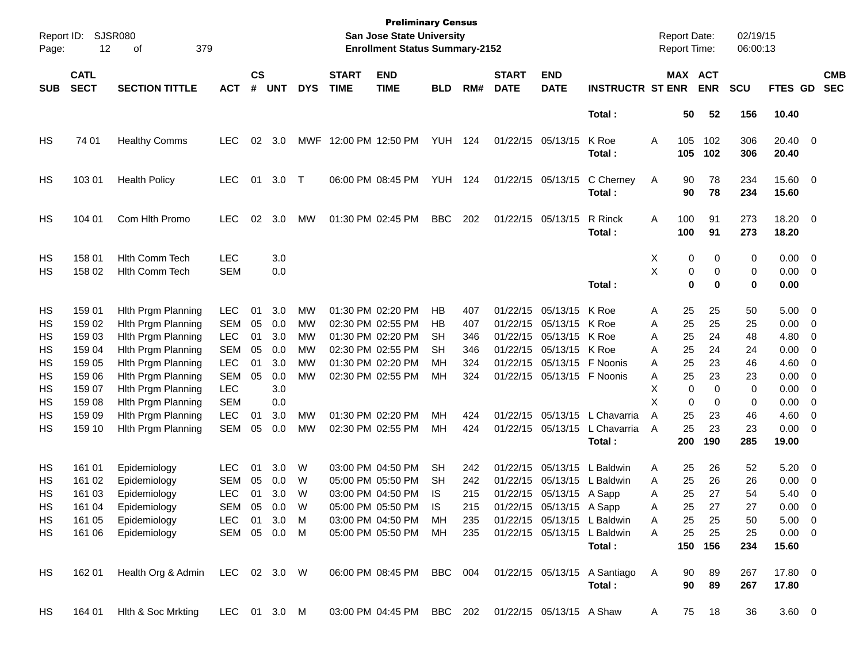| Page:                                                    | <b>SJSR080</b><br>Report ID:<br>12<br>379<br>οf                                                  |                                                                                                                                                                                                                          |                                                                                                                                          |                                              |                                                                    |                                              |                             | <b>Preliminary Census</b><br>San Jose State University<br><b>Enrollment Status Summary-2152</b>                                                                      |                                              |                                                      |                             |                                                                                                                                                                                     |                                                                                                |                                                | <b>Report Date:</b><br>Report Time:                           |                                                               | 02/19/15<br>06:00:13                                          |                                                                                              |                                                                                                                                                                                                                                                          |                          |
|----------------------------------------------------------|--------------------------------------------------------------------------------------------------|--------------------------------------------------------------------------------------------------------------------------------------------------------------------------------------------------------------------------|------------------------------------------------------------------------------------------------------------------------------------------|----------------------------------------------|--------------------------------------------------------------------|----------------------------------------------|-----------------------------|----------------------------------------------------------------------------------------------------------------------------------------------------------------------|----------------------------------------------|------------------------------------------------------|-----------------------------|-------------------------------------------------------------------------------------------------------------------------------------------------------------------------------------|------------------------------------------------------------------------------------------------|------------------------------------------------|---------------------------------------------------------------|---------------------------------------------------------------|---------------------------------------------------------------|----------------------------------------------------------------------------------------------|----------------------------------------------------------------------------------------------------------------------------------------------------------------------------------------------------------------------------------------------------------|--------------------------|
| <b>SUB</b>                                               | <b>CATL</b><br><b>SECT</b>                                                                       | <b>SECTION TITTLE</b>                                                                                                                                                                                                    | <b>ACT</b>                                                                                                                               | $\mathsf{cs}$<br>#                           | <b>UNT</b>                                                         | <b>DYS</b>                                   | <b>START</b><br><b>TIME</b> | <b>END</b><br><b>TIME</b>                                                                                                                                            | <b>BLD</b>                                   | RM#                                                  | <b>START</b><br><b>DATE</b> | <b>END</b><br><b>DATE</b>                                                                                                                                                           | <b>INSTRUCTR ST ENR</b>                                                                        |                                                | MAX ACT                                                       | <b>ENR</b>                                                    | <b>SCU</b>                                                    | FTES GD                                                                                      |                                                                                                                                                                                                                                                          | <b>CMB</b><br><b>SEC</b> |
|                                                          |                                                                                                  |                                                                                                                                                                                                                          |                                                                                                                                          |                                              |                                                                    |                                              |                             |                                                                                                                                                                      |                                              |                                                      |                             |                                                                                                                                                                                     | Total:                                                                                         |                                                | 50                                                            | 52                                                            | 156                                                           | 10.40                                                                                        |                                                                                                                                                                                                                                                          |                          |
| HS                                                       | 74 01                                                                                            | <b>Healthy Comms</b>                                                                                                                                                                                                     | <b>LEC</b>                                                                                                                               | 02                                           | 3.0                                                                |                                              | MWF 12:00 PM 12:50 PM       |                                                                                                                                                                      | <b>YUH 124</b>                               |                                                      |                             | 01/22/15 05/13/15                                                                                                                                                                   | K Roe<br>Total:                                                                                | Α                                              | 105<br>105                                                    | 102<br>102                                                    | 306<br>306                                                    | 20.40 0<br>20.40                                                                             |                                                                                                                                                                                                                                                          |                          |
| HS                                                       | 103 01                                                                                           | <b>Health Policy</b>                                                                                                                                                                                                     | LEC.                                                                                                                                     | 01                                           | 3.0                                                                | $\top$                                       |                             | 06:00 PM 08:45 PM                                                                                                                                                    | <b>YUH 124</b>                               |                                                      |                             | 01/22/15 05/13/15                                                                                                                                                                   | C Cherney<br>Total:                                                                            | A                                              | 90<br>90                                                      | 78<br>78                                                      | 234<br>234                                                    | 15.60 0<br>15.60                                                                             |                                                                                                                                                                                                                                                          |                          |
| HS                                                       | 104 01                                                                                           | Com Hlth Promo                                                                                                                                                                                                           | <b>LEC</b>                                                                                                                               | 02                                           | 3.0                                                                | МW                                           |                             | 01:30 PM 02:45 PM                                                                                                                                                    | <b>BBC</b>                                   | 202                                                  |                             | 01/22/15 05/13/15                                                                                                                                                                   | R Rinck<br>Total:                                                                              | Α                                              | 100<br>100                                                    | 91<br>91                                                      | 273<br>273                                                    | 18.20 0<br>18.20                                                                             |                                                                                                                                                                                                                                                          |                          |
| HS<br>НS                                                 | 158 01<br>158 02                                                                                 | <b>Hith Comm Tech</b><br><b>Hith Comm Tech</b>                                                                                                                                                                           | <b>LEC</b><br><b>SEM</b>                                                                                                                 |                                              | 3.0<br>0.0                                                         |                                              |                             |                                                                                                                                                                      |                                              |                                                      |                             |                                                                                                                                                                                     | Total:                                                                                         | X<br>X                                         | 0<br>0<br>0                                                   | 0<br>0<br>0                                                   | 0<br>0<br>0                                                   | $0.00 \t 0$<br>$0.00 \t 0$<br>0.00                                                           |                                                                                                                                                                                                                                                          |                          |
| HS<br>НS<br>НS<br>НS<br>HS<br>HS<br>НS<br>HS<br>НS<br>HS | 159 01<br>159 02<br>159 03<br>159 04<br>159 05<br>159 06<br>159 07<br>159 08<br>159 09<br>159 10 | Hith Prgm Planning<br>Hith Prgm Planning<br>Hith Prgm Planning<br>Hith Prgm Planning<br>Hith Prgm Planning<br>Hith Prgm Planning<br>Hith Prgm Planning<br>Hith Prgm Planning<br>Hith Prgm Planning<br>Hith Prgm Planning | <b>LEC</b><br><b>SEM</b><br><b>LEC</b><br><b>SEM</b><br><b>LEC</b><br><b>SEM</b><br><b>LEC</b><br><b>SEM</b><br><b>LEC</b><br><b>SEM</b> | 01<br>05<br>01<br>05<br>01<br>05<br>01<br>05 | 3.0<br>0.0<br>3.0<br>0.0<br>3.0<br>0.0<br>3.0<br>0.0<br>3.0<br>0.0 | MW<br>MW<br>MW<br>MW<br>MW<br>MW<br>MW<br>MW |                             | 01:30 PM 02:20 PM<br>02:30 PM 02:55 PM<br>01:30 PM 02:20 PM<br>02:30 PM 02:55 PM<br>01:30 PM 02:20 PM<br>02:30 PM 02:55 PM<br>01:30 PM 02:20 PM<br>02:30 PM 02:55 PM | НB<br>НB<br>SН<br>SН<br>MН<br>MН<br>MН<br>MН | 407<br>407<br>346<br>346<br>324<br>324<br>424<br>424 |                             | 01/22/15 05/13/15<br>01/22/15 05/13/15<br>01/22/15 05/13/15<br>01/22/15 05/13/15 K Roe<br>01/22/15 05/13/15<br>01/22/15 05/13/15 F Noonis<br>01/22/15 05/13/15<br>01/22/15 05/13/15 | K Roe<br>K Roe<br>K Roe<br>F Noonis<br>L Chavarria<br>L Chavarria<br>Total:                    | Α<br>Α<br>Α<br>Α<br>A<br>Α<br>X<br>X<br>Α<br>A | 25<br>25<br>25<br>25<br>25<br>25<br>0<br>0<br>25<br>25<br>200 | 25<br>25<br>24<br>24<br>23<br>23<br>0<br>0<br>23<br>23<br>190 | 50<br>25<br>48<br>24<br>46<br>23<br>0<br>0<br>46<br>23<br>285 | $5.00 \t 0$<br>0.00<br>4.80<br>0.00<br>4.60<br>0.00<br>0.00<br>0.00<br>4.60<br>0.00<br>19.00 | $\overline{\phantom{0}}$<br>$\overline{\phantom{0}}$<br>$\overline{\phantom{0}}$<br>$\overline{\phantom{0}}$<br>$\overline{\phantom{0}}$<br>$\overline{\phantom{0}}$<br>$\overline{\phantom{0}}$<br>$\overline{\phantom{0}}$<br>$\overline{\phantom{0}}$ |                          |
| HS<br>НS<br>HS<br>HS<br>HS<br>HS.                        | 161 01<br>161 02<br>161 03<br>161 04<br>161 05<br>161 06                                         | Epidemiology<br>Epidemiology<br>Epidemiology<br>Epidemiology<br>Epidemiology<br>Epidemiology                                                                                                                             | <b>LEC</b><br><b>SEM</b><br><b>LEC</b><br>SEM<br>LEC 01 3.0 M<br>SEM 05 0.0 M                                                            | 01<br>05<br>01<br>05                         | 3.0<br>0.0<br>3.0<br>0.0                                           | W<br>W<br>W<br>W                             |                             | 03:00 PM 04:50 PM<br>05:00 PM 05:50 PM<br>03:00 PM 04:50 PM<br>05:00 PM 05:50 PM<br>03:00 PM 04:50 PM MH<br>05:00 PM 05:50 PM MH                                     | <b>SH</b><br>SН<br>IS<br>IS                  | 242<br>242<br>215<br>215<br>235<br>235               |                             | 01/22/15 05/13/15<br>01/22/15 05/13/15<br>01/22/15 05/13/15 A Sapp<br>01/22/15 05/13/15 A Sapp                                                                                      | L Baldwin<br>L Baldwin<br>01/22/15 05/13/15 L Baldwin<br>01/22/15 05/13/15 L Baldwin<br>Total: | Α<br>A<br>Α<br>Α<br>A<br>A                     | 25<br>25<br>25<br>25<br>25<br>25                              | 26<br>26<br>27<br>27<br>25<br>25<br>150 156                   | 52<br>26<br>54<br>27<br>50<br>25<br>234                       | 5.20<br>0.00<br>5.40<br>0.00<br>$5.00 \t 0$<br>$0.00 \t 0$<br>15.60                          | $\overline{\phantom{0}}$<br>$\overline{\phantom{0}}$<br>$\overline{\mathbf{0}}$<br>$\overline{0}$                                                                                                                                                        |                          |
| HS                                                       | 162 01                                                                                           | Health Org & Admin LEC 02 3.0 W 06:00 PM 08:45 PM BBC 004 01/22/15 05/13/15 A Santiago                                                                                                                                   |                                                                                                                                          |                                              |                                                                    |                                              |                             |                                                                                                                                                                      |                                              |                                                      |                             |                                                                                                                                                                                     | Total:                                                                                         | A                                              | 90<br>90                                                      | 89<br>89                                                      | 267<br>267                                                    | 17.80 0<br>17.80                                                                             |                                                                                                                                                                                                                                                          |                          |
| HS                                                       |                                                                                                  | 164 01 Hith & Soc Mrkting                                                                                                                                                                                                |                                                                                                                                          |                                              |                                                                    |                                              |                             | LEC 01 3.0 M  03:00 PM 04:45 PM  BBC  202  01/22/15  05/13/15  A Shaw                                                                                                |                                              |                                                      |                             |                                                                                                                                                                                     |                                                                                                | A                                              |                                                               | 75 18                                                         | 36                                                            | $3.60 \ 0$                                                                                   |                                                                                                                                                                                                                                                          |                          |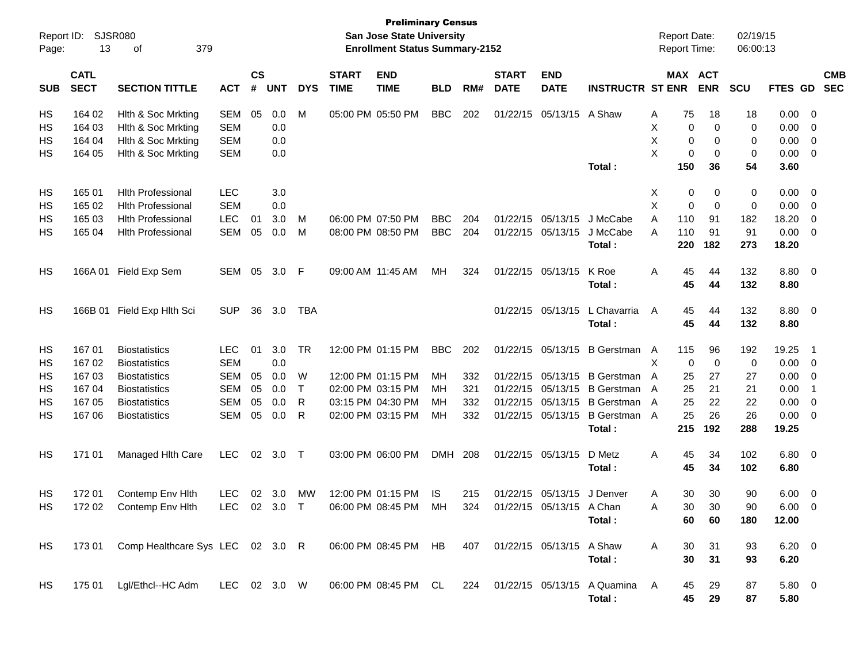| Report ID:<br>Page: | 13                         | <b>SJSR080</b><br>379<br>оf      |              |                             |            |            |                             | <b>Preliminary Census</b><br>San Jose State University<br><b>Enrollment Status Summary-2152</b> |            |     |                             |                           |                                   | <b>Report Date:</b><br>Report Time: |            |            | 02/19/15<br>06:00:13 |                |                         |                          |
|---------------------|----------------------------|----------------------------------|--------------|-----------------------------|------------|------------|-----------------------------|-------------------------------------------------------------------------------------------------|------------|-----|-----------------------------|---------------------------|-----------------------------------|-------------------------------------|------------|------------|----------------------|----------------|-------------------------|--------------------------|
| <b>SUB</b>          | <b>CATL</b><br><b>SECT</b> | <b>SECTION TITTLE</b>            | <b>ACT</b>   | $\mathsf{cs}$<br>$\pmb{\#}$ | <b>UNT</b> | <b>DYS</b> | <b>START</b><br><b>TIME</b> | <b>END</b><br><b>TIME</b>                                                                       | <b>BLD</b> | RM# | <b>START</b><br><b>DATE</b> | <b>END</b><br><b>DATE</b> | <b>INSTRUCTR ST ENR</b>           |                                     | MAX ACT    | <b>ENR</b> | <b>SCU</b>           | <b>FTES GD</b> |                         | <b>CMB</b><br><b>SEC</b> |
| HS                  | 164 02                     | Hith & Soc Mrkting               | <b>SEM</b>   | 05                          | 0.0        | M          |                             | 05:00 PM 05:50 PM                                                                               | <b>BBC</b> | 202 |                             | 01/22/15 05/13/15 A Shaw  |                                   | A                                   | 75         | 18         | 18                   | 0.00           | $\overline{\mathbf{0}}$ |                          |
| HS                  | 164 03                     | Hith & Soc Mrkting               | <b>SEM</b>   |                             | 0.0        |            |                             |                                                                                                 |            |     |                             |                           |                                   | Х                                   | 0          | 0          | 0                    | 0.00           | 0                       |                          |
| HS                  | 164 04                     | Hith & Soc Mrkting               | <b>SEM</b>   |                             | 0.0        |            |                             |                                                                                                 |            |     |                             |                           |                                   | X                                   | 0          | 0          | 0                    | 0.00           | 0                       |                          |
| HS                  | 164 05                     | Hith & Soc Mrkting               | <b>SEM</b>   |                             | 0.0        |            |                             |                                                                                                 |            |     |                             |                           |                                   | X                                   | 0          | 0          | 0                    | 0.00           | $\overline{\mathbf{0}}$ |                          |
|                     |                            |                                  |              |                             |            |            |                             |                                                                                                 |            |     |                             |                           | Total:                            |                                     | 150        | 36         | 54                   | 3.60           |                         |                          |
| HS                  | 165 01                     | <b>Hith Professional</b>         | <b>LEC</b>   |                             | 3.0        |            |                             |                                                                                                 |            |     |                             |                           |                                   | X                                   | 0          | 0          | 0                    | 0.00           | $\overline{\mathbf{0}}$ |                          |
| HS                  | 165 02                     | <b>Hith Professional</b>         | <b>SEM</b>   |                             | 0.0        |            |                             |                                                                                                 |            |     |                             |                           |                                   | X                                   | 0          | 0          | 0                    | 0.00           | $\overline{\mathbf{0}}$ |                          |
| HS                  | 165 03                     | <b>Hith Professional</b>         | <b>LEC</b>   | 01                          | 3.0        | м          |                             | 06:00 PM 07:50 PM                                                                               | <b>BBC</b> | 204 |                             | 01/22/15 05/13/15         | J McCabe                          | A                                   | 110        | 91         | 182                  | 18.20          | 0                       |                          |
| HS                  | 165 04                     | <b>Hith Professional</b>         | <b>SEM</b>   | 05                          | 0.0        | M          |                             | 08:00 PM 08:50 PM                                                                               | <b>BBC</b> | 204 |                             | 01/22/15 05/13/15         | J McCabe<br>Total:                | A                                   | 110<br>220 | 91<br>182  | 91<br>273            | 0.00<br>18.20  | 0                       |                          |
| HS                  | 166A 01                    | Field Exp Sem                    | SEM          | 05                          | 3.0        | F          | 09:00 AM 11:45 AM           |                                                                                                 | MН         | 324 |                             | 01/22/15 05/13/15         | K Roe<br>Total:                   | Α                                   | 45<br>45   | 44<br>44   | 132<br>132           | 8.80 0<br>8.80 |                         |                          |
|                     |                            |                                  |              |                             |            |            |                             |                                                                                                 |            |     |                             |                           |                                   |                                     |            |            |                      |                |                         |                          |
| HS                  | 166B 01                    | Field Exp Hith Sci               | <b>SUP</b>   | 36                          | 3.0        | TBA        |                             |                                                                                                 |            |     |                             | 01/22/15 05/13/15         | L Chavarria                       | Α                                   | 45         | 44         | 132                  | 8.80 0         |                         |                          |
|                     |                            |                                  |              |                             |            |            |                             |                                                                                                 |            |     |                             |                           | Total:                            |                                     | 45         | 44         | 132                  | 8.80           |                         |                          |
| HS                  | 16701                      | <b>Biostatistics</b>             | <b>LEC</b>   | 01                          | 3.0        | <b>TR</b>  |                             | 12:00 PM 01:15 PM                                                                               | <b>BBC</b> | 202 |                             | 01/22/15 05/13/15         | B Gerstman A                      |                                     | 115        | 96         | 192                  | 19.25          | -1                      |                          |
| HS                  | 16702                      | <b>Biostatistics</b>             | <b>SEM</b>   |                             | 0.0        |            |                             |                                                                                                 |            |     |                             |                           |                                   | Χ                                   | 0          | 0          | 0                    | 0.00           | - 0                     |                          |
| HS                  | 16703                      | <b>Biostatistics</b>             | <b>SEM</b>   | 05                          | 0.0        | W          |                             | 12:00 PM 01:15 PM                                                                               | MН         | 332 |                             | 01/22/15 05/13/15         | <b>B</b> Gerstman                 | A                                   | 25         | 27         | 27                   | 0.00           | 0                       |                          |
| HS                  | 16704                      | <b>Biostatistics</b>             | <b>SEM</b>   | 05                          | 0.0        | Т          |                             | 02:00 PM 03:15 PM                                                                               | ΜН         | 321 |                             | 01/22/15 05/13/15         | B Gerstman A                      |                                     | 25         | 21         | 21                   | 0.00           | -1                      |                          |
| HS                  | 167 05                     | <b>Biostatistics</b>             | <b>SEM</b>   | 05                          | 0.0        | R          |                             | 03:15 PM 04:30 PM                                                                               | ΜН         | 332 |                             | 01/22/15 05/13/15         | B Gerstman A                      |                                     | 25         | 22         | 22                   | 0.00           | 0                       |                          |
| HS                  | 16706                      | <b>Biostatistics</b>             | <b>SEM</b>   | 05                          | 0.0        | R          |                             | 02:00 PM 03:15 PM                                                                               | MН         | 332 |                             | 01/22/15 05/13/15         | B Gerstman A<br>Total:            |                                     | 25<br>215  | 26<br>192  | 26<br>288            | 0.00<br>19.25  | 0                       |                          |
| HS                  | 171 01                     | Managed Hith Care                | <b>LEC</b>   | 02                          | 3.0        | $\top$     |                             | 03:00 PM 06:00 PM                                                                               | <b>DMH</b> | 208 |                             | 01/22/15 05/13/15         | D Metz<br>Total:                  | Α                                   | 45<br>45   | 34<br>34   | 102<br>102           | 6.80 0<br>6.80 |                         |                          |
|                     |                            |                                  |              |                             |            |            |                             |                                                                                                 |            |     |                             |                           |                                   |                                     |            |            |                      |                |                         |                          |
| HS                  | 17201                      | Contemp Env Hith                 | <b>LEC</b>   | 02                          | 3.0        | MW         |                             | 12:00 PM 01:15 PM                                                                               | <b>IS</b>  | 215 |                             | 01/22/15 05/13/15         | J Denver                          | A                                   | 30         | 30         | 90                   | 6.00           | $\overline{\mathbf{0}}$ |                          |
| HS                  | 172 02                     | Contemp Env Hith                 | LEC 02 3.0   |                             |            | $\top$     |                             | 06:00 PM 08:45 PM                                                                               | MH         | 324 |                             | 01/22/15 05/13/15 A Chan  |                                   | Α                                   | 30         | 30         | 90                   | 6.00           | $\Omega$                |                          |
|                     |                            |                                  |              |                             |            |            |                             |                                                                                                 |            |     |                             |                           | Total:                            |                                     | 60         | 60         | 180                  | 12.00          |                         |                          |
| HS                  | 173 01                     | Comp Healthcare Sys LEC 02 3.0 R |              |                             |            |            |                             | 06:00 PM 08:45 PM HB                                                                            |            | 407 |                             | 01/22/15 05/13/15 A Shaw  |                                   | A                                   | 30         | 31         | 93                   | $6.20 \quad 0$ |                         |                          |
|                     |                            |                                  |              |                             |            |            |                             |                                                                                                 |            |     |                             |                           | Total:                            |                                     | 30         | 31         | 93                   | 6.20           |                         |                          |
| HS.                 | 175 01                     | Lgl/Ethcl--HC Adm                | LEC 02 3.0 W |                             |            |            |                             | 06:00 PM 08:45 PM CL                                                                            |            |     |                             |                           | 224 01/22/15 05/13/15 A Quamina A |                                     | 45         | 29         | 87                   | $5.80\ 0$      |                         |                          |
|                     |                            |                                  |              |                             |            |            |                             |                                                                                                 |            |     |                             |                           | Total:                            |                                     | 45         | 29         | 87                   | 5.80           |                         |                          |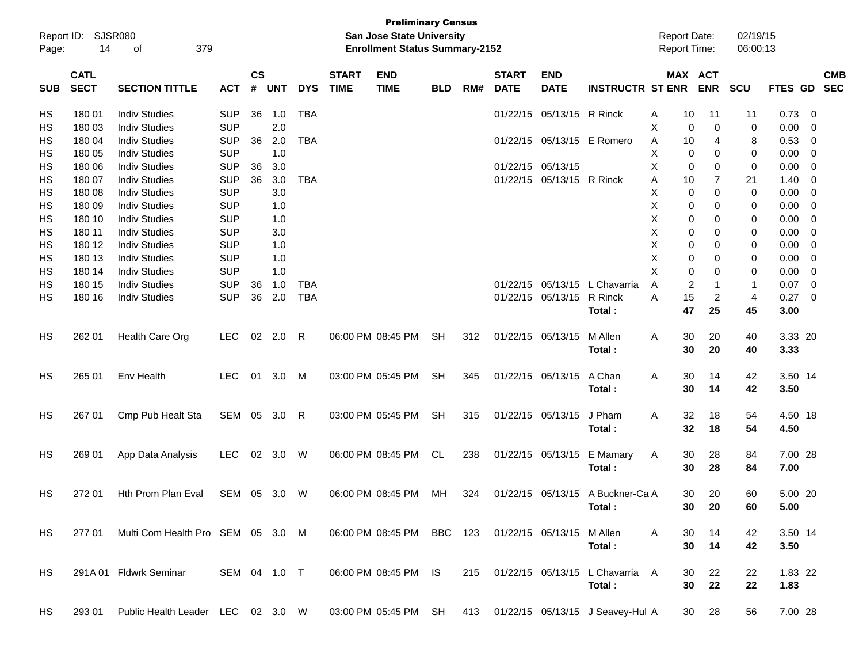| Report ID:<br>Page: | 14                         | SJSR080<br>379<br>οf              |              |                    |            |            |                             | <b>Preliminary Census</b><br><b>San Jose State University</b><br><b>Enrollment Status Summary-2152</b> |            |     |                             |                           |                                  | <b>Report Date:</b><br><b>Report Time:</b> |    |                       | 02/19/15<br>06:00:13 |         |                |                          |
|---------------------|----------------------------|-----------------------------------|--------------|--------------------|------------|------------|-----------------------------|--------------------------------------------------------------------------------------------------------|------------|-----|-----------------------------|---------------------------|----------------------------------|--------------------------------------------|----|-----------------------|----------------------|---------|----------------|--------------------------|
| <b>SUB</b>          | <b>CATL</b><br><b>SECT</b> | <b>SECTION TITTLE</b>             | <b>ACT</b>   | $\mathsf{cs}$<br># | <b>UNT</b> | <b>DYS</b> | <b>START</b><br><b>TIME</b> | <b>END</b><br><b>TIME</b>                                                                              | <b>BLD</b> | RM# | <b>START</b><br><b>DATE</b> | <b>END</b><br><b>DATE</b> | <b>INSTRUCTR ST ENR</b>          |                                            |    | MAX ACT<br><b>ENR</b> | SCU                  | FTES GD |                | <b>CMB</b><br><b>SEC</b> |
| HS                  | 18001                      | <b>Indiv Studies</b>              | <b>SUP</b>   | 36                 | 1.0        | <b>TBA</b> |                             |                                                                                                        |            |     | 01/22/15                    | 05/13/15 R Rinck          |                                  | A                                          | 10 | 11                    | 11                   | 0.73    | - 0            |                          |
| <b>HS</b>           | 180 03                     | <b>Indiv Studies</b>              | <b>SUP</b>   |                    | 2.0        |            |                             |                                                                                                        |            |     |                             |                           |                                  | х                                          | 0  | $\mathbf 0$           | 0                    | 0.00    | 0              |                          |
| HS                  | 180 04                     | <b>Indiv Studies</b>              | <b>SUP</b>   | 36                 | 2.0        | <b>TBA</b> |                             |                                                                                                        |            |     |                             |                           | 01/22/15 05/13/15 E Romero       | Α                                          | 10 | 4                     | 8                    | 0.53    | 0              |                          |
| <b>HS</b>           | 180 05                     | <b>Indiv Studies</b>              | <b>SUP</b>   |                    | 1.0        |            |                             |                                                                                                        |            |     |                             |                           |                                  | Χ                                          | 0  | 0                     | 0                    | 0.00    | 0              |                          |
| <b>HS</b>           | 180 06                     | <b>Indiv Studies</b>              | <b>SUP</b>   | 36                 | 3.0        |            |                             |                                                                                                        |            |     | 01/22/15                    | 05/13/15                  |                                  | X                                          | 0  | 0                     | 0                    | 0.00    | 0              |                          |
| <b>HS</b>           | 180 07                     | <b>Indiv Studies</b>              | <b>SUP</b>   | 36                 | 3.0        | <b>TBA</b> |                             |                                                                                                        |            |     |                             | 01/22/15 05/13/15 R Rinck |                                  | Α                                          | 10 | $\overline{7}$        | 21                   | 1.40    | 0              |                          |
| <b>HS</b>           | 180 08                     | <b>Indiv Studies</b>              | <b>SUP</b>   |                    | 3.0        |            |                             |                                                                                                        |            |     |                             |                           |                                  | Χ                                          | 0  | 0                     | 0                    | 0.00    | $\mathbf 0$    |                          |
| <b>HS</b>           | 180 09                     | <b>Indiv Studies</b>              | <b>SUP</b>   |                    | 1.0        |            |                             |                                                                                                        |            |     |                             |                           |                                  | X                                          | 0  | 0                     | 0                    | 0.00    | 0              |                          |
| <b>HS</b>           | 180 10                     | <b>Indiv Studies</b>              | <b>SUP</b>   |                    | 1.0        |            |                             |                                                                                                        |            |     |                             |                           |                                  | Χ                                          | 0  | 0                     | 0                    | 0.00    | 0              |                          |
| HS                  | 180 11                     | <b>Indiv Studies</b>              | <b>SUP</b>   |                    | 3.0        |            |                             |                                                                                                        |            |     |                             |                           |                                  | Χ                                          | 0  | 0                     | 0                    | 0.00    | 0              |                          |
| <b>HS</b>           | 180 12                     | <b>Indiv Studies</b>              | <b>SUP</b>   |                    | 1.0        |            |                             |                                                                                                        |            |     |                             |                           |                                  | Χ                                          | 0  | 0                     | 0                    | 0.00    | 0              |                          |
| <b>HS</b>           | 180 13                     | <b>Indiv Studies</b>              | <b>SUP</b>   |                    | 1.0        |            |                             |                                                                                                        |            |     |                             |                           |                                  | X                                          | 0  | 0                     | 0                    | 0.00    | 0              |                          |
| <b>HS</b>           | 180 14                     | <b>Indiv Studies</b>              | <b>SUP</b>   |                    | 1.0        |            |                             |                                                                                                        |            |     |                             |                           |                                  | X                                          | 0  | 0                     | 0                    | 0.00    | 0              |                          |
| <b>HS</b>           | 180 15                     | <b>Indiv Studies</b>              | <b>SUP</b>   | 36                 | 1.0        | <b>TBA</b> |                             |                                                                                                        |            |     | 01/22/15                    | 05/13/15                  | L Chavarria                      | A                                          | 2  | 1                     | 1                    | 0.07    | $\mathbf 0$    |                          |
| <b>HS</b>           | 180 16                     | <b>Indiv Studies</b>              | <b>SUP</b>   | 36                 | 2.0        | <b>TBA</b> |                             |                                                                                                        |            |     |                             | 01/22/15 05/13/15         | R Rinck                          | A                                          | 15 | $\overline{c}$        | $\overline{4}$       | 0.27    | $\overline{0}$ |                          |
|                     |                            |                                   |              |                    |            |            |                             |                                                                                                        |            |     |                             |                           | Total:                           |                                            | 47 | 25                    | 45                   | 3.00    |                |                          |
| HS                  | 262 01                     | Health Care Org                   | <b>LEC</b>   | 02                 | 2.0        | R          |                             | 06:00 PM 08:45 PM                                                                                      | <b>SH</b>  | 312 |                             | 01/22/15 05/13/15         | M Allen                          | A                                          | 30 | 20                    | 40                   | 3.33 20 |                |                          |
|                     |                            |                                   |              |                    |            |            |                             |                                                                                                        |            |     |                             |                           | Total:                           |                                            | 30 | 20                    | 40                   | 3.33    |                |                          |
| HS                  | 265 01                     | Env Health                        | <b>LEC</b>   |                    | 01 3.0     | M          |                             | 03:00 PM 05:45 PM                                                                                      | <b>SH</b>  | 345 |                             | 01/22/15 05/13/15         | A Chan                           | A                                          | 30 | 14                    | 42                   | 3.50 14 |                |                          |
|                     |                            |                                   |              |                    |            |            |                             |                                                                                                        |            |     |                             |                           | Total:                           |                                            | 30 | 14                    | 42                   | 3.50    |                |                          |
|                     |                            |                                   |              |                    |            |            |                             |                                                                                                        |            |     |                             |                           |                                  |                                            |    |                       |                      |         |                |                          |
| HS                  | 267 01                     | Cmp Pub Healt Sta                 | SEM 05 3.0 R |                    |            |            |                             | 03:00 PM 05:45 PM                                                                                      | <b>SH</b>  | 315 |                             | 01/22/15 05/13/15         | J Pham                           | A                                          | 32 | 18                    | 54                   | 4.50 18 |                |                          |
|                     |                            |                                   |              |                    |            |            |                             |                                                                                                        |            |     |                             |                           | Total:                           |                                            | 32 | 18                    | 54                   | 4.50    |                |                          |
| HS                  | 269 01                     | App Data Analysis                 | <b>LEC</b>   |                    | 02 3.0     | W          |                             | 06:00 PM 08:45 PM                                                                                      | CL.        | 238 |                             | 01/22/15 05/13/15         | E Mamary                         | A                                          | 30 | 28                    | 84                   | 7.00 28 |                |                          |
|                     |                            |                                   |              |                    |            |            |                             |                                                                                                        |            |     |                             |                           | Total:                           |                                            | 30 | 28                    | 84                   | 7.00    |                |                          |
|                     |                            |                                   |              |                    |            |            |                             |                                                                                                        |            |     |                             |                           |                                  |                                            |    |                       |                      |         |                |                          |
| HS                  | 272 01                     | Hth Prom Plan Eval                | SEM 05 3.0   |                    |            | W          |                             | 06:00 PM 08:45 PM                                                                                      | МH         | 324 |                             |                           | 01/22/15 05/13/15 A Buckner-Ca A |                                            | 30 | 20                    | 60                   | 5.00 20 |                |                          |
|                     |                            |                                   |              |                    |            |            |                             |                                                                                                        |            |     |                             |                           | Total :                          |                                            | 30 | 20                    | 60                   | 5.00    |                |                          |
| HS                  | 277 01                     | Multi Com Health Pro SEM 05 3.0 M |              |                    |            |            |                             | 06:00 PM 08:45 PM                                                                                      | BBC 123    |     |                             | 01/22/15 05/13/15         | M Allen                          | A                                          | 30 | 14                    | 42                   | 3.50 14 |                |                          |
|                     |                            |                                   |              |                    |            |            |                             |                                                                                                        |            |     |                             |                           | Total:                           |                                            | 30 | 14                    | 42                   | 3.50    |                |                          |
|                     |                            |                                   |              |                    |            |            |                             |                                                                                                        |            |     |                             |                           |                                  |                                            |    |                       |                      |         |                |                          |
| HS                  |                            | 291A 01 Fldwrk Seminar            | SEM 04 1.0 T |                    |            |            |                             | 06:00 PM 08:45 PM IS                                                                                   |            | 215 |                             |                           | 01/22/15 05/13/15 L Chavarria A  |                                            | 30 | 22                    | 22                   | 1.83 22 |                |                          |
|                     |                            |                                   |              |                    |            |            |                             |                                                                                                        |            |     |                             |                           | Total:                           |                                            | 30 | 22                    | 22                   | 1.83    |                |                          |
| HS                  | 293 01                     | Public Health Leader LEC 02 3.0 W |              |                    |            |            |                             | 03:00 PM 05:45 PM                                                                                      | SH         | 413 |                             |                           | 01/22/15 05/13/15 J Seavey-Hul A |                                            | 30 | 28                    | 56                   | 7.00 28 |                |                          |
|                     |                            |                                   |              |                    |            |            |                             |                                                                                                        |            |     |                             |                           |                                  |                                            |    |                       |                      |         |                |                          |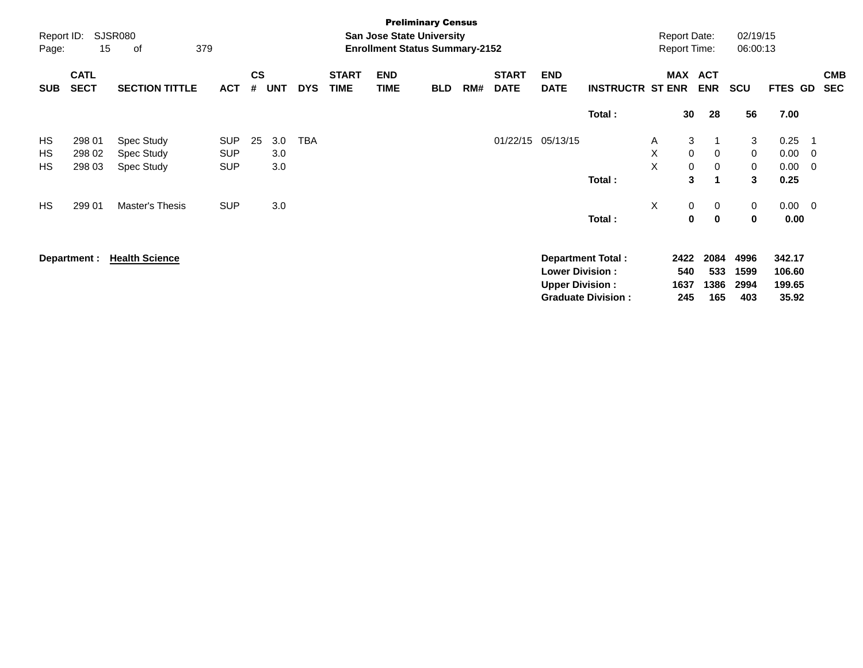| Report ID:<br>Page: | 15                         | SJSR080<br>379<br>οf                   |                                        |                |                   |            |                             |                           | <b>Preliminary Census</b><br><b>San Jose State University</b><br><b>Enrollment Status Summary-2152</b> |     |                             |                                                  |                                                       |             | <b>Report Date:</b><br><b>Report Time:</b> |                                | 02/19/15<br>06:00:13        |                                     |                              |                          |
|---------------------|----------------------------|----------------------------------------|----------------------------------------|----------------|-------------------|------------|-----------------------------|---------------------------|--------------------------------------------------------------------------------------------------------|-----|-----------------------------|--------------------------------------------------|-------------------------------------------------------|-------------|--------------------------------------------|--------------------------------|-----------------------------|-------------------------------------|------------------------------|--------------------------|
| <b>SUB</b>          | <b>CATL</b><br><b>SECT</b> | <b>SECTION TITTLE</b>                  | <b>ACT</b>                             | <b>CS</b><br># | UNT               | <b>DYS</b> | <b>START</b><br><b>TIME</b> | <b>END</b><br><b>TIME</b> | <b>BLD</b>                                                                                             | RM# | <b>START</b><br><b>DATE</b> | <b>END</b><br><b>DATE</b>                        | <b>INSTRUCTR ST ENR</b>                               |             | MAX ACT                                    | <b>ENR</b>                     | <b>SCU</b>                  | FTES GD                             |                              | <b>CMB</b><br><b>SEC</b> |
|                     |                            |                                        |                                        |                |                   |            |                             |                           |                                                                                                        |     |                             |                                                  | Total:                                                |             | 30                                         | 28                             | 56                          | 7.00                                |                              |                          |
| HS<br>HS<br>HS      | 298 01<br>298 02<br>298 03 | Spec Study<br>Spec Study<br>Spec Study | <b>SUP</b><br><b>SUP</b><br><b>SUP</b> | 25             | 3.0<br>3.0<br>3.0 | <b>TBA</b> |                             |                           |                                                                                                        |     |                             | 01/22/15 05/13/15                                | Total:                                                | A<br>X<br>X | 3<br>0<br>0<br>3                           | 0<br>0<br>$\blacktriangleleft$ | 3<br>0<br>0<br>3            | 0.25<br>0.00<br>0.00<br>0.25        | - 1<br>- 0<br>$\overline{0}$ |                          |
| <b>HS</b>           | 299 01                     | Master's Thesis                        | <b>SUP</b>                             |                | 3.0               |            |                             |                           |                                                                                                        |     |                             |                                                  | Total:                                                | X           | 0<br>$\mathbf 0$                           | 0<br>$\mathbf 0$               | 0<br>0                      | $0.00 \t 0$<br>0.00                 |                              |                          |
|                     | Department :               | <b>Health Science</b>                  |                                        |                |                   |            |                             |                           |                                                                                                        |     |                             | <b>Lower Division:</b><br><b>Upper Division:</b> | <b>Department Total:</b><br><b>Graduate Division:</b> |             | 2422<br>540<br>1637<br>245                 | 2084<br>533<br>1386<br>165     | 4996<br>1599<br>2994<br>403 | 342.17<br>106.60<br>199.65<br>35.92 |                              |                          |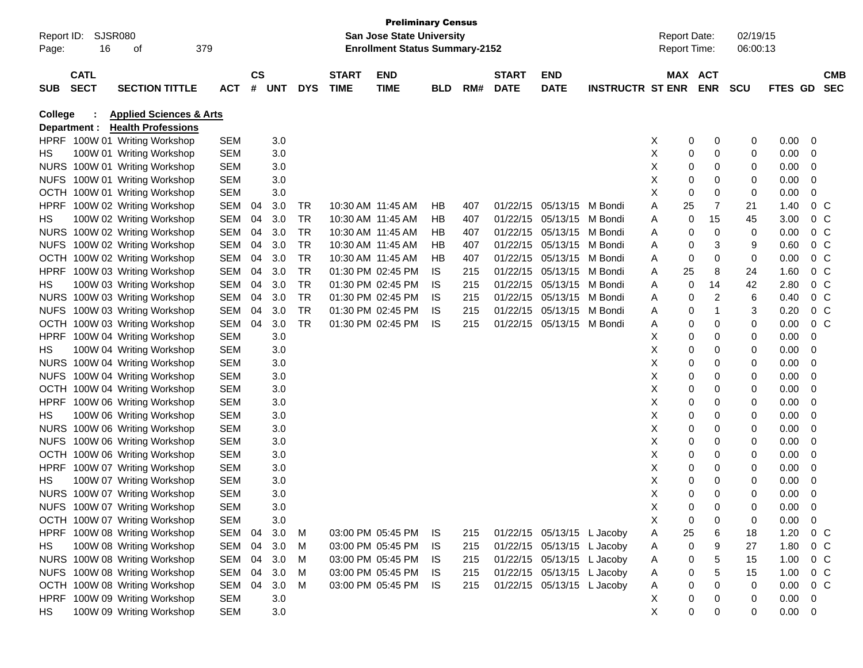| Page:       | Report ID: SJSR080<br>16   | οf                                 | 379        |               |       |            |                             | <b>Preliminary Census</b><br>San Jose State University<br><b>Enrollment Status Summary-2152</b> |            |     |                             |                            |                         | <b>Report Date:</b><br>Report Time: |             |                       | 02/19/15<br>06:00:13 |             |                |                          |
|-------------|----------------------------|------------------------------------|------------|---------------|-------|------------|-----------------------------|-------------------------------------------------------------------------------------------------|------------|-----|-----------------------------|----------------------------|-------------------------|-------------------------------------|-------------|-----------------------|----------------------|-------------|----------------|--------------------------|
|             |                            |                                    |            |               |       |            |                             |                                                                                                 |            |     |                             |                            |                         |                                     |             |                       |                      |             |                |                          |
| <b>SUB</b>  | <b>CATL</b><br><b>SECT</b> | <b>SECTION TITTLE</b>              | <b>ACT</b> | $\mathsf{cs}$ | # UNT | <b>DYS</b> | <b>START</b><br><b>TIME</b> | <b>END</b><br><b>TIME</b>                                                                       | <b>BLD</b> | RM# | <b>START</b><br><b>DATE</b> | <b>END</b><br><b>DATE</b>  | <b>INSTRUCTR ST ENR</b> |                                     |             | MAX ACT<br><b>ENR</b> | <b>SCU</b>           | FTES GD     |                | <b>CMB</b><br><b>SEC</b> |
| College     |                            | <b>Applied Sciences &amp; Arts</b> |            |               |       |            |                             |                                                                                                 |            |     |                             |                            |                         |                                     |             |                       |                      |             |                |                          |
|             | Department :               | <b>Health Professions</b>          |            |               |       |            |                             |                                                                                                 |            |     |                             |                            |                         |                                     |             |                       |                      |             |                |                          |
|             |                            | HPRF 100W 01 Writing Workshop      | SEM        |               | 3.0   |            |                             |                                                                                                 |            |     |                             |                            |                         | X                                   | 0           | 0                     | 0                    | 0.00        | $\overline{0}$ |                          |
| HS          |                            | 100W 01 Writing Workshop           | SEM        |               | 3.0   |            |                             |                                                                                                 |            |     |                             |                            |                         | X                                   | 0           | 0                     | 0                    | 0.00        | 0              |                          |
|             |                            | NURS 100W 01 Writing Workshop      | SEM        |               | 3.0   |            |                             |                                                                                                 |            |     |                             |                            |                         | Х                                   | 0           | 0                     | 0                    | 0.00        | 0              |                          |
|             |                            | NUFS 100W 01 Writing Workshop      | SEM        |               | 3.0   |            |                             |                                                                                                 |            |     |                             |                            |                         | х                                   | 0           | 0                     | 0                    | 0.00        | 0              |                          |
|             |                            | OCTH 100W 01 Writing Workshop      | SEM        |               | 3.0   |            |                             |                                                                                                 |            |     |                             |                            |                         | Х                                   | 0           | 0                     | 0                    | 0.00        | 0              |                          |
| <b>HPRF</b> |                            | 100W 02 Writing Workshop           | SEM        | 04            | 3.0   | TR         |                             | 10:30 AM 11:45 AM                                                                               | HВ         | 407 |                             | 01/22/15 05/13/15          | M Bondi                 | Α                                   | 25          | 7                     | 21                   | 1.40        | $0\,$ C        |                          |
| HS          |                            | 100W 02 Writing Workshop           | SEM        | 04            | 3.0   | <b>TR</b>  |                             | 10:30 AM 11:45 AM                                                                               | HВ         | 407 |                             | 01/22/15 05/13/15          | M Bondi                 | Α                                   | 0           | 15                    | 45                   | 3.00        | $0\,C$         |                          |
|             |                            | NURS 100W 02 Writing Workshop      | SEM        | 04            | 3.0   | TR         |                             | 10:30 AM 11:45 AM                                                                               | HВ         | 407 |                             | 01/22/15 05/13/15          | M Bondi                 | Α                                   | 0           | 0                     | 0                    | 0.00        | $0\,$ C        |                          |
| <b>NUFS</b> |                            | 100W 02 Writing Workshop           | SEM        | 04            | 3.0   | TR         |                             | 10:30 AM 11:45 AM                                                                               | HВ         | 407 | 01/22/15                    | 05/13/15                   | M Bondi                 | Α                                   | 0           | 3                     | 9                    | 0.60        | $0\,$ C        |                          |
|             |                            | OCTH 100W 02 Writing Workshop      | SEM        | 04            | 3.0   | TR         |                             | 10:30 AM 11:45 AM                                                                               | HB         | 407 | 01/22/15                    | 05/13/15                   | M Bondi                 | Α                                   | 0           | 0                     | 0                    | 0.00        | $0\,$ C        |                          |
| <b>HPRF</b> |                            | 100W 03 Writing Workshop           | SEM        | 04            | 3.0   | TR         |                             | 01:30 PM 02:45 PM                                                                               | IS         | 215 | 01/22/15                    | 05/13/15                   | M Bondi                 | Α                                   | 25          | 8                     | 24                   | 1.60        | $0\,C$         |                          |
| HS          |                            | 100W 03 Writing Workshop           | SEM        | 04            | 3.0   | TR         |                             | 01:30 PM 02:45 PM                                                                               | IS         | 215 | 01/22/15                    | 05/13/15                   | M Bondi                 | Α                                   | 0           | 14                    | 42                   | 2.80        | $0\,$ C        |                          |
|             |                            | NURS 100W 03 Writing Workshop      | SEM        | 04            | 3.0   | <b>TR</b>  |                             | 01:30 PM 02:45 PM                                                                               | IS         | 215 | 01/22/15                    | 05/13/15                   | M Bondi                 | Α                                   | 0           | $\overline{2}$        | 6                    | 0.40        | $0\,$ C        |                          |
|             |                            | NUFS 100W 03 Writing Workshop      | SEM        | 04            | 3.0   | <b>TR</b>  |                             | 01:30 PM 02:45 PM                                                                               | IS         | 215 | 01/22/15                    | 05/13/15                   | M Bondi                 | Α                                   | 0           | -1                    | 3                    | 0.20        | 0 <sup>o</sup> |                          |
|             |                            | OCTH 100W 03 Writing Workshop      | SEM        | 04            | 3.0   | <b>TR</b>  |                             | 01:30 PM 02:45 PM                                                                               | IS         | 215 |                             | 01/22/15 05/13/15          | M Bondi                 | Α                                   | 0           | 0                     | 0                    | 0.00        | $0\,$ C        |                          |
| <b>HPRF</b> |                            | 100W 04 Writing Workshop           | <b>SEM</b> |               | 3.0   |            |                             |                                                                                                 |            |     |                             |                            |                         | х                                   | 0           | 0                     | 0                    | 0.00        | 0              |                          |
| HS          |                            | 100W 04 Writing Workshop           | SEM        |               | 3.0   |            |                             |                                                                                                 |            |     |                             |                            |                         | Х                                   | 0           | 0                     | 0                    | 0.00        | 0              |                          |
|             |                            | NURS 100W 04 Writing Workshop      | SEM        |               | 3.0   |            |                             |                                                                                                 |            |     |                             |                            |                         | Х                                   | 0           | 0                     | 0                    | 0.00        | 0              |                          |
| <b>NUFS</b> |                            | 100W 04 Writing Workshop           | SEM        |               | 3.0   |            |                             |                                                                                                 |            |     |                             |                            |                         | Х                                   | 0           | 0                     | 0                    | 0.00        | 0              |                          |
|             |                            | OCTH 100W 04 Writing Workshop      | SEM        |               | 3.0   |            |                             |                                                                                                 |            |     |                             |                            |                         | X                                   | 0           | 0                     | 0                    | 0.00        | 0              |                          |
| <b>HPRF</b> |                            | 100W 06 Writing Workshop           | SEM        |               | 3.0   |            |                             |                                                                                                 |            |     |                             |                            |                         | X                                   | 0           | 0                     | 0                    | 0.00        | 0              |                          |
| HS          |                            | 100W 06 Writing Workshop           | SEM        |               | 3.0   |            |                             |                                                                                                 |            |     |                             |                            |                         | X                                   | 0           | 0                     | 0                    | 0.00        | 0              |                          |
|             |                            | NURS 100W 06 Writing Workshop      | SEM        |               | 3.0   |            |                             |                                                                                                 |            |     |                             |                            |                         | X                                   | 0           | 0                     | 0                    | 0.00        | 0              |                          |
| <b>NUFS</b> |                            | 100W 06 Writing Workshop           | SEM        |               | 3.0   |            |                             |                                                                                                 |            |     |                             |                            |                         | Х                                   | 0           | 0                     | 0                    | 0.00        | 0              |                          |
| <b>OCTH</b> |                            | 100W 06 Writing Workshop           | SEM        |               | 3.0   |            |                             |                                                                                                 |            |     |                             |                            |                         | Х                                   | 0           | 0                     | 0                    | 0.00        | 0              |                          |
| <b>HPRF</b> |                            | 100W 07 Writing Workshop           | SEM        |               | 3.0   |            |                             |                                                                                                 |            |     |                             |                            |                         | Х                                   | 0           | 0                     | 0                    | 0.00        | 0              |                          |
| HS          |                            | 100W 07 Writing Workshop           | SEM        |               | 3.0   |            |                             |                                                                                                 |            |     |                             |                            |                         | х                                   | 0           | 0                     | 0                    | 0.00        | 0              |                          |
|             |                            | NURS 100W 07 Writing Workshop      | SEM        |               | 3.0   |            |                             |                                                                                                 |            |     |                             |                            |                         | X                                   | $\mathbf 0$ | 0                     | 0                    | 0.00        | 0              |                          |
|             |                            | NUFS 100W 07 Writing Workshop      | <b>SEM</b> |               | 3.0   |            |                             |                                                                                                 |            |     |                             |                            |                         | X                                   | $\Omega$    | 0                     | $\Omega$             | 0.00        | $\Omega$       |                          |
|             |                            | OCTH 100W 07 Writing Workshop      | SEM        |               | 3.0   |            |                             |                                                                                                 |            |     |                             |                            |                         | Х                                   | 0           | 0                     | 0                    | 0.00        | $\mathbf 0$    |                          |
|             |                            | HPRF 100W 08 Writing Workshop      | SEM        | 04            | 3.0   | M          |                             | 03:00 PM 05:45 PM                                                                               | IS.        | 215 |                             | 01/22/15 05/13/15 L Jacoby |                         | A                                   | 25          | 6                     | 18                   | 1.20        | 0 C            |                          |
| HS.         |                            | 100W 08 Writing Workshop           | SEM 04     |               | 3.0   | M          |                             | 03:00 PM 05:45 PM                                                                               | IS.        | 215 |                             | 01/22/15 05/13/15 L Jacoby |                         | A                                   | 0           | 9                     | 27                   | 1.80        | 0 C            |                          |
|             |                            | NURS 100W 08 Writing Workshop      | SEM 04     |               | 3.0   | м          |                             | 03:00 PM 05:45 PM                                                                               | IS.        | 215 |                             | 01/22/15 05/13/15 L Jacoby |                         | A                                   | 0           | 5                     | 15                   | 1.00        | $0\,$ C        |                          |
|             |                            | NUFS 100W 08 Writing Workshop      | SEM 04     |               | 3.0   | м          |                             | 03:00 PM 05:45 PM                                                                               | IS.        | 215 |                             | 01/22/15 05/13/15 L Jacoby |                         | A                                   | 0           | 5                     | 15                   | 1.00        | $0\,$ C        |                          |
|             |                            | OCTH 100W 08 Writing Workshop      | SEM        | 04            | 3.0   | M          |                             | 03:00 PM 05:45 PM                                                                               | - IS       | 215 |                             | 01/22/15 05/13/15 L Jacoby |                         | A                                   | 0           | 0                     | 0                    | 0.00        | 0 C            |                          |
|             |                            | HPRF 100W 09 Writing Workshop      | SEM        |               | 3.0   |            |                             |                                                                                                 |            |     |                             |                            |                         | X                                   | 0           | 0                     | 0                    | 0.00        | $\overline{0}$ |                          |
| HS          |                            | 100W 09 Writing Workshop           | <b>SEM</b> |               | 3.0   |            |                             |                                                                                                 |            |     |                             |                            |                         | X                                   | 0           | 0                     | 0                    | $0.00 \t 0$ |                |                          |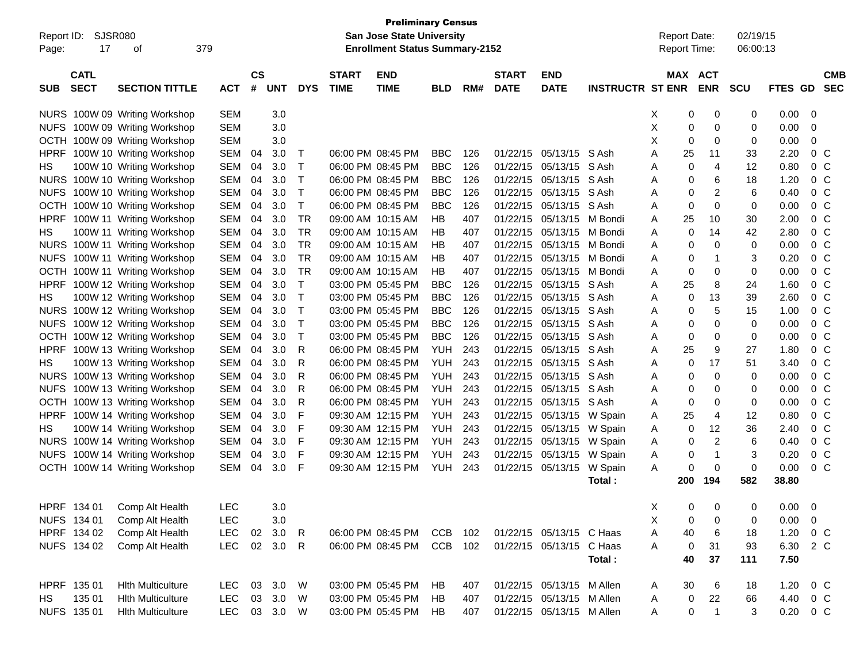| Report ID:<br>Page: | SJSR080<br>17              | οf                            | 379        |                             |            |              |                             | <b>Preliminary Census</b><br><b>San Jose State University</b><br><b>Enrollment Status Summary-2152</b> |            |     |                             |                           |                         | <b>Report Date:</b><br>Report Time: |                       | 02/19/15<br>06:00:13 |         |                          |  |
|---------------------|----------------------------|-------------------------------|------------|-----------------------------|------------|--------------|-----------------------------|--------------------------------------------------------------------------------------------------------|------------|-----|-----------------------------|---------------------------|-------------------------|-------------------------------------|-----------------------|----------------------|---------|--------------------------|--|
| <b>SUB</b>          | <b>CATL</b><br><b>SECT</b> | <b>SECTION TITTLE</b>         | <b>ACT</b> | $\mathsf{cs}$<br>$\pmb{\#}$ | <b>UNT</b> | <b>DYS</b>   | <b>START</b><br><b>TIME</b> | <b>END</b><br><b>TIME</b>                                                                              | <b>BLD</b> | RM# | <b>START</b><br><b>DATE</b> | <b>END</b><br><b>DATE</b> | <b>INSTRUCTR ST ENR</b> |                                     | MAX ACT<br><b>ENR</b> | <b>SCU</b>           | FTES GD | <b>CMB</b><br><b>SEC</b> |  |
|                     |                            | NURS 100W 09 Writing Workshop | <b>SEM</b> |                             | 3.0        |              |                             |                                                                                                        |            |     |                             |                           |                         | X                                   | 0<br>0                | 0                    | 0.00    | 0                        |  |
|                     |                            | NUFS 100W 09 Writing Workshop | <b>SEM</b> |                             | 3.0        |              |                             |                                                                                                        |            |     |                             |                           |                         | X                                   | 0<br>0                | 0                    | 0.00    | 0                        |  |
|                     |                            | OCTH 100W 09 Writing Workshop | <b>SEM</b> |                             | 3.0        |              |                             |                                                                                                        |            |     |                             |                           |                         | X                                   | 0<br>0                | 0                    | 0.00    | 0                        |  |
| <b>HPRF</b>         |                            | 100W 10 Writing Workshop      | <b>SEM</b> | 04                          | 3.0        | Т            |                             | 06:00 PM 08:45 PM                                                                                      | <b>BBC</b> | 126 | 01/22/15                    | 05/13/15 S Ash            |                         | Α<br>25                             | 11                    | 33                   | 2.20    | 0 <sup>o</sup>           |  |
| НS                  |                            | 100W 10 Writing Workshop      | <b>SEM</b> | 04                          | 3.0        | Т            |                             | 06:00 PM 08:45 PM                                                                                      | <b>BBC</b> | 126 | 01/22/15                    | 05/13/15                  | S Ash                   | A                                   | $\overline{4}$<br>0   | 12                   | 0.80    | 0 <sup>o</sup>           |  |
|                     |                            | NURS 100W 10 Writing Workshop | <b>SEM</b> | 04                          | 3.0        | Т            |                             | 06:00 PM 08:45 PM                                                                                      | <b>BBC</b> | 126 | 01/22/15                    | 05/13/15                  | S Ash                   | A                                   | 6<br>0                | 18                   | 1.20    | 0 <sup>o</sup>           |  |
|                     |                            | NUFS 100W 10 Writing Workshop | <b>SEM</b> | 04                          | 3.0        | т            |                             | 06:00 PM 08:45 PM                                                                                      | <b>BBC</b> | 126 | 01/22/15                    | 05/13/15                  | S Ash                   | Α                                   | $\overline{2}$<br>0   | 6                    | 0.40    | 0 <sup>o</sup>           |  |
|                     |                            | OCTH 100W 10 Writing Workshop | <b>SEM</b> | 04                          | 3.0        | т            |                             | 06:00 PM 08:45 PM                                                                                      | BBC        | 126 | 01/22/15                    | 05/13/15                  | S Ash                   | Α                                   | $\mathbf 0$<br>0      | 0                    | 0.00    | 0 <sup>o</sup>           |  |
| <b>HPRF</b>         |                            | 100W 11 Writing Workshop      | <b>SEM</b> | 04                          | 3.0        | <b>TR</b>    |                             | 09:00 AM 10:15 AM                                                                                      | ΗB         | 407 | 01/22/15                    | 05/13/15                  | M Bondi                 | 25<br>Α                             | 10                    | 30                   | 2.00    | 0 <sup>o</sup>           |  |
| НS                  |                            | 100W 11 Writing Workshop      | <b>SEM</b> | 04                          | 3.0        | <b>TR</b>    |                             | 09:00 AM 10:15 AM                                                                                      | ΗB         | 407 | 01/22/15                    | 05/13/15                  | M Bondi                 | A                                   | 0<br>14               | 42                   | 2.80    | 0 <sup>o</sup>           |  |
|                     |                            | NURS 100W 11 Writing Workshop | <b>SEM</b> | 04                          | 3.0        | TR.          |                             | 09:00 AM 10:15 AM                                                                                      | ΗB         | 407 | 01/22/15                    | 05/13/15                  | M Bondi                 | Α                                   | $\mathbf 0$<br>0      | 0                    | 0.00    | 0 <sup>o</sup>           |  |
|                     |                            | NUFS 100W 11 Writing Workshop | <b>SEM</b> | 04                          | 3.0        | TR.          |                             | 09:00 AM 10:15 AM                                                                                      | ΗB         | 407 | 01/22/15                    | 05/13/15                  | M Bondi                 | Α                                   | 0<br>-1               | 3                    | 0.20    | $0\,$ C                  |  |
|                     |                            | OCTH 100W 11 Writing Workshop | <b>SEM</b> | 04                          | 3.0        | TR           |                             | 09:00 AM 10:15 AM                                                                                      | ΗB         | 407 | 01/22/15                    | 05/13/15                  | M Bondi                 | Α                                   | 0<br>0                | 0                    | 0.00    | $0\,$ C                  |  |
| <b>HPRF</b>         |                            | 100W 12 Writing Workshop      | <b>SEM</b> | 04                          | 3.0        | т            |                             | 03:00 PM 05:45 PM                                                                                      | <b>BBC</b> | 126 | 01/22/15                    | 05/13/15                  | S Ash                   | 25<br>A                             | 8                     | 24                   | 1.60    | $0\,$ C                  |  |
| НS                  |                            | 100W 12 Writing Workshop      | <b>SEM</b> | 04                          | 3.0        | т            |                             | 03:00 PM 05:45 PM                                                                                      | <b>BBC</b> | 126 | 01/22/15                    | 05/13/15                  | S Ash                   | A                                   | 13<br>0               | 39                   | 2.60    | 0 <sup>o</sup>           |  |
|                     |                            | NURS 100W 12 Writing Workshop | <b>SEM</b> | 04                          | 3.0        | т            |                             | 03:00 PM 05:45 PM                                                                                      | <b>BBC</b> | 126 | 01/22/15                    | 05/13/15                  | S Ash                   | Α                                   | 5<br>0                | 15                   | 1.00    | $0\,$ C                  |  |
|                     |                            | NUFS 100W 12 Writing Workshop | <b>SEM</b> | 04                          | 3.0        | т            |                             | 03:00 PM 05:45 PM                                                                                      | <b>BBC</b> | 126 | 01/22/15                    | 05/13/15                  | S Ash                   | Α                                   | $\mathbf 0$<br>0      | 0                    | 0.00    | $0\,$ C                  |  |
|                     |                            | OCTH 100W 12 Writing Workshop | <b>SEM</b> | 04                          | 3.0        | Т            |                             | 03:00 PM 05:45 PM                                                                                      | <b>BBC</b> | 126 | 01/22/15                    | 05/13/15                  | S Ash                   | Α                                   | 0<br>0                | 0                    | 0.00    | 0 <sup>o</sup>           |  |
| <b>HPRF</b>         |                            | 100W 13 Writing Workshop      | <b>SEM</b> | 04                          | 3.0        | R            |                             | 06:00 PM 08:45 PM                                                                                      | <b>YUH</b> | 243 | 01/22/15                    | 05/13/15                  | S Ash                   | 25<br>A                             | 9                     | 27                   | 1.80    | 0 <sup>o</sup>           |  |
| НS                  |                            | 100W 13 Writing Workshop      | <b>SEM</b> | 04                          | 3.0        | R            |                             | 06:00 PM 08:45 PM                                                                                      | <b>YUH</b> | 243 | 01/22/15                    | 05/13/15                  | S Ash                   | Α                                   | 17<br>0               | 51                   | 3.40    | 0 <sup>o</sup>           |  |
|                     |                            | NURS 100W 13 Writing Workshop | <b>SEM</b> | 04                          | 3.0        | R            |                             | 06:00 PM 08:45 PM                                                                                      | <b>YUH</b> | 243 | 01/22/15                    | 05/13/15                  | S Ash                   | Α                                   | $\mathbf 0$<br>0      | 0                    | 0.00    | 0 <sup>o</sup>           |  |
|                     |                            | NUFS 100W 13 Writing Workshop | <b>SEM</b> | 04                          | 3.0        | R            |                             | 06:00 PM 08:45 PM                                                                                      | <b>YUH</b> | 243 | 01/22/15                    | 05/13/15                  | S Ash                   | Α                                   | 0<br>0                | 0                    | 0.00    | $0\,$ C                  |  |
|                     |                            | OCTH 100W 13 Writing Workshop | <b>SEM</b> | 04                          | 3.0        | R            |                             | 06:00 PM 08:45 PM                                                                                      | <b>YUH</b> | 243 | 01/22/15                    | 05/13/15                  | S Ash                   | Α                                   | 0<br>$\mathbf 0$      | 0                    | 0.00    | 0 <sup>o</sup>           |  |
| <b>HPRF</b>         |                            | 100W 14 Writing Workshop      | <b>SEM</b> | 04                          | 3.0        | F            |                             | 09:30 AM 12:15 PM                                                                                      | <b>YUH</b> | 243 | 01/22/15                    | 05/13/15                  | W Spain                 | 25<br>A                             | $\overline{4}$        | 12                   | 0.80    | 0 <sup>o</sup>           |  |
| НS                  |                            | 100W 14 Writing Workshop      | <b>SEM</b> | 04                          | 3.0        | F            |                             | 09:30 AM 12:15 PM                                                                                      | <b>YUH</b> | 243 | 01/22/15                    | 05/13/15                  | W Spain                 | A                                   | 0<br>12               | 36                   | 2.40    | 0 <sup>o</sup>           |  |
|                     |                            | NURS 100W 14 Writing Workshop | <b>SEM</b> | 04                          | 3.0        | F            |                             | 09:30 AM 12:15 PM                                                                                      | <b>YUH</b> | 243 | 01/22/15                    | 05/13/15                  | W Spain                 | A                                   | $\overline{2}$<br>0   | 6                    | 0.40    | 0 <sup>o</sup>           |  |
|                     |                            | NUFS 100W 14 Writing Workshop | <b>SEM</b> | 04                          | 3.0        | F            |                             | 09:30 AM 12:15 PM                                                                                      | <b>YUH</b> | 243 | 01/22/15                    | 05/13/15                  | W Spain                 | A                                   | 0<br>$\mathbf 1$      | 3                    | 0.20    | 0 <sup>o</sup>           |  |
|                     |                            | OCTH 100W 14 Writing Workshop | <b>SEM</b> | 04                          | 3.0        | F            |                             | 09:30 AM 12:15 PM                                                                                      | <b>YUH</b> | 243 | 01/22/15                    | 05/13/15                  | W Spain                 | A                                   | 0<br>0                | 0                    | 0.00    | 0 <sup>o</sup>           |  |
|                     |                            |                               |            |                             |            |              |                             |                                                                                                        |            |     |                             |                           | Total:                  | 200                                 | 194                   | 582                  | 38.80   |                          |  |
| HPRF 134 01         |                            | Comp Alt Health               | LEC        |                             | 3.0        |              |                             |                                                                                                        |            |     |                             |                           |                         | X                                   | $\pmb{0}$<br>0        | 0                    | 0.00    | $\mathbf 0$              |  |
| NUFS 134 01         |                            | Comp Alt Health               | <b>LEC</b> |                             | 3.0        |              |                             |                                                                                                        |            |     |                             |                           |                         | Χ                                   | 0<br>0                | 0                    | 0.00    | 0                        |  |
|                     | HPRF 134 02                | Comp Alt Health               | <b>LEC</b> | 02                          | 3.0        | $\mathsf{R}$ |                             | 06:00 PM 08:45 PM                                                                                      | <b>CCB</b> | 102 |                             | 01/22/15 05/13/15 C Haas  |                         | 40<br>Α                             | 6                     | 18                   | 1.20    | $0\,C$                   |  |
|                     | NUFS 134 02                | Comp Alt Health               | <b>LEC</b> |                             | 02 3.0     | R            |                             | 06:00 PM 08:45 PM                                                                                      | CCB 102    |     |                             | 01/22/15 05/13/15 C Haas  |                         | A                                   | 0<br>31               | 93                   | 6.30    | 2 C                      |  |
|                     |                            |                               |            |                             |            |              |                             |                                                                                                        |            |     |                             |                           | Total:                  | 40                                  | 37                    | 111                  | 7.50    |                          |  |
| HPRF 135 01         |                            | <b>Hith Multiculture</b>      | <b>LEC</b> |                             | 03 3.0     | W            |                             | 03:00 PM 05:45 PM                                                                                      | HВ         | 407 |                             | 01/22/15 05/13/15 M Allen |                         | 30<br>A                             | 6                     | 18                   | 1.20    | $0\,$ C                  |  |
| HS                  | 135 01                     | <b>Hith Multiculture</b>      | <b>LEC</b> |                             | 03 3.0     | W            |                             | 03:00 PM 05:45 PM                                                                                      | HB         | 407 |                             | 01/22/15 05/13/15 M Allen |                         | A                                   | 0<br>22               | 66                   | 4.40    | $0\,$ C                  |  |
| NUFS 135 01         |                            | <b>Hith Multiculture</b>      | <b>LEC</b> |                             | 03 3.0 W   |              |                             | 03:00 PM 05:45 PM                                                                                      | HB         | 407 |                             | 01/22/15 05/13/15 M Allen |                         | A                                   | 0<br>1                | 3                    | 0.20    | $0\,C$                   |  |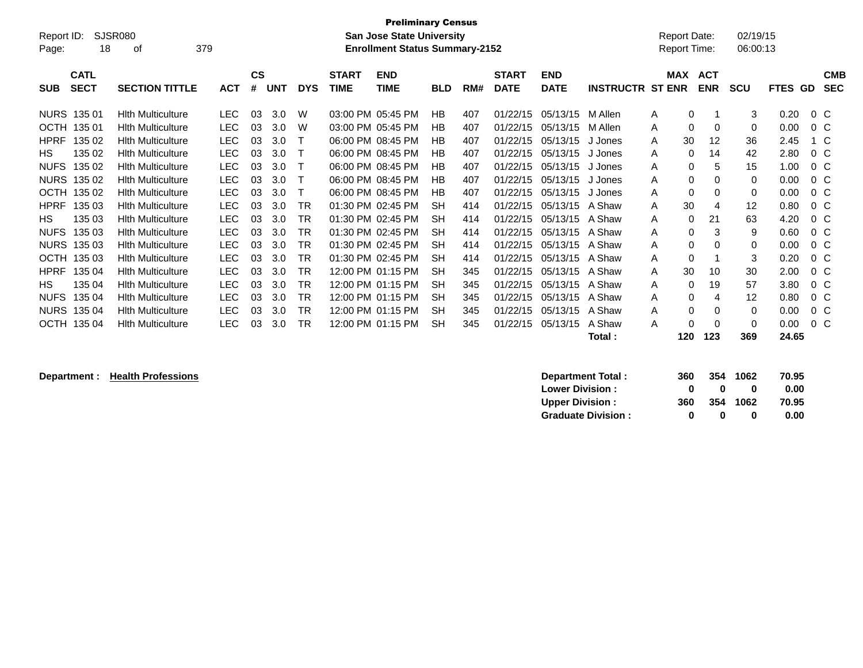| <b>Preliminary Census</b><br><b>SJSR080</b><br>Report ID:<br><b>San Jose State University</b><br>379<br><b>Enrollment Status Summary-2152</b><br>18<br>Page:<br>0t |                          |            |                    |            |            |                             |                           |            |     |                             |                           |                         |               | <b>Report Date:</b><br><b>Report Time:</b> | 02/19/15<br>06:00:13 |                          |                          |
|--------------------------------------------------------------------------------------------------------------------------------------------------------------------|--------------------------|------------|--------------------|------------|------------|-----------------------------|---------------------------|------------|-----|-----------------------------|---------------------------|-------------------------|---------------|--------------------------------------------|----------------------|--------------------------|--------------------------|
| <b>CATL</b><br><b>SECT</b><br><b>SUB</b>                                                                                                                           | <b>SECTION TITTLE</b>    | <b>ACT</b> | $\mathsf{cs}$<br># | <b>UNT</b> | <b>DYS</b> | <b>START</b><br><b>TIME</b> | <b>END</b><br><b>TIME</b> | <b>BLD</b> | RM# | <b>START</b><br><b>DATE</b> | <b>END</b><br><b>DATE</b> | <b>INSTRUCTR ST ENR</b> | <b>MAX</b>    | <b>ACT</b><br><b>ENR</b>                   | <b>SCU</b>           | <b>FTES</b><br><b>GD</b> | <b>CMB</b><br><b>SEC</b> |
| <b>NURS</b><br>135 01                                                                                                                                              | <b>Hith Multiculture</b> | <b>LEC</b> | 03                 | 3.0        | W          |                             | 03:00 PM 05:45 PM         | HB         | 407 | 01/22/15                    | 05/13/15                  | M Allen                 | 0<br>A        |                                            | 3                    | 0.20                     | 0 <sup>o</sup>           |
| <b>OCTH</b><br>135 01                                                                                                                                              | <b>Hith Multiculture</b> | <b>LEC</b> | 03                 | 3.0        | W          | 03:00 PM                    | 05:45 PM                  | HB         | 407 | 01/22/15                    | 05/13/15                  | M Allen                 | 0<br>A        | 0                                          | 0                    | 0.00                     | $0\,C$                   |
| <b>HPRF</b><br>135 02                                                                                                                                              | <b>Hith Multiculture</b> | <b>LEC</b> | 03                 | 3.0        |            |                             | 06:00 PM 08:45 PM         | HB         | 407 | 01/22/15                    | 05/13/15                  | J Jones                 | 30<br>A       | 12                                         | 36                   | 2.45                     | 1 C                      |
| 135 02<br><b>HS</b>                                                                                                                                                | <b>Hith Multiculture</b> | <b>LEC</b> | 03                 | 3.0        |            |                             | 06:00 PM 08:45 PM         | <b>HB</b>  | 407 | 01/22/15                    | 05/13/15                  | J Jones                 | 0<br>A        | 14                                         | 42                   | 2.80                     | $0\,C$                   |
| <b>NUFS</b><br>135 02                                                                                                                                              | <b>Hith Multiculture</b> | <b>LEC</b> | 03                 | 3.0        |            |                             | 06:00 PM 08:45 PM         | <b>HB</b>  | 407 | 01/22/15                    | 05/13/15                  | J Jones                 | 0<br>A        | 5                                          | 15                   | 1.00                     | 0 <sup>o</sup>           |
| <b>NURS</b><br>135 02                                                                                                                                              | <b>Hith Multiculture</b> | <b>LEC</b> | 03                 | 3.0        |            |                             | 06:00 PM 08:45 PM         | <b>HB</b>  | 407 | 01/22/15                    | 05/13/15                  | J Jones                 | 0<br>A        | 0                                          | 0                    | 0.00                     | $0\,$ C                  |
| <b>OCTH</b><br>135 02                                                                                                                                              | <b>Hith Multiculture</b> | <b>LEC</b> | 03                 | 3.0        |            |                             | 06:00 PM 08:45 PM         | HB         | 407 | 01/22/15                    | 05/13/15                  | J Jones                 | 0<br>A        | 0                                          | 0                    | 0.00                     | $0\,C$                   |
| 135 03<br><b>HPRF</b>                                                                                                                                              | <b>Hith Multiculture</b> | <b>LEC</b> | 03                 | 3.0        | TR         |                             | 01:30 PM 02:45 PM         | <b>SH</b>  | 414 | 01/22/15                    | 05/13/15                  | A Shaw                  | 30<br>A       | 4                                          | 12                   | 0.80                     | $0\,C$                   |
| 135 03<br>НS                                                                                                                                                       | <b>Hith Multiculture</b> | <b>LEC</b> | 03                 | 3.0        | <b>TR</b>  |                             | 01:30 PM 02:45 PM         | <b>SH</b>  | 414 | 01/22/15                    | 05/13/15                  | A Shaw                  | $\Omega$<br>A | 21                                         | 63                   | 4.20                     | 0 <sup>o</sup>           |
| <b>NUFS</b><br>135 03                                                                                                                                              | <b>Hith Multiculture</b> | <b>LEC</b> | 03                 | 3.0        | TR         |                             | 01:30 PM 02:45 PM         | <b>SH</b>  | 414 | 01/22/15                    | 05/13/15                  | A Shaw                  | 0<br>A        | 3                                          | 9                    | 0.60                     | 0 <sup>o</sup>           |
| <b>NURS</b><br>135 03                                                                                                                                              | <b>Hith Multiculture</b> | <b>LEC</b> | 03                 | 3.0        | TR         |                             | 01:30 PM 02:45 PM         | <b>SH</b>  | 414 | 01/22/15                    | 05/13/15                  | A Shaw                  | 0<br>A        | 0                                          | 0                    | 0.00                     | $0\,$ C                  |
| <b>OCTH</b><br>135 03                                                                                                                                              | <b>Hith Multiculture</b> | <b>LEC</b> | 03                 | 3.0        | TR         |                             | 01:30 PM 02:45 PM         | <b>SH</b>  | 414 | 01/22/15                    | 05/13/15                  | A Shaw                  | 0<br>A        |                                            | 3                    | 0.20                     | $0\,C$                   |
| <b>HPRF</b><br>135 04                                                                                                                                              | <b>Hith Multiculture</b> | <b>LEC</b> | 03                 | 3.0        | TR         |                             | 12:00 PM 01:15 PM         | <b>SH</b>  | 345 | 01/22/15                    | 05/13/15                  | A Shaw                  | 30<br>A       | 10                                         | 30                   | 2.00                     | $0\,$ C                  |
| 135 04<br><b>HS</b>                                                                                                                                                | <b>Hith Multiculture</b> | <b>LEC</b> | 03                 | 3.0        | TR         |                             | 12:00 PM 01:15 PM         | SH         | 345 | 01/22/15                    | 05/13/15                  | A Shaw                  | $\Omega$<br>A | 19                                         | 57                   | 3.80                     | $0\,$ C                  |
| <b>NUFS</b><br>135 04                                                                                                                                              | <b>Hith Multiculture</b> | <b>LEC</b> | 03                 | 3.0        | TR         |                             | 12:00 PM 01:15 PM         | SH         | 345 | 01/22/15                    | 05/13/15                  | A Shaw                  | A<br>0        | 4                                          | 12                   | 0.80                     | $0\,C$                   |
| <b>NURS</b><br>135 04                                                                                                                                              | <b>Hith Multiculture</b> | <b>LEC</b> | 03                 | 3.0        | TR         |                             | 12:00 PM 01:15 PM         | <b>SH</b>  | 345 | 01/22/15                    | 05/13/15                  | A Shaw                  | $\Omega$<br>A | 0                                          | 0                    | 0.00                     | $0\,C$                   |
| OCTH 135 04                                                                                                                                                        | <b>Hith Multiculture</b> | <b>LEC</b> | 03                 | 3.0        | TR         |                             | 12:00 PM 01:15 PM         | <b>SH</b>  | 345 | 01/22/15                    | 05/13/15                  | A Shaw                  | A<br>O        | 0                                          | 0                    | 0.00                     | $0\,C$                   |
|                                                                                                                                                                    |                          |            |                    |            |            |                             |                           |            |     |                             |                           | Total:                  | 120           | 123                                        | 369                  | 24.65                    |                          |

**Department : Health Professions** 

| Department Total:         | 360 | 354 | 1062     | 70.95 |
|---------------------------|-----|-----|----------|-------|
| <b>Lower Division:</b>    | o   | o   | 0        | 0.00  |
| <b>Upper Division:</b>    | 360 |     | 354 1062 | 70.95 |
| <b>Graduate Division:</b> | o   | o   | 0        | 0.00  |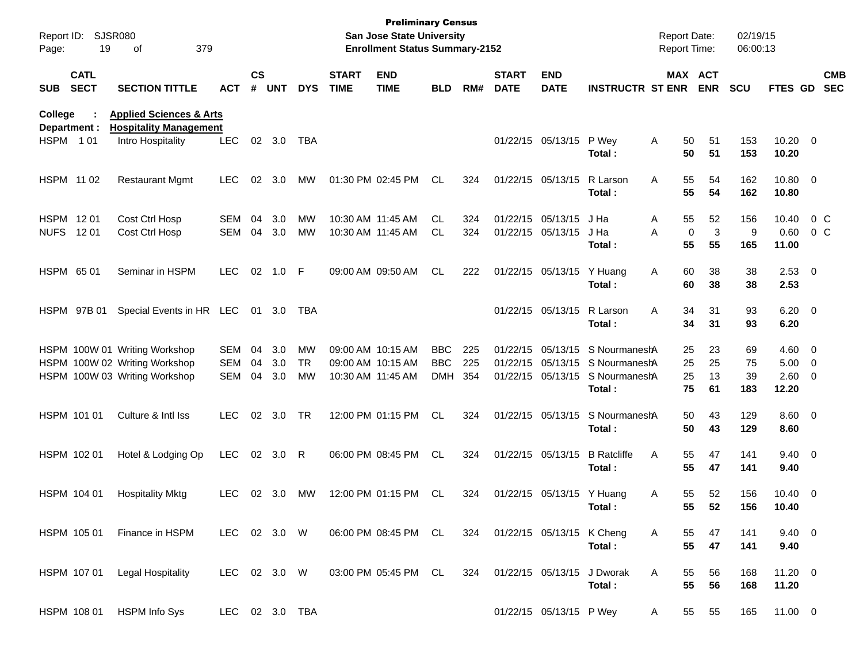| Report ID:<br>Page: | 19                         | <b>SJSR080</b><br>379<br>of                                                                     |                                        |                    |                   |                              |                             | <b>Preliminary Census</b><br><b>San Jose State University</b><br><b>Enrollment Status Summary-2152</b> |                                        |                   |                               |                                        |                                                                                                |        | <b>Report Date:</b><br><b>Report Time:</b>   | 02/19/15<br>06:00:13  |                                                 |     |                          |
|---------------------|----------------------------|-------------------------------------------------------------------------------------------------|----------------------------------------|--------------------|-------------------|------------------------------|-----------------------------|--------------------------------------------------------------------------------------------------------|----------------------------------------|-------------------|-------------------------------|----------------------------------------|------------------------------------------------------------------------------------------------|--------|----------------------------------------------|-----------------------|-------------------------------------------------|-----|--------------------------|
| <b>SUB</b>          | <b>CATL</b><br><b>SECT</b> | <b>SECTION TITTLE</b>                                                                           | ACT                                    | $\mathsf{cs}$<br># | <b>UNT</b>        | <b>DYS</b>                   | <b>START</b><br><b>TIME</b> | <b>END</b><br><b>TIME</b>                                                                              | <b>BLD</b>                             | RM#               | <b>START</b><br><b>DATE</b>   | <b>END</b><br><b>DATE</b>              | <b>INSTRUCTR ST ENR</b>                                                                        |        | MAX ACT<br><b>ENR</b>                        | <b>SCU</b>            | FTES GD                                         |     | <b>CMB</b><br><b>SEC</b> |
| College             | Department :               | <b>Applied Sciences &amp; Arts</b><br><b>Hospitality Management</b>                             |                                        |                    |                   |                              |                             |                                                                                                        |                                        |                   |                               |                                        |                                                                                                |        |                                              |                       |                                                 |     |                          |
| <b>HSPM 101</b>     |                            | Intro Hospitality                                                                               | <b>LEC</b>                             | 02 <sub>o</sub>    | 3.0               | TBA                          |                             |                                                                                                        |                                        |                   |                               | 01/22/15 05/13/15 P Wey                | Total :                                                                                        | Α      | 50<br>51<br>50<br>51                         | 153<br>153            | $10.20 \t 0$<br>10.20                           |     |                          |
|                     | HSPM 11 02                 | <b>Restaurant Mgmt</b>                                                                          | <b>LEC</b>                             | 02                 | 3.0               | МW                           |                             | 01:30 PM 02:45 PM                                                                                      | CL                                     | 324               |                               | 01/22/15 05/13/15                      | R Larson<br>Total :                                                                            | Α      | 55<br>54<br>55<br>54                         | 162<br>162            | 10.80 0<br>10.80                                |     |                          |
| <b>NUFS</b>         | HSPM 1201<br>12 01         | Cost Ctrl Hosp<br>Cost Ctrl Hosp                                                                | <b>SEM</b><br>SEM                      | 04<br>04           | 3.0<br>3.0        | MW<br>MW                     |                             | 10:30 AM 11:45 AM<br>10:30 AM 11:45 AM                                                                 | CL.<br>CL.                             | 324<br>324        |                               | 01/22/15 05/13/15<br>01/22/15 05/13/15 | J Ha<br>J Ha<br>Total :                                                                        | Α<br>A | 52<br>55<br>3<br>0<br>55<br>55               | 156<br>9<br>165       | 10.40<br>0.60<br>11.00                          | 0 C | $0\,C$                   |
|                     | HSPM 65 01                 | Seminar in HSPM                                                                                 | <b>LEC</b>                             | 02                 | 1.0               | -F                           |                             | 09:00 AM 09:50 AM                                                                                      | CL                                     | 222               |                               | 01/22/15 05/13/15                      | Y Huang<br>Total:                                                                              | Α      | 60<br>38<br>60<br>38                         | 38<br>38              | $2.53$ 0<br>2.53                                |     |                          |
|                     | HSPM 97B 01                | Special Events in HR LEC                                                                        |                                        | 01                 | 3.0               | TBA                          |                             |                                                                                                        |                                        |                   |                               | 01/22/15 05/13/15                      | R Larson<br>Total:                                                                             | Α      | 34<br>31<br>34<br>31                         | 93<br>93              | $6.20 \quad 0$<br>6.20                          |     |                          |
|                     |                            | HSPM 100W 01 Writing Workshop<br>HSPM 100W 02 Writing Workshop<br>HSPM 100W 03 Writing Workshop | <b>SEM</b><br><b>SEM</b><br><b>SEM</b> | 04<br>04<br>04     | 3.0<br>3.0<br>3.0 | MW<br><b>TR</b><br><b>MW</b> |                             | 09:00 AM 10:15 AM<br>09:00 AM 10:15 AM<br>10:30 AM 11:45 AM                                            | <b>BBC</b><br><b>BBC</b><br><b>DMH</b> | 225<br>225<br>354 |                               | 01/22/15 05/13/15                      | S NourmaneshA<br>01/22/15 05/13/15 S NourmaneshA<br>01/22/15 05/13/15 S NourmaneshA<br>Total : |        | 25<br>23<br>25<br>25<br>25<br>13<br>75<br>61 | 69<br>75<br>39<br>183 | $4.60$ 0<br>$5.00 \t 0$<br>$2.60 \t 0$<br>12.20 |     |                          |
|                     | HSPM 101 01                | Culture & Intl Iss                                                                              | <b>LEC</b>                             |                    | 02 3.0            | TR                           |                             | 12:00 PM 01:15 PM                                                                                      | <b>CL</b>                              | 324               |                               | 01/22/15 05/13/15                      | S NourmaneshA<br>Total :                                                                       |        | 43<br>50<br>50<br>43                         | 129<br>129            | $8.60 \ 0$<br>8.60                              |     |                          |
|                     | HSPM 102 01                | Hotel & Lodging Op                                                                              | <b>LEC</b>                             |                    | 02 3.0            | R                            |                             | 06:00 PM 08:45 PM                                                                                      | <b>CL</b>                              | 324               |                               | 01/22/15 05/13/15                      | <b>B</b> Ratcliffe<br>Total :                                                                  | Α      | 55<br>47<br>55<br>47                         | 141<br>141            | $9.40 \quad 0$<br>9.40                          |     |                          |
|                     | HSPM 104 01                | <b>Hospitality Mktg</b>                                                                         | <b>LEC</b>                             |                    | 02 3.0            | МW                           |                             | 12:00 PM 01:15 PM                                                                                      | CL.                                    | 324               |                               | 01/22/15 05/13/15 Y Huang              | Total :                                                                                        | Α      | 55<br>52<br>55<br>52                         | 156<br>156            | $10.40 \ 0$<br>10.40                            |     |                          |
|                     | HSPM 105 01                | Finance in HSPM                                                                                 | LEC 02 3.0 W                           |                    |                   |                              |                             | 06:00 PM 08:45 PM CL                                                                                   |                                        |                   | 324 01/22/15 05/13/15 K Cheng |                                        | Total:                                                                                         | A      | 55<br>47<br>55<br>47                         | 141<br>141            | $9.40 \quad 0$<br>9.40                          |     |                          |
|                     | HSPM 107 01                | Legal Hospitality                                                                               | LEC 02 3.0 W                           |                    |                   |                              |                             | 03:00 PM 05:45 PM CL                                                                                   |                                        | 324               |                               | 01/22/15 05/13/15 J Dworak             | Total:                                                                                         | A      | 56<br>55<br>55<br>56                         | 168<br>168            | $11.20 \t 0$<br>11.20                           |     |                          |
|                     | HSPM 108 01                | <b>HSPM Info Sys</b>                                                                            | LEC 02 3.0 TBA                         |                    |                   |                              |                             |                                                                                                        |                                        |                   |                               | 01/22/15 05/13/15 P Wey                |                                                                                                | A      | 55<br>55                                     | 165                   | 11.00 0                                         |     |                          |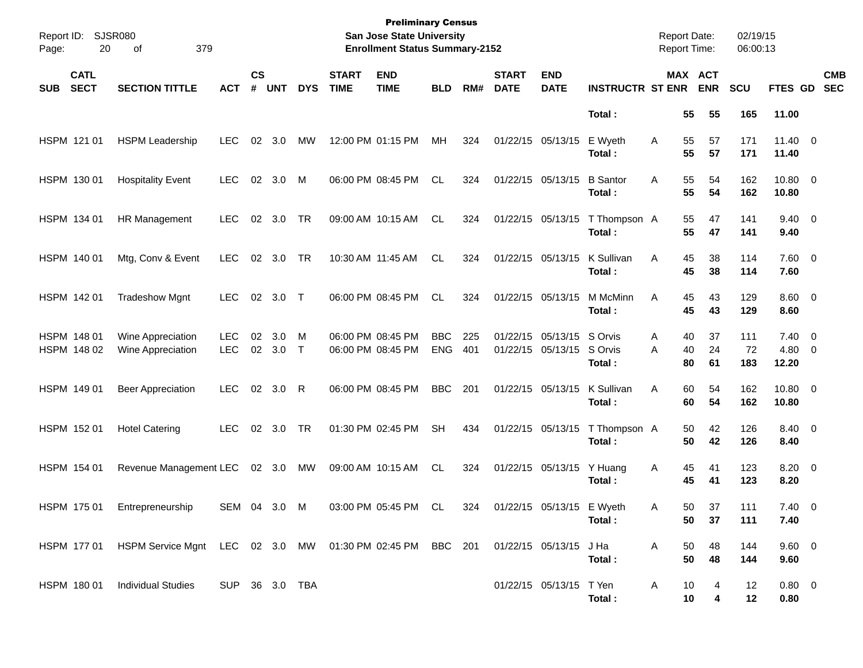| Page: | Report ID: SJSR080<br>20   | 379<br>οf                                                                                    |                          |                    |                 |            |                             | <b>Preliminary Census</b><br>San Jose State University<br><b>Enrollment Status Summary-2152</b> |                          |            |                             |                                                |                           | <b>Report Date:</b><br><b>Report Time:</b> |                |                       | 02/19/15<br>06:00:13 |                                      |                          |
|-------|----------------------------|----------------------------------------------------------------------------------------------|--------------------------|--------------------|-----------------|------------|-----------------------------|-------------------------------------------------------------------------------------------------|--------------------------|------------|-----------------------------|------------------------------------------------|---------------------------|--------------------------------------------|----------------|-----------------------|----------------------|--------------------------------------|--------------------------|
| SUB   | <b>CATL</b><br><b>SECT</b> | <b>SECTION TITTLE</b>                                                                        | <b>ACT</b>               | $\mathsf{cs}$<br># | <b>UNT</b>      | <b>DYS</b> | <b>START</b><br><b>TIME</b> | <b>END</b><br><b>TIME</b>                                                                       | <b>BLD</b>               | RM#        | <b>START</b><br><b>DATE</b> | <b>END</b><br><b>DATE</b>                      | <b>INSTRUCTR ST ENR</b>   |                                            |                | MAX ACT<br><b>ENR</b> | <b>SCU</b>           | <b>FTES GD</b>                       | <b>CMB</b><br><b>SEC</b> |
|       |                            |                                                                                              |                          |                    |                 |            |                             |                                                                                                 |                          |            |                             |                                                | Total:                    |                                            | 55             | 55                    | 165                  | 11.00                                |                          |
|       | HSPM 121 01                | <b>HSPM Leadership</b>                                                                       | LEC.                     |                    | 02 3.0          | МW         |                             | 12:00 PM 01:15 PM                                                                               | МH                       | 324        | 01/22/15 05/13/15           |                                                | E Wyeth<br>Total:         | A                                          | 55<br>55       | 57<br>57              | 171<br>171           | $11.40 \t 0$<br>11.40                |                          |
|       | HSPM 130 01                | <b>Hospitality Event</b>                                                                     | <b>LEC</b>               |                    | 02 3.0          | M          |                             | 06:00 PM 08:45 PM                                                                               | CL                       | 324        | 01/22/15 05/13/15           |                                                | <b>B</b> Santor<br>Total: | Α                                          | 55<br>55       | 54<br>54              | 162<br>162           | 10.80 0<br>10.80                     |                          |
|       | HSPM 134 01                | HR Management                                                                                | <b>LEC</b>               |                    | 02 3.0          | TR         |                             | 09:00 AM 10:15 AM                                                                               | CL                       | 324        |                             | 01/22/15 05/13/15                              | T Thompson A<br>Total:    |                                            | 55<br>55       | 47<br>47              | 141<br>141           | $9.40 \quad 0$<br>9.40               |                          |
|       | HSPM 140 01                | Mtg, Conv & Event                                                                            | LEC.                     |                    | 02 3.0          | TR         |                             | 10:30 AM 11:45 AM                                                                               | CL                       | 324        |                             | 01/22/15 05/13/15                              | K Sullivan<br>Total:      | Α                                          | 45<br>45       | 38<br>38              | 114<br>114           | $7.60$ 0<br>7.60                     |                          |
|       | HSPM 142 01                | <b>Tradeshow Mgnt</b>                                                                        | <b>LEC</b>               |                    | 02 3.0 T        |            |                             | 06:00 PM 08:45 PM                                                                               | CL.                      | 324        | 01/22/15 05/13/15           |                                                | M McMinn<br>Total:        | Α                                          | 45<br>45       | 43<br>43              | 129<br>129           | $8.60$ 0<br>8.60                     |                          |
|       | HSPM 148 01<br>HSPM 148 02 | Wine Appreciation<br>Wine Appreciation                                                       | <b>LEC</b><br><b>LEC</b> | 02                 | 3.0<br>02 3.0 T | M          |                             | 06:00 PM 08:45 PM<br>06:00 PM 08:45 PM                                                          | <b>BBC</b><br><b>ENG</b> | 225<br>401 |                             | 01/22/15 05/13/15 S Orvis<br>01/22/15 05/13/15 | S Orvis<br>Total:         | A<br>A                                     | 40<br>40<br>80 | 37<br>24<br>61        | 111<br>72<br>183     | $7.40 \quad 0$<br>$4.80\ 0$<br>12.20 |                          |
|       | HSPM 149 01                | <b>Beer Appreciation</b>                                                                     | <b>LEC</b>               |                    | 02 3.0          | R          |                             | 06:00 PM 08:45 PM                                                                               | <b>BBC</b>               | 201        | 01/22/15 05/13/15           |                                                | K Sullivan<br>Total:      | Α                                          | 60<br>60       | 54<br>54              | 162<br>162           | 10.80 0<br>10.80                     |                          |
|       | HSPM 152 01                | <b>Hotel Catering</b>                                                                        | <b>LEC</b>               |                    | 02 3.0          | TR         |                             | 01:30 PM 02:45 PM                                                                               | <b>SH</b>                | 434        |                             | 01/22/15 05/13/15                              | T Thompson A<br>Total:    |                                            | 50<br>50       | 42<br>42              | 126<br>126           | 8.40 0<br>8.40                       |                          |
|       | HSPM 154 01                | Revenue Management LEC                                                                       |                          |                    | 02 3.0 MW       |            |                             | 09:00 AM 10:15 AM                                                                               | CL                       | 324        |                             | 01/22/15 05/13/15                              | Y Huang<br>Total:         | A                                          | 45<br>45       | 41<br>41              | 123<br>123           | $8.20 \ 0$<br>8.20                   |                          |
|       | HSPM 175 01                | Entrepreneurship                                                                             | SEM 04 3.0 M             |                    |                 |            |                             | 03:00 PM 05:45 PM CL                                                                            |                          | 324        |                             | 01/22/15 05/13/15 E Wyeth                      | Total :                   | A                                          | 50 -<br>50     | 37<br>37              | 111<br>111           | $7.40 \quad 0$<br>7.40               |                          |
|       |                            | HSPM 177 01 HSPM Service Mgnt LEC 02 3.0 MW 01:30 PM 02:45 PM BBC 201 01/22/15 05/13/15 J Ha |                          |                    |                 |            |                             |                                                                                                 |                          |            |                             |                                                | Total:                    | $\mathsf{A}$                               | 50<br>50       | 48<br>48              | 144<br>144           | 9.60 0<br>9.60                       |                          |
|       |                            | HSPM 180 01 Individual Studies                                                               | SUP 36 3.0 TBA           |                    |                 |            |                             |                                                                                                 |                          |            |                             | 01/22/15 05/13/15 T Yen                        | Total:                    | A                                          | 10<br>10       | 4<br>4                | 12<br>12             | $0.80 \quad 0$<br>0.80               |                          |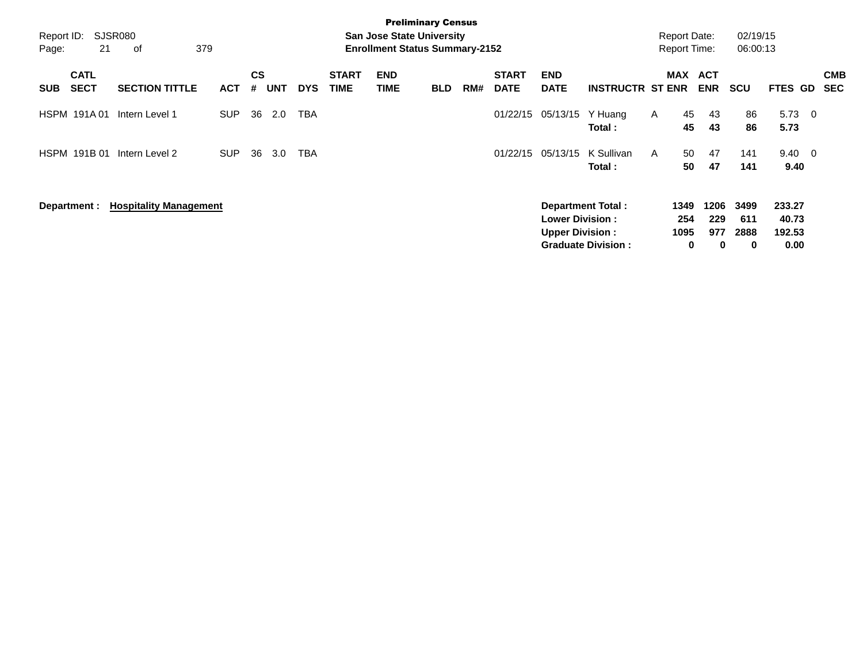| Report ID:<br>Page: | 21                         | SJSR080<br>379<br>оf          |            |                             |            |            |                             | <b>Preliminary Census</b><br><b>San Jose State University</b><br><b>Enrollment Status Summary-2152</b> |            |     |                             |                                                  |                                                       |   | <b>Report Date:</b><br><b>Report Time:</b> |                                | 02/19/15<br>06:00:13     |                                   |                          |                          |
|---------------------|----------------------------|-------------------------------|------------|-----------------------------|------------|------------|-----------------------------|--------------------------------------------------------------------------------------------------------|------------|-----|-----------------------------|--------------------------------------------------|-------------------------------------------------------|---|--------------------------------------------|--------------------------------|--------------------------|-----------------------------------|--------------------------|--------------------------|
| <b>SUB</b>          | <b>CATL</b><br><b>SECT</b> | <b>SECTION TITTLE</b>         | <b>ACT</b> | $\mathbf{c}\mathbf{s}$<br># | <b>UNT</b> | <b>DYS</b> | <b>START</b><br><b>TIME</b> | <b>END</b><br>TIME                                                                                     | <b>BLD</b> | RM# | <b>START</b><br><b>DATE</b> | <b>END</b><br><b>DATE</b>                        | <b>INSTRUCTR ST ENR</b>                               |   | MAX ACT                                    | <b>ENR</b>                     | <b>SCU</b>               | <b>FTES GD</b>                    |                          | <b>CMB</b><br><b>SEC</b> |
|                     | <b>HSPM 191A01</b>         | Intern Level 1                | <b>SUP</b> | 36                          | 2.0        | TBA        |                             |                                                                                                        |            |     | 01/22/15                    | 05/13/15                                         | Y Huang<br>Total:                                     | A | 45<br>45                                   | 43<br>43                       | 86<br>86                 | 5.73<br>5.73                      | $\overline{\phantom{0}}$ |                          |
|                     | HSPM 191B 01               | Intern Level 2                | <b>SUP</b> | 36                          | 3.0        | <b>TBA</b> |                             |                                                                                                        |            |     | 01/22/15                    | 05/13/15                                         | K Sullivan<br>Total :                                 | A | 50<br>50                                   | 47<br>47                       | 141<br>141               | $9.40 \quad 0$<br>9.40            |                          |                          |
|                     | Department :               | <b>Hospitality Management</b> |            |                             |            |            |                             |                                                                                                        |            |     |                             | <b>Lower Division:</b><br><b>Upper Division:</b> | <b>Department Total:</b><br><b>Graduate Division:</b> |   | 1349<br>254<br>1095<br>0                   | 1206<br>229<br>977<br>$\bf{0}$ | 3499<br>611<br>2888<br>0 | 233.27<br>40.73<br>192.53<br>0.00 |                          |                          |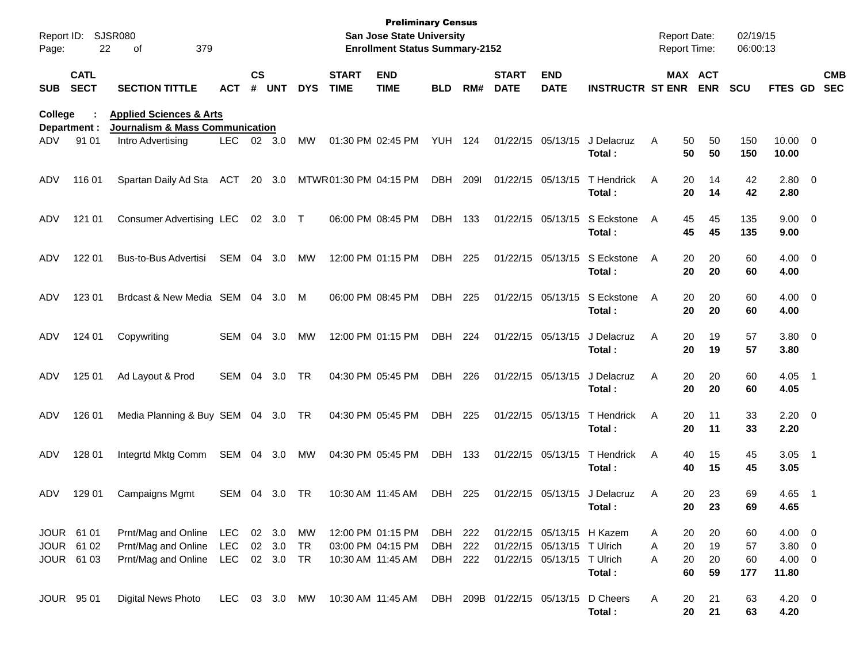| Report ID:<br>Page: | 22                         | SJSR080<br>379<br>οf                                                             |            |               |        |            |                             | <b>Preliminary Census</b><br><b>San Jose State University</b><br><b>Enrollment Status Summary-2152</b> |            |             |                             |                            |                         | <b>Report Date:</b><br><b>Report Time:</b> |          |                       | 02/19/15<br>06:00:13 |                       |                          |                          |
|---------------------|----------------------------|----------------------------------------------------------------------------------|------------|---------------|--------|------------|-----------------------------|--------------------------------------------------------------------------------------------------------|------------|-------------|-----------------------------|----------------------------|-------------------------|--------------------------------------------|----------|-----------------------|----------------------|-----------------------|--------------------------|--------------------------|
| <b>SUB</b>          | <b>CATL</b><br><b>SECT</b> | <b>SECTION TITTLE</b>                                                            | ACT        | $\mathsf{cs}$ | # UNT  | <b>DYS</b> | <b>START</b><br><b>TIME</b> | <b>END</b><br><b>TIME</b>                                                                              | <b>BLD</b> | RM#         | <b>START</b><br><b>DATE</b> | <b>END</b><br><b>DATE</b>  | <b>INSTRUCTR ST ENR</b> |                                            |          | MAX ACT<br><b>ENR</b> | <b>SCU</b>           | <b>FTES GD</b>        |                          | <b>CMB</b><br><b>SEC</b> |
| College             | Department :               | <b>Applied Sciences &amp; Arts</b><br><b>Journalism &amp; Mass Communication</b> |            |               |        |            |                             |                                                                                                        |            |             |                             |                            |                         |                                            |          |                       |                      |                       |                          |                          |
| ADV                 | 91 01                      | Intro Advertising                                                                | <b>LEC</b> | 02            | 3.0    | <b>MW</b>  |                             | 01:30 PM 02:45 PM                                                                                      | YUH        | 124         |                             | 01/22/15 05/13/15          | J Delacruz<br>Total:    | A                                          | 50<br>50 | 50<br>50              | 150<br>150           | $10.00 \t 0$<br>10.00 |                          |                          |
| ADV                 | 116 01                     | Spartan Daily Ad Sta                                                             | ACT        |               | 20 3.0 |            | MTWR01:30 PM 04:15 PM       |                                                                                                        | DBH        | <b>2091</b> | 01/22/15 05/13/15           |                            | T Hendrick<br>Total:    | A                                          | 20<br>20 | 14<br>14              | 42<br>42             | $2.80 \t 0$<br>2.80   |                          |                          |
| ADV                 | 121 01                     | <b>Consumer Advertising LEC</b>                                                  |            |               | 02 3.0 | $\top$     |                             | 06:00 PM 08:45 PM                                                                                      | DBH        | 133         |                             | 01/22/15 05/13/15          | S Eckstone<br>Total:    | A                                          | 45<br>45 | 45<br>45              | 135<br>135           | $9.00 \t 0$<br>9.00   |                          |                          |
| ADV                 | 122 01                     | Bus-to-Bus Advertisi                                                             | <b>SEM</b> | 04            | 3.0    | MW         |                             | 12:00 PM 01:15 PM                                                                                      | DBH        | 225         |                             | 01/22/15 05/13/15          | S Eckstone<br>Total:    | A                                          | 20<br>20 | 20<br>20              | 60<br>60             | $4.00 \ 0$<br>4.00    |                          |                          |
| ADV                 | 123 01                     | Brdcast & New Media SEM 04                                                       |            |               | 3.0    | M          |                             | 06:00 PM 08:45 PM                                                                                      | DBH        | 225         |                             | 01/22/15 05/13/15          | S Eckstone<br>Total:    | A                                          | 20<br>20 | 20<br>20              | 60<br>60             | $4.00 \ 0$<br>4.00    |                          |                          |
| ADV                 | 124 01                     | Copywriting                                                                      | SEM        | 04            | 3.0    | MW         |                             | 12:00 PM 01:15 PM                                                                                      | DBH        | 224         |                             | 01/22/15 05/13/15          | J Delacruz<br>Total:    | Α                                          | 20<br>20 | 19<br>19              | 57<br>57             | $3.80\ 0$<br>3.80     |                          |                          |
| ADV                 | 125 01                     | Ad Layout & Prod                                                                 | SEM        | 04            | 3.0    | TR         |                             | 04:30 PM 05:45 PM                                                                                      | DBH        | 226         | 01/22/15 05/13/15           |                            | J Delacruz<br>Total:    | Α                                          | 20<br>20 | 20<br>20              | 60<br>60             | 4.05<br>4.05          | $\overline{\phantom{1}}$ |                          |
| ADV                 | 126 01                     | Media Planning & Buy SEM 04 3.0                                                  |            |               |        | TR         |                             | 04:30 PM 05:45 PM                                                                                      | DBH        | 225         |                             | 01/22/15 05/13/15          | T Hendrick<br>Total:    | Α                                          | 20<br>20 | 11<br>11              | 33<br>33             | $2.20 \t 0$<br>2.20   |                          |                          |
| ADV                 | 128 01                     | Integrtd Mktg Comm                                                               | SEM 04     |               | 3.0    | MW         |                             | 04:30 PM 05:45 PM                                                                                      | DBH        | 133         |                             | 01/22/15 05/13/15          | T Hendrick<br>Total:    | Α                                          | 40<br>40 | 15<br>15              | 45<br>45             | 3.05<br>3.05          | $\overline{\phantom{1}}$ |                          |
| ADV                 | 129 01                     | <b>Campaigns Mgmt</b>                                                            | SEM        | 04            | 3.0    | TR         | 10:30 AM 11:45 AM           |                                                                                                        | <b>DBH</b> | 225         |                             | 01/22/15 05/13/15          | J Delacruz<br>Total:    | Α                                          | 20<br>20 | 23<br>23              | 69<br>69             | 4.65<br>4.65          | - 1                      |                          |
|                     | JOUR 61 01                 | Prnt/Mag and Online                                                              | LEC        |               | 02 3.0 | МW         |                             | 12:00 PM 01:15 PM                                                                                      | DBH 222    |             |                             | 01/22/15 05/13/15 H Kazem  |                         | A                                          | 20       | 20                    | 60                   | $4.00 \t 0$           |                          |                          |
|                     | JOUR 61 02                 | Prnt/Mag and Online                                                              | <b>LEC</b> |               | 02 3.0 | TR         |                             | 03:00 PM 04:15 PM                                                                                      | DBH        | 222         |                             | 01/22/15 05/13/15 T Ulrich |                         | Α                                          | 20       | 19                    | 57                   | 3.80 0                |                          |                          |
|                     | JOUR 61 03                 | Prnt/Mag and Online                                                              | LEC 02 3.0 |               |        | TR         | 10:30 AM 11:45 AM           |                                                                                                        | DBH 222    |             |                             | 01/22/15 05/13/15 T Ulrich | Total:                  | A                                          | 20<br>60 | 20<br>59              | 60<br>177            | 4.00 0<br>11.80       |                          |                          |
|                     | JOUR 95 01                 | <b>Digital News Photo</b>                                                        | LEC        |               | 03 3.0 | MW         | 10:30 AM 11:45 AM           |                                                                                                        |            |             |                             | DBH 209B 01/22/15 05/13/15 | D Cheers<br>Total:      | A                                          | 20<br>20 | 21<br>21              | 63<br>63             | $4.20 \ 0$<br>4.20    |                          |                          |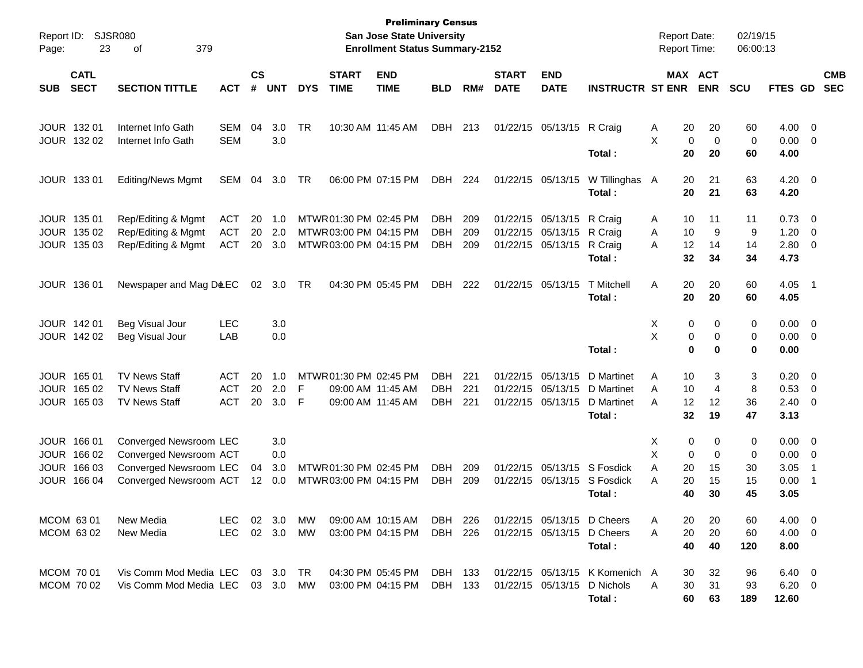| Report ID:<br>Page:                                                          | <b>SJSR080</b><br>23<br>379<br>οf                                                                    |                                        |                         |                          |            |                                                                          | <b>Preliminary Census</b><br>San Jose State University<br><b>Enrollment Status Summary-2152</b> |                                        |                   |                             |                                           |                                                                    | <b>Report Date:</b><br><b>Report Time:</b> |                                                         | 02/19/15<br>06:00:13     |                                       |                                                           |                          |
|------------------------------------------------------------------------------|------------------------------------------------------------------------------------------------------|----------------------------------------|-------------------------|--------------------------|------------|--------------------------------------------------------------------------|-------------------------------------------------------------------------------------------------|----------------------------------------|-------------------|-----------------------------|-------------------------------------------|--------------------------------------------------------------------|--------------------------------------------|---------------------------------------------------------|--------------------------|---------------------------------------|-----------------------------------------------------------|--------------------------|
| <b>CATL</b><br><b>SECT</b><br><b>SUB</b>                                     | <b>SECTION TITTLE</b>                                                                                | <b>ACT</b>                             | <b>CS</b><br>#          | <b>UNT</b>               | <b>DYS</b> | <b>START</b><br><b>TIME</b>                                              | <b>END</b><br><b>TIME</b>                                                                       | <b>BLD</b>                             | RM#               | <b>START</b><br><b>DATE</b> | <b>END</b><br><b>DATE</b>                 | <b>INSTRUCTR ST ENR</b>                                            |                                            | <b>MAX ACT</b><br><b>ENR</b>                            | <b>SCU</b>               | FTES GD                               |                                                           | <b>CMB</b><br><b>SEC</b> |
| JOUR 132 01<br>JOUR 132 02                                                   | Internet Info Gath<br>Internet Info Gath                                                             | SEM<br><b>SEM</b>                      | 04                      | 3.0<br>3.0               | TR         | 10:30 AM 11:45 AM                                                        |                                                                                                 | <b>DBH</b>                             | 213               |                             | 01/22/15 05/13/15                         | R Craig<br>Total:                                                  | A<br>X                                     | 20<br>20<br>0<br>0<br>20<br>20                          | 60<br>0<br>60            | 4.00<br>0.00<br>4.00                  | - 0<br>- 0                                                |                          |
| JOUR 133 01                                                                  | <b>Editing/News Mgmt</b>                                                                             | SEM                                    | 04                      | 3.0                      | TR         | 06:00 PM 07:15 PM                                                        |                                                                                                 | <b>DBH</b>                             | 224               |                             | 01/22/15 05/13/15                         | W Tillinghas<br>Total:                                             | A                                          | 20<br>21<br>20<br>21                                    | 63<br>63                 | 4.20<br>4.20                          | $\overline{\phantom{0}}$                                  |                          |
| JOUR 135 01<br>JOUR 135 02<br>JOUR 135 03                                    | Rep/Editing & Mgmt<br>Rep/Editing & Mgmt<br>Rep/Editing & Mgmt                                       | <b>ACT</b><br><b>ACT</b><br><b>ACT</b> | 20<br>20<br>20          | 1.0<br>2.0<br>3.0        |            | MTWR 01:30 PM 02:45 PM<br>MTWR03:00 PM 04:15 PM<br>MTWR03:00 PM 04:15 PM |                                                                                                 | <b>DBH</b><br><b>DBH</b><br><b>DBH</b> | 209<br>209<br>209 | 01/22/15<br>01/22/15        | 05/13/15<br>05/13/15<br>01/22/15 05/13/15 | R Craig<br>R Craig<br>R Craig<br>Total:                            | A<br>A<br>A                                | 10<br>11<br>9<br>10<br>12<br>14<br>32<br>34             | 11<br>9<br>14<br>34      | 0.73<br>1.20<br>2.80<br>4.73          | $\overline{\phantom{0}}$<br>0<br>$\overline{\mathbf{0}}$  |                          |
| JOUR 136 01                                                                  | Newspaper and Mag D&EC                                                                               |                                        | 02                      | 3.0                      | TR         | 04:30 PM 05:45 PM                                                        |                                                                                                 | <b>DBH</b>                             | 222               |                             | 01/22/15 05/13/15                         | T Mitchell<br>Total:                                               | Α                                          | 20<br>20<br>20<br>20                                    | 60<br>60                 | 4.05<br>4.05                          | - 1                                                       |                          |
| JOUR 142 01<br>JOUR 142 02                                                   | <b>Beg Visual Jour</b><br>Beg Visual Jour                                                            | <b>LEC</b><br>LAB                      |                         | 3.0<br>0.0               |            |                                                                          |                                                                                                 |                                        |                   |                             |                                           | Total:                                                             | х<br>X                                     | 0<br>0<br>0<br>0<br>0<br>$\bf{0}$                       | 0<br>0<br>0              | 0.00<br>0.00<br>0.00                  | $\overline{\phantom{0}}$<br>$\overline{\mathbf{0}}$       |                          |
| JOUR 165 01<br><b>JOUR</b><br>165 02<br>JOUR 165 03                          | <b>TV News Staff</b><br><b>TV News Staff</b><br><b>TV News Staff</b>                                 | <b>ACT</b><br><b>ACT</b><br><b>ACT</b> | 20<br>20<br>20          | 1.0<br>2.0<br>3.0        | F<br>F     | MTWR 01:30 PM 02:45 PM<br>09:00 AM 11:45 AM<br>09:00 AM 11:45 AM         |                                                                                                 | <b>DBH</b><br><b>DBH</b><br><b>DBH</b> | 221<br>221<br>221 | 01/22/15<br>01/22/15        | 05/13/15<br>05/13/15<br>01/22/15 05/13/15 | D Martinet<br>D Martinet<br>D Martinet<br>Total:                   | Α<br>Α<br>A                                | 3<br>10<br>10<br>$\overline{4}$<br>12<br>12<br>32<br>19 | 3<br>8<br>36<br>47       | 0.20<br>0.53<br>2.40<br>3.13          | $\overline{\mathbf{0}}$<br>$\overline{\mathbf{0}}$<br>- 0 |                          |
| JOUR 166 01<br><b>JOUR</b><br>166 02<br><b>JOUR</b><br>166 03<br>JOUR 166 04 | Converged Newsroom LEC<br>Converged Newsroom ACT<br>Converged Newsroom LEC<br>Converged Newsroom ACT |                                        | 04<br>$12 \overline{ }$ | 3.0<br>0.0<br>3.0<br>0.0 |            | MTWR 01:30 PM 02:45 PM<br>MTWR03:00 PM 04:15 PM                          |                                                                                                 | <b>DBH</b><br><b>DBH</b>               | 209<br>209        | 01/22/15                    | 01/22/15 05/13/15<br>05/13/15             | S Fosdick<br>S Fosdick<br>Total:                                   | х<br>X<br>Α<br>Α                           | 0<br>0<br>0<br>0<br>20<br>15<br>20<br>15<br>40<br>30    | 0<br>0<br>30<br>15<br>45 | 0.00<br>0.00<br>3.05<br>0.00<br>3.05  | $\overline{\phantom{0}}$<br>0<br>-1<br>-1                 |                          |
| MCOM 63 01<br>MCOM 63 02                                                     | New Media<br>New Media                                                                               | <b>LEC</b><br>LEC                      |                         | 02 3.0<br>02 3.0         | МW<br>MW   | 09:00 AM 10:15 AM                                                        | 03:00 PM 04:15 PM                                                                               | DBH<br>DBH 226                         | 226               |                             |                                           | 01/22/15 05/13/15 D Cheers<br>01/22/15 05/13/15 D Cheers<br>Total: | Α<br>Α                                     | 20<br>20<br>20<br>20<br>40<br>40                        | 60<br>60<br>120          | $4.00 \t 0$<br>$4.00 \ 0$<br>8.00     |                                                           |                          |
| MCOM 70 01<br>MCOM 70 02                                                     | Vis Comm Mod Media LEC<br>Vis Comm Mod Media LEC                                                     |                                        |                         | 03 3.0<br>03 3.0         | TR<br>MW   | 03:00 PM 04:15 PM                                                        | 04:30 PM 05:45 PM                                                                               | DBH 133<br>DBH 133                     |                   |                             | 01/22/15 05/13/15                         | 01/22/15 05/13/15 K Komenich A<br>D Nichols<br>Total:              | A                                          | 32<br>30<br>31<br>30<br>60<br>63                        | 96<br>93<br>189          | $6.40 \quad 0$<br>$6.20 \ 0$<br>12.60 |                                                           |                          |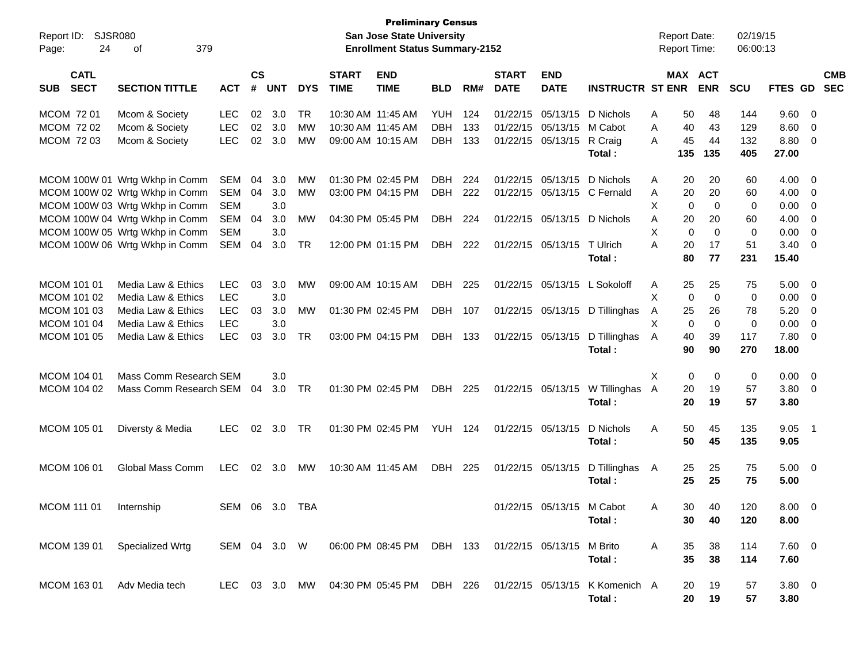| Report ID:<br>24<br>Page:                | <b>SJSR080</b><br>379<br>οf    |              |                             |                |            |                             | <b>Preliminary Census</b><br>San Jose State University<br><b>Enrollment Status Summary-2152</b> |                |       |                             |                           |                                |   | <b>Report Date:</b><br><b>Report Time:</b> |             | 02/19/15<br>06:00:13 |                |                         |                          |
|------------------------------------------|--------------------------------|--------------|-----------------------------|----------------|------------|-----------------------------|-------------------------------------------------------------------------------------------------|----------------|-------|-----------------------------|---------------------------|--------------------------------|---|--------------------------------------------|-------------|----------------------|----------------|-------------------------|--------------------------|
| <b>CATL</b><br><b>SECT</b><br><b>SUB</b> | <b>SECTION TITTLE</b>          | <b>ACT</b>   | $\mathbf{c}\mathbf{s}$<br># | <b>UNT</b>     | <b>DYS</b> | <b>START</b><br><b>TIME</b> | <b>END</b><br><b>TIME</b>                                                                       | <b>BLD</b>     | RM#   | <b>START</b><br><b>DATE</b> | <b>END</b><br><b>DATE</b> | <b>INSTRUCTR ST ENR</b>        |   | MAX ACT                                    | <b>ENR</b>  | <b>SCU</b>           | FTES GD        |                         | <b>CMB</b><br><b>SEC</b> |
| MCOM 72 01                               | Mcom & Society                 | LEC          | 02                          | 3.0            | TR         | 10:30 AM 11:45 AM           |                                                                                                 | <b>YUH</b>     | 124   |                             | 01/22/15 05/13/15         | D Nichols                      | A | 50                                         | 48          | 144                  | 9.60           | $\overline{\mathbf{0}}$ |                          |
| MCOM 72 02                               | Mcom & Society                 | <b>LEC</b>   | 02                          | 3.0            | MW         | 10:30 AM 11:45 AM           |                                                                                                 | <b>DBH</b>     | 133   |                             | 01/22/15 05/13/15         | M Cabot                        | Α | 40                                         | 43          | 129                  | 8.60           | $\overline{0}$          |                          |
| MCOM 72 03                               | Mcom & Society                 | <b>LEC</b>   | 02                          | 3.0            | <b>MW</b>  |                             | 09:00 AM 10:15 AM                                                                               | <b>DBH</b>     | 133   |                             | 01/22/15 05/13/15         | R Craig                        | A | 45                                         | 44          | 132                  | 8.80           | $\overline{0}$          |                          |
|                                          |                                |              |                             |                |            |                             |                                                                                                 |                |       |                             |                           | Total:                         |   | 135                                        | 135         | 405                  | 27.00          |                         |                          |
|                                          | MCOM 100W 01 Wrtg Wkhp in Comm | SEM          | 04                          | 3.0            | MW         |                             | 01:30 PM 02:45 PM                                                                               | <b>DBH</b>     | 224   |                             | 01/22/15 05/13/15         | D Nichols                      | A | 20                                         | 20          | 60                   | 4.00           | - 0                     |                          |
|                                          | MCOM 100W 02 Wrtg Wkhp in Comm | SEM          | 04                          | 3.0            | <b>MW</b>  |                             | 03:00 PM 04:15 PM                                                                               | DBH            | 222   |                             |                           | 01/22/15 05/13/15 C Fernald    | A | 20                                         | 20          | 60                   | 4.00           | - 0                     |                          |
|                                          | MCOM 100W 03 Wrtg Wkhp in Comm | <b>SEM</b>   |                             | 3.0            |            |                             |                                                                                                 |                |       |                             |                           |                                | X | 0                                          | 0           | 0                    | 0.00           | 0                       |                          |
|                                          | MCOM 100W 04 Wrtg Wkhp in Comm | SEM          | 04                          | 3.0            | MW         |                             | 04:30 PM 05:45 PM                                                                               | <b>DBH</b>     | 224   |                             | 01/22/15 05/13/15         | D Nichols                      | Α | 20                                         | 20          | 60                   | 4.00           | 0                       |                          |
|                                          | MCOM 100W 05 Wrtg Wkhp in Comm | <b>SEM</b>   |                             | 3.0            |            |                             |                                                                                                 |                |       |                             |                           |                                | Х | 0                                          | $\mathbf 0$ | 0                    | 0.00           | 0                       |                          |
|                                          | MCOM 100W 06 Wrtg Wkhp in Comm | SEM          | 04                          | 3.0            | TR         |                             | 12:00 PM 01:15 PM                                                                               | DBH            | 222   |                             | 01/22/15 05/13/15         | T Ulrich                       | A | 20                                         | 17          | 51                   | 3.40           | 0                       |                          |
|                                          |                                |              |                             |                |            |                             |                                                                                                 |                |       |                             |                           | Total:                         |   | 80                                         | 77          | 231                  | 15.40          |                         |                          |
| MCOM 101 01                              | Media Law & Ethics             | LEC          | 03                          | 3.0            | MW         |                             | 09:00 AM 10:15 AM                                                                               | <b>DBH</b>     | 225   |                             | 01/22/15 05/13/15         | L Sokoloff                     | A | 25                                         | 25          | 75                   | 5.00           | $\overline{\mathbf{0}}$ |                          |
| MCOM 101 02                              | Media Law & Ethics             | <b>LEC</b>   |                             | 3.0            |            |                             |                                                                                                 |                |       |                             |                           |                                | Χ | 0                                          | $\mathbf 0$ | 0                    | 0.00           | $\overline{0}$          |                          |
| MCOM 101 03                              | Media Law & Ethics             | <b>LEC</b>   | 03                          | 3.0            | MW         |                             | 01:30 PM 02:45 PM                                                                               | DBH            | 107   |                             | 01/22/15 05/13/15         | D Tillinghas                   | A | 25                                         | 26          | 78                   | 5.20           | 0                       |                          |
| MCOM 101 04                              | Media Law & Ethics             | <b>LEC</b>   |                             | 3.0            |            |                             |                                                                                                 |                |       |                             |                           |                                | X | 0                                          | $\mathbf 0$ | 0                    | 0.00           | 0                       |                          |
| MCOM 101 05                              | Media Law & Ethics             | <b>LEC</b>   | 03                          | 3.0            | TR         |                             | 03:00 PM 04:15 PM                                                                               | DBH            | - 133 |                             | 01/22/15 05/13/15         | D Tillinghas                   | Α | 40                                         | 39          | 117                  | 7.80           | 0                       |                          |
|                                          |                                |              |                             |                |            |                             |                                                                                                 |                |       |                             |                           | Total:                         |   | 90                                         | 90          | 270                  | 18.00          |                         |                          |
| MCOM 104 01                              | Mass Comm Research SEM         |              |                             | 3.0            |            |                             |                                                                                                 |                |       |                             |                           |                                | Χ | 0                                          | 0           | 0                    | 0.00           | $\overline{\mathbf{0}}$ |                          |
| MCOM 104 02                              | Mass Comm Research SEM         |              | 04                          | 3.0            | TR         |                             | 01:30 PM 02:45 PM                                                                               | DBH            | 225   |                             | 01/22/15 05/13/15         | W Tillinghas                   | A | 20                                         | 19          | 57                   | 3.80           | $\overline{\mathbf{0}}$ |                          |
|                                          |                                |              |                             |                |            |                             |                                                                                                 |                |       |                             |                           | Total:                         |   | 20                                         | 19          | 57                   | 3.80           |                         |                          |
| MCOM 105 01                              | Diversty & Media               | <b>LEC</b>   | 02                          | 3.0            | TR         |                             | 01:30 PM 02:45 PM                                                                               | <b>YUH 124</b> |       |                             | 01/22/15 05/13/15         | D Nichols                      | Α | 50                                         | 45          | 135                  | 9.05           | - 1                     |                          |
|                                          |                                |              |                             |                |            |                             |                                                                                                 |                |       |                             |                           | Total:                         |   | 50                                         | 45          | 135                  | 9.05           |                         |                          |
| MCOM 106 01                              | Global Mass Comm               | LEC          |                             | $02 \quad 3.0$ | MW         | 10:30 AM 11:45 AM           |                                                                                                 | DBH            | 225   |                             | 01/22/15 05/13/15         | D Tillinghas                   | A | 25                                         | 25          | 75                   | $5.00 \t 0$    |                         |                          |
|                                          |                                |              |                             |                |            |                             |                                                                                                 |                |       |                             |                           | Total:                         |   | 25                                         | 25          | 75                   | 5.00           |                         |                          |
| MCOM 111 01                              | Internship                     | SEM 06 3.0   |                             |                | TBA        |                             |                                                                                                 |                |       |                             | 01/22/15 05/13/15 M Cabot |                                | A | 30-                                        | 40.         | 120                  | $8.00 \quad 0$ |                         |                          |
|                                          |                                |              |                             |                |            |                             |                                                                                                 |                |       |                             |                           | Total:                         |   | 30                                         | 40          | 120                  | 8.00           |                         |                          |
| MCOM 139 01                              | Specialized Wrtg               | SEM 04 3.0 W |                             |                |            |                             | 06:00 PM 08:45 PM DBH 133 01/22/15 05/13/15 M Brito                                             |                |       |                             |                           |                                | A | 35                                         | 38          | 114                  | $7.60$ 0       |                         |                          |
|                                          |                                |              |                             |                |            |                             |                                                                                                 |                |       |                             |                           | Total:                         |   | 35                                         | 38          | 114                  | 7.60           |                         |                          |
|                                          |                                |              |                             |                |            |                             |                                                                                                 |                |       |                             |                           |                                |   |                                            |             |                      |                |                         |                          |
| MCOM 163 01                              | Adv Media tech                 |              |                             |                |            |                             | LEC 03 3.0 MW 04:30 PM 05:45 PM DBH 226                                                         |                |       |                             |                           | 01/22/15 05/13/15 K Komenich A |   | 20                                         | 19          | 57                   | $3.80 \ 0$     |                         |                          |
|                                          |                                |              |                             |                |            |                             |                                                                                                 |                |       |                             |                           | Total:                         |   | 20                                         | 19          | 57                   | 3.80           |                         |                          |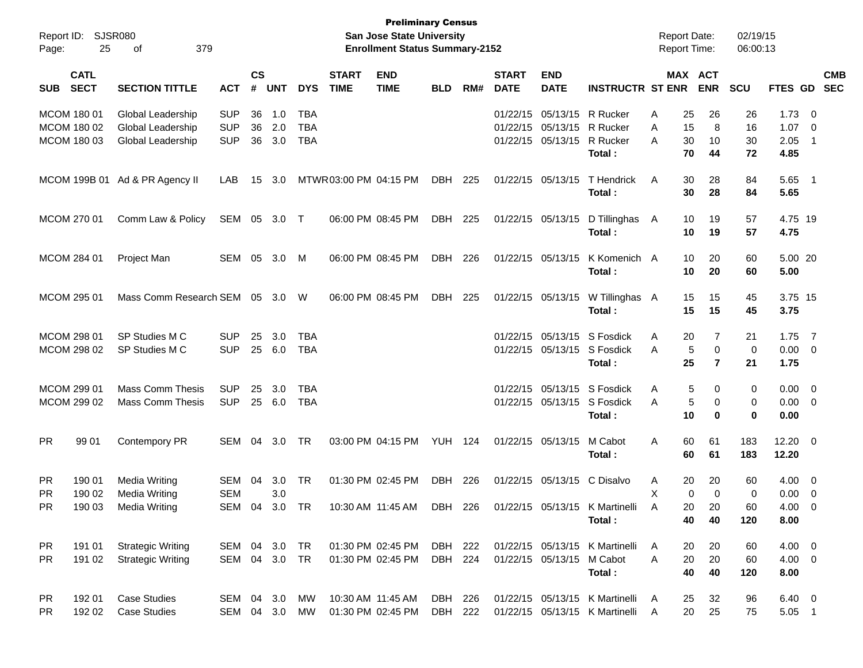| Report ID:<br>Page:                       | 25                         | SJSR080<br>379<br>οf                                               |                                        |                             |                   |                                        |                             | <b>Preliminary Census</b><br><b>San Jose State University</b><br><b>Enrollment Status Summary-2152</b> |                    |                |                             |                                                                                        |                                                                      | <b>Report Date:</b><br><b>Report Time:</b> |                                          | 02/19/15<br>06:00:13 |                                     |                                                      |            |
|-------------------------------------------|----------------------------|--------------------------------------------------------------------|----------------------------------------|-----------------------------|-------------------|----------------------------------------|-----------------------------|--------------------------------------------------------------------------------------------------------|--------------------|----------------|-----------------------------|----------------------------------------------------------------------------------------|----------------------------------------------------------------------|--------------------------------------------|------------------------------------------|----------------------|-------------------------------------|------------------------------------------------------|------------|
| <b>SUB</b>                                | <b>CATL</b><br><b>SECT</b> | <b>SECTION TITTLE</b>                                              | <b>ACT</b>                             | $\mathsf{cs}$<br>$\pmb{\#}$ | <b>UNT</b>        | <b>DYS</b>                             | <b>START</b><br><b>TIME</b> | <b>END</b><br><b>TIME</b>                                                                              | <b>BLD</b>         | RM#            | <b>START</b><br><b>DATE</b> | <b>END</b><br><b>DATE</b>                                                              | <b>INSTRUCTR ST ENR</b>                                              |                                            | MAX ACT<br><b>ENR</b>                    | <b>SCU</b>           | FTES GD SEC                         |                                                      | <b>CMB</b> |
| MCOM 180 01<br>MCOM 180 02<br>MCOM 180 03 |                            | Global Leadership<br>Global Leadership<br><b>Global Leadership</b> | <b>SUP</b><br><b>SUP</b><br><b>SUP</b> | 36<br>36<br>36              | 1.0<br>2.0<br>3.0 | <b>TBA</b><br><b>TBA</b><br><b>TBA</b> |                             |                                                                                                        |                    |                |                             | 01/22/15 05/13/15 R Rucker<br>01/22/15 05/13/15 R Rucker<br>01/22/15 05/13/15 R Rucker | Total :                                                              | A<br>25<br>15<br>Α<br>30<br>Α<br>70        | 26<br>8<br>10<br>44                      | 26<br>16<br>30<br>72 | 1.73<br>1.07<br>2.05<br>4.85        | $\overline{\mathbf{0}}$<br>- 0<br>- 1                |            |
|                                           |                            | MCOM 199B 01 Ad & PR Agency II                                     | LAB                                    | 15                          | 3.0               |                                        | MTWR03:00 PM 04:15 PM       |                                                                                                        | DBH                | 225            |                             | 01/22/15 05/13/15                                                                      | T Hendrick<br>Total:                                                 | 30<br>A<br>30                              | 28<br>28                                 | 84<br>84             | 5.65 1<br>5.65                      |                                                      |            |
| MCOM 270 01                               |                            | Comm Law & Policy                                                  | SEM 05 3.0 T                           |                             |                   |                                        |                             | 06:00 PM 08:45 PM                                                                                      | DBH                | 225            |                             | 01/22/15 05/13/15                                                                      | D Tillinghas<br>Total:                                               | 10<br>- A<br>10                            | 19<br>19                                 | 57<br>57             | 4.75 19<br>4.75                     |                                                      |            |
| <b>MCOM 284 01</b>                        |                            | <b>Project Man</b>                                                 | SEM                                    | 05                          | 3.0               | M                                      |                             | 06:00 PM 08:45 PM                                                                                      | DBH                | 226            |                             | 01/22/15 05/13/15                                                                      | K Komenich A<br>Total:                                               | 10<br>10                                   | 20<br>20                                 | 60<br>60             | 5.00 20<br>5.00                     |                                                      |            |
| MCOM 295 01                               |                            | Mass Comm Research SEM                                             |                                        | 05                          | 3.0               | - W                                    |                             | 06:00 PM 08:45 PM                                                                                      | DBH                | 225            |                             |                                                                                        | 01/22/15 05/13/15 W Tillinghas A<br>Total:                           | 15<br>15                                   | 15<br>15                                 | 45<br>45             | 3.75 15<br>3.75                     |                                                      |            |
| MCOM 298 01<br>MCOM 298 02                |                            | SP Studies M C<br>SP Studies M C                                   | <b>SUP</b><br><b>SUP</b>               | 25                          | 3.0<br>25 6.0     | TBA<br><b>TBA</b>                      |                             |                                                                                                        |                    |                |                             |                                                                                        | 01/22/15 05/13/15 S Fosdick<br>01/22/15 05/13/15 S Fosdick<br>Total: | A<br>20<br>Α<br>25                         | 7<br>5<br>0<br>$\overline{7}$            | 21<br>0<br>21        | $1.75$ 7<br>$0.00 \t 0$<br>1.75     |                                                      |            |
| MCOM 299 01<br>MCOM 299 02                |                            | <b>Mass Comm Thesis</b><br><b>Mass Comm Thesis</b>                 | <b>SUP</b><br><b>SUP</b>               | 25                          | 3.0<br>25 6.0     | TBA<br><b>TBA</b>                      |                             |                                                                                                        |                    |                |                             |                                                                                        | 01/22/15 05/13/15 S Fosdick<br>01/22/15 05/13/15 S Fosdick<br>Total: | Α<br>Α<br>10                               | 5<br>0<br>5<br>0<br>0                    | 0<br>0<br>0          | $0.00 \t 0$<br>$0.00 \t 0$<br>0.00  |                                                      |            |
| <b>PR</b>                                 | 99 01                      | Contempory PR                                                      | SEM                                    | 04                          | 3.0               | TR                                     |                             | 03:00 PM 04:15 PM                                                                                      | <b>YUH 124</b>     |                |                             | 01/22/15 05/13/15                                                                      | M Cabot<br>Total:                                                    | 60<br>Α<br>60                              | 61<br>61                                 | 183<br>183           | $12.20 \t 0$<br>12.20               |                                                      |            |
| PR.<br><b>PR</b><br><b>PR</b>             | 190 01<br>190 02<br>190 03 | <b>Media Writing</b><br><b>Media Writing</b><br>Media Writing      | SEM<br><b>SEM</b><br>SEM 04 3.0 TR     | 04                          | 3.0<br>3.0        | TR                                     |                             | 01:30 PM 02:45 PM<br>10:30 AM 11:45 AM                                                                 | DBH                | 226<br>DBH 226 |                             | 01/22/15 05/13/15 C Disalvo                                                            | 01/22/15 05/13/15 K Martinelli<br>Total:                             | 20<br>A<br>X<br>A<br>40                    | 20<br>$\mathbf 0$<br>0<br>20<br>20<br>40 | 60<br>0<br>60<br>120 | 4.00<br>0.00<br>$4.00 \t 0$<br>8.00 | $\overline{\phantom{0}}$<br>$\overline{\phantom{0}}$ |            |
| PR.<br><b>PR</b>                          | 191 01<br>191 02           | <b>Strategic Writing</b><br><b>Strategic Writing</b>               | SEM 04 3.0 TR<br>SEM 04 3.0 TR         |                             |                   |                                        |                             | 01:30 PM 02:45 PM<br>01:30 PM 02:45 PM                                                                 | DBH 222<br>DBH 224 |                |                             | 01/22/15 05/13/15 M Cabot                                                              | 01/22/15 05/13/15 K Martinelli<br>Total:                             | A<br>20<br>20<br>Α<br>40                   | 20<br>20<br>40                           | 60<br>60<br>120      | $4.00 \t 0$<br>$4.00 \ 0$<br>8.00   |                                                      |            |
| PR.<br><b>PR</b>                          | 192 01<br>192 02           | <b>Case Studies</b><br><b>Case Studies</b>                         | SEM 04 3.0<br>SEM 04 3.0               |                             |                   | MW<br>MW                               |                             | 10:30 AM 11:45 AM<br>01:30 PM 02:45 PM                                                                 | DBH 226<br>DBH 222 |                |                             |                                                                                        | 01/22/15 05/13/15 K Martinelli<br>01/22/15 05/13/15 K Martinelli     | A<br>25<br>20<br>Α                         | 32<br>25                                 | 96<br>75             | $6.40 \quad 0$<br>$5.05$ 1          |                                                      |            |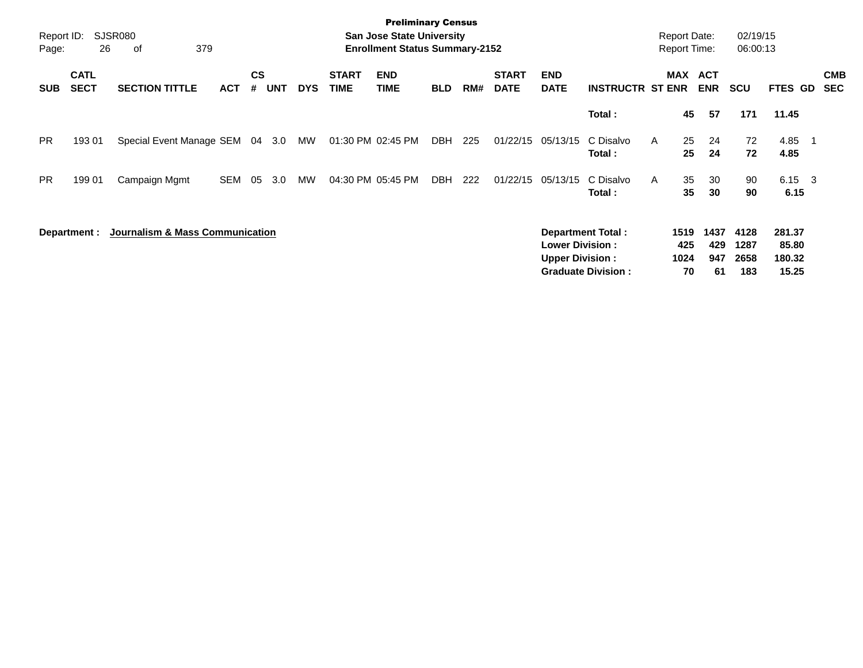| Report ID:<br>Page: | 26                         | SJSR080<br>379<br>оf            |            |                |            |            |                             | <b>Preliminary Census</b><br><b>San Jose State University</b><br><b>Enrollment Status Summary-2152</b> |            |     |                             |                                                  |                                                       | <b>Report Date:</b><br><b>Report Time:</b> |                          | 02/19/15<br>06:00:13        |                                    |                          |
|---------------------|----------------------------|---------------------------------|------------|----------------|------------|------------|-----------------------------|--------------------------------------------------------------------------------------------------------|------------|-----|-----------------------------|--------------------------------------------------|-------------------------------------------------------|--------------------------------------------|--------------------------|-----------------------------|------------------------------------|--------------------------|
| <b>SUB</b>          | <b>CATL</b><br><b>SECT</b> | <b>SECTION TITTLE</b>           | <b>ACT</b> | <b>CS</b><br># | <b>UNT</b> | <b>DYS</b> | <b>START</b><br><b>TIME</b> | <b>END</b><br><b>TIME</b>                                                                              | <b>BLD</b> | RM# | <b>START</b><br><b>DATE</b> | <b>END</b><br><b>DATE</b>                        | <b>INSTRUCTR ST ENR</b>                               |                                            | MAX ACT<br><b>ENR</b>    | <b>SCU</b>                  | FTES GD                            | <b>CMB</b><br><b>SEC</b> |
|                     |                            |                                 |            |                |            |            |                             |                                                                                                        |            |     |                             |                                                  | Total:                                                | 45                                         | 57                       | 171                         | 11.45                              |                          |
| <b>PR</b>           | 19301                      | Special Event Manage SEM        |            |                | 04 3.0     | MW         | 01:30 PM 02:45 PM           |                                                                                                        | DBH        | 225 | 01/22/15                    | 05/13/15                                         | C Disalvo<br>Total:                                   | 25<br>A<br>25                              | 24<br>24                 | 72<br>72                    | 4.85<br>- 1<br>4.85                |                          |
| PR.                 | 199 01                     | Campaign Mgmt                   | <b>SEM</b> | 05             | 3.0        | MW         |                             | 04:30 PM 05:45 PM                                                                                      | DBH        | 222 | 01/22/15                    | 05/13/15                                         | C Disalvo<br>Total:                                   | 35<br>A<br>35                              | 30<br>30                 | 90<br>90                    | $6.15 \quad 3$<br>6.15             |                          |
|                     | Department :               | Journalism & Mass Communication |            |                |            |            |                             |                                                                                                        |            |     |                             | <b>Lower Division:</b><br><b>Upper Division:</b> | <b>Department Total:</b><br><b>Graduate Division:</b> | 1519<br>425<br>1024<br>70                  | 1437<br>429<br>947<br>61 | 4128<br>1287<br>2658<br>183 | 281.37<br>85.80<br>180.32<br>15.25 |                          |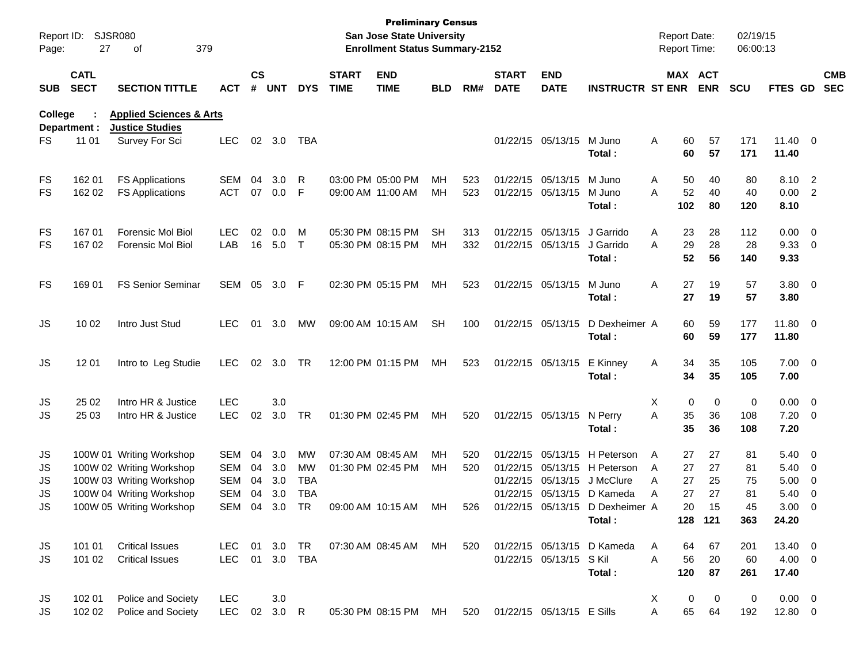| Page:                       | Report ID: SJSR080<br>27   | 379<br>of                                                                                                    |                                               |                      |                          |                                      |                             | <b>Preliminary Census</b><br><b>San Jose State University</b><br><b>Enrollment Status Summary-2152</b> |                 |            |                             |                                        |                                                                                                                           | <b>Report Date:</b><br><b>Report Time:</b> |                                        | 02/19/15<br>06:00:13 |                                        |                                                                                  |                          |
|-----------------------------|----------------------------|--------------------------------------------------------------------------------------------------------------|-----------------------------------------------|----------------------|--------------------------|--------------------------------------|-----------------------------|--------------------------------------------------------------------------------------------------------|-----------------|------------|-----------------------------|----------------------------------------|---------------------------------------------------------------------------------------------------------------------------|--------------------------------------------|----------------------------------------|----------------------|----------------------------------------|----------------------------------------------------------------------------------|--------------------------|
| <b>SUB</b>                  | <b>CATL</b><br><b>SECT</b> | <b>SECTION TITTLE</b>                                                                                        | ACT                                           | $\mathsf{cs}$<br>#   | <b>UNT</b>               | <b>DYS</b>                           | <b>START</b><br><b>TIME</b> | <b>END</b><br><b>TIME</b>                                                                              | <b>BLD</b>      | RM#        | <b>START</b><br><b>DATE</b> | <b>END</b><br><b>DATE</b>              | <b>INSTRUCTR ST ENR</b>                                                                                                   |                                            | MAX ACT<br><b>ENR</b>                  | <b>SCU</b>           | FTES GD                                |                                                                                  | <b>CMB</b><br><b>SEC</b> |
| College                     | Department :               | <b>Applied Sciences &amp; Arts</b><br><b>Justice Studies</b>                                                 |                                               |                      |                          |                                      |                             |                                                                                                        |                 |            |                             |                                        |                                                                                                                           |                                            |                                        |                      |                                        |                                                                                  |                          |
| FS                          | 11 01                      | Survey For Sci                                                                                               | <b>LEC</b>                                    |                      | 02 3.0                   | TBA                                  |                             |                                                                                                        |                 |            |                             | 01/22/15 05/13/15 M Juno               | Total :                                                                                                                   | Α                                          | 60<br>57<br>60<br>57                   | 171<br>171           | $11.40 \t 0$<br>11.40                  |                                                                                  |                          |
| FS<br>FS                    | 162 01<br>162 02           | <b>FS Applications</b><br><b>FS Applications</b>                                                             | <b>SEM</b><br><b>ACT</b>                      | 04<br>07             | 3.0<br>0.0               | R<br>F                               |                             | 03:00 PM 05:00 PM<br>09:00 AM 11:00 AM                                                                 | мн<br>MН        | 523<br>523 |                             | 01/22/15 05/13/15<br>01/22/15 05/13/15 | M Juno<br>M Juno<br>Total :                                                                                               | Α<br>A<br>102                              | 50<br>40<br>52<br>40<br>80             | 80<br>40<br>120      | 8.10 2<br>0.00 2<br>8.10               |                                                                                  |                          |
| FS<br>FS                    | 16701<br>167 02            | <b>Forensic Mol Biol</b><br><b>Forensic Mol Biol</b>                                                         | <b>LEC</b><br>LAB                             | 02                   | 0.0<br>16 5.0            | M<br>$\top$                          |                             | 05:30 PM 08:15 PM<br>05:30 PM 08:15 PM                                                                 | <b>SH</b><br>MН | 313<br>332 |                             | 01/22/15 05/13/15<br>01/22/15 05/13/15 | J Garrido<br>J Garrido<br>Total :                                                                                         | Α<br>A                                     | 23<br>28<br>29<br>28<br>52<br>56       | 112<br>28<br>140     | $0.00 \t 0$<br>9.3300<br>9.33          |                                                                                  |                          |
| FS                          | 169 01                     | <b>FS Senior Seminar</b>                                                                                     | SEM                                           |                      | 05 3.0                   | F                                    |                             | 02:30 PM 05:15 PM                                                                                      | МH              | 523        |                             | 01/22/15 05/13/15                      | M Juno<br>Total:                                                                                                          | 27<br>Α                                    | 19<br>27<br>19                         | 57<br>57             | 3.80 0<br>3.80                         |                                                                                  |                          |
| JS                          | 10 02                      | Intro Just Stud                                                                                              | <b>LEC</b>                                    | 01                   | 3.0                      | MW                                   |                             | 09:00 AM 10:15 AM                                                                                      | <b>SH</b>       | 100        |                             | 01/22/15 05/13/15                      | D Dexheimer A<br>Total:                                                                                                   |                                            | 60<br>59<br>60<br>59                   | 177<br>177           | 11.80 0<br>11.80                       |                                                                                  |                          |
| JS                          | 12 01                      | Intro to Leg Studie                                                                                          | <b>LEC</b>                                    |                      | 02 3.0                   | TR                                   |                             | 12:00 PM 01:15 PM                                                                                      | МH              | 523        |                             | 01/22/15 05/13/15                      | E Kinney<br>Total:                                                                                                        | A                                          | 34<br>35<br>34<br>35                   | 105<br>105           | $7.00 \t 0$<br>7.00                    |                                                                                  |                          |
| JS<br><b>JS</b>             | 25 02<br>25 03             | Intro HR & Justice<br>Intro HR & Justice                                                                     | <b>LEC</b><br><b>LEC</b>                      | 02                   | 3.0<br>3.0               | TR                                   |                             | 01:30 PM 02:45 PM                                                                                      | МH              | 520        |                             | 01/22/15 05/13/15 N Perry              | Total :                                                                                                                   | X<br>A                                     | 0<br>0<br>35<br>36<br>35<br>36         | 0<br>108<br>108      | $0.00 \t 0$<br>$7.20 \ 0$<br>7.20      |                                                                                  |                          |
| JS<br>JS<br>JS<br><b>JS</b> |                            | 100W 01 Writing Workshop<br>100W 02 Writing Workshop<br>100W 03 Writing Workshop<br>100W 04 Writing Workshop | SEM<br><b>SEM</b><br><b>SEM</b><br><b>SEM</b> | 04<br>04<br>04<br>04 | 3.0<br>3.0<br>3.0<br>3.0 | MW<br>MW<br><b>TBA</b><br><b>TBA</b> |                             | 07:30 AM 08:45 AM<br>01:30 PM 02:45 PM                                                                 | MН<br>MН        | 520<br>520 |                             |                                        | 01/22/15 05/13/15 H Peterson<br>01/22/15 05/13/15 H Peterson<br>01/22/15 05/13/15 J McClure<br>01/22/15 05/13/15 D Kameda | A<br>A<br>27<br>A<br>Α                     | 27<br>27<br>27<br>27<br>25<br>27<br>27 | 81<br>81<br>75<br>81 | $5.40 \quad 0$<br>5.40<br>5.00<br>5.40 | $\overline{\phantom{0}}$<br>$\overline{\phantom{0}}$<br>$\overline{\phantom{0}}$ |                          |
| <b>JS</b>                   |                            | 100W 05 Writing Workshop                                                                                     | SEM                                           |                      | 04 3.0                   | <b>TR</b>                            |                             | 09:00 AM 10:15 AM                                                                                      | MН              | 526        |                             |                                        | 01/22/15 05/13/15 D Dexheimer A<br>Total:                                                                                 |                                            | 20<br>15<br>128 121                    | 45<br>363            | $3.00 \ 0$<br>24.20                    |                                                                                  |                          |
| JS<br>JS                    | 101 01<br>101 02           | <b>Critical Issues</b><br><b>Critical Issues</b>                                                             | LEC 01 3.0 TR<br>LEC                          |                      |                          | 01 3.0 TBA                           |                             | 07:30 AM 08:45 AM MH                                                                                   |                 | 520        |                             | 01/22/15 05/13/15 S Kil                | 01/22/15 05/13/15 D Kameda<br>Total:                                                                                      | A<br>56<br>Α<br>120                        | 64<br>67<br>20<br>87                   | 201<br>60<br>261     | 13.40 0<br>$4.00 \ 0$<br>17.40         |                                                                                  |                          |
| JS<br>JS                    | 102 01<br>102 02           | Police and Society<br>Police and Society                                                                     | <b>LEC</b><br>LEC 02 3.0 R                    |                      | 3.0                      |                                      |                             | 05:30 PM 08:15 PM MH                                                                                   |                 |            |                             | 520 01/22/15 05/13/15 E Sills          |                                                                                                                           | X.<br>A                                    | 0<br>$\mathbf 0$<br>65<br>64           | 0<br>192             | $0.00 \t 0$<br>12.80 0                 |                                                                                  |                          |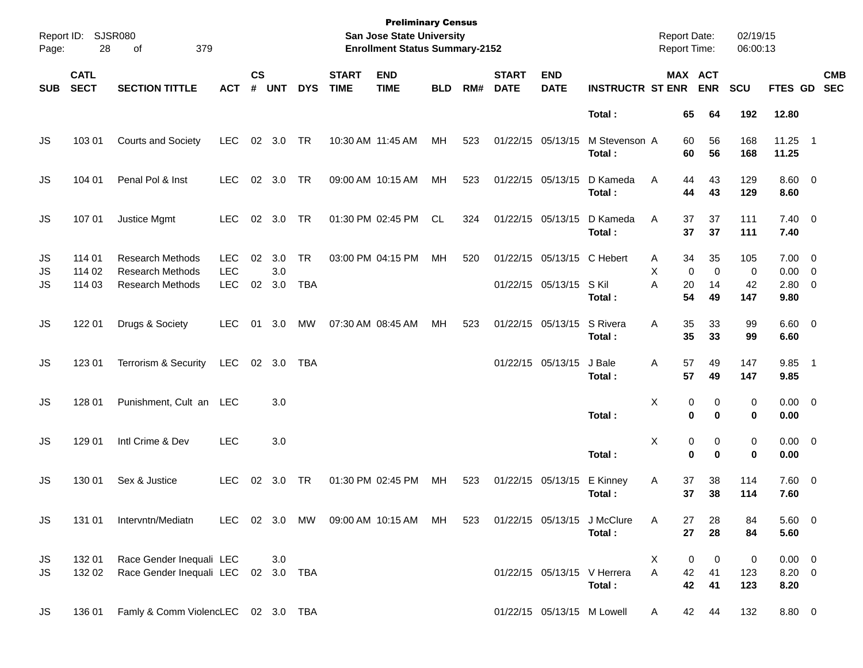| Page:          | Report ID: SJSR080<br>28   | 379<br>οf                                                                     |                                        |                    |                   |                         |                             | <b>Preliminary Census</b><br><b>San Jose State University</b><br><b>Enrollment Status Summary-2152</b> |            |     |                             |                                                 |                                       | <b>Report Date:</b><br><b>Report Time:</b> |                                | 02/19/15<br>06:00:13  |                                              |                          |
|----------------|----------------------------|-------------------------------------------------------------------------------|----------------------------------------|--------------------|-------------------|-------------------------|-----------------------------|--------------------------------------------------------------------------------------------------------|------------|-----|-----------------------------|-------------------------------------------------|---------------------------------------|--------------------------------------------|--------------------------------|-----------------------|----------------------------------------------|--------------------------|
| <b>SUB</b>     | <b>CATL</b><br><b>SECT</b> | <b>SECTION TITTLE</b>                                                         | <b>ACT</b>                             | $\mathsf{cs}$<br># | <b>UNT</b>        | <b>DYS</b>              | <b>START</b><br><b>TIME</b> | <b>END</b><br><b>TIME</b>                                                                              | <b>BLD</b> | RM# | <b>START</b><br><b>DATE</b> | <b>END</b><br><b>DATE</b>                       | <b>INSTRUCTR ST ENR</b>               |                                            | MAX ACT<br><b>ENR</b>          | SCU                   | <b>FTES GD</b>                               | <b>CMB</b><br><b>SEC</b> |
|                |                            |                                                                               |                                        |                    |                   |                         |                             |                                                                                                        |            |     |                             |                                                 | Total:                                | 65                                         | 64                             | 192                   | 12.80                                        |                          |
| JS             | 103 01                     | <b>Courts and Society</b>                                                     | <b>LEC</b>                             |                    | 02 3.0            | TR                      |                             | 10:30 AM 11:45 AM                                                                                      | MH         | 523 |                             | 01/22/15 05/13/15                               | M Stevenson A<br>Total:               | 60<br>60                                   | 56<br>56                       | 168<br>168            | $11.25$ 1<br>11.25                           |                          |
| JS             | 104 01                     | Penal Pol & Inst                                                              | <b>LEC</b>                             |                    | 02 3.0            | TR                      | 09:00 AM 10:15 AM           |                                                                                                        | MH         | 523 |                             | 01/22/15 05/13/15                               | D Kameda<br>Total:                    | A<br>44<br>44                              | 43<br>43                       | 129<br>129            | $8.60 \quad 0$<br>8.60                       |                          |
| JS             | 107 01                     | Justice Mgmt                                                                  | <b>LEC</b>                             |                    | 02 3.0            | TR                      |                             | 01:30 PM 02:45 PM                                                                                      | CL.        | 324 |                             | 01/22/15 05/13/15                               | D Kameda<br>Total :                   | 37<br>A<br>37                              | 37<br>37                       | 111<br>111            | $7.40 \quad 0$<br>7.40                       |                          |
| JS<br>JS<br>JS | 114 01<br>114 02<br>114 03 | <b>Research Methods</b><br><b>Research Methods</b><br><b>Research Methods</b> | <b>LEC</b><br><b>LEC</b><br><b>LEC</b> | 02<br>02           | 3.0<br>3.0<br>3.0 | <b>TR</b><br><b>TBA</b> |                             | 03:00 PM 04:15 PM                                                                                      | MH         | 520 |                             | 01/22/15 05/13/15 C Hebert<br>01/22/15 05/13/15 | S Kil<br>Total :                      | 34<br>A<br>X<br>0<br>A<br>20<br>54         | 35<br>$\mathbf 0$<br>14<br>49  | 105<br>0<br>42<br>147 | $7.00 \t 0$<br>$0.00 \t 0$<br>2.80 0<br>9.80 |                          |
| <b>JS</b>      | 122 01                     | Drugs & Society                                                               | LEC.                                   | 01                 | 3.0               | MW                      | 07:30 AM 08:45 AM           |                                                                                                        | MH         | 523 |                             | 01/22/15 05/13/15                               | S Rivera<br>Total:                    | A<br>35<br>35                              | 33<br>33                       | 99<br>99              | 6.60 0<br>6.60                               |                          |
| <b>JS</b>      | 123 01                     | Terrorism & Security                                                          | LEC                                    |                    | 02 3.0            | <b>TBA</b>              |                             |                                                                                                        |            |     |                             | 01/22/15 05/13/15                               | J Bale<br>Total:                      | 57<br>Α<br>57                              | 49<br>49                       | 147<br>147            | 9.85 1<br>9.85                               |                          |
| <b>JS</b>      | 128 01                     | Punishment, Cult an LEC                                                       |                                        |                    | 3.0               |                         |                             |                                                                                                        |            |     |                             |                                                 | Total:                                | X                                          | 0<br>0<br>$\bf{0}$<br>$\bf{0}$ | 0<br>0                | $0.00 \t 0$<br>0.00                          |                          |
| <b>JS</b>      | 129 01                     | Intl Crime & Dev                                                              | <b>LEC</b>                             |                    | 3.0               |                         |                             |                                                                                                        |            |     |                             |                                                 | Total:                                | X                                          | 0<br>0<br>$\bf{0}$<br>$\bf{0}$ | 0<br>0                | $0.00 \t 0$<br>0.00                          |                          |
| JS             | 130 01                     | Sex & Justice                                                                 | <b>LEC</b>                             | 02                 | 3.0               | TR                      | 01:30 PM 02:45 PM           |                                                                                                        | MH         | 523 |                             | 01/22/15 05/13/15                               | E Kinney<br>Total:                    | 37<br>Α<br>37                              | 38<br>38                       | 114<br>114            | 7.60 0<br>7.60                               |                          |
| JS             | 131 01                     | Intervntn/Mediatn                                                             |                                        |                    |                   |                         |                             | LEC 02 3.0 MW 09:00 AM 10:15 AM MH                                                                     |            | 523 |                             |                                                 | 01/22/15 05/13/15 J McClure<br>Total: | 27<br>A<br>27                              | 28<br>28                       | 84<br>84              | 5.60 0<br>5.60                               |                          |
| JS<br>JS       | 132 01<br>132 02           | Race Gender Inequali LEC<br>Race Gender Inequali LEC 02 3.0 TBA               |                                        |                    | 3.0               |                         |                             |                                                                                                        |            |     |                             |                                                 | 01/22/15 05/13/15 V Herrera<br>Total: | X<br>Α<br>42<br>42                         | 0<br>0<br>41<br>41             | 0<br>123<br>123       | $0.00 \t 0$<br>$8.20 \ 0$<br>8.20            |                          |
| JS             | 136 01                     | Famly & Comm ViolencLEC 02 3.0 TBA                                            |                                        |                    |                   |                         |                             |                                                                                                        |            |     |                             | 01/22/15 05/13/15 M Lowell                      |                                       | A                                          | 42<br>44                       | 132                   | 8.80 0                                       |                          |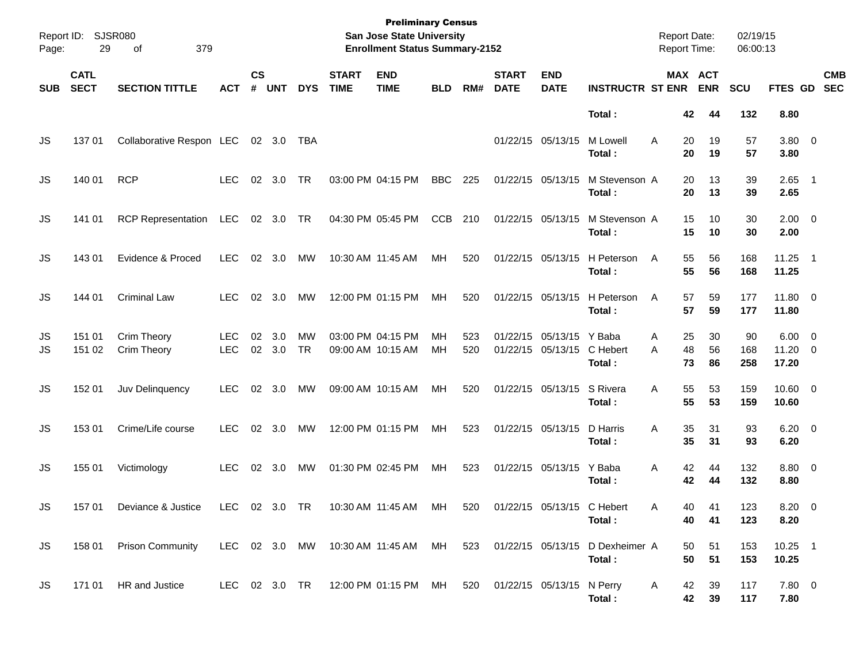| Page:      | Report ID: SJSR080<br>29   | 379<br>οf                        |                          |                |                |            |                             | <b>Preliminary Census</b><br>San Jose State University<br><b>Enrollment Status Summary-2152</b> |                 |            |                             |                                               |                                                                                  | <b>Report Date:</b><br><b>Report Time:</b> |                       | 02/19/15<br>06:00:13 |                                         |                          |
|------------|----------------------------|----------------------------------|--------------------------|----------------|----------------|------------|-----------------------------|-------------------------------------------------------------------------------------------------|-----------------|------------|-----------------------------|-----------------------------------------------|----------------------------------------------------------------------------------|--------------------------------------------|-----------------------|----------------------|-----------------------------------------|--------------------------|
| <b>SUB</b> | <b>CATL</b><br><b>SECT</b> | <b>SECTION TITTLE</b>            | ACT                      | <b>CS</b><br># | <b>UNT</b>     | <b>DYS</b> | <b>START</b><br><b>TIME</b> | <b>END</b><br><b>TIME</b>                                                                       | <b>BLD</b>      | RM#        | <b>START</b><br><b>DATE</b> | <b>END</b><br><b>DATE</b>                     | <b>INSTRUCTR ST ENR</b>                                                          |                                            | MAX ACT<br><b>ENR</b> | <b>SCU</b>           | <b>FTES GD</b>                          | <b>CMB</b><br><b>SEC</b> |
|            |                            |                                  |                          |                |                |            |                             |                                                                                                 |                 |            |                             |                                               | Total:                                                                           |                                            | 42<br>44              | 132                  | 8.80                                    |                          |
| JS         | 137 01                     | Collaborative Respon LEC 02 3.0  |                          |                |                | TBA        |                             |                                                                                                 |                 |            | 01/22/15 05/13/15           |                                               | M Lowell<br>Total:                                                               | A                                          | 19<br>20<br>20<br>19  | 57<br>57             | 3.80 0<br>3.80                          |                          |
| JS         | 140 01                     | <b>RCP</b>                       | <b>LEC</b>               |                | $02 \quad 3.0$ | <b>TR</b>  |                             | 03:00 PM 04:15 PM                                                                               | <b>BBC</b>      | 225        | 01/22/15 05/13/15           |                                               | M Stevenson A<br>Total:                                                          |                                            | 20<br>13<br>20<br>13  | 39<br>39             | $2.65$ 1<br>2.65                        |                          |
| JS         | 141 01                     | RCP Representation LEC 02 3.0 TR |                          |                |                |            |                             | 04:30 PM 05:45 PM                                                                               | <b>CCB</b>      | 210        | 01/22/15 05/13/15           |                                               | M Stevenson A<br>Total:                                                          | 15                                         | 10<br>15<br>10        | 30<br>30             | $2.00 \t 0$<br>2.00                     |                          |
| JS         | 143 01                     | Evidence & Proced                | <b>LEC</b>               |                | 02 3.0         | MW         |                             | 10:30 AM 11:45 AM                                                                               | <b>MH</b>       | 520        |                             | 01/22/15 05/13/15                             | H Peterson<br>Total:                                                             | A                                          | 55<br>56<br>55<br>56  | 168<br>168           | $11.25$ 1<br>11.25                      |                          |
| JS         | 144 01                     | <b>Criminal Law</b>              | <b>LEC</b>               |                | $02 \quad 3.0$ | MW         |                             | 12:00 PM 01:15 PM                                                                               | <b>MH</b>       | 520        |                             | 01/22/15 05/13/15                             | H Peterson<br>Total:                                                             | 57<br>A<br>57                              | 59<br>59              | 177<br>177           | 11.80 0<br>11.80                        |                          |
| JS<br>JS   | 151 01<br>151 02           | Crim Theory<br>Crim Theory       | <b>LEC</b><br><b>LEC</b> | 02             | 3.0<br>02 3.0  | МW<br>TR   |                             | 03:00 PM 04:15 PM<br>09:00 AM 10:15 AM                                                          | MН<br><b>MH</b> | 523<br>520 |                             | 01/22/15 05/13/15 Y Baba<br>01/22/15 05/13/15 | C Hebert<br>Total:                                                               | 25<br>A<br>48<br>A                         | 30<br>56<br>73<br>86  | 90<br>168<br>258     | $6.00 \quad 0$<br>$11.20 \t 0$<br>17.20 |                          |
| JS         | 152 01                     | Juv Delinquency                  | <b>LEC</b>               |                | $02 \quad 3.0$ | MW         |                             | 09:00 AM 10:15 AM                                                                               | <b>MH</b>       | 520        |                             | 01/22/15 05/13/15                             | S Rivera<br>Total:                                                               | A                                          | 55<br>53<br>55<br>53  | 159<br>159           | $10.60 \t 0$<br>10.60                   |                          |
| JS         | 153 01                     | Crime/Life course                | <b>LEC</b>               |                | $02 \quad 3.0$ | MW         |                             | 12:00 PM 01:15 PM                                                                               | <b>MH</b>       | 523        |                             | 01/22/15 05/13/15                             | D Harris<br>Total:                                                               | A<br>35                                    | 35<br>31<br>31        | 93<br>93             | $6.20 \quad 0$<br>6.20                  |                          |
| JS         | 155 01                     | Victimology                      | <b>LEC</b>               | 02             | 3.0            | MW         |                             | 01:30 PM 02:45 PM                                                                               | MН              | 523        |                             | 01/22/15 05/13/15                             | Y Baba<br>Total:                                                                 | Α                                          | 42<br>44<br>42<br>44  | 132<br>132           | 8.80 0<br>8.80                          |                          |
| JS         |                            | 157 01 Deviance & Justice        |                          |                |                |            |                             | LEC 02 3.0 TR 10:30 AM 11:45 AM MH 520 01/22/15 05/13/15 C Hebert                               |                 |            |                             |                                               | Total:                                                                           | Α                                          | 40<br>41<br>40<br>41  | 123<br>123           | 8.20 0<br>8.20                          |                          |
| JS         | 158 01                     | <b>Prison Community</b>          |                          |                |                |            |                             |                                                                                                 |                 |            |                             |                                               | LEC 02 3.0 MW 10:30 AM 11:45 AM MH 523 01/22/15 05/13/15 D Dexheimer A<br>Total: |                                            | 51<br>50<br>50<br>51  | 153<br>153           | $10.25$ 1<br>10.25                      |                          |
| JS         |                            | 171 01 HR and Justice            |                          |                |                |            |                             | LEC 02 3.0 TR 12:00 PM 01:15 PM MH 520 01/22/15 05/13/15 N Perry                                |                 |            |                             |                                               | Total:                                                                           | A                                          | 42<br>39<br>42<br>39  | 117<br>117           | $7.80\ 0$<br>7.80                       |                          |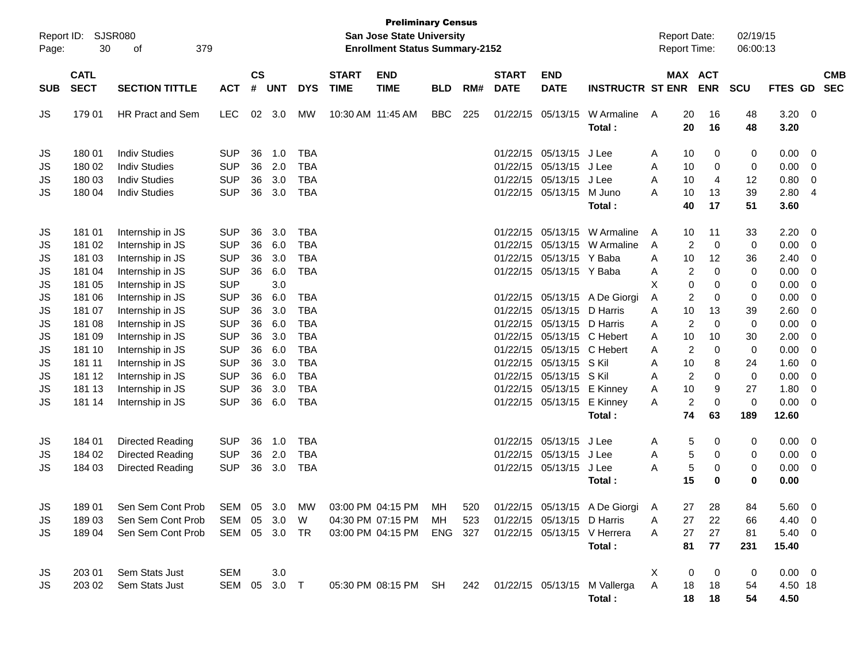| Report ID:<br>Page: | 30                         | <b>SJSR080</b><br>379<br>of |              |                |            |            |                             | <b>Preliminary Census</b><br>San Jose State University<br><b>Enrollment Status Summary-2152</b> |            |     |                             |                            |                               |   | <b>Report Date:</b><br><b>Report Time:</b> |                   | 02/19/15<br>06:00:13 |               |                          |            |
|---------------------|----------------------------|-----------------------------|--------------|----------------|------------|------------|-----------------------------|-------------------------------------------------------------------------------------------------|------------|-----|-----------------------------|----------------------------|-------------------------------|---|--------------------------------------------|-------------------|----------------------|---------------|--------------------------|------------|
| <b>SUB</b>          | <b>CATL</b><br><b>SECT</b> | <b>SECTION TITTLE</b>       | <b>ACT</b>   | <b>CS</b><br># | <b>UNT</b> | <b>DYS</b> | <b>START</b><br><b>TIME</b> | <b>END</b><br><b>TIME</b>                                                                       | <b>BLD</b> | RM# | <b>START</b><br><b>DATE</b> | <b>END</b><br><b>DATE</b>  | <b>INSTRUCTR ST ENR</b>       |   | <b>MAX ACT</b>                             | <b>ENR</b>        | <b>SCU</b>           | FTES GD SEC   |                          | <b>CMB</b> |
| JS                  | 179 01                     | <b>HR Pract and Sem</b>     | <b>LEC</b>   | 02             | 3.0        | MW         | 10:30 AM 11:45 AM           |                                                                                                 | <b>BBC</b> | 225 |                             | 01/22/15 05/13/15          | W Armaline<br>Total:          | A | 20<br>20                                   | 16<br>16          | 48<br>48             | 3.20<br>3.20  | $\overline{\phantom{0}}$ |            |
| JS                  | 180 01                     | <b>Indiv Studies</b>        | <b>SUP</b>   | 36             | 1.0        | <b>TBA</b> |                             |                                                                                                 |            |     | 01/22/15                    | 05/13/15                   | J Lee                         | A | 10                                         | 0                 | 0                    | 0.00          | - 0                      |            |
| JS                  | 180 02                     | <b>Indiv Studies</b>        | <b>SUP</b>   | 36             | 2.0        | <b>TBA</b> |                             |                                                                                                 |            |     | 01/22/15                    | 05/13/15                   | J Lee                         | A | 10                                         | 0                 | 0                    | 0.00          | 0                        |            |
| JS                  | 180 03                     | <b>Indiv Studies</b>        | <b>SUP</b>   | 36             | 3.0        | <b>TBA</b> |                             |                                                                                                 |            |     |                             | 01/22/15 05/13/15          | J Lee                         | A | 10                                         | $\overline{4}$    | 12                   | 0.80          | $\overline{0}$           |            |
| JS                  | 180 04                     | <b>Indiv Studies</b>        | <b>SUP</b>   | 36             | 3.0        | <b>TBA</b> |                             |                                                                                                 |            |     |                             | 01/22/15 05/13/15          | M Juno                        | A | 10                                         | 13                | 39                   | 2.80          | -4                       |            |
|                     |                            |                             |              |                |            |            |                             |                                                                                                 |            |     |                             |                            | Total:                        |   | 40                                         | 17                | 51                   | 3.60          |                          |            |
| JS                  | 181 01                     | Internship in JS            | <b>SUP</b>   | 36             | 3.0        | <b>TBA</b> |                             |                                                                                                 |            |     | 01/22/15                    |                            | 05/13/15 W Armaline           | A | 10                                         | 11                | 33                   | 2.20          | - 0                      |            |
| JS                  | 181 02                     | Internship in JS            | <b>SUP</b>   | 36             | 6.0        | <b>TBA</b> |                             |                                                                                                 |            |     | 01/22/15                    |                            | 05/13/15 W Armaline           | A | 2                                          | $\mathbf 0$       | 0                    | 0.00          | - 0                      |            |
| JS                  | 181 03                     | Internship in JS            | <b>SUP</b>   | 36             | 3.0        | <b>TBA</b> |                             |                                                                                                 |            |     | 01/22/15                    | 05/13/15 Y Baba            |                               | A | 10                                         | 12                | 36                   | 2.40          | 0                        |            |
| JS                  | 181 04                     | Internship in JS            | <b>SUP</b>   | 36             | 6.0        | <b>TBA</b> |                             |                                                                                                 |            |     |                             | 01/22/15 05/13/15 Y Baba   |                               | Α | $\overline{c}$                             | $\Omega$          | 0                    | 0.00          | $\overline{0}$           |            |
| JS                  | 181 05                     | Internship in JS            | <b>SUP</b>   |                | 3.0        |            |                             |                                                                                                 |            |     |                             |                            |                               | X | 0                                          | 0                 | 0                    | 0.00          | - 0                      |            |
| JS                  | 181 06                     | Internship in JS            | <b>SUP</b>   | 36             | 6.0        | <b>TBA</b> |                             |                                                                                                 |            |     |                             |                            | 01/22/15 05/13/15 A De Giorgi | Α | $\overline{c}$                             | 0                 | 0                    | 0.00          | 0                        |            |
| JS                  | 181 07                     | Internship in JS            | <b>SUP</b>   | 36             | 3.0        | <b>TBA</b> |                             |                                                                                                 |            |     | 01/22/15                    | 05/13/15 D Harris          |                               | A | 10                                         | 13                | 39                   | 2.60          | $\overline{0}$           |            |
| JS                  | 181 08                     | Internship in JS            | <b>SUP</b>   | 36             | 6.0        | <b>TBA</b> |                             |                                                                                                 |            |     | 01/22/15                    | 05/13/15 D Harris          |                               | A | $\overline{c}$                             | $\mathbf 0$       | 0                    | 0.00          | $\overline{0}$           |            |
| JS                  | 181 09                     | Internship in JS            | <b>SUP</b>   | 36             | 3.0        | <b>TBA</b> |                             |                                                                                                 |            |     | 01/22/15                    | 05/13/15 C Hebert          |                               | A | 10                                         | 10                | 30                   | 2.00          | - 0                      |            |
| JS                  | 181 10                     | Internship in JS            | <b>SUP</b>   | 36             | 6.0        | <b>TBA</b> |                             |                                                                                                 |            |     | 01/22/15                    | 05/13/15 C Hebert          |                               | A | $\overline{c}$                             | 0                 | 0                    | 0.00          | 0                        |            |
| JS                  | 181 11                     | Internship in JS            | <b>SUP</b>   | 36             | 3.0        | <b>TBA</b> |                             |                                                                                                 |            |     | 01/22/15                    | 05/13/15 S Kil             |                               | A | 10                                         | 8                 | 24                   | 1.60          | - 0                      |            |
| JS                  | 181 12                     | Internship in JS            | <b>SUP</b>   | 36             | 6.0        | <b>TBA</b> |                             |                                                                                                 |            |     | 01/22/15                    | 05/13/15 S Kil             |                               | A | $\overline{c}$                             | $\Omega$          | 0                    | 0.00          | $\overline{0}$           |            |
| JS                  | 181 13                     | Internship in JS            | <b>SUP</b>   | 36             | 3.0        | <b>TBA</b> |                             |                                                                                                 |            |     | 01/22/15                    | 05/13/15 E Kinney          |                               | Α | 10                                         | 9                 | 27                   | 1.80          | - 0                      |            |
| JS                  | 181 14                     | Internship in JS            | <b>SUP</b>   | 36             | 6.0        | <b>TBA</b> |                             |                                                                                                 |            |     |                             | 01/22/15 05/13/15          | E Kinney<br>Total:            | A | $\overline{c}$<br>74                       | $\mathbf 0$<br>63 | $\mathbf 0$<br>189   | 0.00<br>12.60 | $\overline{0}$           |            |
|                     |                            |                             |              |                |            |            |                             |                                                                                                 |            |     |                             |                            |                               |   |                                            |                   |                      |               |                          |            |
| JS                  | 184 01                     | Directed Reading            | <b>SUP</b>   | 36             | 1.0        | TBA        |                             |                                                                                                 |            |     |                             | 01/22/15 05/13/15          | J Lee                         | A | 5                                          | 0                 | 0                    | 0.00          | $\overline{\phantom{0}}$ |            |
| JS                  | 184 02                     | Directed Reading            | <b>SUP</b>   | 36             | 2.0        | <b>TBA</b> |                             |                                                                                                 |            |     |                             | 01/22/15 05/13/15          | J Lee                         | Α | 5                                          | 0                 | 0                    | 0.00          | 0                        |            |
| JS                  | 184 03                     | Directed Reading            | <b>SUP</b>   | 36             | 3.0        | <b>TBA</b> |                             |                                                                                                 |            |     |                             | 01/22/15 05/13/15          | J Lee                         | A | 5                                          | 0                 | 0                    | 0.00          | - 0                      |            |
|                     |                            |                             |              |                |            |            |                             |                                                                                                 |            |     |                             |                            | Total:                        |   | 15                                         | 0                 | 0                    | 0.00          |                          |            |
| JS                  | 18901                      | Sen Sem Cont Prob           | SEM          |                | 05 3.0     | МW         |                             | 03:00 PM 04:15 PM                                                                               | МH         | 520 |                             |                            | 01/22/15 05/13/15 A De Giorgi | A | 27                                         | 28                | 84                   | $5.60 \t 0$   |                          |            |
| JS                  | 18903                      | Sen Sem Cont Prob           | SEM          | 05             | 3.0        | W          |                             | 04:30 PM 07:15 PM                                                                               | MН         | 523 |                             | 01/22/15 05/13/15 D Harris |                               | Α | 27                                         | 22                | 66                   | 4.40 0        |                          |            |
| JS                  | 18904                      | Sen Sem Cont Prob           | SEM          |                | 05 3.0 TR  |            |                             | 03:00 PM 04:15 PM                                                                               | ENG 327    |     |                             |                            | 01/22/15 05/13/15 V Herrera   | A | 27                                         | 27                | 81                   | 5.40 0        |                          |            |
|                     |                            |                             |              |                |            |            |                             |                                                                                                 |            |     |                             |                            | Total:                        |   | 81                                         | 77                | 231                  | 15.40         |                          |            |
| JS                  | 203 01                     | Sem Stats Just              | SEM          |                | 3.0        |            |                             |                                                                                                 |            |     |                             |                            |                               | X | 0                                          | 0                 | 0                    | $0.00 \t 0$   |                          |            |
| JS                  | 203 02                     | Sem Stats Just              | SEM 05 3.0 T |                |            |            |                             | 05:30 PM 08:15 PM SH                                                                            |            | 242 |                             |                            | 01/22/15 05/13/15 M Vallerga  | Α | 18                                         | 18                | 54                   | 4.50 18       |                          |            |
|                     |                            |                             |              |                |            |            |                             |                                                                                                 |            |     |                             |                            | Total:                        |   | 18                                         | 18                | 54                   | 4.50          |                          |            |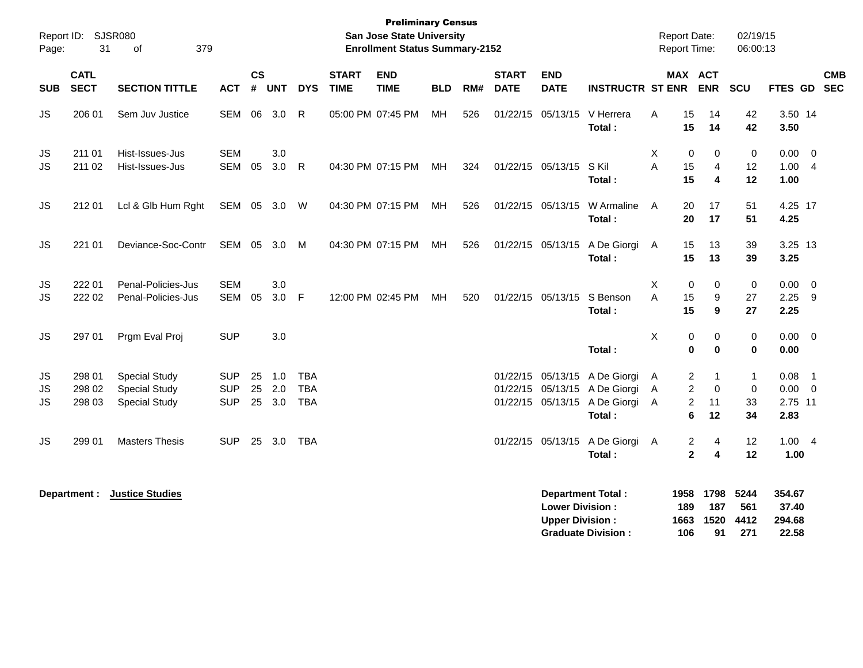| Page:           | Report ID: SJSR080<br>31   | 379<br>of                                                            |                                        |                             |                      |                                        |                             | <b>Preliminary Census</b><br><b>San Jose State University</b><br><b>Enrollment Status Summary-2152</b> |            |     |                             |                                                  |                                                                                                           |             | <b>Report Date:</b><br>Report Time:                     |                                         | 02/19/15<br>06:00:13          |                                    |                                                        |            |
|-----------------|----------------------------|----------------------------------------------------------------------|----------------------------------------|-----------------------------|----------------------|----------------------------------------|-----------------------------|--------------------------------------------------------------------------------------------------------|------------|-----|-----------------------------|--------------------------------------------------|-----------------------------------------------------------------------------------------------------------|-------------|---------------------------------------------------------|-----------------------------------------|-------------------------------|------------------------------------|--------------------------------------------------------|------------|
| <b>SUB</b>      | <b>CATL</b><br><b>SECT</b> | <b>SECTION TITTLE</b>                                                | <b>ACT</b>                             | $\mathsf{cs}$<br>$\pmb{\#}$ | <b>UNT</b>           | <b>DYS</b>                             | <b>START</b><br><b>TIME</b> | <b>END</b><br><b>TIME</b>                                                                              | <b>BLD</b> | RM# | <b>START</b><br><b>DATE</b> | <b>END</b><br><b>DATE</b>                        | <b>INSTRUCTR ST ENR</b>                                                                                   |             |                                                         | <b>MAX ACT</b><br><b>ENR</b>            | SCU                           | FTES GD SEC                        |                                                        | <b>CMB</b> |
| JS              | 206 01                     | Sem Juv Justice                                                      | <b>SEM</b>                             | 06                          | 3.0                  | R                                      |                             | 05:00 PM 07:45 PM                                                                                      | MН         | 526 |                             | 01/22/15 05/13/15                                | V Herrera<br>Total:                                                                                       | A           | 15<br>15                                                | 14<br>14                                | 42<br>42                      | 3.50 14<br>3.50                    |                                                        |            |
| JS<br>JS        | 211 01<br>211 02           | Hist-Issues-Jus<br>Hist-Issues-Jus                                   | <b>SEM</b><br><b>SEM</b>               | 05                          | 3.0<br>3.0           | $\mathsf{R}$                           |                             | 04:30 PM 07:15 PM                                                                                      | <b>MH</b>  | 324 |                             | 01/22/15 05/13/15                                | S Kil<br>Total:                                                                                           | X<br>A      | 0<br>15<br>15                                           | 0<br>$\overline{4}$<br>4                | 0<br>12<br>12                 | 0.00<br>1.00<br>1.00               | 0<br>$\overline{4}$                                    |            |
| <b>JS</b>       | 212 01                     | Lcl & Glb Hum Rght                                                   | SEM 05 3.0 W                           |                             |                      |                                        |                             | 04:30 PM 07:15 PM                                                                                      | MH         | 526 |                             | 01/22/15 05/13/15                                | W Armaline<br>Total:                                                                                      | A           | 20<br>20                                                | 17<br>17                                | 51<br>51                      | 4.25 17<br>4.25                    |                                                        |            |
| <b>JS</b>       | 221 01                     | Deviance-Soc-Contr                                                   | <b>SEM</b>                             | 05                          | 3.0                  | M                                      |                             | 04:30 PM 07:15 PM                                                                                      | MН         | 526 |                             | 01/22/15 05/13/15                                | A De Giorgi<br>Total:                                                                                     | A           | 15<br>15                                                | 13<br>13                                | 39<br>39                      | 3.25 13<br>3.25                    |                                                        |            |
| JS<br><b>JS</b> | 222 01<br>222 02           | Penal-Policies-Jus<br>Penal-Policies-Jus                             | <b>SEM</b><br><b>SEM</b>               | 05                          | 3.0<br>3.0 F         |                                        |                             | 12:00 PM 02:45 PM                                                                                      | MН         | 520 |                             | 01/22/15 05/13/15                                | S Benson<br>Total:                                                                                        | X<br>A      | $\mathbf 0$<br>15<br>15                                 | 0<br>9<br>9                             | $\mathbf 0$<br>27<br>27       | 0.00<br>$2.25$ 9<br>2.25           | $\overline{0}$                                         |            |
| JS              | 297 01                     | Prgm Eval Proj                                                       | <b>SUP</b>                             |                             | 3.0                  |                                        |                             |                                                                                                        |            |     |                             |                                                  | Total:                                                                                                    | X           | $\pmb{0}$<br>$\pmb{0}$                                  | 0<br>$\bf{0}$                           | $\mathbf 0$<br>$\mathbf 0$    | 0.00<br>0.00                       | $\overline{\mathbf{0}}$                                |            |
| JS<br>JS<br>JS  | 298 01<br>298 02<br>298 03 | <b>Special Study</b><br><b>Special Study</b><br><b>Special Study</b> | <b>SUP</b><br><b>SUP</b><br><b>SUP</b> | 25<br>25                    | 1.0<br>2.0<br>25 3.0 | <b>TBA</b><br><b>TBA</b><br><b>TBA</b> |                             |                                                                                                        |            |     |                             |                                                  | 01/22/15 05/13/15 A De Giorgi<br>01/22/15 05/13/15 A De Giorgi<br>01/22/15 05/13/15 A De Giorgi<br>Total: | A<br>A<br>Α | $\overline{2}$<br>$\overline{2}$<br>$\overline{c}$<br>6 | $\mathbf{1}$<br>$\mathbf 0$<br>11<br>12 | $\mathbf{1}$<br>0<br>33<br>34 | 0.08<br>0.00<br>2.75 11<br>2.83    | $\overline{\phantom{0}}$ 1<br>$\overline{\phantom{0}}$ |            |
| <b>JS</b>       | 299 01                     | <b>Masters Thesis</b>                                                | <b>SUP</b>                             |                             | 25 3.0               | TBA                                    |                             |                                                                                                        |            |     |                             | 01/22/15 05/13/15                                | A De Giorgi<br>Total:                                                                                     | A           | $\overline{\mathbf{c}}$<br>$\overline{2}$               | 4<br>4                                  | 12<br>12                      | 1.004<br>1.00                      |                                                        |            |
|                 | Department :               | <b>Justice Studies</b>                                               |                                        |                             |                      |                                        |                             |                                                                                                        |            |     |                             | <b>Lower Division:</b><br><b>Upper Division:</b> | <b>Department Total:</b><br><b>Graduate Division:</b>                                                     |             | 1958<br>189<br>1663<br>106                              | 1798<br>187<br>1520<br>91               | 5244<br>561<br>4412<br>271    | 354.67<br>37.40<br>294.68<br>22.58 |                                                        |            |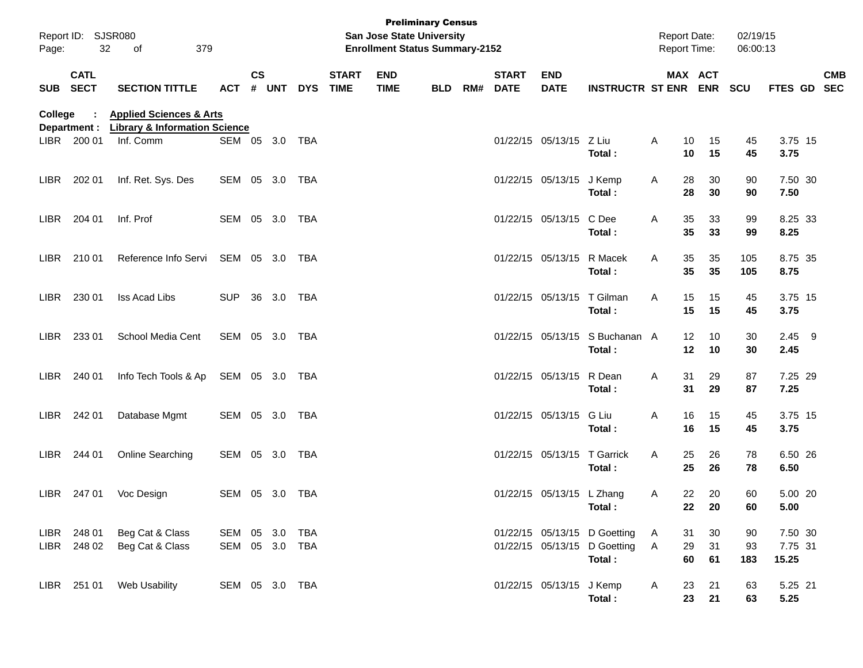| Page:   | Report ID: SJSR080<br>32   | 379<br>of                                                                      |                              |                    |            |            |                             | San Jose State University<br><b>Enrollment Status Summary-2152</b> | <b>Preliminary Census</b> |     |                             |                             |                                                                        |        | <b>Report Date:</b><br>Report Time: | 02/19/15<br>06:00:13              |                             |            |
|---------|----------------------------|--------------------------------------------------------------------------------|------------------------------|--------------------|------------|------------|-----------------------------|--------------------------------------------------------------------|---------------------------|-----|-----------------------------|-----------------------------|------------------------------------------------------------------------|--------|-------------------------------------|-----------------------------------|-----------------------------|------------|
|         | <b>CATL</b><br>SUB SECT    | <b>SECTION TITTLE</b>                                                          | <b>ACT</b>                   | $\mathsf{cs}$<br># | <b>UNT</b> | <b>DYS</b> | <b>START</b><br><b>TIME</b> | <b>END</b><br><b>TIME</b>                                          | <b>BLD</b>                | RM# | <b>START</b><br><b>DATE</b> | <b>END</b><br><b>DATE</b>   | <b>INSTRUCTR ST ENR ENR</b>                                            |        | MAX ACT                             | <b>SCU</b>                        | FTES GD SEC                 | <b>CMB</b> |
| College | Department :               | <b>Applied Sciences &amp; Arts</b><br><b>Library &amp; Information Science</b> |                              |                    |            |            |                             |                                                                    |                           |     |                             |                             |                                                                        |        |                                     |                                   |                             |            |
|         | LIBR 200 01                | Inf. Comm                                                                      | SEM 05 3.0 TBA               |                    |            |            |                             |                                                                    |                           |     |                             | 01/22/15 05/13/15 Z Liu     | Total :                                                                | Α      | 10<br>10                            | 15<br>45<br>45<br>15              | 3.75 15<br>3.75             |            |
| LIBR    | 202 01                     | Inf. Ret. Sys. Des                                                             | SEM 05 3.0 TBA               |                    |            |            |                             |                                                                    |                           |     |                             | 01/22/15 05/13/15 J Kemp    | Total:                                                                 | Α      | 28<br>28                            | 30<br>90<br>30<br>90              | 7.50 30<br>7.50             |            |
| LIBR    | 204 01                     | Inf. Prof                                                                      | SEM 05 3.0 TBA               |                    |            |            |                             |                                                                    |                           |     |                             | 01/22/15 05/13/15           | C Dee<br>Total:                                                        | Α      | 35<br>35                            | 33<br>99<br>33<br>99              | 8.25 33<br>8.25             |            |
| LIBR    | 210 01                     | Reference Info Servi                                                           | SEM 05 3.0 TBA               |                    |            |            |                             |                                                                    |                           |     |                             | 01/22/15 05/13/15 R Macek   | Total:                                                                 | A      | 35<br>35                            | 105<br>35<br>105<br>35            | 8.75 35<br>8.75             |            |
| LIBR    | 230 01                     | Iss Acad Libs                                                                  | <b>SUP</b>                   |                    | 36 3.0 TBA |            |                             |                                                                    |                           |     |                             | 01/22/15 05/13/15 T Gilman  | Total:                                                                 | A      | 15<br>15                            | 15<br>45<br>45<br>15              | 3.75 15<br>3.75             |            |
| LIBR    | 233 01                     | School Media Cent                                                              | SEM 05 3.0 TBA               |                    |            |            |                             |                                                                    |                           |     |                             |                             | 01/22/15 05/13/15 S Buchanan A<br>Total:                               |        | $12 \,$<br>12                       | 10<br>30<br>30<br>10              | $2.45$ 9<br>2.45            |            |
| LIBR    | 240 01                     | Info Tech Tools & Ap                                                           | SEM 05 3.0 TBA               |                    |            |            |                             |                                                                    |                           |     |                             | 01/22/15 05/13/15 R Dean    | Total:                                                                 | A      | 31<br>31                            | 29<br>87<br>29<br>87              | 7.25 29<br>7.25             |            |
| LIBR    | 242 01                     | Database Mgmt                                                                  | SEM 05 3.0 TBA               |                    |            |            |                             |                                                                    |                           |     |                             | 01/22/15 05/13/15           | G Liu<br>Total:                                                        | Α      | 16<br>16                            | 45<br>15<br>45<br>15              | 3.75 15<br>3.75             |            |
| LIBR    | 244 01                     | <b>Online Searching</b>                                                        | SEM 05 3.0 TBA               |                    |            |            |                             |                                                                    |                           |     |                             | 01/22/15 05/13/15 T Garrick | Total:                                                                 | A      | 25<br>25                            | 26<br>78<br>26<br>78              | 6.50 26<br>6.50             |            |
| LIBR    | 247 01                     | Voc Design                                                                     | SEM 05 3.0 TBA               |                    |            |            |                             |                                                                    |                           |     |                             | 01/22/15 05/13/15 L Zhang   | Total :                                                                | Α      | 22<br>22                            | 20<br>60<br>20<br>60              | 5.00 20<br>5.00             |            |
|         | LIBR 248 01<br>LIBR 248 02 | Beg Cat & Class<br>Beg Cat & Class                                             | SEM 05 3.0<br>SEM 05 3.0 TBA |                    |            | TBA        |                             |                                                                    |                           |     |                             |                             | 01/22/15 05/13/15 D Goetting<br>01/22/15 05/13/15 D Goetting<br>Total: | A<br>A | 31<br>29<br>60                      | 30<br>90<br>31<br>93<br>61<br>183 | 7.50 30<br>7.75 31<br>15.25 |            |
|         | LIBR 251 01                | Web Usability                                                                  | SEM 05 3.0 TBA               |                    |            |            |                             |                                                                    |                           |     |                             | 01/22/15 05/13/15 J Kemp    | Total:                                                                 | A      | 23<br>23                            | 21<br>63<br>21<br>63              | 5.25 21<br>5.25             |            |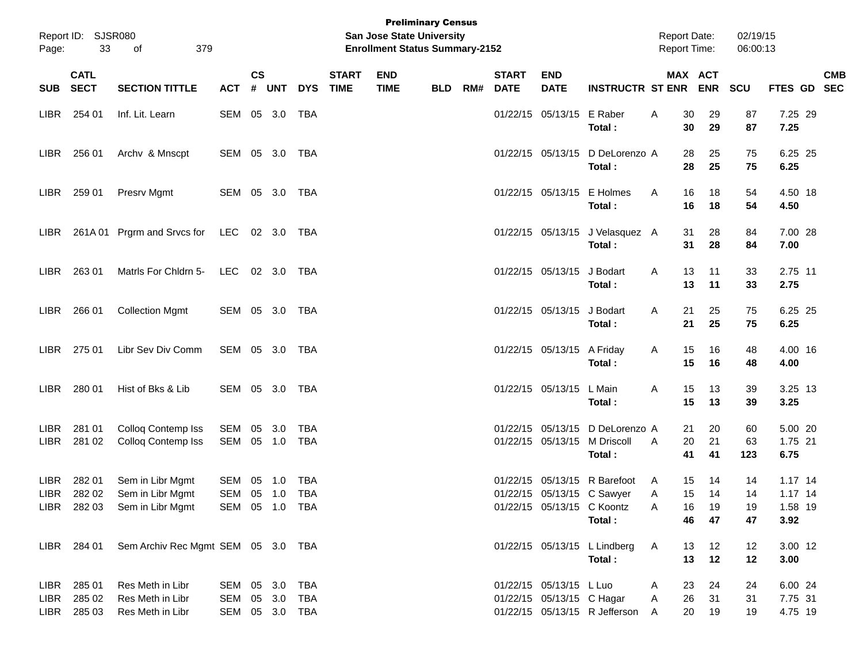| Page:                     | Report ID: SJSR080<br>33             | 379<br>of                                                            |                                            |            |            |                             |                           | <b>Preliminary Census</b><br>San Jose State University<br><b>Enrollment Status Summary-2152</b> |     |                             |                           |                                                      |                                                                  | <b>Report Date:</b><br><b>Report Time:</b> |                      | 02/19/15<br>06:00:13 |                                           |  |
|---------------------------|--------------------------------------|----------------------------------------------------------------------|--------------------------------------------|------------|------------|-----------------------------|---------------------------|-------------------------------------------------------------------------------------------------|-----|-----------------------------|---------------------------|------------------------------------------------------|------------------------------------------------------------------|--------------------------------------------|----------------------|----------------------|-------------------------------------------|--|
| SUB SECT                  | <b>CATL</b>                          | <b>ACT</b>                                                           | $\mathsf{cs}$<br>#                         | <b>UNT</b> | <b>DYS</b> | <b>START</b><br><b>TIME</b> | <b>END</b><br><b>TIME</b> | <b>BLD</b>                                                                                      | RM# | <b>START</b><br><b>DATE</b> | <b>END</b><br><b>DATE</b> | <b>INSTRUCTR ST ENR</b>                              |                                                                  | MAX ACT<br><b>ENR</b>                      | SCU                  |                      | <b>CMB</b><br>FTES GD SEC                 |  |
| LIBR                      | 254 01                               | Inf. Lit. Learn                                                      | SEM 05 3.0                                 |            |            | TBA                         |                           |                                                                                                 |     |                             |                           | 01/22/15 05/13/15 E Raber                            | Total:                                                           | Α<br>30<br>30                              | 29<br>29             | 87<br>87             | 7.25 29<br>7.25                           |  |
| LIBR                      | 256 01                               | Archv & Mnscpt                                                       | SEM 05 3.0                                 |            |            | TBA                         |                           |                                                                                                 |     |                             |                           |                                                      | 01/22/15 05/13/15 D DeLorenzo A<br>Total:                        | 28<br>28                                   | 25<br>25             | 75<br>75             | 6.25 25<br>6.25                           |  |
| LIBR                      | 259 01                               | Presrv Mgmt                                                          | SEM 05 3.0 TBA                             |            |            |                             |                           |                                                                                                 |     |                             |                           | 01/22/15 05/13/15                                    | E Holmes<br>Total:                                               | A<br>16<br>16                              | 18<br>18             | 54<br>54             | 4.50 18<br>4.50                           |  |
| LIBR .                    |                                      | 261A 01 Prgrm and Srvcs for LEC 02 3.0 TBA                           |                                            |            |            |                             |                           |                                                                                                 |     |                             |                           |                                                      | 01/22/15 05/13/15 J Velasquez A<br>Total:                        | 31<br>31                                   | 28<br>28             | 84<br>84             | 7.00 28<br>7.00                           |  |
| LIBR.                     | 263 01                               | Matrls For Chidrn 5-                                                 | LEC                                        |            | 02 3.0     | TBA                         |                           |                                                                                                 |     |                             |                           | 01/22/15 05/13/15 J Bodart                           | Total:                                                           | 13<br>A<br>13                              | 11<br>11             | 33<br>33             | 2.75 11<br>2.75                           |  |
| LIBR                      | 266 01                               | <b>Collection Mgmt</b>                                               | SEM 05 3.0 TBA                             |            |            |                             |                           |                                                                                                 |     |                             |                           | 01/22/15 05/13/15 J Bodart                           | Total:                                                           | 21<br>A<br>21                              | 25<br>25             | 75<br>75             | 6.25 25<br>6.25                           |  |
| LIBR                      | 275 01                               | Libr Sev Div Comm                                                    | SEM 05 3.0 TBA                             |            |            |                             |                           |                                                                                                 |     |                             |                           | 01/22/15 05/13/15 A Friday                           | Total:                                                           | 15<br>A<br>15                              | 16<br>16             | 48<br>48             | 4.00 16<br>4.00                           |  |
| LIBR.                     | 280 01                               | Hist of Bks & Lib                                                    | SEM 05 3.0                                 |            |            | TBA                         |                           |                                                                                                 |     |                             |                           | 01/22/15 05/13/15 L Main                             | Total:                                                           | 15<br>A<br>15                              | 13<br>13             | 39<br>39             | 3.25 13<br>3.25                           |  |
| LIBR <sub></sub><br>LIBR. | 281 01<br>281 02                     | Colloq Contemp Iss<br>Colloq Contemp Iss                             | SEM<br>SEM 05 1.0                          | 05 3.0     |            | <b>TBA</b><br><b>TBA</b>    |                           |                                                                                                 |     |                             | 01/22/15                  |                                                      | 05/13/15 D DeLorenzo A<br>01/22/15 05/13/15 M Driscoll<br>Total: | 21<br>20<br>A<br>41                        | 20<br>21<br>41       | 60<br>63<br>123      | 5.00 20<br>1.75 21<br>6.75                |  |
| LIBR <sub></sub><br>LIBR. | 282 01<br>282 02                     | Sem in Libr Mgmt<br>Sem in Libr Mgmt<br>LIBR 282 03 Sem in Libr Mgmt | SEM 05 1.0<br>SEM 05 1.0<br>SEM 05 1.0 TBA |            |            | <b>TBA</b><br>TBA           |                           |                                                                                                 |     |                             | 01/22/15                  | 01/22/15 05/13/15 C Koontz                           | 05/13/15 R Barefoot<br>01/22/15 05/13/15 C Sawyer<br>Total:      | 15<br>A<br>15<br>Α<br>16<br>A<br>46        | 14<br>14<br>19<br>47 | 14<br>14<br>19<br>47 | $1.17$ 14<br>$1.17$ 14<br>1.58 19<br>3.92 |  |
|                           | LIBR 284 01                          | Sem Archiv Rec Mgmt SEM 05 3.0 TBA                                   |                                            |            |            |                             |                           |                                                                                                 |     |                             |                           |                                                      | 01/22/15 05/13/15 L Lindberg<br>Total:                           | 13<br>A<br>13                              | 12<br>12             | 12<br>12             | 3.00 12<br>3.00                           |  |
| LIBR                      | LIBR 285 01<br>285 02<br>LIBR 285 03 | Res Meth in Libr<br>Res Meth in Libr<br>Res Meth in Libr             | SEM 05 3.0<br>SEM 05 3.0<br>SEM 05 3.0 TBA |            |            | TBA<br>TBA                  |                           |                                                                                                 |     |                             |                           | 01/22/15 05/13/15 L Luo<br>01/22/15 05/13/15 C Hagar | 01/22/15 05/13/15 R Jefferson                                    | 23<br>A<br>26<br>A<br>20<br>A              | 24<br>31<br>19       | 24<br>31<br>19       | 6.00 24<br>7.75 31<br>4.75 19             |  |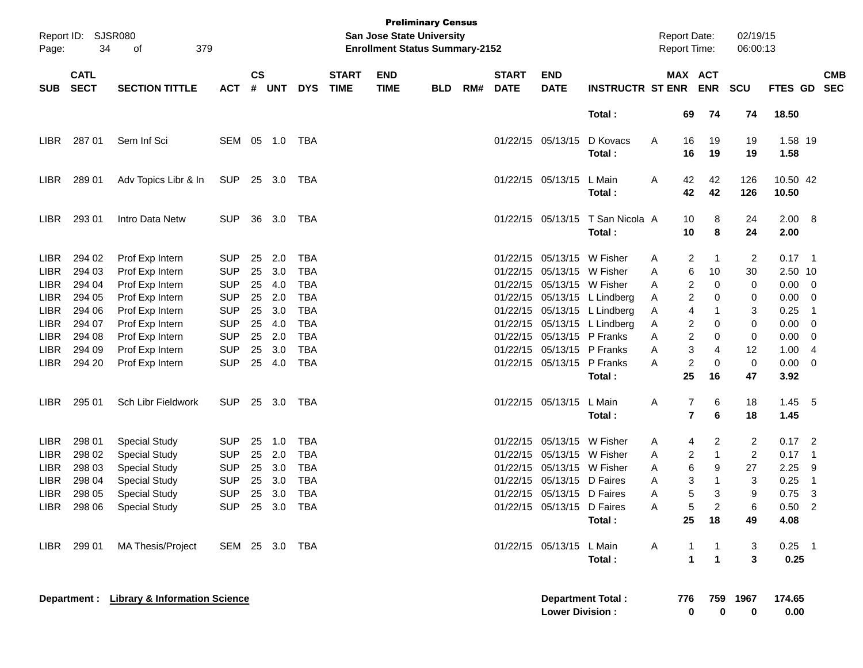| Page:       | Report ID: SJSR080<br>34   | 379<br>οf                                  |                |                    |            |            |                             | San Jose State University<br><b>Enrollment Status Summary-2152</b> | <b>Preliminary Census</b> |     |                             |                            |                              | <b>Report Date:</b><br><b>Report Time:</b> |                       | 02/19/15<br>06:00:13 |                |                          |                          |
|-------------|----------------------------|--------------------------------------------|----------------|--------------------|------------|------------|-----------------------------|--------------------------------------------------------------------|---------------------------|-----|-----------------------------|----------------------------|------------------------------|--------------------------------------------|-----------------------|----------------------|----------------|--------------------------|--------------------------|
| <b>SUB</b>  | <b>CATL</b><br><b>SECT</b> | <b>SECTION TITTLE</b>                      | <b>ACT</b>     | $\mathsf{cs}$<br># | <b>UNT</b> | <b>DYS</b> | <b>START</b><br><b>TIME</b> | <b>END</b><br><b>TIME</b>                                          | <b>BLD</b>                | RM# | <b>START</b><br><b>DATE</b> | <b>END</b><br><b>DATE</b>  | <b>INSTRUCTR ST ENR</b>      |                                            | MAX ACT<br><b>ENR</b> | <b>SCU</b>           | FTES GD        |                          | <b>CMB</b><br><b>SEC</b> |
|             |                            |                                            |                |                    |            |            |                             |                                                                    |                           |     |                             |                            | Total:                       |                                            | 74<br>69              | 74                   | 18.50          |                          |                          |
| <b>LIBR</b> | 287 01                     | Sem Inf Sci                                | SEM            |                    | 05 1.0     | TBA        |                             |                                                                    |                           |     | 01/22/15 05/13/15           |                            | D Kovacs                     | A                                          | 16<br>19              | 19                   | 1.58 19        |                          |                          |
|             |                            |                                            |                |                    |            |            |                             |                                                                    |                           |     |                             |                            | Total:                       |                                            | 16<br>19              | 19                   | 1.58           |                          |                          |
| LIBR        | 289 01                     | Adv Topics Libr & In                       | <b>SUP</b>     |                    | 25 3.0     | TBA        |                             |                                                                    |                           |     |                             | 01/22/15 05/13/15          | L Main                       | 42<br>A                                    | 42                    | 126                  | 10.50 42       |                          |                          |
|             |                            |                                            |                |                    |            |            |                             |                                                                    |                           |     |                             |                            | Total :                      | 42                                         | 42                    | 126                  | 10.50          |                          |                          |
| <b>LIBR</b> | 293 01                     | Intro Data Netw                            | <b>SUP</b>     | 36                 | 3.0        | TBA        |                             |                                                                    |                           |     |                             | 01/22/15 05/13/15          | T San Nicola A               | 10                                         | 8                     | 24                   | $2.00\quad 8$  |                          |                          |
|             |                            |                                            |                |                    |            |            |                             |                                                                    |                           |     |                             |                            | Total:                       | 10                                         | 8                     | 24                   | 2.00           |                          |                          |
| LIBR        | 294 02                     | Prof Exp Intern                            | <b>SUP</b>     | 25                 | 2.0        | <b>TBA</b> |                             |                                                                    |                           |     | 01/22/15                    | 05/13/15 W Fisher          |                              | A                                          | 2<br>$\mathbf 1$      | 2                    | $0.17$ 1       |                          |                          |
| <b>LIBR</b> | 294 03                     | Prof Exp Intern                            | <b>SUP</b>     | 25                 | 3.0        | <b>TBA</b> |                             |                                                                    |                           |     | 01/22/15                    | 05/13/15 W Fisher          |                              | A                                          | 6<br>10               | 30                   | 2.50 10        |                          |                          |
| <b>LIBR</b> | 294 04                     | Prof Exp Intern                            | <b>SUP</b>     | 25                 | 4.0        | <b>TBA</b> |                             |                                                                    |                           |     |                             | 01/22/15 05/13/15 W Fisher |                              | A                                          | 2<br>0                | 0                    | 0.00           | $\overline{\phantom{0}}$ |                          |
| <b>LIBR</b> | 294 05                     | Prof Exp Intern                            | <b>SUP</b>     | 25                 | 2.0        | <b>TBA</b> |                             |                                                                    |                           |     |                             |                            | 01/22/15 05/13/15 L Lindberg | A                                          | 2<br>0                | 0                    | 0.00           | - 0                      |                          |
| <b>LIBR</b> | 294 06                     | Prof Exp Intern                            | <b>SUP</b>     | 25                 | 3.0        | <b>TBA</b> |                             |                                                                    |                           |     |                             |                            | 01/22/15 05/13/15 L Lindberg | A                                          | 4<br>-1               | 3                    | 0.25           | $\overline{\phantom{1}}$ |                          |
| <b>LIBR</b> | 294 07                     | Prof Exp Intern                            | <b>SUP</b>     | 25                 | 4.0        | <b>TBA</b> |                             |                                                                    |                           |     |                             |                            | 01/22/15 05/13/15 L Lindberg | A                                          | 2<br>0                | 0                    | 0.00           | 0                        |                          |
| <b>LIBR</b> | 294 08                     | Prof Exp Intern                            | <b>SUP</b>     | 25                 | 2.0        | <b>TBA</b> |                             |                                                                    |                           |     |                             | 01/22/15 05/13/15 P Franks |                              | A                                          | 2<br>0                | 0                    | 0.00           | 0                        |                          |
| <b>LIBR</b> | 294 09                     | Prof Exp Intern                            | <b>SUP</b>     | 25                 | 3.0        | <b>TBA</b> |                             |                                                                    |                           |     | 01/22/15                    | 05/13/15 P Franks          |                              | A                                          | 3<br>4                | 12                   | 1.00           | $\overline{4}$           |                          |
| <b>LIBR</b> | 294 20                     | Prof Exp Intern                            | <b>SUP</b>     |                    | 25 4.0     | <b>TBA</b> |                             |                                                                    |                           |     |                             | 01/22/15 05/13/15 P Franks |                              | A                                          | 2<br>0                | $\pmb{0}$            | 0.00           | 0                        |                          |
|             |                            |                                            |                |                    |            |            |                             |                                                                    |                           |     |                             |                            | Total:                       | 25                                         | 16                    | 47                   | 3.92           |                          |                          |
| <b>LIBR</b> | 295 01                     | Sch Libr Fieldwork                         | <b>SUP</b>     |                    | 25 3.0     | TBA        |                             |                                                                    |                           |     |                             | 01/22/15 05/13/15          | L Main                       | Α                                          | 7<br>6                | 18                   | 1.45           | - 5                      |                          |
|             |                            |                                            |                |                    |            |            |                             |                                                                    |                           |     |                             |                            | Total :                      |                                            | $\overline{7}$<br>6   | 18                   | 1.45           |                          |                          |
| LIBR        | 298 01                     | <b>Special Study</b>                       | <b>SUP</b>     | 25                 | 1.0        | TBA        |                             |                                                                    |                           |     |                             | 01/22/15 05/13/15 W Fisher |                              | A                                          | 2<br>4                | 2                    | $0.17$ 2       |                          |                          |
| <b>LIBR</b> | 298 02                     | <b>Special Study</b>                       | <b>SUP</b>     |                    | 25 2.0     | <b>TBA</b> |                             |                                                                    |                           |     |                             | 01/22/15 05/13/15 W Fisher |                              | A                                          | 2<br>-1               | $\overline{2}$       | 0.17           | $\blacksquare$ 1         |                          |
| LIBR        | 298 03                     | <b>Special Study</b>                       | <b>SUP</b>     | 25                 | 3.0        | <b>TBA</b> |                             |                                                                    |                           |     |                             | 01/22/15 05/13/15 W Fisher |                              | A                                          | 6<br>9                | 27                   | 2.25           | -9                       |                          |
| LIBR        | 298 04                     | <b>Special Study</b>                       | <b>SUP</b>     | 25                 | 3.0        | TBA        |                             |                                                                    |                           |     |                             | 01/22/15 05/13/15 D Faires |                              | A                                          | 3<br>-1               | 3                    | 0.25           | $\overline{\mathbf{1}}$  |                          |
| <b>LIBR</b> | 298 05                     | <b>Special Study</b>                       | <b>SUP</b>     | 25                 | 3.0        | <b>TBA</b> |                             |                                                                    |                           |     |                             | 01/22/15 05/13/15 D Faires |                              | A                                          | 5<br>3                | 9                    | 0.75           | -3                       |                          |
| LIBR        | 298 06                     | <b>Special Study</b>                       | <b>SUP</b>     |                    | 25 3.0     | <b>TBA</b> |                             |                                                                    |                           |     |                             | 01/22/15 05/13/15 D Faires |                              | A                                          | 5                     | 6                    | 0.50           | $\overline{2}$           |                          |
|             |                            |                                            |                |                    |            |            |                             |                                                                    |                           |     |                             |                            | Total:                       | 25                                         | 18                    | 49                   | 4.08           |                          |                          |
| LIBR        | 299 01                     | MA Thesis/Project                          | SEM 25 3.0 TBA |                    |            |            |                             |                                                                    |                           |     |                             | 01/22/15 05/13/15 L Main   |                              | A                                          | 1<br>$\mathbf 1$      | 3                    | $0.25$ 1       |                          |                          |
|             |                            |                                            |                |                    |            |            |                             |                                                                    |                           |     |                             |                            | Total:                       |                                            | $\mathbf{1}$<br>1     | 3                    | 0.25           |                          |                          |
|             |                            | Department : Library & Information Science |                |                    |            |            |                             |                                                                    |                           |     |                             | <b>Lower Division:</b>     | <b>Department Total:</b>     | 776                                        | 759<br>0              | 1967<br>0<br>0       | 174.65<br>0.00 |                          |                          |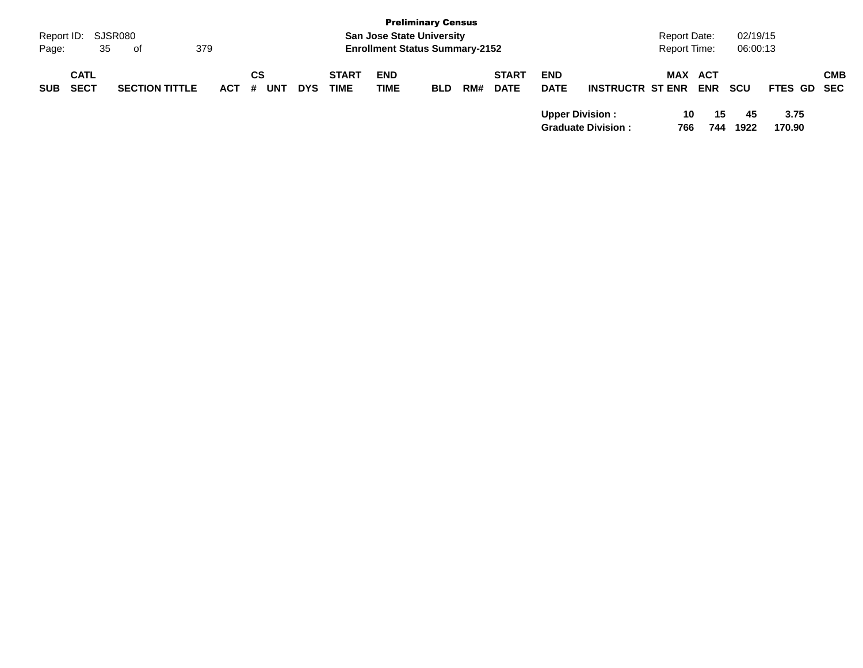| Page:      | Report ID: SJSR080<br>35   | 379<br>of             |         |           |            |                             | <b>San Jose State University</b><br><b>Enrollment Status Summary-2152</b> | <b>Preliminary Census</b> |     |                             |                           |                           | <b>Report Date:</b><br><b>Report Time:</b> |                   | 02/19/15<br>06:00:13 |                |            |
|------------|----------------------------|-----------------------|---------|-----------|------------|-----------------------------|---------------------------------------------------------------------------|---------------------------|-----|-----------------------------|---------------------------|---------------------------|--------------------------------------------|-------------------|----------------------|----------------|------------|
| <b>SUB</b> | <b>CATL</b><br><b>SECT</b> | <b>SECTION TITTLE</b> | $ACT$ # | СS<br>UNT | <b>DYS</b> | <b>START</b><br><b>TIME</b> | <b>END</b><br><b>TIME</b>                                                 | <b>BLD</b>                | RM# | <b>START</b><br><b>DATE</b> | <b>END</b><br><b>DATE</b> | <b>INSTRUCTR ST ENR</b>   | MAX                                        | ACT<br><b>ENR</b> | scu                  | FTES GD SEC    | <b>CMB</b> |
|            |                            |                       |         |           |            |                             |                                                                           |                           |     |                             | <b>Upper Division:</b>    | <b>Graduate Division:</b> | 766                                        | 10<br>15<br>744   | 45<br>1922           | 3.75<br>170.90 |            |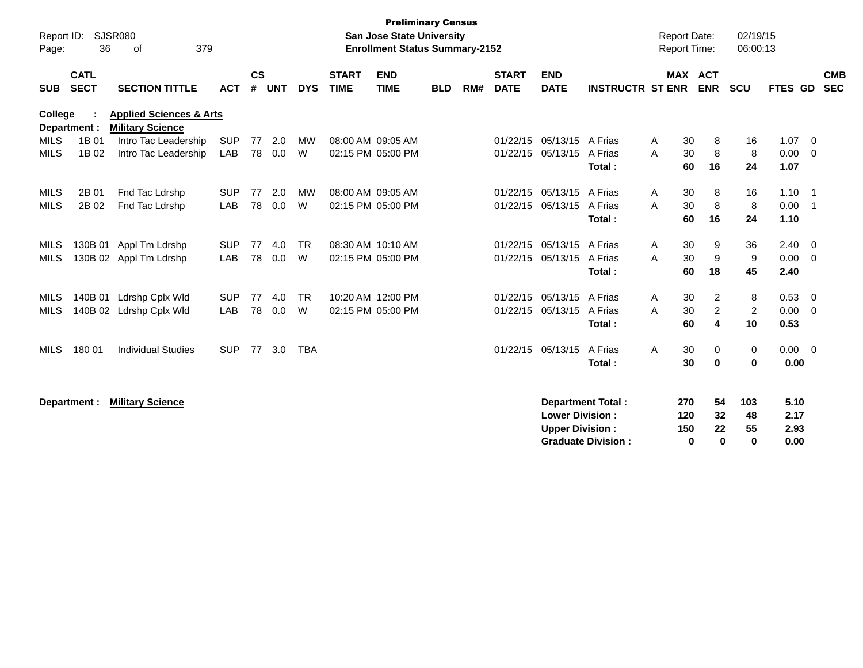| Report ID:<br>Page:        | 36                         | <b>SJSR080</b><br>379<br>of                                   |                          |                    |            |                |                             | <b>Preliminary Census</b><br><b>San Jose State University</b><br><b>Enrollment Status Summary-2152</b> |            |     |                             |                                                                              |                              | <b>Report Date:</b> | <b>Report Time:</b>                                                           | 02/19/15<br>06:00:13        |                              |                                           |                          |
|----------------------------|----------------------------|---------------------------------------------------------------|--------------------------|--------------------|------------|----------------|-----------------------------|--------------------------------------------------------------------------------------------------------|------------|-----|-----------------------------|------------------------------------------------------------------------------|------------------------------|---------------------|-------------------------------------------------------------------------------|-----------------------------|------------------------------|-------------------------------------------|--------------------------|
| <b>SUB</b>                 | <b>CATL</b><br><b>SECT</b> | <b>SECTION TITTLE</b>                                         | <b>ACT</b>               | $\mathsf{cs}$<br># | <b>UNT</b> | <b>DYS</b>     | <b>START</b><br><b>TIME</b> | <b>END</b><br><b>TIME</b>                                                                              | <b>BLD</b> | RM# | <b>START</b><br><b>DATE</b> | <b>END</b><br><b>DATE</b>                                                    | <b>INSTRUCTR ST ENR</b>      |                     | <b>MAX ACT</b><br><b>ENR</b>                                                  | <b>SCU</b>                  | <b>FTES GD</b>               |                                           | <b>CMB</b><br><b>SEC</b> |
| <b>College</b>             | Department :               | <b>Applied Sciences &amp; Arts</b><br><b>Military Science</b> |                          |                    |            |                |                             |                                                                                                        |            |     |                             |                                                                              |                              |                     |                                                                               |                             |                              |                                           |                          |
| <b>MILS</b><br><b>MILS</b> | 1B 01<br>1B 02             | Intro Tac Leadership<br>Intro Tac Leadership                  | <b>SUP</b><br>LAB        | 77<br>78           | 2.0<br>0.0 | МW<br>W        | 08:00 AM 09:05 AM           | 02:15 PM 05:00 PM                                                                                      |            |     | 01/22/15<br>01/22/15        | 05/13/15<br>05/13/15                                                         | A Frias<br>A Frias<br>Total: | Α<br>A              | 30<br>8<br>8<br>30<br>16<br>60                                                | 16<br>8<br>24               | 1.07<br>0.00<br>1.07         | $\overline{0}$<br>$\overline{\mathbf{0}}$ |                          |
| <b>MILS</b><br><b>MILS</b> | 2B 01<br>2B 02             | Fnd Tac Ldrshp<br>Fnd Tac Ldrshp                              | <b>SUP</b><br><b>LAB</b> | 77<br>78           | 2.0<br>0.0 | <b>MW</b><br>W | 08:00 AM 09:05 AM           | 02:15 PM 05:00 PM                                                                                      |            |     | 01/22/15<br>01/22/15        | 05/13/15<br>05/13/15                                                         | A Frias<br>A Frias<br>Total: | Α<br>A              | 30<br>8<br>8<br>30<br>16<br>60                                                | 16<br>8<br>24               | 1.10<br>0.00<br>1.10         | $\overline{1}$<br>$\overline{1}$          |                          |
| <b>MILS</b><br><b>MILS</b> |                            | 130B 01 Appl Tm Ldrshp<br>130B 02 Appl Tm Ldrshp              | <b>SUP</b><br><b>LAB</b> | 77<br>78           | 4.0<br>0.0 | <b>TR</b><br>W | 08:30 AM 10:10 AM           | 02:15 PM 05:00 PM                                                                                      |            |     | 01/22/15<br>01/22/15        | 05/13/15<br>05/13/15                                                         | A Frias<br>A Frias<br>Total: | Α<br>A              | 30<br>9<br>9<br>30<br>18<br>60                                                | 36<br>9<br>45               | 2.40<br>0.00<br>2.40         | $\overline{\mathbf{0}}$<br>$\Omega$       |                          |
| <b>MILS</b><br><b>MILS</b> |                            | 140B 01 Ldrshp Cplx Wld<br>140B 02 Ldrshp Cplx Wld            | <b>SUP</b><br><b>LAB</b> | 77<br>78           | 4.0<br>0.0 | <b>TR</b><br>W |                             | 10:20 AM 12:00 PM<br>02:15 PM 05:00 PM                                                                 |            |     | 01/22/15                    | 05/13/15<br>01/22/15 05/13/15                                                | A Frias<br>A Frias<br>Total: | A<br>A              | 30<br>$\overline{2}$<br>$\overline{2}$<br>30<br>$\overline{\mathbf{4}}$<br>60 | 8<br>$\boldsymbol{2}$<br>10 | 0.53<br>0.00<br>0.53         | $\overline{\mathbf{0}}$<br>- 0            |                          |
| <b>MILS</b>                | 180 01                     | <b>Individual Studies</b>                                     | <b>SUP</b>               | 77                 | 3.0        | TBA            |                             |                                                                                                        |            |     | 01/22/15                    | 05/13/15                                                                     | A Frias<br>Total:            | A                   | 30<br>0<br>30<br>$\mathbf 0$                                                  | 0<br>$\bf{0}$               | $0.00 \t 0$<br>0.00          |                                           |                          |
|                            | Department :               | <b>Military Science</b>                                       |                          |                    |            |                |                             |                                                                                                        |            |     |                             | <b>Department Total:</b><br><b>Lower Division:</b><br><b>Upper Division:</b> | <b>Graduate Division:</b>    | 270<br>120<br>150   | 54<br>32<br>22<br>$\bf{0}$<br>0                                               | 103<br>48<br>55<br>0        | 5.10<br>2.17<br>2.93<br>0.00 |                                           |                          |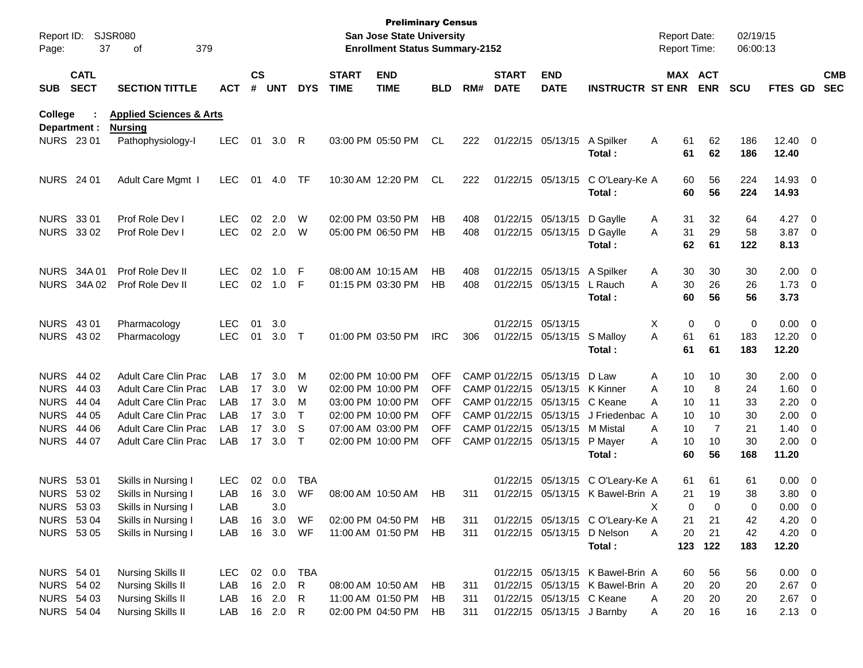| Page:             | Report ID: SJSR080<br>37   | 379<br>οf                           |              |                    |               |              |                             | <b>Preliminary Census</b><br>San Jose State University<br><b>Enrollment Status Summary-2152</b> |            |     |                             |                                 |                                     | <b>Report Date:</b><br><b>Report Time:</b> |                | 02/19/15<br>06:00:13 |                  |            |
|-------------------|----------------------------|-------------------------------------|--------------|--------------------|---------------|--------------|-----------------------------|-------------------------------------------------------------------------------------------------|------------|-----|-----------------------------|---------------------------------|-------------------------------------|--------------------------------------------|----------------|----------------------|------------------|------------|
| <b>SUB</b>        | <b>CATL</b><br><b>SECT</b> | <b>SECTION TITTLE</b>               | <b>ACT</b>   | $\mathsf{cs}$<br># | UNT           | <b>DYS</b>   | <b>START</b><br><b>TIME</b> | <b>END</b><br><b>TIME</b>                                                                       | <b>BLD</b> | RM# | <b>START</b><br><b>DATE</b> | <b>END</b><br><b>DATE</b>       | <b>INSTRUCTR ST ENR</b>             | MAX ACT                                    | <b>ENR</b>     | <b>SCU</b>           | FTES GD SEC      | <b>CMB</b> |
| College           |                            | <b>Applied Sciences &amp; Arts</b>  |              |                    |               |              |                             |                                                                                                 |            |     |                             |                                 |                                     |                                            |                |                      |                  |            |
| <b>NURS 2301</b>  | Department :               | <b>Nursing</b><br>Pathophysiology-l | <b>LEC</b>   | 01                 | $3.0 \quad R$ |              |                             | 03:00 PM 05:50 PM                                                                               | CL         | 222 |                             | 01/22/15 05/13/15 A Spilker     |                                     | A<br>61                                    | 62             | 186                  | $12.40 \t 0$     |            |
|                   |                            |                                     |              |                    |               |              |                             |                                                                                                 |            |     |                             |                                 | Total:                              | 61                                         | 62             | 186                  | 12.40            |            |
| <b>NURS</b> 24 01 |                            | Adult Care Mgmt I                   | LEC.         | 01                 | 4.0           | TF           |                             | 10:30 AM 12:20 PM                                                                               | CL         | 222 |                             |                                 | 01/22/15 05/13/15 C O'Leary-Ke A    | 60                                         | 56             | 224                  | 14.93 0          |            |
|                   |                            |                                     |              |                    |               |              |                             |                                                                                                 |            |     |                             |                                 | Total:                              | 60                                         | 56             | 224                  | 14.93            |            |
| <b>NURS 3301</b>  |                            | Prof Role Dev I                     | <b>LEC</b>   | 02                 | 2.0           | W            |                             | 02:00 PM 03:50 PM                                                                               | HВ         | 408 |                             | 01/22/15 05/13/15 D Gaylle      |                                     | 31<br>A                                    | 32             | 64                   | 4.27 0           |            |
|                   | NURS 33 02                 | Prof Role Dev I                     | <b>LEC</b>   |                    | 02 2.0        | W            |                             | 05:00 PM 06:50 PM                                                                               | HВ         | 408 |                             | 01/22/15 05/13/15 D Gaylle      | Total:                              | 31<br>A<br>62                              | 29<br>61       | 58<br>122            | $3.87$ 0<br>8.13 |            |
|                   | NURS 34A 01                | Prof Role Dev II                    | <b>LEC</b>   | 02                 | 1.0           | -F           |                             | 08:00 AM 10:15 AM                                                                               | HВ         | 408 |                             | 01/22/15 05/13/15 A Spilker     |                                     | 30<br>A                                    | 30             | 30                   | $2.00 \t 0$      |            |
|                   | NURS 34A 02                | Prof Role Dev II                    | <b>LEC</b>   |                    | 02 1.0 F      |              |                             | 01:15 PM 03:30 PM                                                                               | HВ         | 408 |                             | 01/22/15 05/13/15 L Rauch       |                                     | 30<br>A                                    | 26             | 26                   | $1.73 \t 0$      |            |
|                   |                            |                                     |              |                    |               |              |                             |                                                                                                 |            |     |                             |                                 | Total:                              | 60                                         | 56             | 56                   | 3.73             |            |
| NURS 43 01        |                            | Pharmacology                        | <b>LEC</b>   | 01                 | 3.0           |              |                             |                                                                                                 |            |     |                             | 01/22/15 05/13/15               |                                     | Χ<br>0                                     | 0              | 0                    | $0.00 \t 0$      |            |
| NURS 4302         |                            | Pharmacology                        | <b>LEC</b>   | 01                 | 3.0           | $\top$       |                             | 01:00 PM 03:50 PM                                                                               | <b>IRC</b> | 306 |                             | 01/22/15 05/13/15 S Malloy      |                                     | 61<br>A                                    | 61             | 183                  | 12.20 0          |            |
|                   |                            |                                     |              |                    |               |              |                             |                                                                                                 |            |     |                             |                                 | Total:                              | 61                                         | 61             | 183                  | 12.20            |            |
| NURS 44 02        |                            | Adult Care Clin Prac                | LAB          | 17                 | 3.0           | м            |                             | 02:00 PM 10:00 PM                                                                               | <b>OFF</b> |     |                             | CAMP 01/22/15 05/13/15 D Law    |                                     | A<br>10                                    | 10             | 30                   | $2.00 \t 0$      |            |
| <b>NURS 44 03</b> |                            | Adult Care Clin Prac                | LAB          | 17                 | 3.0           | W            |                             | 02:00 PM 10:00 PM                                                                               | <b>OFF</b> |     |                             | CAMP 01/22/15 05/13/15 K Kinner |                                     | 10<br>A                                    | 8              | 24                   | $1.60 \t 0$      |            |
|                   | NURS 44 04                 | Adult Care Clin Prac                | LAB          | 17                 | 3.0           | м            |                             | 03:00 PM 10:00 PM                                                                               | <b>OFF</b> |     |                             | CAMP 01/22/15 05/13/15 C Keane  |                                     | 10<br>A                                    | 11             | 33                   | $2.20 \t 0$      |            |
|                   | <b>NURS 44 05</b>          | Adult Care Clin Prac                | LAB          | 17                 | 3.0           | $\top$       |                             | 02:00 PM 10:00 PM                                                                               | <b>OFF</b> |     |                             |                                 | CAMP 01/22/15 05/13/15 J Friedenbac | 10<br>A                                    | 10             | 30                   | $2.00 \t 0$      |            |
|                   | <b>NURS 44 06</b>          | Adult Care Clin Prac                | LAB          | 17                 | 3.0           | S            |                             | 07:00 AM 03:00 PM                                                                               | <b>OFF</b> |     |                             | CAMP 01/22/15 05/13/15 M Mistal |                                     | 10<br>A                                    | $\overline{7}$ | 21                   | $1.40 \ 0$       |            |
|                   | <b>NURS 44 07</b>          | <b>Adult Care Clin Prac</b>         | LAB          |                    | 17 3.0        | $\top$       |                             | 02:00 PM 10:00 PM                                                                               | <b>OFF</b> |     |                             | CAMP 01/22/15 05/13/15 P Mayer  |                                     | 10<br>A                                    | 10             | 30                   | $2.00 \t 0$      |            |
|                   |                            |                                     |              |                    |               |              |                             |                                                                                                 |            |     |                             |                                 | Total:                              | 60                                         | 56             | 168                  | 11.20            |            |
| <b>NURS 5301</b>  |                            | Skills in Nursing I                 | <b>LEC</b>   | 02                 | 0.0           | TBA          |                             |                                                                                                 |            |     |                             |                                 | 01/22/15 05/13/15 C O'Leary-Ke A    | 61                                         | 61             | 61                   | $0.00 \t 0$      |            |
|                   | NURS 53 02                 | Skills in Nursing I                 | LAB          |                    | 16 3.0        | WF           |                             | 08:00 AM 10:50 AM                                                                               | НB         | 311 |                             |                                 | 01/22/15 05/13/15 K Bawel-Brin A    | 21                                         | 19             | 38                   | $3.80\ 0$        |            |
|                   | NURS 53 03                 | Skills in Nursing I                 | LAB          |                    | 3.0           |              |                             |                                                                                                 |            |     |                             |                                 |                                     | X<br>$\Omega$                              | $\Omega$       | $\Omega$             | $0.00 \t 0$      |            |
|                   | <b>NURS 5304</b>           | Skills in Nursing I                 | LAB          |                    | 16 3.0        | WF           |                             | 02:00 PM 04:50 PM                                                                               | HB         | 311 |                             |                                 | 01/22/15 05/13/15 C O'Leary-Ke A    | 21                                         | 21             | 42                   | $4.20 \ 0$       |            |
|                   | <b>NURS 5305</b>           | Skills in Nursing I                 | LAB          |                    | 16 3.0 WF     |              |                             | 11:00 AM 01:50 PM                                                                               | HB         | 311 |                             | 01/22/15 05/13/15 D Nelson      |                                     | 20<br>A                                    | 21             | 42                   | $4.20 \ 0$       |            |
|                   |                            |                                     |              |                    |               |              |                             |                                                                                                 |            |     |                             |                                 | Total:                              | 123                                        | 122            | 183                  | 12.20            |            |
| <b>NURS 54 01</b> |                            | <b>Nursing Skills II</b>            | LEC 02 0.0   |                    |               | <b>TBA</b>   |                             |                                                                                                 |            |     |                             |                                 | 01/22/15 05/13/15 K Bawel-Brin A    | 60                                         | 56             | 56                   | $0.00 \t 0$      |            |
|                   | NURS 54 02                 | <b>Nursing Skills II</b>            | LAB          |                    | 16 2.0        | $\mathsf{R}$ |                             | 08:00 AM 10:50 AM                                                                               | HB.        | 311 |                             |                                 | 01/22/15 05/13/15 K Bawel-Brin A    | 20                                         | 20             | 20                   | $2.67$ 0         |            |
|                   | <b>NURS 54 03</b>          | <b>Nursing Skills II</b>            | LAB          |                    | 16 2.0        | -R           |                             | 11:00 AM 01:50 PM                                                                               | HB.        | 311 |                             | 01/22/15 05/13/15 C Keane       |                                     | 20<br>A                                    | 20             | 20                   | $2.67$ 0         |            |
|                   | <b>NURS 54 04</b>          | Nursing Skills II                   | LAB 16 2.0 R |                    |               |              |                             | 02:00 PM 04:50 PM                                                                               | HB         | 311 |                             | 01/22/15 05/13/15 J Barnby      |                                     | 20<br>A                                    | 16             | 16                   | $2.13 \ 0$       |            |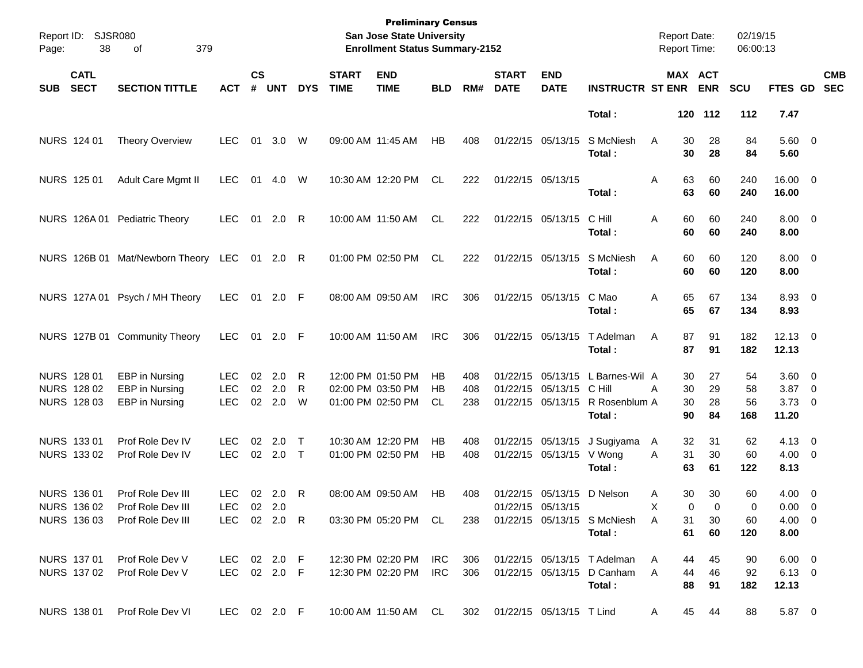| Page:      | Report ID: SJSR080<br>38                  | 379<br>of                                          |                                  |                    |                   |              |                             | <b>Preliminary Census</b><br>San Jose State University<br><b>Enrollment Status Summary-2152</b> |                |                   |                             |                                                                    |                                                                     | <b>Report Date:</b><br><b>Report Time:</b> |                       | 02/19/15<br>06:00:13 |                                          |                          |
|------------|-------------------------------------------|----------------------------------------------------|----------------------------------|--------------------|-------------------|--------------|-----------------------------|-------------------------------------------------------------------------------------------------|----------------|-------------------|-----------------------------|--------------------------------------------------------------------|---------------------------------------------------------------------|--------------------------------------------|-----------------------|----------------------|------------------------------------------|--------------------------|
| <b>SUB</b> | <b>CATL</b><br><b>SECT</b>                | <b>SECTION TITTLE</b>                              | <b>ACT</b>                       | $\mathsf{cs}$<br># | <b>UNT</b>        | <b>DYS</b>   | <b>START</b><br><b>TIME</b> | <b>END</b><br><b>TIME</b>                                                                       | <b>BLD</b>     | RM#               | <b>START</b><br><b>DATE</b> | <b>END</b><br><b>DATE</b>                                          | <b>INSTRUCTR ST ENR</b>                                             |                                            | MAX ACT<br><b>ENR</b> | <b>SCU</b>           | FTES GD                                  | <b>CMB</b><br><b>SEC</b> |
|            |                                           |                                                    |                                  |                    |                   |              |                             |                                                                                                 |                |                   |                             |                                                                    | Total:                                                              |                                            | 120 112               | 112                  | 7.47                                     |                          |
|            | NURS 124 01                               | <b>Theory Overview</b>                             | <b>LEC</b>                       | 01                 | 3.0               | W            |                             | 09:00 AM 11:45 AM                                                                               | HB             | 408               |                             | 01/22/15 05/13/15                                                  | S McNiesh<br>Total:                                                 | A<br>30<br>30                              | 28<br>28              | 84<br>84             | $5.60 \quad 0$<br>5.60                   |                          |
|            | NURS 125 01                               | Adult Care Mgmt II                                 | <b>LEC</b>                       | 01                 | 4.0               | W            |                             | 10:30 AM 12:20 PM                                                                               | CL             | 222               |                             | 01/22/15 05/13/15                                                  | Total:                                                              | 63<br>Α<br>63                              | 60<br>60              | 240<br>240           | 16.00 0<br>16.00                         |                          |
|            |                                           | NURS 126A 01 Pediatric Theory                      | <b>LEC</b>                       | 01                 | $2.0$ R           |              |                             | 10:00 AM 11:50 AM                                                                               | <b>CL</b>      | 222               |                             | 01/22/15 05/13/15                                                  | C Hill<br>Total:                                                    | 60<br>A<br>60                              | 60<br>60              | 240<br>240           | $8.00 \t 0$<br>8.00                      |                          |
|            |                                           | NURS 126B 01 Mat/Newborn Theory LEC                |                                  |                    | 01 2.0 R          |              |                             | 01:00 PM 02:50 PM                                                                               | CL             | 222               |                             | 01/22/15 05/13/15                                                  | S McNiesh<br>Total:                                                 | 60<br>A<br>60                              | 60<br>60              | 120<br>120           | $8.00 \t 0$<br>8.00                      |                          |
|            |                                           | NURS 127A 01 Psych / MH Theory                     | <b>LEC</b>                       | 01                 | $2.0$ F           |              |                             | 08:00 AM 09:50 AM                                                                               | <b>IRC</b>     | 306               |                             | 01/22/15 05/13/15                                                  | C Mao<br>Total:                                                     | 65<br>A<br>65                              | 67<br>67              | 134<br>134           | 8.93 0<br>8.93                           |                          |
|            |                                           | NURS 127B 01 Community Theory                      | <b>LEC</b>                       | 01                 | $2.0$ F           |              |                             | 10:00 AM 11:50 AM                                                                               | <b>IRC</b>     | 306               |                             | 01/22/15 05/13/15                                                  | T Adelman<br>Total:                                                 | 87<br>A<br>87                              | 91<br>91              | 182<br>182           | $12.13 \t 0$<br>12.13                    |                          |
|            | NURS 128 01<br>NURS 128 02<br>NURS 128 03 | EBP in Nursing<br>EBP in Nursing<br>EBP in Nursing | LEC.<br><b>LEC</b><br><b>LEC</b> | 02<br>02<br>02     | 2.0<br>2.0<br>2.0 | R<br>R<br>W  |                             | 12:00 PM 01:50 PM<br>02:00 PM 03:50 PM<br>01:00 PM 02:50 PM                                     | НB<br>НB<br>CL | 408<br>408<br>238 |                             | 01/22/15 05/13/15<br>01/22/15 05/13/15 C Hill<br>01/22/15 05/13/15 | L Barnes-Wil A<br>R Rosenblum A                                     | 30<br>30<br>Α<br>30                        | 27<br>29<br>28        | 54<br>58<br>56       | $3.60 \ 0$<br>$3.87$ 0<br>$3.73 \quad 0$ |                          |
|            |                                           |                                                    |                                  |                    |                   |              |                             |                                                                                                 |                |                   |                             |                                                                    | Total:                                                              | 90                                         | 84                    | 168                  | 11.20                                    |                          |
|            | NURS 133 01<br>NURS 133 02                | Prof Role Dev IV<br>Prof Role Dev IV               | LEC.<br><b>LEC</b>               | 02<br>02           | 2.0<br>$2.0$ T    | $\mathsf{T}$ |                             | 10:30 AM 12:20 PM<br>01:00 PM 02:50 PM                                                          | НB<br>HB       | 408<br>408        |                             | 01/22/15 05/13/15<br>01/22/15 05/13/15 V Wong                      | J Sugiyama<br>Total:                                                | 32<br>A<br>31<br>A<br>63                   | 31<br>30<br>61        | 62<br>60<br>122      | $4.13 \quad 0$<br>$4.00 \ 0$<br>8.13     |                          |
|            | NURS 136 01<br>NURS 136 02                | Prof Role Dev III<br>Prof Role Dev III             | LEC.<br>LEC 02 2.0               |                    | 02 2.0 R          |              |                             | 08:00 AM 09:50 AM                                                                               | HB             | 408               |                             | 01/22/15 05/13/15 D Nelson<br>01/22/15 05/13/15                    |                                                                     | 30<br>Α                                    | 30<br>0<br>0          | 60<br>0              | $4.00 \ 0$<br>$0.00 \t 0$                |                          |
|            | NURS 136 03                               | Prof Role Dev III                                  | LEC 02 2.0 R                     |                    |                   |              |                             | 03:30 PM 05:20 PM CL                                                                            |                | 238               |                             |                                                                    | 01/22/15 05/13/15 S McNiesh<br>Total:                               | 31<br>Α<br>61                              | 30<br>60              | 60<br>120            | $4.00 \ 0$<br>8.00                       |                          |
|            | NURS 137 01<br>NURS 137 02                | Prof Role Dev V<br>Prof Role Dev V                 | LEC 02 2.0 F<br>LEC 02 2.0 F     |                    |                   |              |                             | 12:30 PM 02:20 PM<br>12:30 PM 02:20 PM                                                          | IRC.<br>IRC.   | 306<br>306        |                             |                                                                    | 01/22/15 05/13/15 T Adelman<br>01/22/15 05/13/15 D Canham<br>Total: | 44<br>A<br>44<br>A<br>88                   | 45<br>46<br>91        | 90<br>92<br>182      | $6.00 \t 0$<br>$6.13 \quad 0$<br>12.13   |                          |
|            | NURS 138 01                               | Prof Role Dev VI                                   | LEC 02 2.0 F                     |                    |                   |              |                             | 10:00 AM 11:50 AM CL                                                                            |                | 302               |                             | 01/22/15 05/13/15 T Lind                                           |                                                                     | A                                          | 45<br>44              | 88                   | 5.87 0                                   |                          |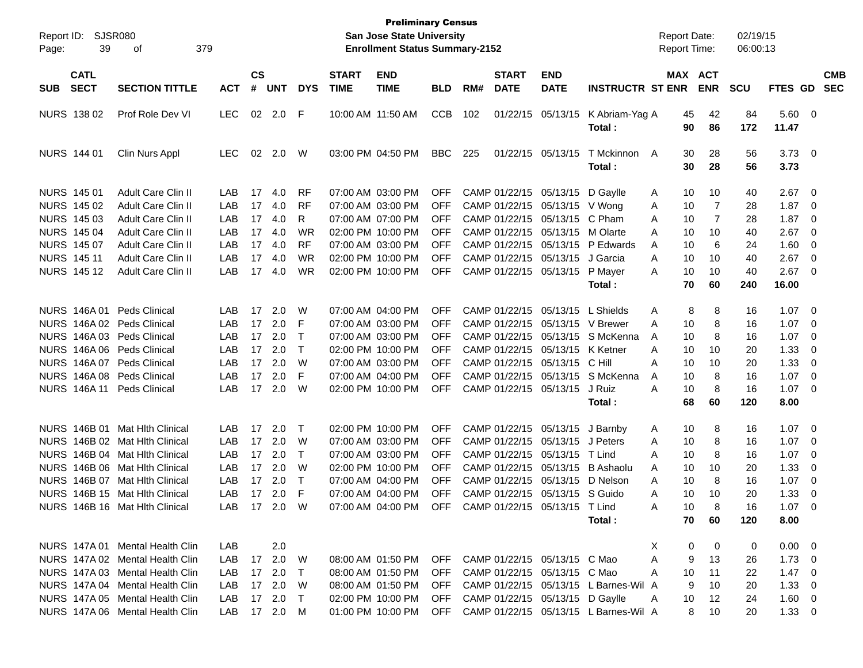| Report ID:<br>39<br>Page:                | SJSR080<br>379<br>οf                      |              |          |            |                 |                             | <b>Preliminary Census</b><br><b>San Jose State University</b><br><b>Enrollment Status Summary-2152</b> |            |     |                             |                                  |                                           | <b>Report Date:</b><br><b>Report Time:</b> |          |                       | 02/19/15<br>06:00:13 |                        |                |                          |
|------------------------------------------|-------------------------------------------|--------------|----------|------------|-----------------|-----------------------------|--------------------------------------------------------------------------------------------------------|------------|-----|-----------------------------|----------------------------------|-------------------------------------------|--------------------------------------------|----------|-----------------------|----------------------|------------------------|----------------|--------------------------|
| <b>CATL</b><br><b>SECT</b><br><b>SUB</b> | <b>SECTION TITTLE</b><br>Prof Role Dev VI |              |          |            | <b>DYS</b>      | <b>START</b><br><b>TIME</b> | <b>END</b><br><b>TIME</b>                                                                              | <b>BLD</b> | RM# | <b>START</b><br><b>DATE</b> | <b>END</b><br><b>DATE</b>        | <b>INSTRUCTR ST ENR</b>                   |                                            |          | MAX ACT<br><b>ENR</b> | <b>SCU</b>           | <b>FTES GD</b>         |                | <b>CMB</b><br><b>SEC</b> |
| NURS 138 02                              |                                           | <b>LEC</b>   |          | 02 2.0     | F               |                             | 10:00 AM 11:50 AM                                                                                      | <b>CCB</b> | 102 |                             | 01/22/15 05/13/15                | K Abriam-Yag A<br>Total :                 |                                            | 45<br>90 | 42<br>86              | 84<br>172            | 5.60 0<br>11.47        |                |                          |
| NURS 144 01                              | Clin Nurs Appl                            | <b>LEC</b>   | 02       | 2.0        | W               |                             | 03:00 PM 04:50 PM                                                                                      | <b>BBC</b> | 225 |                             | 01/22/15 05/13/15                | T Mckinnon<br>Total:                      | A                                          | 30<br>30 | 28<br>28              | 56<br>56             | $3.73 \quad 0$<br>3.73 |                |                          |
| NURS 145 01                              | Adult Care Clin II                        | LAB          | 17       | 4.0        | RF              |                             | 07:00 AM 03:00 PM                                                                                      | <b>OFF</b> |     |                             | CAMP 01/22/15 05/13/15 D Gaylle  |                                           | A                                          | 10       | 10                    | 40                   | 2.67                   | $\mathbf 0$    |                          |
| NURS 145 02                              | Adult Care Clin II                        | LAB          | 17       | 4.0        | <b>RF</b>       |                             | 07:00 AM 03:00 PM                                                                                      | <b>OFF</b> |     |                             | CAMP 01/22/15 05/13/15 V Wong    |                                           | A                                          | 10       | 7                     | 28                   | 1.87                   | $\mathbf 0$    |                          |
| <b>NURS 145 03</b>                       | Adult Care Clin II                        | LAB          | 17       | 4.0        | R               |                             | 07:00 AM 07:00 PM<br>02:00 PM 10:00 PM                                                                 | OFF        |     |                             | CAMP 01/22/15 05/13/15 C Pham    |                                           | A                                          | 10       | 7                     | 28                   | 1.87                   | 0              |                          |
| <b>NURS 145 04</b><br>NURS 145 07        | Adult Care Clin II<br>Adult Care Clin II  | LAB<br>LAB   | 17<br>17 | 4.0<br>4.0 | WR<br><b>RF</b> |                             | 07:00 AM 03:00 PM                                                                                      | OFF<br>OFF |     |                             | CAMP 01/22/15 05/13/15 M Olarte  | CAMP 01/22/15 05/13/15 P Edwards          | A<br>A                                     | 10<br>10 | 10<br>6               | 40<br>24             | 2.67<br>1.60           | 0<br>0         |                          |
| <b>NURS 14511</b>                        | Adult Care Clin II                        | LAB          | 17       | 4.0        | WR              |                             | 02:00 PM 10:00 PM                                                                                      | OFF        |     |                             | CAMP 01/22/15 05/13/15 J Garcia  |                                           | A                                          | 10       | 10                    | 40                   | 2.67                   | 0              |                          |
| <b>NURS 14512</b>                        | Adult Care Clin II                        | LAB          | 17       | 4.0        | WR              |                             | 02:00 PM 10:00 PM                                                                                      | OFF        |     |                             | CAMP 01/22/15 05/13/15 P Mayer   |                                           | A                                          | 10       | 10                    | 40                   | 2.67                   | 0              |                          |
|                                          |                                           |              |          |            |                 |                             |                                                                                                        |            |     |                             |                                  | Total :                                   |                                            | 70       | 60                    | 240                  | 16.00                  |                |                          |
| NURS 146A 01                             | Peds Clinical                             | LAB          | 17       | 2.0        | W               |                             | 07:00 AM 04:00 PM                                                                                      | OFF        |     |                             | CAMP 01/22/15 05/13/15 L Shields |                                           | A                                          | 8        | 8                     | 16                   | 1.07                   | - 0            |                          |
| NURS 146A 02 Peds Clinical               |                                           | LAB          | 17       | 2.0        | F               |                             | 07:00 AM 03:00 PM                                                                                      | OFF        |     |                             | CAMP 01/22/15 05/13/15 V Brewer  |                                           | A                                          | 10       | 8                     | 16                   | 1.07                   | $\mathbf 0$    |                          |
| NURS 146A 03 Peds Clinical               |                                           | LAB          | 17       | 2.0        | $\top$          |                             | 07:00 AM 03:00 PM                                                                                      | OFF        |     |                             |                                  | CAMP 01/22/15 05/13/15 S McKenna          | A                                          | 10       | 8                     | 16                   | 1.07                   | $\mathbf 0$    |                          |
| NURS 146A 06 Peds Clinical               |                                           | LAB          | 17       | 2.0        | $\top$          |                             | 02:00 PM 10:00 PM                                                                                      | OFF        |     |                             | CAMP 01/22/15 05/13/15 K Ketner  |                                           | A                                          | 10       | 10                    | 20                   | 1.33                   | 0              |                          |
| NURS 146A 07 Peds Clinical               |                                           | LAB          | 17       | 2.0        | W               |                             | 07:00 AM 03:00 PM                                                                                      | OFF        |     |                             | CAMP 01/22/15 05/13/15 C Hill    |                                           | A                                          | 10       | 10                    | 20                   | 1.33                   | $\mathbf 0$    |                          |
| NURS 146A 08 Peds Clinical               |                                           | LAB          | 17       | 2.0        | F               |                             | 07:00 AM 04:00 PM                                                                                      | OFF        |     |                             |                                  | CAMP 01/22/15 05/13/15 S McKenna          | A                                          | 10       | 8                     | 16                   | 1.07                   | 0              |                          |
| <b>NURS 146A11</b>                       | <b>Peds Clinical</b>                      | LAB          | 17       | 2.0        | W               |                             | 02:00 PM 10:00 PM                                                                                      | OFF        |     |                             | CAMP 01/22/15 05/13/15           | J Ruiz                                    | A                                          | 10       | 8                     | 16                   | 1.07                   | - 0            |                          |
|                                          |                                           |              |          |            |                 |                             |                                                                                                        |            |     |                             |                                  | Total :                                   |                                            | 68       | 60                    | 120                  | 8.00                   |                |                          |
|                                          | NURS 146B 01 Mat Hith Clinical            | LAB          | 17       | 2.0        | T               |                             | 02:00 PM 10:00 PM                                                                                      | <b>OFF</b> |     |                             | CAMP 01/22/15 05/13/15 J Barnby  |                                           | A                                          | 10       | 8                     | 16                   | 1.07                   | - 0            |                          |
|                                          | NURS 146B 02 Mat Hith Clinical            | LAB          | 17       | 2.0        | W               |                             | 07:00 AM 03:00 PM                                                                                      | <b>OFF</b> |     |                             | CAMP 01/22/15 05/13/15 J Peters  |                                           | A                                          | 10       | 8                     | 16                   | 1.07                   | $\overline{0}$ |                          |
|                                          | NURS 146B 04 Mat Hith Clinical            | LAB          |          | 17 2.0     | $\top$          |                             | 07:00 AM 03:00 PM                                                                                      | OFF        |     |                             | CAMP 01/22/15 05/13/15 T Lind    |                                           | A                                          | 10       | 8                     | 16                   | 1.07                   | $\mathbf 0$    |                          |
|                                          | NURS 146B 06 Mat Hlth Clinical            | LAB          | 17       | 2.0        | W               |                             | 02:00 PM 10:00 PM                                                                                      | OFF        |     |                             |                                  | CAMP 01/22/15 05/13/15 B Ashaolu          | A                                          | 10       | 10                    | 20                   | 1.33                   | 0              |                          |
|                                          | NURS 146B 07 Mat Hith Clinical            | LAB          | 17       | 2.0        | $\top$          |                             | 07:00 AM 04:00 PM                                                                                      | OFF        |     |                             | CAMP 01/22/15 05/13/15 D Nelson  |                                           | A                                          | 10       | 8                     | 16                   | 1.07                   | $\mathbf 0$    |                          |
|                                          | NURS 146B 15 Mat Hith Clinical            | LAB          |          | 17 2.0     | F               |                             | 07:00 AM 04:00 PM                                                                                      | <b>OFF</b> |     |                             | CAMP 01/22/15 05/13/15 S Guido   |                                           | Α                                          | 10       | 10                    | 20                   | 1.33                   | 0              |                          |
|                                          | NURS 146B 16 Mat Hith Clinical            | LAB.         |          | 17 2.0     | W               |                             | 07:00 AM 04:00 PM                                                                                      | OFF.       |     |                             | CAMP 01/22/15 05/13/15 T Lind    |                                           | A                                          | 10       | 8                     | 16                   | 1.07                   | $\Omega$       |                          |
|                                          |                                           |              |          |            |                 |                             |                                                                                                        |            |     |                             |                                  | Total:                                    |                                            | 70       | 60                    | 120                  | 8.00                   |                |                          |
|                                          | NURS 147A 01 Mental Health Clin           | LAB          |          | 2.0        |                 |                             |                                                                                                        |            |     |                             |                                  |                                           | X.                                         | 0        | 0                     | 0                    | $0.00 \quad 0$         |                |                          |
|                                          | NURS 147A 02 Mental Health Clin           | LAB          |          | 17 2.0     | W               |                             | 08:00 AM 01:50 PM                                                                                      |            |     |                             | OFF CAMP 01/22/15 05/13/15 C Mao |                                           | A                                          | 9        | 13                    | 26                   | $1.73 \t 0$            |                |                          |
|                                          | NURS 147A 03 Mental Health Clin           | LAB          |          | 17 2.0     | $\top$          |                             | 08:00 AM 01:50 PM                                                                                      | <b>OFF</b> |     |                             | CAMP 01/22/15 05/13/15 C Mao     |                                           | A                                          | 10       | 11                    | 22                   | $1.47 \quad 0$         |                |                          |
|                                          | NURS 147A 04 Mental Health Clin           | LAB          |          | 17 2.0     | W               |                             | 08:00 AM 01:50 PM                                                                                      | OFF        |     |                             |                                  | CAMP 01/22/15 05/13/15 L Barnes-Wil A     |                                            | 9        | 10                    | 20                   | $1.33 \ 0$             |                |                          |
|                                          | NURS 147A 05 Mental Health Clin           | LAB          |          | 17 2.0     | $\top$          |                             | 02:00 PM 10:00 PM                                                                                      | OFF        |     |                             | CAMP 01/22/15 05/13/15 D Gaylle  |                                           | A                                          | 10       | 12                    | 24                   | $1.60 \t 0$            |                |                          |
|                                          | NURS 147A 06 Mental Health Clin           | LAB 17 2.0 M |          |            |                 |                             | 01:00 PM 10:00 PM                                                                                      |            |     |                             |                                  | OFF CAMP 01/22/15 05/13/15 L Barnes-Wil A |                                            | 8        | 10                    | 20                   | $1.33 \ 0$             |                |                          |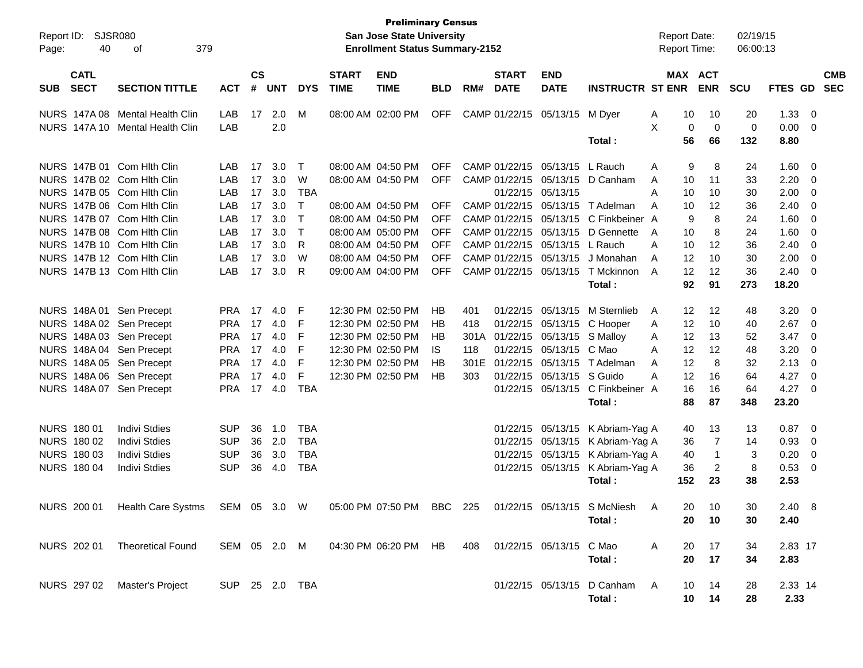| Report ID:<br>40<br>Page:                                | SJSR080<br>379<br>οf            |                |                    |            |                      |                             | <b>Preliminary Census</b><br><b>San Jose State University</b><br><b>Enrollment Status Summary-2152</b> |            |         |                             |                                 |                                       | <b>Report Date:</b><br><b>Report Time:</b> |          |                              | 02/19/15<br>06:00:13 |                |                                |                          |
|----------------------------------------------------------|---------------------------------|----------------|--------------------|------------|----------------------|-----------------------------|--------------------------------------------------------------------------------------------------------|------------|---------|-----------------------------|---------------------------------|---------------------------------------|--------------------------------------------|----------|------------------------------|----------------------|----------------|--------------------------------|--------------------------|
| <b>CATL</b><br><b>SECT</b><br><b>SUB</b>                 | <b>SECTION TITTLE</b>           | <b>ACT</b>     | $\mathsf{cs}$<br># | <b>UNT</b> | <b>DYS</b>           | <b>START</b><br><b>TIME</b> | <b>END</b><br><b>TIME</b>                                                                              | BLD        | RM#     | <b>START</b><br><b>DATE</b> | <b>END</b><br><b>DATE</b>       | <b>INSTRUCTR ST ENR</b>               |                                            |          | <b>MAX ACT</b><br><b>ENR</b> | <b>SCU</b>           | <b>FTES GD</b> |                                | <b>CMB</b><br><b>SEC</b> |
|                                                          | NURS 147A 08 Mental Health Clin | LAB            | 17                 | 2.0        | M                    |                             | 08:00 AM 02:00 PM                                                                                      | <b>OFF</b> |         |                             | CAMP 01/22/15 05/13/15          | M Dver                                | A                                          | 10       | 10                           | 20                   | 1.33           | $\overline{\mathbf{0}}$        |                          |
|                                                          | NURS 147A 10 Mental Health Clin | LAB            |                    | 2.0        |                      |                             |                                                                                                        |            |         |                             |                                 | Total:                                | X                                          | 0<br>56  | $\mathbf 0$<br>66            | 0<br>132             | 0.00<br>8.80   | - 0                            |                          |
| NURS 147B 01 Com Hith Clin                               |                                 | LAB            | 17                 | 3.0        | $\top$               |                             | 08:00 AM 04:50 PM                                                                                      | <b>OFF</b> |         |                             | CAMP 01/22/15 05/13/15 L Rauch  |                                       | A                                          | 9        | 8                            | 24                   | 1.60           | $\overline{\phantom{0}}$       |                          |
| NURS 147B 02 Com Hith Clin                               |                                 | LAB            | 17                 | 3.0        | W                    |                             | 08:00 AM 04:50 PM                                                                                      | <b>OFF</b> |         |                             |                                 | CAMP 01/22/15 05/13/15 D Canham       | A                                          | 10       | 11                           | 33                   | 2.20           | - 0                            |                          |
| NURS 147B 05 Com Hith Clin<br>NURS 147B 06 Com Hith Clin |                                 | LAB<br>LAB     | 17<br>17           | 3.0<br>3.0 | <b>TBA</b><br>$\top$ |                             | 08:00 AM 04:50 PM                                                                                      | <b>OFF</b> |         |                             | 01/22/15 05/13/15               | CAMP 01/22/15 05/13/15 T Adelman      | A<br>A                                     | 10<br>10 | 10<br>12                     | 30<br>36             | 2.00<br>2.40   | - 0<br>$\overline{\mathbf{0}}$ |                          |
| NURS 147B 07 Com Hith Clin                               |                                 | LAB            | 17                 | 3.0        | $\top$               |                             | 08:00 AM 04:50 PM                                                                                      | <b>OFF</b> |         |                             |                                 | CAMP 01/22/15 05/13/15 C Finkbeiner A |                                            | 9        | 8                            | 24                   | 1.60           | - 0                            |                          |
| NURS 147B 08 Com Hith Clin                               |                                 | LAB            | 17                 | 3.0        | $\top$               |                             | 08:00 AM 05:00 PM                                                                                      | <b>OFF</b> |         |                             |                                 | CAMP 01/22/15 05/13/15 D Gennette     | A                                          | 10       | 8                            | 24                   | 1.60           | - 0                            |                          |
| NURS 147B 10 Com Hith Clin                               |                                 | LAB            | 17                 | 3.0        | R                    |                             | 08:00 AM 04:50 PM                                                                                      | <b>OFF</b> |         |                             | CAMP 01/22/15 05/13/15 L Rauch  |                                       | A                                          | 10       | 12                           | 36                   | 2.40           | - 0                            |                          |
| NURS 147B 12 Com Hith Clin                               |                                 | LAB            | 17                 | 3.0        | W                    |                             | 08:00 AM 04:50 PM                                                                                      | <b>OFF</b> |         |                             |                                 | CAMP 01/22/15 05/13/15 J Monahan      | A                                          | 12       | 10                           | 30                   | 2.00           | $\overline{\mathbf{0}}$        |                          |
| NURS 147B 13 Com Hith Clin                               |                                 | LAB            | 17                 | 3.0        | R                    |                             | 09:00 AM 04:00 PM                                                                                      | <b>OFF</b> |         |                             |                                 | CAMP 01/22/15 05/13/15 T Mckinnon     | A                                          | 12       | 12                           | 36                   | 2.40           | $\overline{\mathbf{0}}$        |                          |
|                                                          |                                 |                |                    |            |                      |                             |                                                                                                        |            |         |                             |                                 | Total:                                |                                            | 92       | 91                           | 273                  | 18.20          |                                |                          |
| NURS 148A 01 Sen Precept                                 |                                 | <b>PRA 17</b>  |                    | 4.0        | F                    |                             | 12:30 PM 02:50 PM                                                                                      | HB         | 401     |                             |                                 | 01/22/15 05/13/15 M Sternlieb         | A                                          | 12       | 12                           | 48                   | 3.20           | $\overline{\mathbf{0}}$        |                          |
| NURS 148A 02 Sen Precept                                 |                                 | <b>PRA</b>     | 17                 | 4.0        | F                    |                             | 12:30 PM 02:50 PM                                                                                      | HB         | 418     |                             |                                 | 01/22/15 05/13/15 C Hooper            | A                                          | 12       | 10                           | 40                   | 2.67           | - 0                            |                          |
| NURS 148A 03 Sen Precept                                 |                                 | <b>PRA</b>     | 17                 | 4.0        | F                    |                             | 12:30 PM 02:50 PM                                                                                      | HB         |         |                             | 301A 01/22/15 05/13/15 S Malloy |                                       | A                                          | 12       | 13                           | 52                   | 3.47           | - 0                            |                          |
| NURS 148A 04 Sen Precept                                 |                                 | <b>PRA</b>     | 17                 | 4.0        | F                    |                             | 12:30 PM 02:50 PM                                                                                      | IS.        | 118     |                             | 01/22/15 05/13/15 C Mao         |                                       | A                                          | 12       | 12                           | 48                   | 3.20           | - 0                            |                          |
| NURS 148A 05 Sen Precept                                 |                                 | <b>PRA</b>     | 17                 | 4.0        | F                    |                             | 12:30 PM 02:50 PM                                                                                      | HB         | 301E    |                             |                                 | 01/22/15 05/13/15 T Adelman           | A                                          | 12       | 8                            | 32                   | 2.13           | $\overline{\mathbf{0}}$        |                          |
| NURS 148A 06 Sen Precept                                 |                                 | <b>PRA</b>     | 17                 | 4.0        | F                    |                             | 12:30 PM 02:50 PM                                                                                      | HB         | 303     |                             | 01/22/15 05/13/15 S Guido       |                                       | A                                          | 12       | 16                           | 64                   | 4.27           | - 0                            |                          |
| NURS 148A 07 Sen Precept                                 |                                 | <b>PRA</b>     |                    | 17 4.0     | <b>TBA</b>           |                             |                                                                                                        |            |         |                             |                                 | 01/22/15 05/13/15 C Finkbeiner A      |                                            | 16<br>88 | 16<br>87                     | 64                   | 4.27           | - 0                            |                          |
|                                                          |                                 |                |                    |            |                      |                             |                                                                                                        |            |         |                             |                                 | Total:                                |                                            |          |                              | 348                  | 23.20          |                                |                          |
| NURS 180 01                                              | <b>Indivi Stdies</b>            | <b>SUP</b>     | 36                 | 1.0        | <b>TBA</b>           |                             |                                                                                                        |            |         |                             |                                 | 01/22/15 05/13/15 K Abriam-Yag A      |                                            | 40       | 13                           | 13                   | 0.87           | $\overline{\mathbf{0}}$        |                          |
| NURS 180 02                                              | <b>Indivi Stdies</b>            | <b>SUP</b>     | 36                 | 2.0        | <b>TBA</b>           |                             |                                                                                                        |            |         |                             |                                 | 01/22/15 05/13/15 K Abriam-Yag A      |                                            | 36       | 7                            | 14                   | 0.93           | - 0                            |                          |
| NURS 180 03                                              | <b>Indivi Stdies</b>            | <b>SUP</b>     | 36                 | 3.0        | <b>TBA</b>           |                             |                                                                                                        |            |         |                             |                                 | 01/22/15 05/13/15 K Abriam-Yag A      |                                            | 40       | -1                           | 3                    | 0.20           | $\overline{\mathbf{0}}$        |                          |
| <b>NURS 180 04</b>                                       | <b>Indivi Stdies</b>            | <b>SUP</b>     | 36                 | 4.0        | <b>TBA</b>           |                             |                                                                                                        |            |         |                             |                                 | 01/22/15 05/13/15 K Abriam-Yag A      |                                            | 36       | $\overline{c}$               | 8                    | 0.53           | $\overline{\mathbf{0}}$        |                          |
|                                                          |                                 |                |                    |            |                      |                             |                                                                                                        |            |         |                             |                                 | Total:                                |                                            | 152      | 23                           | 38                   | 2.53           |                                |                          |
| NURS 200 01                                              | Health Care Systms              | SEM 05 3.0 W   |                    |            |                      |                             | 05:00 PM 07:50 PM                                                                                      |            | BBC 225 |                             |                                 | 01/22/15 05/13/15 S McNiesh           | A                                          | 20       | - 10                         | 30                   | $2.40\quad 8$  |                                |                          |
|                                                          |                                 |                |                    |            |                      |                             |                                                                                                        |            |         |                             |                                 | Total:                                |                                            | 20       | 10                           | 30                   | 2.40           |                                |                          |
| NURS 202 01                                              | <b>Theoretical Found</b>        |                |                    |            |                      |                             | SEM 05 2.0 M 04:30 PM 06:20 PM HB                                                                      |            | 408     |                             | 01/22/15 05/13/15 C Mao         |                                       | $\mathsf{A}$                               | 20       | 17                           | 34                   | 2.83 17        |                                |                          |
|                                                          |                                 |                |                    |            |                      |                             |                                                                                                        |            |         |                             |                                 | Total:                                |                                            | 20       | 17                           | 34                   | 2.83           |                                |                          |
| NURS 297 02                                              | Master's Project                | SUP 25 2.0 TBA |                    |            |                      |                             |                                                                                                        |            |         |                             |                                 | 01/22/15 05/13/15 D Canham            | A                                          | 10       | 14                           | 28                   | 2.33 14        |                                |                          |
|                                                          |                                 |                |                    |            |                      |                             |                                                                                                        |            |         |                             |                                 | Total:                                |                                            | 10       | 14                           | 28                   | 2.33           |                                |                          |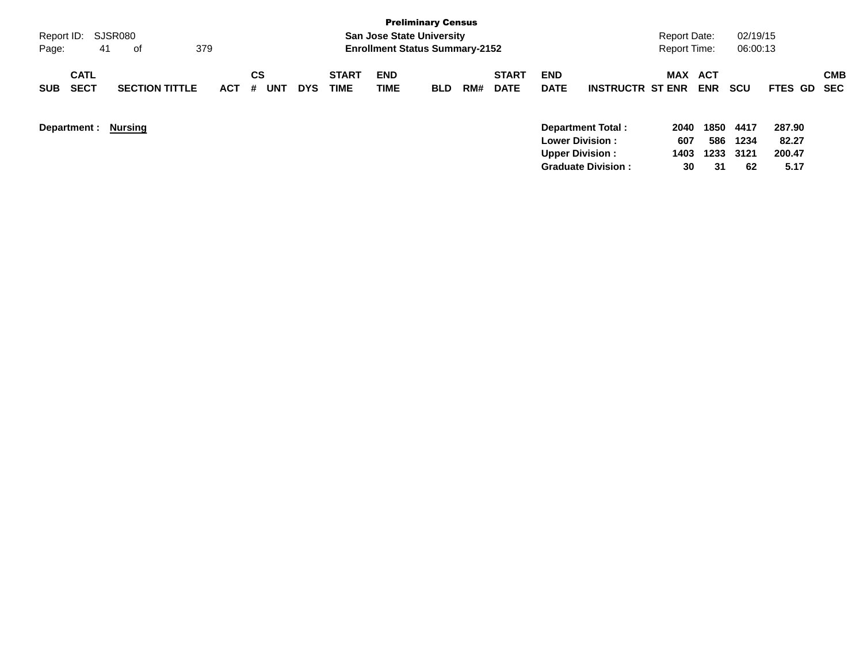|                                          |                       |            |                |            |                             |                                       | <b>Preliminary Census</b> |     |                             |                           |                           |                     |                   |              |                 |                   |
|------------------------------------------|-----------------------|------------|----------------|------------|-----------------------------|---------------------------------------|---------------------------|-----|-----------------------------|---------------------------|---------------------------|---------------------|-------------------|--------------|-----------------|-------------------|
| Report ID: SJSR080                       |                       |            |                |            |                             | <b>San Jose State University</b>      |                           |     |                             |                           |                           | Report Date:        |                   | 02/19/15     |                 |                   |
| 41<br>Page:                              | 0f                    | 379        |                |            |                             | <b>Enrollment Status Summary-2152</b> |                           |     |                             |                           |                           | <b>Report Time:</b> |                   | 06:00:13     |                 |                   |
| <b>CATL</b><br><b>SECT</b><br><b>SUB</b> | <b>SECTION TITTLE</b> | <b>ACT</b> | CS<br>UNT<br># | <b>DYS</b> | <b>START</b><br><b>TIME</b> | <b>END</b><br>TIME                    | <b>BLD</b>                | RM# | <b>START</b><br><b>DATE</b> | <b>END</b><br><b>DATE</b> | <b>INSTRUCTR ST ENR</b>   | MAX                 | ACT<br><b>ENR</b> | <b>SCU</b>   | <b>FTES GD</b>  | <b>CMB</b><br>SEC |
| Department :                             | Nursing               |            |                |            |                             |                                       |                           |     |                             | <b>Lower Division:</b>    | <b>Department Total:</b>  | 2040<br>607         | 1850<br>586       | 4417<br>1234 | 287.90<br>82.27 |                   |
|                                          |                       |            |                |            |                             |                                       |                           |     |                             | <b>Upper Division:</b>    |                           | 1403                | 1233              | 3121         | 200.47          |                   |
|                                          |                       |            |                |            |                             |                                       |                           |     |                             |                           | <b>Graduate Division:</b> | 30                  | 31                | 62           | 5.17            |                   |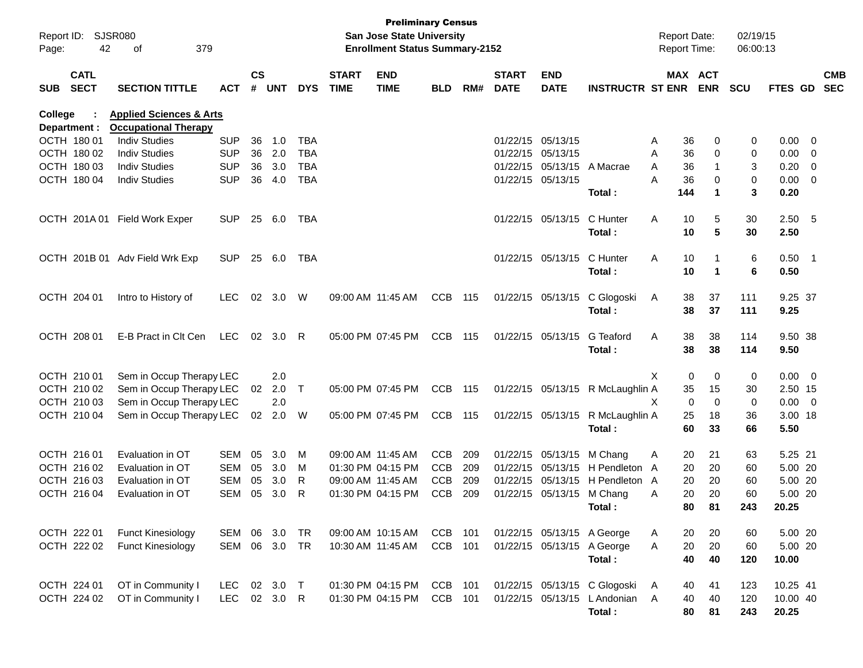| Report ID:<br>Page: | 42                         | <b>SJSR080</b><br>379<br>of        |            |               |        |            |                             | <b>Preliminary Census</b><br><b>San Jose State University</b><br><b>Enrollment Status Summary-2152</b> |            |     |                             |                           |                                  | <b>Report Date:</b><br><b>Report Time:</b> |                       | 02/19/15<br>06:00:13 |             |            |
|---------------------|----------------------------|------------------------------------|------------|---------------|--------|------------|-----------------------------|--------------------------------------------------------------------------------------------------------|------------|-----|-----------------------------|---------------------------|----------------------------------|--------------------------------------------|-----------------------|----------------------|-------------|------------|
| <b>SUB</b>          | <b>CATL</b><br><b>SECT</b> | <b>SECTION TITTLE</b>              | <b>ACT</b> | $\mathsf{cs}$ | # UNT  | <b>DYS</b> | <b>START</b><br><b>TIME</b> | <b>END</b><br><b>TIME</b>                                                                              | <b>BLD</b> | RM# | <b>START</b><br><b>DATE</b> | <b>END</b><br><b>DATE</b> | <b>INSTRUCTR ST ENR</b>          |                                            | MAX ACT<br><b>ENR</b> | <b>SCU</b>           | FTES GD SEC | <b>CMB</b> |
| College             |                            | <b>Applied Sciences &amp; Arts</b> |            |               |        |            |                             |                                                                                                        |            |     |                             |                           |                                  |                                            |                       |                      |             |            |
|                     | Department :               | <b>Occupational Therapy</b>        |            |               |        |            |                             |                                                                                                        |            |     |                             |                           |                                  |                                            |                       |                      |             |            |
|                     | OCTH 180 01                | <b>Indiv Studies</b>               | <b>SUP</b> | 36            | 1.0    | TBA        |                             |                                                                                                        |            |     | 01/22/15 05/13/15           |                           |                                  | 36<br>Α                                    | 0                     | 0                    | $0.00 \t 0$ |            |
|                     | OCTH 180 02                | <b>Indiv Studies</b>               | <b>SUP</b> | 36            | 2.0    | <b>TBA</b> |                             |                                                                                                        |            |     | 01/22/15 05/13/15           |                           |                                  | 36<br>A                                    | 0                     | 0                    | $0.00 \t 0$ |            |
|                     | OCTH 180 03                | <b>Indiv Studies</b>               | <b>SUP</b> | 36            | 3.0    | <b>TBA</b> |                             |                                                                                                        |            |     |                             |                           | 01/22/15 05/13/15 A Macrae       | 36<br>A                                    |                       | 3                    | $0.20 \ 0$  |            |
|                     | OCTH 180 04                | <b>Indiv Studies</b>               | <b>SUP</b> | 36            | 4.0    | <b>TBA</b> |                             |                                                                                                        |            |     |                             | 01/22/15 05/13/15         |                                  | Α<br>36                                    | 0                     | 0                    | $0.00 \t 0$ |            |
|                     |                            |                                    |            |               |        |            |                             |                                                                                                        |            |     |                             |                           | Total:                           | 144                                        | 1                     | 3                    | 0.20        |            |
|                     | OCTH 201A01                | <b>Field Work Exper</b>            | <b>SUP</b> | 25            | 6.0    | TBA        |                             |                                                                                                        |            |     |                             | 01/22/15 05/13/15         | C Hunter                         | Α<br>10                                    | 5                     | 30                   | 2.50 5      |            |
|                     |                            |                                    |            |               |        |            |                             |                                                                                                        |            |     |                             |                           | Total:                           | 10                                         | 5                     | 30                   | 2.50        |            |
|                     |                            | OCTH 201B 01 Adv Field Wrk Exp     | <b>SUP</b> | 25            | 6.0    | TBA        |                             |                                                                                                        |            |     |                             | 01/22/15 05/13/15         | C Hunter                         | Α<br>10                                    |                       | 6                    | $0.50$ 1    |            |
|                     |                            |                                    |            |               |        |            |                             |                                                                                                        |            |     |                             |                           | Total:                           | 10                                         | $\mathbf 1$           | 6                    | 0.50        |            |
|                     | OCTH 204 01                | Intro to History of                | <b>LEC</b> | 02            | 3.0    | W          |                             | 09:00 AM 11:45 AM                                                                                      | <b>CCB</b> | 115 |                             | 01/22/15 05/13/15         | C Glogoski                       | 38<br>A                                    | 37                    | 111                  | 9.25 37     |            |
|                     |                            |                                    |            |               |        |            |                             |                                                                                                        |            |     |                             |                           | Total:                           | 38                                         | 37                    | 111                  | 9.25        |            |
|                     | OCTH 208 01                | E-B Pract in Clt Cen               | <b>LEC</b> | 02            | 3.0    | R          |                             | 05:00 PM 07:45 PM                                                                                      | <b>CCB</b> | 115 |                             | 01/22/15 05/13/15         | G Teaford                        | Α<br>38                                    | 38                    | 114                  | 9.50 38     |            |
|                     |                            |                                    |            |               |        |            |                             |                                                                                                        |            |     |                             |                           | Total:                           | 38                                         | 38                    | 114                  | 9.50        |            |
|                     | OCTH 210 01                | Sem in Occup Therapy LEC           |            |               | 2.0    |            |                             |                                                                                                        |            |     |                             |                           |                                  | X                                          | 0<br>0                | 0                    | $0.00 \t 0$ |            |
|                     | OCTH 210 02                | Sem in Occup Therapy LEC           |            | 02            | 2.0    | $\top$     |                             | 05:00 PM 07:45 PM                                                                                      | <b>CCB</b> | 115 |                             |                           | 01/22/15 05/13/15 R McLaughlin A | 35                                         | 15                    | 30                   | 2.50 15     |            |
|                     | OCTH 210 03                | Sem in Occup Therapy LEC           |            |               | 2.0    |            |                             |                                                                                                        |            |     |                             |                           |                                  | X                                          | $\mathbf 0$<br>0      | 0                    | $0.00 \t 0$ |            |
|                     | OCTH 210 04                | Sem in Occup Therapy LEC           |            |               | 02 2.0 | W          |                             | 05:00 PM 07:45 PM                                                                                      | CCB 115    |     |                             |                           | 01/22/15 05/13/15 R McLaughlin A | 25                                         | 18                    | 36                   | 3.00 18     |            |
|                     |                            |                                    |            |               |        |            |                             |                                                                                                        |            |     |                             |                           | Total:                           | 60                                         | 33                    | 66                   | 5.50        |            |
|                     | OCTH 216 01                | Evaluation in OT                   | SEM        | 05            | 3.0    | M          |                             | 09:00 AM 11:45 AM                                                                                      | <b>CCB</b> | 209 |                             | 01/22/15 05/13/15 M Chang |                                  | 20<br>Α                                    | 21                    | 63                   | 5.25 21     |            |
|                     | OCTH 216 02                | Evaluation in OT                   | <b>SEM</b> | 05            | 3.0    | м          |                             | 01:30 PM 04:15 PM                                                                                      | <b>CCB</b> | 209 |                             |                           | 01/22/15 05/13/15 H Pendleton A  | 20                                         | 20                    | 60                   | 5.00 20     |            |
|                     | OCTH 216 03                | Evaluation in OT                   | <b>SEM</b> | 05            | 3.0    | R          |                             | 09:00 AM 11:45 AM                                                                                      | <b>CCB</b> | 209 |                             |                           | 01/22/15 05/13/15 H Pendleton A  | 20                                         | 20                    | 60                   | 5.00 20     |            |
|                     | OCTH 216 04                | Evaluation in OT                   | <b>SEM</b> | 05            | 3.0    | R          |                             | 01:30 PM 04:15 PM                                                                                      | <b>CCB</b> | 209 |                             | 01/22/15 05/13/15         | M Chang                          | 20<br>Α                                    | 20                    | 60                   | 5.00 20     |            |
|                     |                            |                                    |            |               |        |            |                             |                                                                                                        |            |     |                             |                           | Total:                           | 80                                         | 81                    | 243                  | 20.25       |            |
|                     | OCTH 222 01                | <b>Funct Kinesiology</b>           | SEM 06 3.0 |               |        | TR         |                             | 09:00 AM 10:15 AM                                                                                      | CCB 101    |     |                             |                           | 01/22/15 05/13/15 A George       | 20<br>A                                    | 20                    | 60                   | 5.00 20     |            |
|                     | OCTH 222 02                | <b>Funct Kinesiology</b>           | SEM 06 3.0 |               |        | TR         |                             | 10:30 AM 11:45 AM                                                                                      | CCB 101    |     |                             |                           | 01/22/15 05/13/15 A George       | 20<br>Α                                    | 20                    | 60                   | 5.00 20     |            |
|                     |                            |                                    |            |               |        |            |                             |                                                                                                        |            |     |                             |                           | Total:                           | 40                                         | 40                    | 120                  | 10.00       |            |
|                     | OCTH 224 01                | OT in Community I                  | LEC.       |               | 02 3.0 | $\top$     |                             | 01:30 PM 04:15 PM                                                                                      | CCB 101    |     |                             |                           | 01/22/15 05/13/15 C Glogoski     | A<br>40                                    | 41                    | 123                  | 10.25 41    |            |
|                     | OCTH 224 02                | OT in Community I                  | LEC        |               | 02 3.0 | R          |                             | 01:30 PM 04:15 PM                                                                                      | CCB 101    |     |                             |                           | 01/22/15 05/13/15 LAndonian A    | 40                                         | 40                    | 120                  | 10.00 40    |            |
|                     |                            |                                    |            |               |        |            |                             |                                                                                                        |            |     |                             |                           | Total:                           | 80                                         | 81                    | 243                  | 20.25       |            |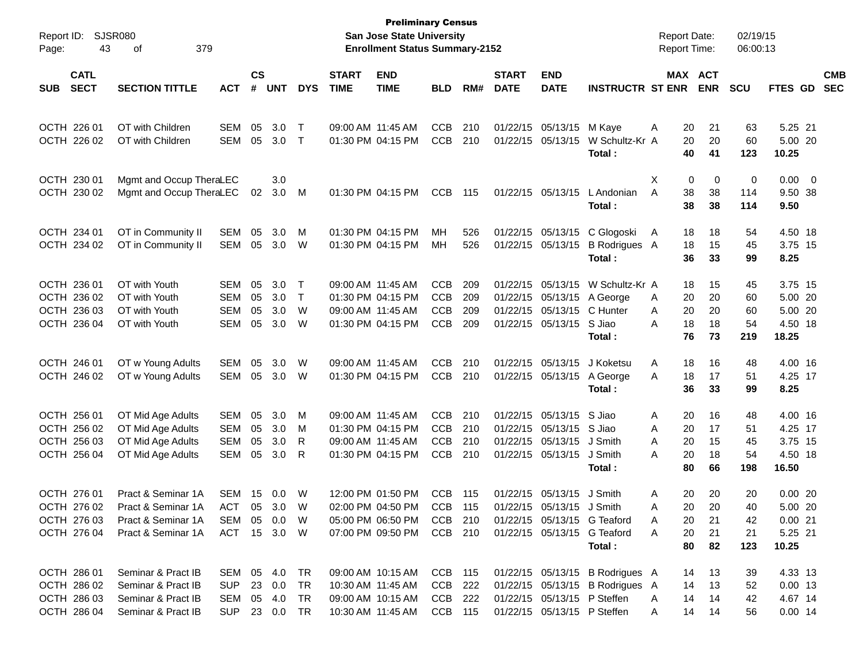| Report ID:                | <b>SJSR080</b>          |               |               |            |             |              | <b>Preliminary Census</b><br><b>San Jose State University</b> |            |     |              |                             |                                 | <b>Report Date:</b> |            | 02/19/15   |                  |                          |            |
|---------------------------|-------------------------|---------------|---------------|------------|-------------|--------------|---------------------------------------------------------------|------------|-----|--------------|-----------------------------|---------------------------------|---------------------|------------|------------|------------------|--------------------------|------------|
| Page:                     | 43<br>379<br>οf         |               |               |            |             |              | <b>Enrollment Status Summary-2152</b>                         |            |     |              |                             |                                 | <b>Report Time:</b> |            | 06:00:13   |                  |                          |            |
| <b>CATL</b>               |                         |               | $\mathsf{cs}$ |            |             | <b>START</b> | <b>END</b>                                                    |            |     | <b>START</b> | <b>END</b>                  |                                 |                     | MAX ACT    |            |                  |                          | <b>CMB</b> |
| <b>SECT</b><br><b>SUB</b> | <b>SECTION TITTLE</b>   | <b>ACT</b>    | #             | <b>UNT</b> | <b>DYS</b>  | <b>TIME</b>  | <b>TIME</b>                                                   | <b>BLD</b> | RM# | <b>DATE</b>  | <b>DATE</b>                 | <b>INSTRUCTR ST ENR</b>         |                     | <b>ENR</b> | <b>SCU</b> | <b>FTES GD</b>   |                          | <b>SEC</b> |
| OCTH 226 01               | OT with Children        | <b>SEM</b>    | 05            | 3.0        | $\mathsf T$ |              | 09:00 AM 11:45 AM                                             | <b>CCB</b> | 210 |              | 01/22/15 05/13/15           | M Kaye                          | 20<br>Α             | 21         | 63         | 5.25 21          |                          |            |
| OCTH 226 02               | OT with Children        | <b>SEM</b>    | 05            | 3.0        | $\top$      |              | 01:30 PM 04:15 PM                                             | <b>CCB</b> | 210 | 01/22/15     | 05/13/15                    | W Schultz-Kr A<br>Total:        | 20<br>40            | 20<br>41   | 60<br>123  | 5.00 20<br>10.25 |                          |            |
| OCTH 230 01               | Mgmt and Occup TheraLEC |               |               | 3.0        |             |              |                                                               |            |     |              |                             |                                 | X                   | 0<br>0     | 0          | 0.00             | $\overline{\phantom{0}}$ |            |
| OCTH 230 02               | Mgmt and Occup TheraLEC |               | 02            | 3.0        | M           |              | 01:30 PM 04:15 PM                                             | <b>CCB</b> | 115 |              | 01/22/15 05/13/15           | L Andonian                      | A<br>38             | 38         | 114        | 9.50 38          |                          |            |
|                           |                         |               |               |            |             |              |                                                               |            |     |              |                             | Total:                          | 38                  | 38         | 114        | 9.50             |                          |            |
| OCTH 234 01               | OT in Community II      | SEM           | 05            | 3.0        | M           |              | 01:30 PM 04:15 PM                                             | MH         | 526 |              | 01/22/15 05/13/15           | C Glogoski                      | A<br>18             | 18         | 54         | 4.50 18          |                          |            |
| OCTH 234 02               | OT in Community II      | SEM           | 05            | 3.0        | W           |              | 01:30 PM 04:15 PM                                             | MH         | 526 |              | 01/22/15 05/13/15           | B Rodrigues A                   | 18                  | 15         | 45         | 3.75 15          |                          |            |
|                           |                         |               |               |            |             |              |                                                               |            |     |              |                             | Total:                          | 36                  | 33         | 99         | 8.25             |                          |            |
| OCTH 236 01               | OT with Youth           | <b>SEM</b>    | 05            | 3.0        | Т           |              | 09:00 AM 11:45 AM                                             | <b>CCB</b> | 209 |              | 01/22/15 05/13/15           | W Schultz-Kr A                  | 18                  | 15         | 45         | 3.75 15          |                          |            |
| OCTH 236 02               | OT with Youth           | <b>SEM</b>    | 05            | 3.0        | $\top$      |              | 01:30 PM 04:15 PM                                             | <b>CCB</b> | 209 |              | 01/22/15 05/13/15           | A George                        | 20<br>A             | 20         | 60         | 5.00 20          |                          |            |
| OCTH 236 03               | OT with Youth           | <b>SEM</b>    | 05            | 3.0        | W           |              | 09:00 AM 11:45 AM                                             | <b>CCB</b> | 209 |              | 01/22/15 05/13/15           | C Hunter                        | 20<br>A             | 20         | 60         | 5.00 20          |                          |            |
| OCTH 236 04               | OT with Youth           | <b>SEM</b>    | 05            | 3.0        | W           |              | 01:30 PM 04:15 PM                                             | <b>CCB</b> | 209 |              | 01/22/15 05/13/15           | S Jiao                          | 18<br>Α             | 18         | 54         | 4.50 18          |                          |            |
|                           |                         |               |               |            |             |              |                                                               |            |     |              |                             | Total:                          | 76                  | 73         | 219        | 18.25            |                          |            |
| OCTH 246 01               | OT w Young Adults       | <b>SEM</b>    | 05            | 3.0        | W           |              | 09:00 AM 11:45 AM                                             | <b>CCB</b> | 210 |              | 01/22/15 05/13/15           | J Koketsu                       | 18<br>A             | 16         | 48         | 4.00 16          |                          |            |
| OCTH 246 02               | OT w Young Adults       | SEM           | 05            | 3.0        | W           |              | 01:30 PM 04:15 PM                                             | <b>CCB</b> | 210 |              | 01/22/15 05/13/15           | A George                        | 18<br>A             | 17         | 51         | 4.25 17          |                          |            |
|                           |                         |               |               |            |             |              |                                                               |            |     |              |                             | Total:                          | 36                  | 33         | 99         | 8.25             |                          |            |
| OCTH 256 01               | OT Mid Age Adults       | SEM           | 05            | 3.0        | M           |              | 09:00 AM 11:45 AM                                             | <b>CCB</b> | 210 |              | 01/22/15 05/13/15           | S Jiao                          | 20<br>A             | 16         | 48         | 4.00 16          |                          |            |
| OCTH 256 02               | OT Mid Age Adults       | <b>SEM</b>    | 05            | 3.0        | M           |              | 01:30 PM 04:15 PM                                             | <b>CCB</b> | 210 |              | 01/22/15 05/13/15           | S Jiao                          | 20<br>Α             | 17         | 51         | 4.25 17          |                          |            |
| OCTH 256 03               | OT Mid Age Adults       | <b>SEM</b>    | 05            | 3.0        | R           |              | 09:00 AM 11:45 AM                                             | <b>CCB</b> | 210 |              | 01/22/15 05/13/15           | J Smith                         | A<br>20             | 15         | 45         | 3.75 15          |                          |            |
| OCTH 256 04               | OT Mid Age Adults       | <b>SEM</b>    | 05            | 3.0        | R           |              | 01:30 PM 04:15 PM                                             | <b>CCB</b> | 210 |              | 01/22/15 05/13/15           | J Smith                         | 20<br>А             | 18         | 54         | 4.50 18          |                          |            |
|                           |                         |               |               |            |             |              |                                                               |            |     |              |                             | Total:                          | 80                  | 66         | 198        | 16.50            |                          |            |
| OCTH 276 01               | Pract & Seminar 1A      | SEM           | 15            | 0.0        | W           |              | 12:00 PM 01:50 PM                                             | <b>CCB</b> | 115 |              | 01/22/15 05/13/15           | J Smith                         | 20<br>Α             | 20         | 20         | 0.0020           |                          |            |
| OCTH 276 02               | Pract & Seminar 1A      | ACT 05 3.0 W  |               |            |             |              | 02:00 PM 04:50 PM                                             | CCB 115    |     |              | 01/22/15 05/13/15 J Smith   |                                 | Α                   | 20<br>20   | 40         | 5.00 20          |                          |            |
| OCTH 276 03               | Pract & Seminar 1A      | SEM 05 0.0 W  |               |            |             |              | 05:00 PM 06:50 PM                                             | CCB 210    |     |              |                             | 01/22/15 05/13/15 G Teaford     | A                   | 21<br>20   | 42         | 0.0021           |                          |            |
| OCTH 276 04               | Pract & Seminar 1A      | ACT 15 3.0 W  |               |            |             |              | 07:00 PM 09:50 PM CCB 210                                     |            |     |              |                             | 01/22/15 05/13/15 G Teaford     | 20<br>A             | 21         | 21         | 5.25 21          |                          |            |
|                           |                         |               |               |            |             |              |                                                               |            |     |              |                             | Total:                          | 80                  | 82         | 123        | 10.25            |                          |            |
| OCTH 286 01               | Seminar & Pract IB      | SEM 05 4.0 TR |               |            |             |              | 09:00 AM 10:15 AM                                             | CCB 115    |     |              |                             | 01/22/15 05/13/15 B Rodrigues A | 14                  | 13         | 39         | 4.33 13          |                          |            |
| OCTH 286 02               | Seminar & Pract IB      | <b>SUP</b>    |               | 23 0.0     | TR          |              | 10:30 AM 11:45 AM                                             | CCB        | 222 |              |                             | 01/22/15 05/13/15 B Rodrigues A | 14                  | 13         | 52         | $0.00$ 13        |                          |            |
| OCTH 286 03               | Seminar & Pract IB      | SEM           |               | 05 4.0     | TR          |              | 09:00 AM 10:15 AM                                             | CCB        | 222 |              |                             | 01/22/15 05/13/15 P Steffen     | 14<br>A             | 14         | 42         | 4.67 14          |                          |            |
| OCTH 286 04               | Seminar & Pract IB      | SUP 23 0.0 TR |               |            |             |              | 10:30 AM 11:45 AM                                             | CCB 115    |     |              | 01/22/15 05/13/15 P Steffen |                                 | 14<br>A             | 14         | 56         | $0.00$ 14        |                          |            |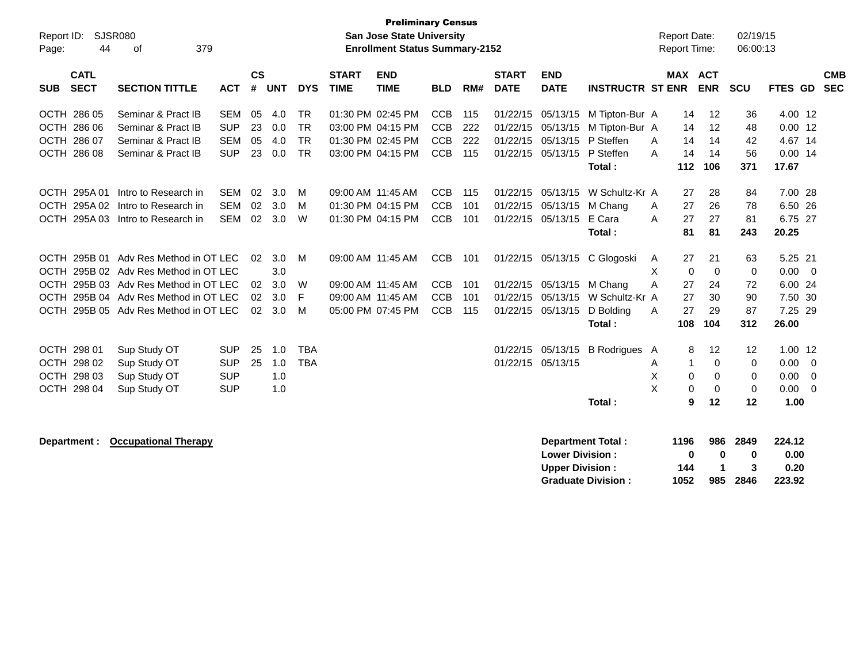| Report ID:<br>Page: | 44                         | <b>SJSR080</b><br>379<br>of           |            |                    |            | <b>Report Date:</b><br><b>Report Time:</b> |                             | 02/19/15<br>06:00:13      |            |     |                             |                           |                           |   |         |             |             |                  |                          |                          |
|---------------------|----------------------------|---------------------------------------|------------|--------------------|------------|--------------------------------------------|-----------------------------|---------------------------|------------|-----|-----------------------------|---------------------------|---------------------------|---|---------|-------------|-------------|------------------|--------------------------|--------------------------|
| <b>SUB</b>          | <b>CATL</b><br><b>SECT</b> | <b>SECTION TITTLE</b>                 | <b>ACT</b> | $\mathsf{cs}$<br># | <b>UNT</b> | <b>DYS</b>                                 | <b>START</b><br><b>TIME</b> | <b>END</b><br><b>TIME</b> | <b>BLD</b> | RM# | <b>START</b><br><b>DATE</b> | <b>END</b><br><b>DATE</b> | <b>INSTRUCTR ST ENR</b>   |   | MAX ACT | <b>ENR</b>  | <b>SCU</b>  | FTES GD          |                          | <b>CMB</b><br><b>SEC</b> |
|                     | OCTH 286 05                | Seminar & Pract IB                    | <b>SEM</b> | 05                 | 4.0        | <b>TR</b>                                  |                             | 01:30 PM 02:45 PM         | <b>CCB</b> | 115 | 01/22/15                    | 05/13/15                  | M Tipton-Bur A            |   | 14      | 12          | 36          | 4.00 12          |                          |                          |
|                     | OCTH 286 06                | Seminar & Pract IB                    | <b>SUP</b> | 23                 | 0.0        | <b>TR</b>                                  |                             | 03:00 PM 04:15 PM         | <b>CCB</b> | 222 | 01/22/15                    | 05/13/15                  | M Tipton-Bur A            |   | 14      | 12          | 48          | $0.00$ 12        |                          |                          |
|                     | OCTH 286 07                | Seminar & Pract IB                    | <b>SEM</b> | 05                 | 4.0        | <b>TR</b>                                  |                             | 01:30 PM 02:45 PM         | <b>CCB</b> | 222 | 01/22/15                    | 05/13/15                  | P Steffen                 | A | 14      | 14          | 42          | 4.67 14          |                          |                          |
|                     | OCTH 286 08                | Seminar & Pract IB                    | <b>SUP</b> | 23                 | 0.0        | <b>TR</b>                                  |                             | 03:00 PM 04:15 PM         | <b>CCB</b> | 115 | 01/22/15                    | 05/13/15                  | P Steffen                 | A | 14      | 14          | 56          | $0.00$ 14        |                          |                          |
|                     |                            |                                       |            |                    |            |                                            |                             |                           |            |     |                             |                           | Total:                    |   | 112     | 106         | 371         | 17.67            |                          |                          |
|                     | OCTH 295A 01               | Intro to Research in                  | <b>SEM</b> | 02                 | 3.0        | м                                          |                             | 09:00 AM 11:45 AM         | <b>CCB</b> | 115 | 01/22/15                    | 05/13/15                  | W Schultz-Kr A            |   | 27      | 28          | 84          | 7.00 28          |                          |                          |
|                     | OCTH 295A 02               | Intro to Research in                  | <b>SEM</b> | 02                 | 3.0        | м                                          |                             | 01:30 PM 04:15 PM         | <b>CCB</b> | 101 | 01/22/15                    | 05/13/15                  | M Chang                   | A | 27      | 26          | 78          | 6.50 26          |                          |                          |
|                     | OCTH 295A03                | Intro to Research in                  | <b>SEM</b> | 02                 | 3.0        | W                                          |                             | 01:30 PM 04:15 PM         | <b>CCB</b> | 101 | 01/22/15                    | 05/13/15                  | E Cara                    | A | 27      | 27          | 81          | 6.75 27          |                          |                          |
|                     |                            |                                       |            |                    |            |                                            |                             |                           |            |     |                             |                           | Total:                    |   | 81      | 81          | 243         | 20.25            |                          |                          |
|                     |                            |                                       |            |                    |            |                                            |                             |                           |            |     |                             |                           |                           |   |         |             |             |                  |                          |                          |
|                     | OCTH 295B 01               | Adv Res Method in OT LEC              |            | 02                 | 3.0        | M                                          |                             | 09:00 AM 11:45 AM         | <b>CCB</b> | 101 | 01/22/15                    | 05/13/15                  | C Glogoski                | A | 27      | 21          | 63          | 5.25 21          |                          |                          |
|                     |                            | OCTH 295B 02 Adv Res Method in OT LEC |            |                    | 3.0        |                                            |                             |                           |            |     |                             |                           |                           | X | 0       | $\mathbf 0$ | 0           | 0.00             | $\overline{\phantom{0}}$ |                          |
|                     |                            | OCTH 295B 03 Adv Res Method in OT LEC |            | 02                 | 3.0        | W                                          |                             | 09:00 AM 11:45 AM         | <b>CCB</b> | 101 | 01/22/15                    | 05/13/15                  | M Chang                   | Α | 27      | 24          | 72          | 6.00 24          |                          |                          |
|                     |                            | OCTH 295B 04 Adv Res Method in OT LEC |            | 02                 | 3.0        | F                                          |                             | 09:00 AM 11:45 AM         | <b>CCB</b> | 101 | 01/22/15                    | 05/13/15                  | W Schultz-Kr A            |   | 27      | 30          | 90          | 7.50 30          |                          |                          |
|                     |                            | OCTH 295B 05 Adv Res Method in OT LEC |            | 02                 | 3.0        | м                                          |                             | 05:00 PM 07:45 PM         | <b>CCB</b> | 115 | 01/22/15                    | 05/13/15                  | D Bolding                 | A | 27      | 29<br>104   | 87<br>312   | 7.25 29<br>26.00 |                          |                          |
|                     |                            |                                       |            |                    |            |                                            |                             |                           |            |     |                             |                           | Total:                    |   | 108     |             |             |                  |                          |                          |
|                     | OCTH 298 01                | Sup Study OT                          | <b>SUP</b> | 25                 | 1.0        | <b>TBA</b>                                 |                             |                           |            |     | 01/22/15                    | 05/13/15                  | B Rodrigues A             |   | 8       | 12          | 12          | $1.00$ 12        |                          |                          |
|                     | OCTH 298 02                | Sup Study OT                          | <b>SUP</b> | 25                 | 1.0        | <b>TBA</b>                                 |                             |                           |            |     | 01/22/15 05/13/15           |                           |                           | A | 1       | $\Omega$    | $\mathbf 0$ | 0.00             | - 0                      |                          |
|                     | OCTH 298 03                | Sup Study OT                          | <b>SUP</b> |                    | 1.0        |                                            |                             |                           |            |     |                             |                           |                           | X | 0       | 0           | 0           | 0.00             | - 0                      |                          |
|                     | OCTH 298 04                | Sup Study OT                          | <b>SUP</b> |                    | 1.0        |                                            |                             |                           |            |     |                             |                           |                           | X | 0       | 0           | $\mathbf 0$ | $0.00 \ 0$       |                          |                          |
|                     |                            |                                       |            |                    |            |                                            |                             |                           |            |     |                             |                           | Total:                    |   | 9       | 12          | 12          | 1.00             |                          |                          |
|                     |                            |                                       |            |                    |            |                                            |                             |                           |            |     |                             |                           |                           |   |         |             |             |                  |                          |                          |
|                     | Department :               | <b>Occupational Therapy</b>           |            |                    |            |                                            |                             |                           |            |     |                             |                           | <b>Department Total:</b>  |   | 1196    | 986         | 2849        | 224.12           |                          |                          |
|                     |                            |                                       |            |                    |            |                                            |                             |                           |            |     |                             | <b>Lower Division:</b>    |                           |   | 0       | 0           | 0           | 0.00             |                          |                          |
|                     |                            |                                       |            |                    |            |                                            |                             |                           |            |     |                             | <b>Upper Division:</b>    |                           |   | 144     | $\mathbf 1$ | 3           | 0.20             |                          |                          |
|                     |                            |                                       |            |                    |            |                                            |                             |                           |            |     |                             |                           | <b>Graduate Division:</b> |   | 1052    | 985         | 2846        | 223.92           |                          |                          |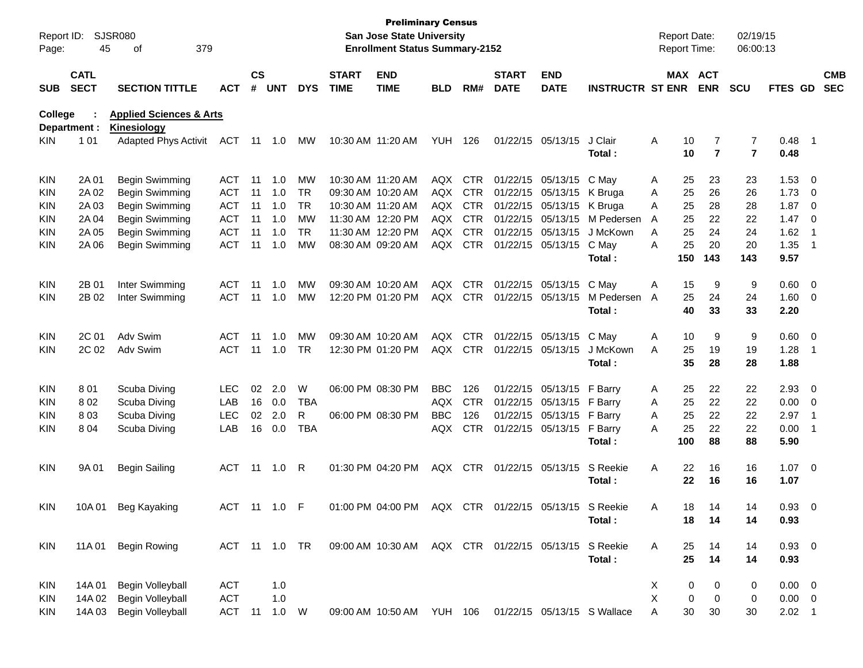| Report ID:<br>Page: | 45                         | SJSR080<br>379<br>οf                                     |               |                    |            |            |                             | <b>Preliminary Census</b><br>San Jose State University<br><b>Enrollment Status Summary-2152</b> |            |            |                             |                            |                         |   | <b>Report Date:</b><br>Report Time: |                              | 02/19/15<br>06:00:13 |                |                          |                          |
|---------------------|----------------------------|----------------------------------------------------------|---------------|--------------------|------------|------------|-----------------------------|-------------------------------------------------------------------------------------------------|------------|------------|-----------------------------|----------------------------|-------------------------|---|-------------------------------------|------------------------------|----------------------|----------------|--------------------------|--------------------------|
| <b>SUB</b>          | <b>CATL</b><br><b>SECT</b> | <b>SECTION TITTLE</b>                                    | <b>ACT</b>    | $\mathsf{cs}$<br># | <b>UNT</b> | <b>DYS</b> | <b>START</b><br><b>TIME</b> | <b>END</b><br><b>TIME</b>                                                                       | BLD        | RM#        | <b>START</b><br><b>DATE</b> | <b>END</b><br><b>DATE</b>  | <b>INSTRUCTR ST ENR</b> |   | MAX ACT                             | <b>ENR</b>                   | <b>SCU</b>           | FTES GD        |                          | <b>CMB</b><br><b>SEC</b> |
| <b>College</b>      | Department :               | <b>Applied Sciences &amp; Arts</b><br><b>Kinesiology</b> |               |                    |            |            |                             |                                                                                                 |            |            |                             |                            |                         |   |                                     |                              |                      |                |                          |                          |
| KIN.                | 1 0 1                      | <b>Adapted Phys Activit</b>                              | ACT           | 11                 | 1.0        | МW         |                             | 10:30 AM 11:20 AM                                                                               | YUH        | 126        |                             | 01/22/15 05/13/15          | J Clair<br>Total:       | Α | 10<br>10                            | 7<br>$\overline{\mathbf{r}}$ | 7<br>$\overline{7}$  | 0.48<br>0.48   | $\overline{\phantom{1}}$ |                          |
| KIN                 | 2A 01                      | Begin Swimming                                           | ACT           | 11                 | 1.0        | MW         |                             | 10:30 AM 11:20 AM                                                                               | AQX        | <b>CTR</b> |                             | 01/22/15 05/13/15          | C May                   | A | 25                                  | 23                           | 23                   | 1.53           | 0                        |                          |
| KIN                 | 2A 02                      | Begin Swimming                                           | <b>ACT</b>    | 11                 | 1.0        | <b>TR</b>  |                             | 09:30 AM 10:20 AM                                                                               | AQX        | <b>CTR</b> |                             | 01/22/15 05/13/15          | K Bruga                 | Α | 25                                  | 26                           | 26                   | 1.73           | 0                        |                          |
| KIN                 | 2A 03                      | Begin Swimming                                           | <b>ACT</b>    | 11                 | 1.0        | <b>TR</b>  |                             | 10:30 AM 11:20 AM                                                                               | AQX        | <b>CTR</b> |                             | 01/22/15 05/13/15          | K Bruga                 | Α | 25                                  | 28                           | 28                   | 1.87           | 0                        |                          |
| KIN                 | 2A 04                      | Begin Swimming                                           | <b>ACT</b>    | 11                 | 1.0        | МW         |                             | 11:30 AM 12:20 PM                                                                               | AQX        | <b>CTR</b> |                             | 01/22/15 05/13/15          | M Pedersen              | A | 25                                  | 22                           | 22                   | 1.47           | 0                        |                          |
| KIN                 | 2A 05                      | Begin Swimming                                           | <b>ACT</b>    | 11                 | 1.0        | <b>TR</b>  |                             | 11:30 AM 12:20 PM                                                                               | AQX        | <b>CTR</b> |                             | 01/22/15 05/13/15          | J McKown                | Α | 25                                  | 24                           | 24                   | 1.62           | $\overline{1}$           |                          |
| KIN                 | 2A 06                      | Begin Swimming                                           | <b>ACT</b>    | 11                 | 1.0        | МW         |                             | 08:30 AM 09:20 AM                                                                               | AQX        | <b>CTR</b> |                             | 01/22/15 05/13/15          | C May                   | Α | 25                                  | 20                           | 20                   | 1.35           | $\overline{1}$           |                          |
|                     |                            |                                                          |               |                    |            |            |                             |                                                                                                 |            |            |                             |                            | Total:                  |   | 150                                 | 143                          | 143                  | 9.57           |                          |                          |
| KIN                 | 2B 01                      | Inter Swimming                                           | ACT           | 11                 | 1.0        | МW         |                             | 09:30 AM 10:20 AM                                                                               | AQX        | <b>CTR</b> |                             | 01/22/15 05/13/15          | C May                   | Α | 15                                  | 9                            | 9                    | 0.60           | $\overline{0}$           |                          |
| KIN                 | 2B 02                      | Inter Swimming                                           | <b>ACT</b>    | 11                 | 1.0        | МW         |                             | 12:20 PM 01:20 PM                                                                               | AQX        | <b>CTR</b> |                             | 01/22/15 05/13/15          | M Pedersen              | A | 25                                  | 24                           | 24                   | 1.60           | 0                        |                          |
|                     |                            |                                                          |               |                    |            |            |                             |                                                                                                 |            |            |                             |                            | Total:                  |   | 40                                  | 33                           | 33                   | 2.20           |                          |                          |
| <b>KIN</b>          | 2C 01                      | Adv Swim                                                 | ACT           | 11                 | 1.0        | МW         |                             | 09:30 AM 10:20 AM                                                                               | AQX        | <b>CTR</b> |                             | 01/22/15 05/13/15          | C May                   | Α | 10                                  | 9                            | 9                    | 0.60           | $\overline{\mathbf{0}}$  |                          |
| KIN                 | 2C 02                      | Adv Swim                                                 | <b>ACT</b>    | 11                 | 1.0        | <b>TR</b>  |                             | 12:30 PM 01:20 PM                                                                               | AQX        | <b>CTR</b> |                             | 01/22/15 05/13/15          | J McKown                | Α | 25                                  | 19                           | 19                   | 1.28           | -1                       |                          |
|                     |                            |                                                          |               |                    |            |            |                             |                                                                                                 |            |            |                             |                            | Total:                  |   | 35                                  | 28                           | 28                   | 1.88           |                          |                          |
| KIN                 | 801                        | Scuba Diving                                             | <b>LEC</b>    | 02                 | 2.0        | W          |                             | 06:00 PM 08:30 PM                                                                               | <b>BBC</b> | 126        |                             | 01/22/15 05/13/15 F Barry  |                         | A | 25                                  | 22                           | 22                   | 2.93           | 0                        |                          |
| KIN                 | 802                        | Scuba Diving                                             | LAB           | 16                 | 0.0        | TBA        |                             |                                                                                                 | AQX        | <b>CTR</b> |                             | 01/22/15 05/13/15          | F Barry                 | A | 25                                  | 22                           | 22                   | 0.00           | $\mathbf 0$              |                          |
| KIN                 | 803                        | Scuba Diving                                             | LEC           | 02                 | 2.0        | R          |                             | 06:00 PM 08:30 PM                                                                               | <b>BBC</b> | 126        |                             | 01/22/15 05/13/15          | F Barry                 | Α | 25                                  | 22                           | 22                   | 2.97           | $\overline{1}$           |                          |
| KIN                 | 804                        | Scuba Diving                                             | LAB           | 16                 | 0.0        | <b>TBA</b> |                             |                                                                                                 | AQX        | <b>CTR</b> |                             | 01/22/15 05/13/15          | F Barry                 | Α | 25                                  | 22                           | 22                   | 0.00           | -1                       |                          |
|                     |                            |                                                          |               |                    |            |            |                             |                                                                                                 |            |            |                             |                            | Total:                  |   | 100                                 | 88                           | 88                   | 5.90           |                          |                          |
| KIN                 | 9A 01                      | <b>Begin Sailing</b>                                     | <b>ACT</b>    | 11                 | 1.0        | R          |                             | 01:30 PM 04:20 PM                                                                               | AQX        | CTR        |                             | 01/22/15 05/13/15          | S Reekie                | A | 22                                  | 16                           | 16                   | 1.07           | $\overline{\mathbf{0}}$  |                          |
|                     |                            |                                                          |               |                    |            |            |                             |                                                                                                 |            |            |                             |                            | Total:                  |   | 22                                  | 16                           | 16                   | 1.07           |                          |                          |
| KIN                 | 10A 01                     | <b>Beg Kayaking</b>                                      | ACT 11 1.0 F  |                    |            |            |                             | 01:00 PM 04:00 PM                                                                               | AQX        | <b>CTR</b> |                             | 01/22/15 05/13/15 S Reekie |                         | Α | 18.                                 | 14                           | 14                   | 0.93           | $\Omega$                 |                          |
|                     |                            |                                                          |               |                    |            |            |                             |                                                                                                 |            |            |                             |                            | Total:                  |   | 18                                  | 14                           | 14                   | 0.93           |                          |                          |
| <b>KIN</b>          | 11A 01                     | <b>Begin Rowing</b>                                      | ACT 11 1.0 TR |                    |            |            |                             | 09:00 AM 10:30 AM AQX CTR 01/22/15 05/13/15 S Reekie                                            |            |            |                             |                            |                         | Α | 25                                  | 14                           | 14                   | $0.93 \ 0$     |                          |                          |
|                     |                            |                                                          |               |                    |            |            |                             |                                                                                                 |            |            |                             |                            | Total:                  |   | 25                                  | 14                           | 14                   | 0.93           |                          |                          |
| <b>KIN</b>          | 14A 01                     | Begin Volleyball                                         | <b>ACT</b>    |                    | 1.0        |            |                             |                                                                                                 |            |            |                             |                            |                         | X | 0                                   | 0                            | 0                    | $0.00 \quad 0$ |                          |                          |
| KIN                 | 14A 02                     | Begin Volleyball                                         | <b>ACT</b>    |                    | 1.0        |            |                             |                                                                                                 |            |            |                             |                            |                         | X | 0                                   | 0                            | 0                    | $0.00 \t 0$    |                          |                          |
| KIN                 | 14A 03                     | Begin Volleyball                                         | ACT 11        |                    | 1.0 W      |            |                             | 09:00 AM 10:50 AM YUH 106 01/22/15 05/13/15 S Wallace                                           |            |            |                             |                            |                         | Α | 30                                  | 30                           | 30                   | $2.02$ 1       |                          |                          |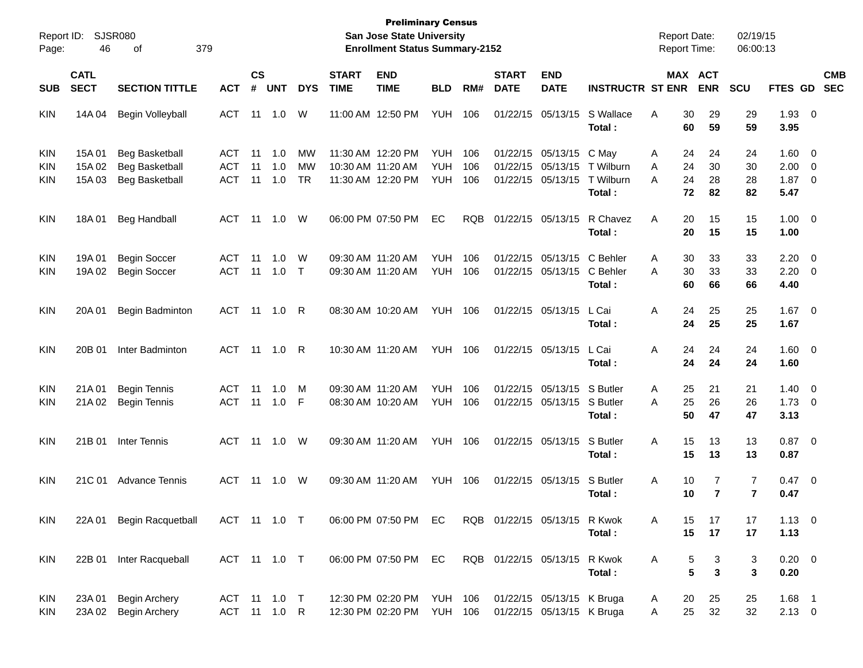| Report ID:                             |                            | <b>SJSR080</b>                                                          |                                        |                    |                              |                              |                             | <b>Preliminary Census</b><br><b>San Jose State University</b> |                                        |                   |                                  |                                                        |                                           | <b>Report Date:</b> |                                              | 02/19/15             |                              |                                                         |                          |
|----------------------------------------|----------------------------|-------------------------------------------------------------------------|----------------------------------------|--------------------|------------------------------|------------------------------|-----------------------------|---------------------------------------------------------------|----------------------------------------|-------------------|----------------------------------|--------------------------------------------------------|-------------------------------------------|---------------------|----------------------------------------------|----------------------|------------------------------|---------------------------------------------------------|--------------------------|
| Page:                                  | 46                         | 379<br>οf                                                               |                                        |                    |                              |                              |                             | <b>Enrollment Status Summary-2152</b>                         |                                        |                   |                                  |                                                        |                                           | Report Time:        |                                              | 06:00:13             |                              |                                                         |                          |
| SUB                                    | <b>CATL</b><br><b>SECT</b> | <b>SECTION TITTLE</b>                                                   | <b>ACT</b>                             | $\mathsf{cs}$<br># | <b>UNT</b>                   | <b>DYS</b>                   | <b>START</b><br><b>TIME</b> | <b>END</b><br><b>TIME</b>                                     | <b>BLD</b>                             | RM#               | <b>START</b><br><b>DATE</b>      | <b>END</b><br><b>DATE</b>                              | <b>INSTRUCTR ST ENR</b>                   |                     | MAX ACT<br><b>ENR</b>                        | SCU                  | FTES GD                      |                                                         | <b>CMB</b><br><b>SEC</b> |
| <b>KIN</b>                             | 14A 04                     | Begin Volleyball                                                        | <b>ACT</b>                             | 11                 | 1.0                          | W                            |                             | 11:00 AM 12:50 PM                                             | <b>YUH</b>                             | 106               | 01/22/15                         | 05/13/15                                               | S Wallace<br>Total:                       | A                   | 30<br>29<br>60<br>59                         | 29<br>59             | 1.93<br>3.95                 | $\overline{\phantom{0}}$                                |                          |
| <b>KIN</b><br><b>KIN</b><br><b>KIN</b> | 15A 01<br>15A 02<br>15A 03 | <b>Beg Basketball</b><br><b>Beg Basketball</b><br><b>Beg Basketball</b> | <b>ACT</b><br><b>ACT</b><br><b>ACT</b> | 11<br>11<br>11     | 1.0<br>1.0<br>1.0            | МW<br><b>MW</b><br><b>TR</b> |                             | 11:30 AM 12:20 PM<br>10:30 AM 11:20 AM<br>11:30 AM 12:20 PM   | <b>YUH</b><br><b>YUH</b><br><b>YUH</b> | 106<br>106<br>106 | 01/22/15<br>01/22/15<br>01/22/15 | 05/13/15<br>05/13/15<br>05/13/15                       | C May<br>T Wilburn<br>T Wilburn<br>Total: | A<br>Α<br>Α         | 24<br>24<br>24<br>30<br>24<br>28<br>72<br>82 | 24<br>30<br>28<br>82 | 1.60<br>2.00<br>1.87<br>5.47 | $\overline{\mathbf{0}}$<br>0<br>$\overline{\mathbf{0}}$ |                          |
| <b>KIN</b>                             | 18A01                      | <b>Beg Handball</b>                                                     | <b>ACT</b>                             | 11                 | 1.0                          | W                            |                             | 06:00 PM 07:50 PM                                             | EC                                     | <b>RQB</b>        |                                  | 01/22/15 05/13/15                                      | R Chavez<br>Total:                        | A                   | 20<br>15<br>20<br>15                         | 15<br>15             | 1.00<br>1.00                 | $\overline{0}$                                          |                          |
| <b>KIN</b><br>KIN                      | 19A 01<br>19A 02           | <b>Begin Soccer</b><br><b>Begin Soccer</b>                              | <b>ACT</b><br><b>ACT</b>               | 11<br>11           | 1.0<br>1.0                   | W<br>$\top$                  |                             | 09:30 AM 11:20 AM<br>09:30 AM 11:20 AM                        | <b>YUH</b><br><b>YUH</b>               | 106<br>106        | 01/22/15                         | 05/13/15<br>01/22/15 05/13/15                          | C Behler<br>C Behler<br>Total:            | Α<br>A              | 30<br>33<br>30<br>33<br>60<br>66             | 33<br>33<br>66       | 2.20<br>2.20<br>4.40         | $\overline{0}$<br>$\overline{0}$                        |                          |
| <b>KIN</b>                             | 20A 01                     | Begin Badminton                                                         | <b>ACT</b>                             | 11                 | 1.0                          | R                            |                             | 08:30 AM 10:20 AM                                             | <b>YUH</b>                             | 106               |                                  | 01/22/15 05/13/15                                      | L Cai<br>Total:                           | A                   | 24<br>25<br>24<br>25                         | 25<br>25             | 1.67<br>1.67                 | $\overline{\phantom{0}}$                                |                          |
| <b>KIN</b>                             | 20B 01                     | Inter Badminton                                                         | <b>ACT</b>                             | 11                 | 1.0                          | R                            |                             | 10:30 AM 11:20 AM                                             | YUH                                    | 106               |                                  | 01/22/15 05/13/15                                      | L Cai<br>Total:                           | A                   | 24<br>24<br>24<br>24                         | 24<br>24             | $1.60 \t 0$<br>1.60          |                                                         |                          |
| <b>KIN</b><br><b>KIN</b>               | 21A01<br>21A 02            | <b>Begin Tennis</b><br><b>Begin Tennis</b>                              | <b>ACT</b><br><b>ACT</b>               | 11<br>11           | 1.0<br>1.0                   | M<br>F                       |                             | 09:30 AM 11:20 AM<br>08:30 AM 10:20 AM                        | <b>YUH</b><br><b>YUH</b>               | 106<br>106        | 01/22/15                         | 05/13/15<br>01/22/15 05/13/15                          | S Butler<br>S Butler<br>Total:            | Α<br>A              | 21<br>25<br>25<br>26<br>50<br>47             | 21<br>26<br>47       | 1.40<br>1.73<br>3.13         | $\overline{0}$<br>$\overline{\mathbf{0}}$               |                          |
| <b>KIN</b>                             | 21B 01                     | Inter Tennis                                                            | <b>ACT</b>                             | 11                 | 1.0                          | W                            |                             | 09:30 AM 11:20 AM                                             | <b>YUH</b>                             | 106               |                                  | 01/22/15 05/13/15                                      | S Butler<br>Total:                        | A                   | 15<br>13<br>15<br>13                         | 13<br>13             | 0.87<br>0.87                 | $\overline{\phantom{0}}$                                |                          |
| <b>KIN</b>                             | 21C 01                     | <b>Advance Tennis</b>                                                   | <b>ACT</b>                             | 11                 | 1.0                          | W                            |                             | 09:30 AM 11:20 AM                                             | <b>YUH</b>                             | 106               |                                  | 01/22/15 05/13/15                                      | S Butler<br>Total:                        | Α                   | 10<br>7<br>$\overline{7}$<br>10              | 7<br>$\overline{7}$  | 0.47<br>0.47                 | $\overline{\mathbf{0}}$                                 |                          |
| <b>KIN</b>                             | 22A 01                     | <b>Begin Racquetball</b>                                                |                                        |                    | ACT 11 1.0 T                 |                              |                             | 06:00 PM 07:50 PM                                             | EC.                                    |                   | RQB 01/22/15 05/13/15 R Kwok     |                                                        | Total:                                    | A                   | 15<br>17<br>15<br>17                         | 17<br>17             | $1.13 \ 0$<br>1.13           |                                                         |                          |
| <b>KIN</b>                             |                            | 22B 01 Inter Racqueball                                                 |                                        |                    | ACT 11 1.0 T                 |                              |                             | 06:00 PM 07:50 PM                                             | EC                                     |                   | RQB 01/22/15 05/13/15            |                                                        | R Kwok<br>Total:                          | Α                   | 5<br>3<br>5<br>3                             | 3<br>3               | $0.20 \t 0$<br>0.20          |                                                         |                          |
| <b>KIN</b><br><b>KIN</b>               | 23A 01<br>23A 02           | <b>Begin Archery</b><br><b>Begin Archery</b>                            |                                        |                    | ACT 11 1.0 T<br>ACT 11 1.0 R |                              |                             | 12:30 PM 02:20 PM<br>12:30 PM 02:20 PM                        | <b>YUH 106</b><br><b>YUH 106</b>       |                   |                                  | 01/22/15 05/13/15 K Bruga<br>01/22/15 05/13/15 K Bruga |                                           | A<br>Α              | 25<br>20<br>25<br>32                         | 25<br>32             | $1.68$ 1<br>$2.13 \t 0$      |                                                         |                          |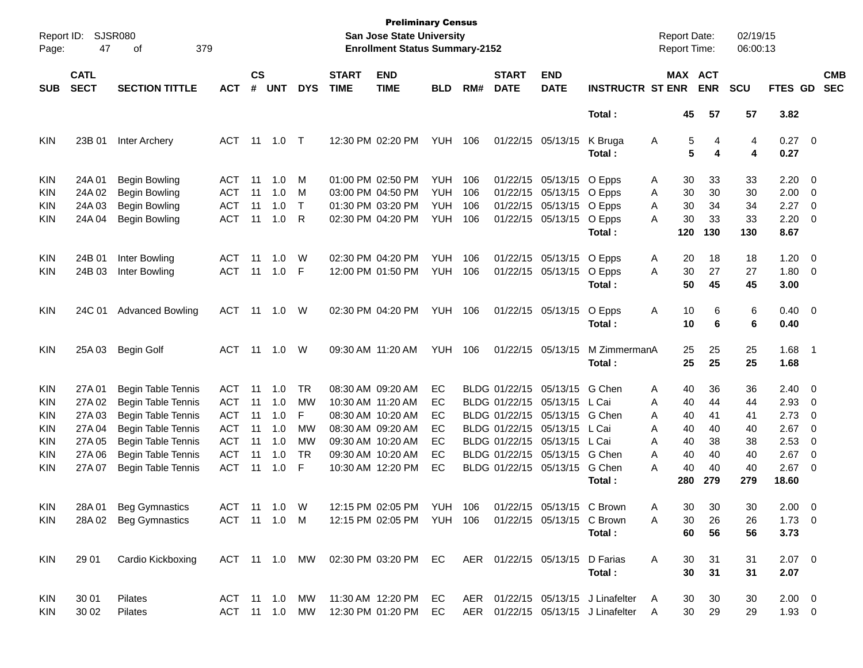| Page:                    | Report ID: SJSR080<br>47   | 379<br>οf                                                                              |                          |                    |            |                |                             | <b>Preliminary Census</b><br>San Jose State University<br><b>Enrollment Status Summary-2152</b> |                          |            |                             |                                               |                                                                              | <b>Report Date:</b><br><b>Report Time:</b> |                | 02/19/15<br>06:00:13 |                               |                                                     |                          |
|--------------------------|----------------------------|----------------------------------------------------------------------------------------|--------------------------|--------------------|------------|----------------|-----------------------------|-------------------------------------------------------------------------------------------------|--------------------------|------------|-----------------------------|-----------------------------------------------|------------------------------------------------------------------------------|--------------------------------------------|----------------|----------------------|-------------------------------|-----------------------------------------------------|--------------------------|
| <b>SUB</b>               | <b>CATL</b><br><b>SECT</b> | <b>SECTION TITTLE</b>                                                                  | <b>ACT</b>               | $\mathsf{cs}$<br># | <b>UNT</b> | <b>DYS</b>     | <b>START</b><br><b>TIME</b> | <b>END</b><br><b>TIME</b>                                                                       | <b>BLD</b>               | RM#        | <b>START</b><br><b>DATE</b> | <b>END</b><br><b>DATE</b>                     | <b>INSTRUCTR ST ENR</b>                                                      | MAX ACT                                    | <b>ENR</b>     | <b>SCU</b>           | FTES GD                       |                                                     | <b>CMB</b><br><b>SEC</b> |
|                          |                            |                                                                                        |                          |                    |            |                |                             |                                                                                                 |                          |            |                             |                                               | Total:                                                                       | 45                                         | 57             | 57                   | 3.82                          |                                                     |                          |
| <b>KIN</b>               | 23B 01                     | Inter Archery                                                                          | ACT                      | 11                 | 1.0        | $\top$         |                             | 12:30 PM 02:20 PM                                                                               | <b>YUH</b>               | 106        |                             | 01/22/15 05/13/15                             | K Bruga<br>Total:                                                            | A<br>5<br>5                                | 4<br>4         | 4<br>4               | $0.27$ 0<br>0.27              |                                                     |                          |
| <b>KIN</b><br><b>KIN</b> | 24A 01<br>24A 02           | Begin Bowling<br><b>Begin Bowling</b>                                                  | ACT<br><b>ACT</b>        | 11<br>11           | 1.0<br>1.0 | M<br>M         |                             | 01:00 PM 02:50 PM<br>03:00 PM 04:50 PM                                                          | <b>YUH</b><br><b>YUH</b> | 106<br>106 |                             | 01/22/15 05/13/15 O Epps<br>01/22/15 05/13/15 | O Epps                                                                       | 30<br>A<br>30<br>A                         | 33<br>30       | 33<br>30             | $2.20 \t 0$<br>2.00           | $\overline{\phantom{0}}$                            |                          |
| <b>KIN</b><br>KIN        | 24A 03<br>24A 04           | Begin Bowling<br>Begin Bowling                                                         | <b>ACT</b><br><b>ACT</b> | 11<br>11           | 1.0<br>1.0 | $\top$<br>R    |                             | 01:30 PM 03:20 PM<br>02:30 PM 04:20 PM                                                          | <b>YUH</b><br><b>YUH</b> | 106<br>106 |                             | 01/22/15 05/13/15 O Epps<br>01/22/15 05/13/15 | O Epps                                                                       | 30<br>A<br>30<br>A                         | 34<br>33       | 34<br>33             | 2.27<br>2.20                  | $\overline{\mathbf{0}}$<br>$\overline{\phantom{0}}$ |                          |
|                          |                            |                                                                                        |                          |                    |            |                |                             |                                                                                                 |                          |            |                             |                                               | Total:                                                                       | 120                                        | 130            | 130                  | 8.67                          |                                                     |                          |
| <b>KIN</b><br>KIN        | 24B 01<br>24B 03           | Inter Bowling<br>Inter Bowling                                                         | ACT<br><b>ACT</b>        | 11<br>11           | 1.0<br>1.0 | W<br>F         |                             | 02:30 PM 04:20 PM<br>12:00 PM 01:50 PM                                                          | <b>YUH</b><br><b>YUH</b> | 106<br>106 |                             | 01/22/15 05/13/15 O Epps<br>01/22/15 05/13/15 | O Epps<br>Total:                                                             | 20<br>A<br>30<br>A<br>50                   | 18<br>27<br>45 | 18<br>27<br>45       | $1.20 \t 0$<br>1.80 0<br>3.00 |                                                     |                          |
| <b>KIN</b>               | 24C 01                     | <b>Advanced Bowling</b>                                                                | ACT                      |                    |            | W              |                             | 02:30 PM 04:20 PM                                                                               | <b>YUH</b>               | 106        |                             | 01/22/15 05/13/15                             | O Epps<br>Total:                                                             | 10<br>A<br>10                              | 6<br>6         | 6<br>6               | $0.40 \quad 0$<br>0.40        |                                                     |                          |
| <b>KIN</b>               | 25A 03                     | <b>Begin Golf</b>                                                                      | ACT                      |                    | 11 1.0     | W              |                             | 09:30 AM 11:20 AM                                                                               | <b>YUH</b>               | 106        | 01/22/15 05/13/15           |                                               | M ZimmermanA<br>Total:                                                       | 25<br>25                                   | 25<br>25       | 25<br>25             | $1.68$ 1<br>1.68              |                                                     |                          |
| <b>KIN</b><br><b>KIN</b> | 27A 01<br>27A 02           | <b>Begin Table Tennis</b><br><b>Begin Table Tennis</b>                                 | ACT<br><b>ACT</b>        | 11<br>11           | 1.0<br>1.0 | TR<br>MW       |                             | 08:30 AM 09:20 AM<br>10:30 AM 11:20 AM                                                          | EC<br>EС                 |            | BLDG 01/22/15 05/13/15      | BLDG 01/22/15 05/13/15                        | G Chen<br>L Cai                                                              | A<br>40<br>40<br>A                         | 36<br>44       | 36<br>44             | $2.40 \quad 0$<br>2.93        | $\overline{\phantom{0}}$                            |                          |
| <b>KIN</b><br><b>KIN</b> | 27A 03<br>27A 04           | <b>Begin Table Tennis</b><br>Begin Table Tennis                                        | <b>ACT</b><br><b>ACT</b> | 11<br>11           | 1.0<br>1.0 | F<br><b>MW</b> |                             | 08:30 AM 10:20 AM<br>08:30 AM 09:20 AM                                                          | EС<br>EС                 |            | BLDG 01/22/15 05/13/15      | BLDG 01/22/15 05/13/15                        | G Chen<br>L Cai                                                              | A<br>40<br>A<br>40                         | 41<br>40       | 41<br>40             | 2.73<br>2.67                  | $\overline{\mathbf{0}}$<br>$\overline{\mathbf{0}}$  |                          |
| <b>KIN</b><br><b>KIN</b> | 27A 05<br>27A 06           | Begin Table Tennis<br>Begin Table Tennis                                               | <b>ACT</b><br><b>ACT</b> | 11<br>11           | 1.0<br>1.0 | MW<br>TR       |                             | 09:30 AM 10:20 AM<br>09:30 AM 10:20 AM                                                          | EС<br>EС                 |            | BLDG 01/22/15 05/13/15      | BLDG 01/22/15 05/13/15                        | L Cai<br>G Chen                                                              | 40<br>A<br>40<br>A                         | 38<br>40       | 38<br>40             | 2.53<br>2.67                  | 0<br>$\overline{\mathbf{0}}$                        |                          |
| KIN                      | 27A 07                     | Begin Table Tennis                                                                     | <b>ACT</b>               | 11                 | 1.0        | F              |                             | 10:30 AM 12:20 PM                                                                               | EС                       |            |                             | BLDG 01/22/15 05/13/15                        | G Chen<br>Total :                                                            | 40<br>A<br>280                             | 40<br>279      | 40<br>279            | 2.67<br>18.60                 | $\overline{\phantom{0}}$                            |                          |
| <b>KIN</b>               | 28A01                      | <b>Beg Gymnastics</b>                                                                  | ACT 11 1.0 W             |                    |            |                |                             | 12:15 PM 02:05 PM                                                                               | YUH                      | 106        |                             | 01/22/15 05/13/15 C Brown                     |                                                                              | 30<br>A                                    | 30             | 30                   | $2.00 \t 0$                   |                                                     |                          |
| KIN.                     |                            | 28A 02 Beg Gymnastics ACT 11 1.0 M 12:15 PM 02:05 PM YUH 106 01/22/15 05/13/15 C Brown |                          |                    |            |                |                             |                                                                                                 |                          |            |                             |                                               | Total:                                                                       | 30<br>A<br>60                              | 26<br>56       | 26<br>56             | $1.73 \t 0$<br>3.73           |                                                     |                          |
| KIN                      | 29 01                      | Cardio Kickboxing                                                                      |                          |                    |            |                |                             | ACT 11 1.0 MW 02:30 PM 03:20 PM EC AER 01/22/15 05/13/15 D Farias                               |                          |            |                             |                                               | Total:                                                                       | A<br>30<br>30                              | 31<br>31       | 31<br>31             | $2.07$ 0<br>2.07              |                                                     |                          |
| KIN<br>KIN               | 30 01<br>30 02             | Pilates<br>Pilates                                                                     |                          |                    |            |                |                             | ACT 11 1.0 MW 11:30 AM 12:20 PM EC<br>ACT 11 1.0 MW 12:30 PM 01:20 PM EC                        |                          |            |                             |                                               | AER 01/22/15 05/13/15 J Linafelter A<br>AER 01/22/15 05/13/15 J Linafelter A | 30<br>30                                   | 30<br>29       | 30<br>29             | $2.00 \t 0$<br>$1.93 \t 0$    |                                                     |                          |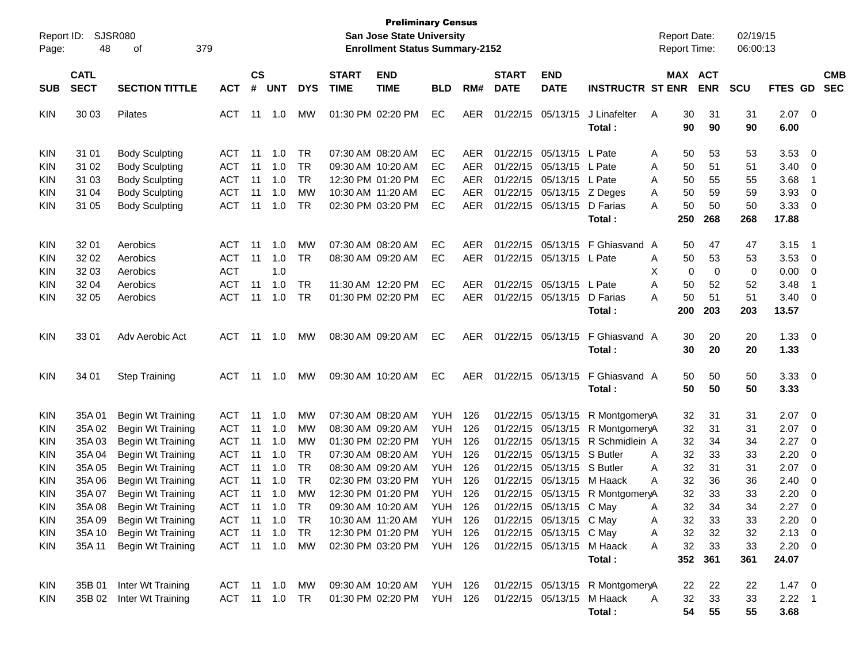| Report ID: | 48          | SJSR080<br>379           |               |               |            |            |              | <b>Preliminary Census</b><br><b>San Jose State University</b><br><b>Enrollment Status Summary-2152</b> |                |            |                   |                         |                                 | <b>Report Date:</b><br>Report Time: |            | 02/19/15<br>06:00:13 |                |                         |            |
|------------|-------------|--------------------------|---------------|---------------|------------|------------|--------------|--------------------------------------------------------------------------------------------------------|----------------|------------|-------------------|-------------------------|---------------------------------|-------------------------------------|------------|----------------------|----------------|-------------------------|------------|
| Page:      |             | οf                       |               |               |            |            |              |                                                                                                        |                |            |                   |                         |                                 |                                     |            |                      |                |                         |            |
|            | <b>CATL</b> |                          |               | $\mathsf{cs}$ |            |            | <b>START</b> | <b>END</b>                                                                                             |                |            | <b>START</b>      | <b>END</b>              |                                 |                                     | MAX ACT    |                      |                |                         | <b>CMB</b> |
| <b>SUB</b> | <b>SECT</b> | <b>SECTION TITTLE</b>    | <b>ACT</b>    | #             | <b>UNT</b> | <b>DYS</b> | <b>TIME</b>  | <b>TIME</b>                                                                                            | <b>BLD</b>     | RM#        | <b>DATE</b>       | <b>DATE</b>             | <b>INSTRUCTR ST ENR</b>         |                                     | <b>ENR</b> | <b>SCU</b>           | FTES GD        |                         | <b>SEC</b> |
| KIN        | 30 03       | Pilates                  | ACT           | 11            | 1.0        | МW         |              | 01:30 PM 02:20 PM                                                                                      | EC             | <b>AER</b> |                   | 01/22/15 05/13/15       | J Linafelter                    | A                                   | 30<br>31   | 31                   | $2.07 \t 0$    |                         |            |
|            |             |                          |               |               |            |            |              |                                                                                                        |                |            |                   |                         | Total:                          |                                     | 90<br>90   | 90                   | 6.00           |                         |            |
| KIN        | 31 01       | <b>Body Sculpting</b>    | ACT           | 11            | 1.0        | TR         |              | 07:30 AM 08:20 AM                                                                                      | EC             | AER.       |                   | 01/22/15 05/13/15       | L Pate                          | Α                                   | 50<br>53   | 53                   | 3.53           | 0                       |            |
| <b>KIN</b> | 31 02       | <b>Body Sculpting</b>    | <b>ACT</b>    | 11            | 1.0        | TR         |              | 09:30 AM 10:20 AM                                                                                      | EС             | AER        |                   | 01/22/15 05/13/15       | L Pate                          | Α                                   | 50<br>51   | 51                   | 3.40           | 0                       |            |
| KIN        | 31 03       | <b>Body Sculpting</b>    | <b>ACT</b>    | 11            | 1.0        | TR         |              | 12:30 PM 01:20 PM                                                                                      | EС             | AER        |                   | 01/22/15 05/13/15       | L Pate                          | Α                                   | 50<br>55   | 55                   | 3.68           | -1                      |            |
| <b>KIN</b> | 31 04       | <b>Body Sculpting</b>    | <b>ACT</b>    | 11            | 1.0        | МW         |              | 10:30 AM 11:20 AM                                                                                      | EС             | <b>AER</b> |                   | 01/22/15 05/13/15       | Z Deges                         | Α                                   | 50<br>59   | 59                   | 3.93           | 0                       |            |
| <b>KIN</b> | 31 05       | <b>Body Sculpting</b>    | <b>ACT</b>    | 11            | 1.0        | TR         |              | 02:30 PM 03:20 PM                                                                                      | EC             | <b>AER</b> |                   | 01/22/15 05/13/15       | D Farias                        | Α                                   | 50<br>50   | 50                   | 3.33           | 0                       |            |
|            |             |                          |               |               |            |            |              |                                                                                                        |                |            |                   |                         | Total:                          | 250                                 | 268        | 268                  | 17.88          |                         |            |
| KIN        | 32 01       | Aerobics                 | <b>ACT</b>    | 11            | 1.0        | МW         |              | 07:30 AM 08:20 AM                                                                                      | EC             | AER.       |                   | 01/22/15 05/13/15       | F Ghiasvand                     | A                                   | 50<br>47   | 47                   | 3.15           | -1                      |            |
| <b>KIN</b> | 32 02       | Aerobics                 | <b>ACT</b>    | 11            | 1.0        | <b>TR</b>  |              | 08:30 AM 09:20 AM                                                                                      | EC             | AER        |                   | 01/22/15 05/13/15       | L Pate                          | Α                                   | 50<br>53   | 53                   | 3.53           | 0                       |            |
| KIN        | 32 03       | Aerobics                 | <b>ACT</b>    |               | 1.0        |            |              |                                                                                                        |                |            |                   |                         |                                 | х                                   | 0          | 0<br>0               | 0.00           | 0                       |            |
| <b>KIN</b> | 32 04       | Aerobics                 | <b>ACT</b>    | 11            | 1.0        | TR         |              | 11:30 AM 12:20 PM                                                                                      | EC             | AER        |                   | 01/22/15 05/13/15       | L Pate                          | Α                                   | 50<br>52   | 52                   | 3.48           | -1                      |            |
| <b>KIN</b> | 32 05       | Aerobics                 | <b>ACT</b>    | 11            | 1.0        | TR         |              | 01:30 PM 02:20 PM                                                                                      | EC             | AER        |                   | 01/22/15 05/13/15       | D Farias                        | Α                                   | 50<br>51   | 51                   | 3.40           | 0                       |            |
|            |             |                          |               |               |            |            |              |                                                                                                        |                |            |                   |                         | Total:                          | 200                                 | 203        | 203                  | 13.57          |                         |            |
| KIN        | 33 01       | Adv Aerobic Act          | ACT           | 11            | 1.0        | MW         |              | 08:30 AM 09:20 AM                                                                                      | EC             | AER.       |                   | 01/22/15 05/13/15       | F Ghiasvand A                   |                                     | 30<br>20   | 20                   | 1.33           | $\overline{\mathbf{0}}$ |            |
|            |             |                          |               |               |            |            |              |                                                                                                        |                |            |                   |                         | Total:                          |                                     | 30<br>20   | 20                   | 1.33           |                         |            |
| <b>KIN</b> | 34 01       | <b>Step Training</b>     | ACT           | 11            | 1.0        | MW         |              | 09:30 AM 10:20 AM                                                                                      | EC             | AER        | 01/22/15 05/13/15 |                         | F Ghiasvand A                   |                                     | 50<br>50   | 50                   | 3.33           | $\overline{\mathbf{0}}$ |            |
|            |             |                          |               |               |            |            |              |                                                                                                        |                |            |                   |                         | Total:                          |                                     | 50<br>50   | 50                   | 3.33           |                         |            |
| KIN        | 35A01       | Begin Wt Training        | <b>ACT</b>    | 11            | 1.0        | МW         |              | 07:30 AM 08:20 AM                                                                                      | <b>YUH</b>     | 126        |                   | 01/22/15 05/13/15       | R MontgomeryA                   |                                     | 32<br>31   | 31                   | 2.07           | - 0                     |            |
| <b>KIN</b> | 35A 02      | Begin Wt Training        | <b>ACT</b>    | 11            | 1.0        | мw         |              | 08:30 AM 09:20 AM                                                                                      | <b>YUH</b>     | 126        |                   | 01/22/15 05/13/15       | R MontgomeryA                   |                                     | 32<br>31   | 31                   | 2.07           | 0                       |            |
| <b>KIN</b> | 35A03       | Begin Wt Training        | <b>ACT</b>    | 11            | 1.0        | МW         |              | 01:30 PM 02:20 PM                                                                                      | <b>YUH</b>     | 126        | 01/22/15          | 05/13/15                | R Schmidlein A                  |                                     | 32<br>34   | 34                   | 2.27           | 0                       |            |
| <b>KIN</b> | 35A 04      | Begin Wt Training        | <b>ACT</b>    | 11            | 1.0        | TR         |              | 07:30 AM 08:20 AM                                                                                      | <b>YUH</b>     | 126        |                   | 01/22/15 05/13/15       | S Butler                        | Α                                   | 32<br>33   | 33                   | 2.20           | 0                       |            |
| <b>KIN</b> | 35A 05      | Begin Wt Training        | <b>ACT</b>    | 11            | 1.0        | TR         |              | 08:30 AM 09:20 AM                                                                                      | <b>YUH</b>     | 126        |                   | 01/22/15 05/13/15       | S Butler                        | Α                                   | 32<br>31   | 31                   | 2.07           | 0                       |            |
| <b>KIN</b> | 35A 06      | Begin Wt Training        | <b>ACT</b>    | 11            | 1.0        | TR         |              | 02:30 PM 03:20 PM                                                                                      | YUH            | 126        |                   | 01/22/15 05/13/15       | M Haack                         | A                                   | 32<br>36   | 36                   | 2.40           | 0                       |            |
| <b>KIN</b> | 35A 07      | Begin Wt Training        | <b>ACT</b>    | 11            | 1.0        | МW         |              | 12:30 PM 01:20 PM                                                                                      | YUH            | 126        |                   | 01/22/15 05/13/15       | R MontgomeryA                   |                                     | 32<br>33   | 33                   | 2.20           | 0                       |            |
| KIN        | 35A 08      | Begin Wt Training        | ACT           | 11            | 1.0        | <b>TR</b>  |              | 09:30 AM 10:20 AM                                                                                      | <b>YUH</b>     | 126        |                   | 01/22/15 05/13/15 C May |                                 | A                                   | 32<br>34   | 34                   | 2.27           | $\Omega$                |            |
| <b>KIN</b> | 35A 09      | <b>Begin Wt Training</b> | ACT 11 1.0 TR |               |            |            |              | 10:30 AM 11:20 AM                                                                                      | YUH 126        |            |                   | 01/22/15 05/13/15 C May |                                 | Α                                   | 33<br>32   | 33                   | $2.20 \t 0$    |                         |            |
| KIN        | 35A 10      | Begin Wt Training        | <b>ACT</b>    | 11            | 1.0        | TR         |              | 12:30 PM 01:20 PM                                                                                      | <b>YUH 126</b> |            |                   | 01/22/15 05/13/15 C May |                                 | A                                   | 32<br>32   | 32                   | $2.13 \ 0$     |                         |            |
| KIN        | 35A 11      | Begin Wt Training        | ACT 11 1.0    |               |            | МW         |              | 02:30 PM 03:20 PM YUH 126                                                                              |                |            |                   | 01/22/15 05/13/15       | M Haack                         | Α                                   | 32<br>33   | 33                   | $2.20 \t 0$    |                         |            |
|            |             |                          |               |               |            |            |              |                                                                                                        |                |            |                   |                         | Total:                          |                                     | 352<br>361 | 361                  | 24.07          |                         |            |
| KIN        | 35B 01      | Inter Wt Training        | ACT 11 1.0    |               |            | MW         |              | 09:30 AM 10:20 AM YUH 126                                                                              |                |            |                   |                         | 01/22/15 05/13/15 R MontgomeryA |                                     | 22<br>22   | 22                   | $1.47 \ 0$     |                         |            |
| KIN        | 35B 02      | Inter Wt Training        | ACT 11 1.0 TR |               |            |            |              | 01:30 PM 02:20 PM YUH 126                                                                              |                |            | 01/22/15 05/13/15 |                         | M Haack                         | A                                   | 32<br>33   | 33                   | $2.22 \quad 1$ |                         |            |
|            |             |                          |               |               |            |            |              |                                                                                                        |                |            |                   |                         | Total:                          |                                     | 54<br>55   | 55                   | 3.68           |                         |            |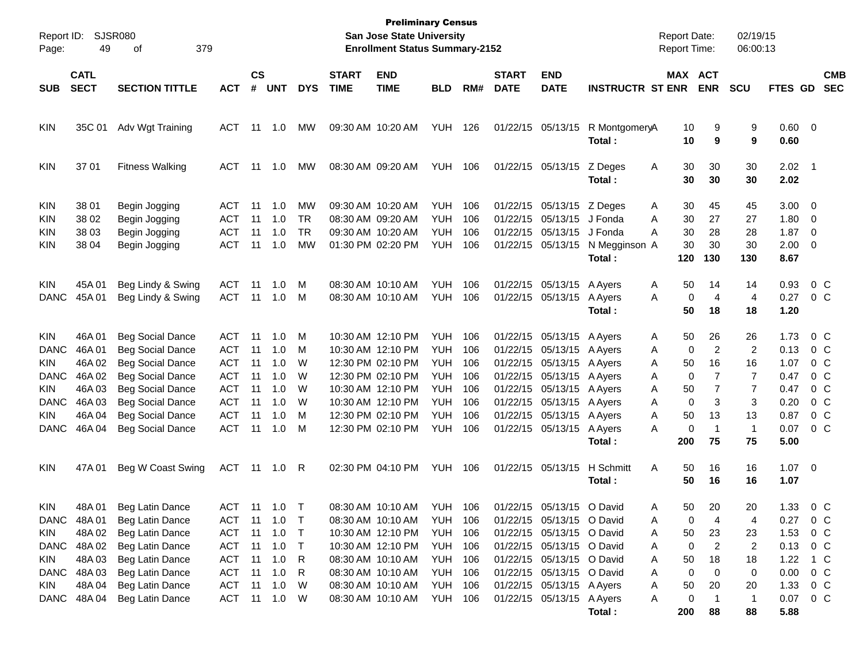| Report ID:<br>Page:                                    | 49                                  | <b>SJSR080</b><br>379<br>οf                                                                              |                                                      |                      |                                       |                                    |              | <b>Preliminary Census</b><br>San Jose State University<br><b>Enrollment Status Summary-2152</b> |                                                      |                          |              |                                                                                     |                                                | <b>Report Date:</b><br><b>Report Time:</b> |                                     | 02/19/15<br>06:00:13           |                              |                                                                                     |
|--------------------------------------------------------|-------------------------------------|----------------------------------------------------------------------------------------------------------|------------------------------------------------------|----------------------|---------------------------------------|------------------------------------|--------------|-------------------------------------------------------------------------------------------------|------------------------------------------------------|--------------------------|--------------|-------------------------------------------------------------------------------------|------------------------------------------------|--------------------------------------------|-------------------------------------|--------------------------------|------------------------------|-------------------------------------------------------------------------------------|
|                                                        | <b>CATL</b>                         |                                                                                                          |                                                      | <b>CS</b>            |                                       |                                    | <b>START</b> | <b>END</b>                                                                                      |                                                      |                          | <b>START</b> | <b>END</b>                                                                          |                                                |                                            | MAX ACT                             |                                |                              | <b>CMB</b>                                                                          |
| <b>SUB</b>                                             | <b>SECT</b>                         | <b>SECTION TITTLE</b>                                                                                    | <b>ACT</b>                                           | #                    | <b>UNT</b>                            | <b>DYS</b>                         | <b>TIME</b>  | <b>TIME</b>                                                                                     | <b>BLD</b>                                           | RM#                      | <b>DATE</b>  | <b>DATE</b>                                                                         | <b>INSTRUCTR ST ENR</b>                        |                                            | <b>ENR</b>                          | <b>SCU</b>                     | <b>FTES GD</b>               | <b>SEC</b>                                                                          |
| <b>KIN</b>                                             | 35C 01                              | Adv Wgt Training                                                                                         | <b>ACT</b>                                           | 11                   | 1.0                                   | МW                                 |              | 09:30 AM 10:20 AM                                                                               | <b>YUH</b>                                           | 126                      |              | 01/22/15 05/13/15                                                                   | R MontgomeryA<br>Total:                        | 10<br>10                                   | 9<br>9                              | 9<br>9                         | 0.60 0<br>0.60               |                                                                                     |
| <b>KIN</b>                                             | 37 01                               | <b>Fitness Walking</b>                                                                                   | <b>ACT</b>                                           | 11                   | 1.0                                   | МW                                 |              | 08:30 AM 09:20 AM                                                                               | YUH                                                  | 106                      |              | 01/22/15 05/13/15                                                                   | Z Deges<br>Total:                              | 30<br>A<br>30                              | 30<br>30                            | 30<br>30                       | $2.02 \quad 1$<br>2.02       |                                                                                     |
| <b>KIN</b><br><b>KIN</b><br><b>KIN</b><br><b>KIN</b>   | 38 01<br>38 02<br>38 03<br>38 04    | Begin Jogging<br>Begin Jogging<br>Begin Jogging<br>Begin Jogging                                         | ACT<br><b>ACT</b><br><b>ACT</b><br><b>ACT</b>        | 11<br>11<br>11<br>11 | 1.0<br>1.0<br>1.0<br>1.0              | MW<br><b>TR</b><br><b>TR</b><br>MW |              | 09:30 AM 10:20 AM<br>08:30 AM 09:20 AM<br>09:30 AM 10:20 AM<br>01:30 PM 02:20 PM                | <b>YUH</b><br><b>YUH</b><br><b>YUH</b><br><b>YUH</b> | 106<br>106<br>106<br>106 | 01/22/15     | 01/22/15 05/13/15<br>05/13/15<br>01/22/15 05/13/15<br>01/22/15 05/13/15             | Z Deges<br>J Fonda<br>J Fonda<br>N Megginson A | 30<br>Α<br>30<br>Α<br>30<br>Α<br>30        | 45<br>27<br>28<br>30                | 45<br>27<br>28<br>30           | 3.00<br>1.80<br>1.87<br>2.00 | $\overline{\phantom{0}}$<br>0<br>$\overline{\mathbf{0}}$<br>$\overline{\mathbf{0}}$ |
|                                                        |                                     |                                                                                                          |                                                      |                      |                                       |                                    |              |                                                                                                 |                                                      |                          |              |                                                                                     | Total:                                         | 120                                        | 130                                 | 130                            | 8.67                         |                                                                                     |
| <b>KIN</b><br><b>DANC</b>                              | 45A01<br>45A 01                     | Beg Lindy & Swing<br>Beg Lindy & Swing                                                                   | <b>ACT</b><br><b>ACT</b>                             | 11<br>11             | 1.0<br>1.0                            | M<br>M                             |              | 08:30 AM 10:10 AM<br>08:30 AM 10:10 AM                                                          | <b>YUH</b><br><b>YUH</b>                             | 106<br>106               |              | 01/22/15 05/13/15<br>01/22/15 05/13/15                                              | A Ayers<br>A Ayers<br>Total:                   | 50<br>Α<br>A<br>50                         | 14<br>0<br>4<br>18                  | 14<br>4<br>18                  | 0.93<br>0.27<br>1.20         | $0\,C$<br>0 C                                                                       |
| <b>KIN</b><br><b>DANC</b><br><b>KIN</b>                | 46A 01<br>46A01<br>46A 02           | <b>Beg Social Dance</b><br><b>Beg Social Dance</b><br><b>Beg Social Dance</b>                            | <b>ACT</b><br><b>ACT</b><br><b>ACT</b>               | 11<br>11<br>11       | 1.0<br>1.0<br>1.0                     | M<br>M<br>W                        |              | 10:30 AM 12:10 PM<br>10:30 AM 12:10 PM<br>12:30 PM 02:10 PM                                     | <b>YUH</b><br><b>YUH</b><br><b>YUH</b>               | 106<br>106<br>106        |              | 01/22/15 05/13/15 A Ayers<br>01/22/15 05/13/15<br>01/22/15 05/13/15                 | A Ayers<br>A Ayers                             | 50<br>A<br>Α<br>50<br>Α                    | 26<br>2<br>0<br>16                  | 26<br>2<br>16                  | 1.73<br>0.13<br>1.07         | $0\,$ C<br>0 C<br>0 <sup>o</sup>                                                    |
| <b>DANC</b><br><b>KIN</b><br><b>DANC</b><br><b>KIN</b> | 46A 02<br>46A03<br>46A 03<br>46A 04 | <b>Beg Social Dance</b><br><b>Beg Social Dance</b><br><b>Beg Social Dance</b><br><b>Beg Social Dance</b> | <b>ACT</b><br><b>ACT</b><br><b>ACT</b><br><b>ACT</b> | 11<br>11<br>11<br>11 | 1.0<br>1.0<br>1.0<br>1.0              | W<br>W<br>W<br>M                   |              | 12:30 PM 02:10 PM<br>10:30 AM 12:10 PM<br>10:30 AM 12:10 PM<br>12:30 PM 02:10 PM                | <b>YUH</b><br><b>YUH</b><br><b>YUH</b><br><b>YUH</b> | 106<br>106<br>106<br>106 | 01/22/15     | 01/22/15 05/13/15<br>01/22/15 05/13/15<br>01/22/15 05/13/15<br>05/13/15             | A Ayers<br>A Ayers<br>A Ayers<br>A Ayers       | 0<br>Α<br>50<br>Α<br>Α<br>50<br>Α          | $\overline{7}$<br>7<br>0<br>3<br>13 | $\overline{7}$<br>7<br>3<br>13 | 0.47<br>0.47<br>0.20<br>0.87 | $0\,C$<br>$0\,C$<br>$0\,$ C<br>0 <sup>o</sup>                                       |
| <b>DANC</b>                                            | 46A04                               | <b>Beg Social Dance</b>                                                                                  | <b>ACT</b>                                           | 11                   | 1.0                                   | M                                  |              | 12:30 PM 02:10 PM                                                                               | <b>YUH</b>                                           | 106                      |              | 01/22/15 05/13/15 A Ayers                                                           | Total:                                         | A<br>200                                   | 0<br>$\mathbf 1$<br>75              | $\mathbf{1}$<br>75             | 0.07<br>5.00                 | 0 C                                                                                 |
| <b>KIN</b>                                             | 47A 01                              | Beg W Coast Swing                                                                                        | ACT                                                  | 11                   | 1.0                                   | R                                  |              | 02:30 PM 04:10 PM                                                                               | <b>YUH 106</b>                                       |                          |              | 01/22/15 05/13/15                                                                   | H Schmitt<br>Total:                            | A<br>50<br>50                              | 16<br>16                            | 16<br>16                       | 1.07<br>1.07                 | $\overline{\phantom{0}}$                                                            |
| <b>KIN</b><br>KIN.                                     | 48A01<br>DANC 48A 01<br>48A 02      | Beg Latin Dance<br>Beg Latin Dance<br>Beg Latin Dance                                                    | ACT<br><b>ACT</b>                                    | 11                   | ACT 11 1.0 T<br>$11 \quad 1.0$<br>1.0 | $\top$<br>$\top$                   |              | 08:30 AM 10:10 AM<br>08:30 AM 10:10 AM<br>10:30 AM 12:10 PM                                     | <b>YUH 106</b><br><b>YUH 106</b><br>YUH              | 106                      |              | 01/22/15 05/13/15 O David<br>01/22/15 05/13/15 O David<br>01/22/15 05/13/15 O David |                                                | 50<br>A<br>Α<br>50<br>Α                    | 20<br>0<br>4<br>23                  | 20<br>4<br>23                  | 0.27<br>1.53                 | 1.33 0 C<br>$0\,$ C<br>0 <sup>o</sup>                                               |
| DANC<br>KIN<br>DANC                                    | 48A 02<br>48A03<br>48A03            | Beg Latin Dance<br>Beg Latin Dance<br>Beg Latin Dance                                                    | ACT<br>ACT<br>ACT                                    | 11<br>11<br>11       | 1.0<br>1.0<br>1.0                     | $\top$<br>R<br>R                   |              | 10:30 AM 12:10 PM<br>08:30 AM 10:10 AM<br>08:30 AM 10:10 AM                                     | <b>YUH 106</b><br><b>YUH 106</b><br><b>YUH 106</b>   |                          |              | 01/22/15 05/13/15 O David<br>01/22/15 05/13/15 O David<br>01/22/15 05/13/15 O David |                                                | Α<br>50<br>Α<br>Α                          | 0<br>2<br>18<br>0<br>0              | 2<br>18<br>0                   | 0.13<br>1.22<br>0.00         | 0 C<br>1 C<br>0 <sup>o</sup>                                                        |
| KIN                                                    | 48A04<br>DANC 48A 04                | Beg Latin Dance<br>Beg Latin Dance                                                                       | ACT<br>ACT                                           | 11                   | 1.0<br>$11 \quad 1.0$                 | W<br>- W                           |              | 08:30 AM 10:10 AM<br>08:30 AM 10:10 AM                                                          | <b>YUH 106</b><br><b>YUH 106</b>                     |                          |              | 01/22/15 05/13/15 A Ayers<br>01/22/15 05/13/15 A Ayers                              | Total:                                         | 50<br>Α<br>Α<br>200                        | 20<br>0<br>88                       | 20<br>$\mathbf{1}$<br>88       | 1.33<br>0.07<br>5.88         | 0 C<br>0 C                                                                          |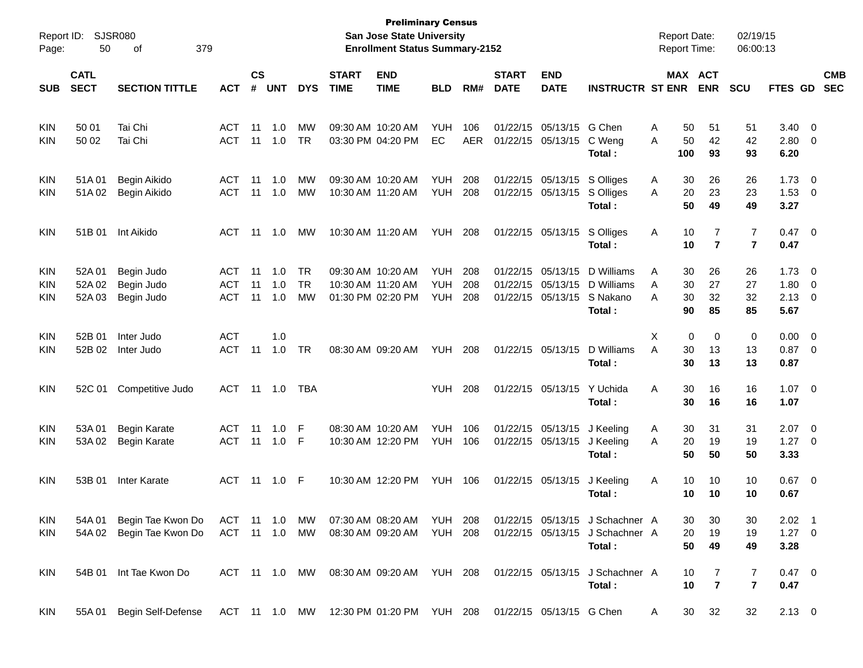| Report ID:<br>Page: | 50                         | SJSR080<br>379<br>οf                                                                       |            |                    |            |               |                             | <b>Preliminary Census</b><br><b>San Jose State University</b><br><b>Enrollment Status Summary-2152</b> |                |            |                             |                           |                                           | <b>Report Date:</b><br><b>Report Time:</b> |           |                              | 02/19/15<br>06:00:13             |                        |                          |                          |
|---------------------|----------------------------|--------------------------------------------------------------------------------------------|------------|--------------------|------------|---------------|-----------------------------|--------------------------------------------------------------------------------------------------------|----------------|------------|-----------------------------|---------------------------|-------------------------------------------|--------------------------------------------|-----------|------------------------------|----------------------------------|------------------------|--------------------------|--------------------------|
| <b>SUB</b>          | <b>CATL</b><br><b>SECT</b> | <b>SECTION TITTLE</b>                                                                      | ACT        | $\mathsf{cs}$<br># | <b>UNT</b> | <b>DYS</b>    | <b>START</b><br><b>TIME</b> | <b>END</b><br><b>TIME</b>                                                                              | <b>BLD</b>     | RM#        | <b>START</b><br><b>DATE</b> | <b>END</b><br><b>DATE</b> | <b>INSTRUCTR ST ENR</b>                   |                                            | MAX ACT   | <b>ENR</b>                   | <b>SCU</b>                       | <b>FTES GD</b>         |                          | <b>CMB</b><br><b>SEC</b> |
| <b>KIN</b>          | 50 01                      | Tai Chi                                                                                    | ACT        | 11                 | 1.0        | MW            |                             | 09:30 AM 10:20 AM                                                                                      | <b>YUH</b>     | 106        | 01/22/15                    | 05/13/15                  | G Chen                                    | Α                                          | 50        | 51                           | 51                               | 3.40                   | - 0                      |                          |
| KIN                 | 50 02                      | Tai Chi                                                                                    | <b>ACT</b> | 11                 | 1.0        | <b>TR</b>     |                             | 03:30 PM 04:20 PM                                                                                      | EC             | <b>AER</b> |                             | 01/22/15 05/13/15         | C Weng<br>Total:                          | A                                          | 50<br>100 | 42<br>93                     | 42<br>93                         | 2.80<br>6.20           | - 0                      |                          |
| KIN                 | 51A 01                     | Begin Aikido                                                                               | ACT        | 11                 | 1.0        | МW            |                             | 09:30 AM 10:20 AM                                                                                      | <b>YUH</b>     | 208        |                             | 01/22/15 05/13/15         | S Olliges                                 | Α                                          | 30        | 26                           | 26                               | 1.73                   | $\overline{0}$           |                          |
| KIN                 | 51A02                      | Begin Aikido                                                                               | <b>ACT</b> | 11                 | -1.0       | МW            |                             | 10:30 AM 11:20 AM                                                                                      | <b>YUH</b>     | 208        |                             | 01/22/15 05/13/15         | S Olliges<br>Total:                       | A                                          | 20<br>50  | 23<br>49                     | 23<br>49                         | 1.53<br>3.27           | $\overline{\mathbf{0}}$  |                          |
| <b>KIN</b>          | 51B 01                     | Int Aikido                                                                                 | <b>ACT</b> | 11                 | 1.0        | МW            |                             | 10:30 AM 11:20 AM                                                                                      | YUH            | 208        |                             | 01/22/15 05/13/15         | S Olliges<br>Total:                       | Α                                          | 10<br>10  | 7<br>$\overline{7}$          | $\overline{7}$<br>$\overline{7}$ | 0.47<br>0.47           | $\overline{\mathbf{0}}$  |                          |
| KIN                 | 52A 01                     | Begin Judo                                                                                 | ACT        | 11                 | 1.0        | <b>TR</b>     |                             | 09:30 AM 10:20 AM                                                                                      | <b>YUH</b>     | 208        | 01/22/15                    | 05/13/15                  | D Williams                                | Α                                          | 30        | 26                           | 26                               | 1.73                   | $\overline{\mathbf{0}}$  |                          |
| KIN                 | 52A 02                     | Begin Judo                                                                                 | <b>ACT</b> | 11                 | 1.0        | <b>TR</b>     |                             | 10:30 AM 11:20 AM                                                                                      | <b>YUH</b>     | 208        | 01/22/15                    | 05/13/15                  | D Williams                                | Α                                          | 30        | 27                           | 27                               | 1.80                   | $\mathbf{0}$             |                          |
| KIN                 | 52A 03                     | Begin Judo                                                                                 | <b>ACT</b> | 11                 | -1.0       | MW            |                             | 01:30 PM 02:20 PM                                                                                      | <b>YUH</b>     | 208        |                             | 01/22/15 05/13/15         | S Nakano<br>Total:                        | Α                                          | 30<br>90  | 32<br>85                     | 32<br>85                         | 2.13<br>5.67           | $\overline{\mathbf{0}}$  |                          |
| <b>KIN</b>          | 52B 01                     | Inter Judo                                                                                 | <b>ACT</b> |                    | 1.0        |               |                             |                                                                                                        |                |            |                             |                           |                                           | X                                          | 0         | 0                            | 0                                | 0.00                   | $\overline{0}$           |                          |
| KIN                 | 52B 02                     | Inter Judo                                                                                 | <b>ACT</b> | 11                 | 1.0        | <b>TR</b>     |                             | 08:30 AM 09:20 AM                                                                                      | YUH            | 208        |                             | 01/22/15 05/13/15         | D Williams<br>Total:                      | A                                          | 30<br>30  | 13<br>13                     | 13<br>13                         | $0.87$ 0<br>0.87       |                          |                          |
| <b>KIN</b>          |                            | 52C 01 Competitive Judo                                                                    | <b>ACT</b> |                    | 11  1.0    | <b>TBA</b>    |                             |                                                                                                        | <b>YUH</b>     | 208        |                             | 01/22/15 05/13/15         | Y Uchida<br>Total :                       | A                                          | 30<br>30  | 16<br>16                     | 16<br>16                         | 1.07<br>1.07           | $\overline{\phantom{0}}$ |                          |
| KIN                 | 53A 01                     | <b>Begin Karate</b>                                                                        | <b>ACT</b> | 11                 | 1.0        | F             |                             | 08:30 AM 10:20 AM                                                                                      | <b>YUH</b>     | 106        |                             | 01/22/15 05/13/15         | J Keeling                                 | A                                          | 30        | 31                           | 31                               | 2.07                   | $\overline{\mathbf{0}}$  |                          |
| KIN                 | 53A 02                     | <b>Begin Karate</b>                                                                        | <b>ACT</b> | 11                 | 1.0        | F             |                             | 10:30 AM 12:20 PM                                                                                      | <b>YUH</b>     | 106        |                             | 01/22/15 05/13/15         | J Keeling                                 | A                                          | 20        | 19                           | 19                               | 1.27                   | $\overline{\mathbf{0}}$  |                          |
|                     |                            |                                                                                            |            |                    |            |               |                             |                                                                                                        |                |            |                             |                           | Total:                                    |                                            | 50        | 50                           | 50                               | 3.33                   |                          |                          |
| <b>KIN</b>          | 53B 01                     | Inter Karate                                                                               | <b>ACT</b> |                    | 11  1.0    | - F           |                             | 10:30 AM 12:20 PM                                                                                      | <b>YUH 106</b> |            |                             | 01/22/15 05/13/15         | J Keeling                                 | A                                          | 10        | 10                           | 10                               | 0.67                   | $\overline{\phantom{0}}$ |                          |
|                     |                            |                                                                                            |            |                    |            |               |                             |                                                                                                        |                |            |                             |                           | Total:                                    |                                            | 10        | 10                           | 10                               | 0.67                   |                          |                          |
| KIN                 | 54A 01                     | Begin Tae Kwon Do                                                                          | ACT 11 1.0 |                    |            | MW            |                             | 07:30 AM 08:20 AM YUH 208                                                                              |                |            |                             |                           | 01/22/15 05/13/15 J Schachner A           |                                            | 30        | 30                           | 30                               | $2.02$ 1               |                          |                          |
| <b>KIN</b>          |                            | 54A 02 Begin Tae Kwon Do                                                                   |            |                    |            | ACT 11 1.0 MW |                             | 08:30 AM 09:20 AM YUH 208                                                                              |                |            |                             |                           | 01/22/15 05/13/15 J Schachner A           |                                            | 20        | 19                           | 19                               | $1.27 \t 0$            |                          |                          |
|                     |                            |                                                                                            |            |                    |            |               |                             |                                                                                                        |                |            |                             |                           | Total:                                    |                                            | 50        | 49                           | 49                               | 3.28                   |                          |                          |
| <b>KIN</b>          |                            | 54B 01 Int Tae Kwon Do                                                                     |            |                    |            |               |                             | ACT 11 1.0 MW 08:30 AM 09:20 AM YUH 208                                                                |                |            |                             |                           | 01/22/15 05/13/15 J Schachner A<br>Total: |                                            | 10<br>10  | 7<br>$\overline{\mathbf{r}}$ | 7<br>$\overline{\mathbf{r}}$     | $0.47 \quad 0$<br>0.47 |                          |                          |
| KIN                 |                            | 55A 01 Begin Self-Defense ACT 11 1.0 MW 12:30 PM 01:20 PM YUH 208 01/22/15 05/13/15 G Chen |            |                    |            |               |                             |                                                                                                        |                |            |                             |                           |                                           | A                                          | 30        | 32                           | 32                               | $2.13 \ 0$             |                          |                          |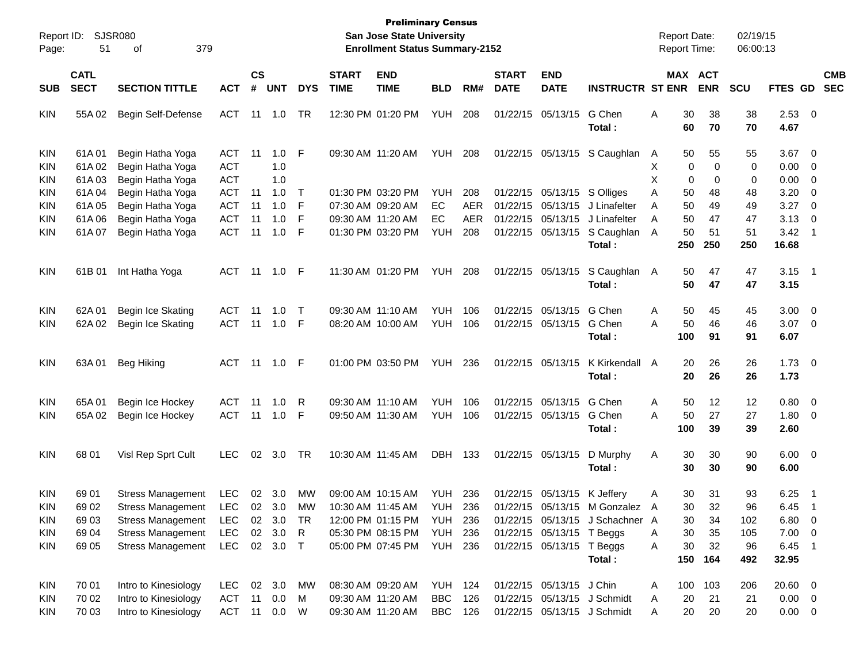| Report ID:                             |                            | <b>SJSR080</b>                                                                   |                                          |                             |                   |                            |                             | <b>Preliminary Census</b><br><b>San Jose State University</b> |                                         |                                 |                             |                                                             |                                                                              |             | <b>Report Date:</b> |                       | 02/19/15         |                                            |                                                          |                          |
|----------------------------------------|----------------------------|----------------------------------------------------------------------------------|------------------------------------------|-----------------------------|-------------------|----------------------------|-----------------------------|---------------------------------------------------------------|-----------------------------------------|---------------------------------|-----------------------------|-------------------------------------------------------------|------------------------------------------------------------------------------|-------------|---------------------|-----------------------|------------------|--------------------------------------------|----------------------------------------------------------|--------------------------|
| Page:                                  | 51                         | 379<br>οf                                                                        |                                          |                             |                   |                            |                             | <b>Enrollment Status Summary-2152</b>                         |                                         |                                 |                             |                                                             |                                                                              |             | <b>Report Time:</b> |                       | 06:00:13         |                                            |                                                          |                          |
| <b>SUB</b>                             | <b>CATL</b><br><b>SECT</b> | <b>SECTION TITTLE</b>                                                            | <b>ACT</b>                               | $\mathbf{c}\mathbf{s}$<br># | <b>UNT</b>        | <b>DYS</b>                 | <b>START</b><br><b>TIME</b> | <b>END</b><br><b>TIME</b>                                     | <b>BLD</b>                              | RM#                             | <b>START</b><br><b>DATE</b> | <b>END</b><br><b>DATE</b>                                   | <b>INSTRUCTR ST ENR</b>                                                      |             |                     | MAX ACT<br><b>ENR</b> | <b>SCU</b>       | FTES GD                                    |                                                          | <b>CMB</b><br><b>SEC</b> |
| <b>KIN</b>                             | 55A 02                     | Begin Self-Defense                                                               | <b>ACT</b>                               | 11                          | 1.0               | TR                         |                             | 12:30 PM 01:20 PM                                             | <b>YUH</b>                              | 208                             |                             | 01/22/15 05/13/15                                           | G Chen<br>Total:                                                             | Α           | 30<br>60            | 38<br>70              | 38<br>70         | $2.53$ 0<br>4.67                           |                                                          |                          |
| <b>KIN</b><br>KIN<br>KIN               | 61A01<br>61A02<br>61A03    | Begin Hatha Yoga<br>Begin Hatha Yoga<br>Begin Hatha Yoga                         | ACT<br><b>ACT</b><br><b>ACT</b>          | 11                          | 1.0<br>1.0<br>1.0 | F                          |                             | 09:30 AM 11:20 AM                                             | <b>YUH</b>                              | 208                             |                             | 01/22/15 05/13/15                                           | S Caughlan                                                                   | A<br>X<br>X | 50<br>0<br>0        | 55<br>0<br>0          | 55<br>0<br>0     | 3.67<br>0.00<br>0.00                       | $\overline{\phantom{0}}$<br>$\overline{\mathbf{0}}$<br>0 |                          |
| KIN<br>KIN<br>KIN                      | 61A04<br>61A05<br>61A06    | Begin Hatha Yoga<br>Begin Hatha Yoga<br>Begin Hatha Yoga                         | <b>ACT</b><br><b>ACT</b><br><b>ACT</b>   | 11<br>11<br>11              | 1.0<br>1.0<br>1.0 | $\top$<br>$\mathsf F$<br>F |                             | 01:30 PM 03:20 PM<br>07:30 AM 09:20 AM<br>09:30 AM 11:20 AM   | <b>YUH</b><br><b>EC</b><br>EC           | 208<br><b>AER</b><br><b>AER</b> |                             | 01/22/15 05/13/15<br>01/22/15 05/13/15<br>01/22/15 05/13/15 | S Olliges<br>J Linafelter<br>J Linafelter                                    | Α<br>Α<br>A | 50<br>50<br>50      | 48<br>49<br>47        | 48<br>49<br>47   | 3.20<br>3.27<br>3.13                       | 0<br>$\overline{\mathbf{0}}$<br>0                        |                          |
| <b>KIN</b>                             | 61A07                      | Begin Hatha Yoga                                                                 | <b>ACT</b>                               | 11                          | 1.0               | F                          |                             | 01:30 PM 03:20 PM                                             | <b>YUH</b>                              | 208                             |                             | 01/22/15 05/13/15                                           | S Caughlan<br>Total:                                                         | A           | 50<br>250           | 51<br>250             | 51<br>250        | 3.42<br>16.68                              | $\overline{1}$                                           |                          |
| <b>KIN</b>                             | 61B 01                     | Int Hatha Yoga                                                                   | ACT                                      | 11                          | 1.0               | F                          |                             | 11:30 AM 01:20 PM                                             | <b>YUH</b>                              | 208                             |                             | 01/22/15 05/13/15                                           | S Caughlan<br>Total:                                                         | A           | 50<br>50            | 47<br>47              | 47<br>47         | 3.15<br>3.15                               | $\overline{\phantom{1}}$                                 |                          |
| <b>KIN</b><br><b>KIN</b>               | 62A01<br>62A 02            | Begin Ice Skating<br>Begin Ice Skating                                           | <b>ACT</b><br><b>ACT</b>                 | 11<br>11                    | 1.0<br>1.0        | $\top$<br>F                |                             | 09:30 AM 11:10 AM<br>08:20 AM 10:00 AM                        | <b>YUH</b><br><b>YUH</b>                | 106<br>106                      |                             | 01/22/15 05/13/15<br>01/22/15 05/13/15                      | G Chen<br>G Chen<br>Total:                                                   | Α<br>Α      | 50<br>50<br>100     | 45<br>46<br>91        | 45<br>46<br>91   | 3.00<br>3.07<br>6.07                       | $\overline{\phantom{0}}$<br>$\overline{\phantom{0}}$     |                          |
| <b>KIN</b>                             | 63A01                      | Beg Hiking                                                                       | ACT                                      | 11                          | 1.0               | F                          |                             | 01:00 PM 03:50 PM                                             | <b>YUH</b>                              | 236                             |                             | 01/22/15 05/13/15                                           | K Kirkendall<br>Total:                                                       | A           | 20<br>20            | 26<br>26              | 26<br>26         | $1.73 \t 0$<br>1.73                        |                                                          |                          |
| <b>KIN</b><br><b>KIN</b>               | 65A01<br>65A 02            | Begin Ice Hockey<br>Begin Ice Hockey                                             | <b>ACT</b><br><b>ACT</b>                 | 11<br>11                    | 1.0<br>1.0        | R<br>F                     |                             | 09:30 AM 11:10 AM<br>09:50 AM 11:30 AM                        | <b>YUH</b><br><b>YUH</b>                | 106<br>106                      |                             | 01/22/15 05/13/15<br>01/22/15 05/13/15                      | G Chen<br>G Chen<br>Total:                                                   | Α<br>Α      | 50<br>50<br>100     | 12<br>27<br>39        | 12<br>27<br>39   | 0.80<br>1.80<br>2.60                       | $\overline{\phantom{0}}$<br>$\overline{\mathbf{0}}$      |                          |
| <b>KIN</b>                             | 68 01                      | Visl Rep Sprt Cult                                                               | <b>LEC</b>                               | 02                          | 3.0               | TR                         |                             | 10:30 AM 11:45 AM                                             | <b>DBH</b>                              | 133                             |                             | 01/22/15 05/13/15                                           | D Murphy<br>Total:                                                           | Α           | 30<br>30            | 30<br>30              | 90<br>90         | $6.00 \t 0$<br>6.00                        |                                                          |                          |
| <b>KIN</b><br>KIN<br><b>KIN</b>        | 69 01<br>69 02<br>6903     | <b>Stress Management</b><br><b>Stress Management</b><br><b>Stress Management</b> | <b>LEC</b><br>LEC 02 3.0<br><b>LEC</b>   | 02                          | 3.0<br>02 3.0     | МW<br>МW<br>TR             |                             | 09:00 AM 10:15 AM<br>10:30 AM 11:45 AM<br>12:00 PM 01:15 PM   | <b>YUH</b><br><b>YUH</b><br>YUH         | 236<br>236<br>236               |                             | 01/22/15 05/13/15                                           | K Jeffery<br>01/22/15 05/13/15 M Gonzalez<br>01/22/15 05/13/15 J Schachner A | Α<br>A      | 30<br>30<br>30      | 31<br>32<br>34        | 93<br>96<br>102  | 6.25<br>$6.45$ 1<br>$6.80\quad 0$          | - 1                                                      |                          |
| <b>KIN</b><br>KIN                      | 69 04<br>69 05             | <b>Stress Management</b><br><b>Stress Management</b>                             | LEC<br>LEC                               |                             | 02 3.0<br>02 3.0  | R<br>$\top$                |                             | 05:30 PM 08:15 PM<br>05:00 PM 07:45 PM                        | YUH<br><b>YUH 236</b>                   | 236                             |                             | 01/22/15 05/13/15 T Beggs<br>01/22/15 05/13/15 T Beggs      | Total:                                                                       | A<br>Α      | 30<br>30<br>150     | 35<br>32<br>164       | 105<br>96<br>492 | $7.00 \t 0$<br>6.45<br>32.95               | $\overline{\phantom{1}}$                                 |                          |
| <b>KIN</b><br><b>KIN</b><br><b>KIN</b> | 70 01<br>70 02<br>70 03    | Intro to Kinesiology<br>Intro to Kinesiology<br>Intro to Kinesiology             | <b>LEC</b><br><b>ACT</b><br>ACT 11 0.0 W | 11                          | 02 3.0<br>0.0     | МW<br>M                    |                             | 08:30 AM 09:20 AM<br>09:30 AM 11:20 AM<br>09:30 AM 11:20 AM   | <b>YUH 124</b><br><b>BBC</b><br>BBC 126 | 126                             |                             | 01/22/15 05/13/15 J Chin                                    | 01/22/15 05/13/15 J Schmidt<br>01/22/15 05/13/15 J Schmidt                   | A<br>A<br>Α | 100<br>20<br>20     | 103<br>21<br>20       | 206<br>21<br>20  | $20.60 \t 0$<br>$0.00 \t 0$<br>$0.00 \t 0$ |                                                          |                          |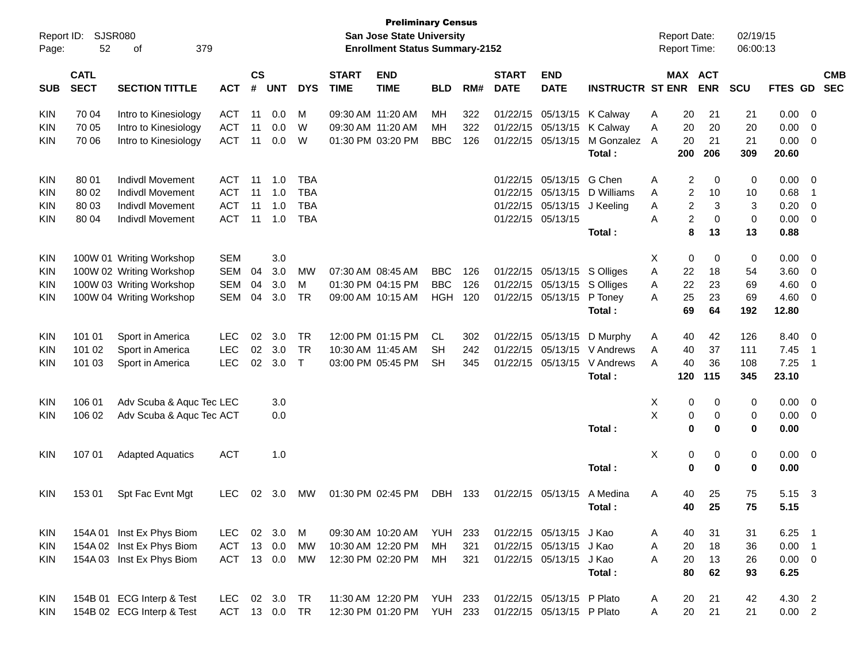| Report ID:<br>Page: | 52                         | <b>SJSR080</b><br>379<br>of |            |                    |            |              |                             | <b>Preliminary Census</b><br><b>San Jose State University</b><br><b>Enrollment Status Summary-2152</b> |                |     |                             |                           |                            |   | <b>Report Date:</b><br>Report Time: |            | 02/19/15<br>06:00:13 |                |                            |                          |
|---------------------|----------------------------|-----------------------------|------------|--------------------|------------|--------------|-----------------------------|--------------------------------------------------------------------------------------------------------|----------------|-----|-----------------------------|---------------------------|----------------------------|---|-------------------------------------|------------|----------------------|----------------|----------------------------|--------------------------|
| SUB                 | <b>CATL</b><br><b>SECT</b> | <b>SECTION TITTLE</b>       | <b>ACT</b> | $\mathsf{cs}$<br># | <b>UNT</b> | <b>DYS</b>   | <b>START</b><br><b>TIME</b> | <b>END</b><br><b>TIME</b>                                                                              | <b>BLD</b>     | RM# | <b>START</b><br><b>DATE</b> | <b>END</b><br><b>DATE</b> | <b>INSTRUCTR ST ENR</b>    |   | MAX ACT                             | <b>ENR</b> | <b>SCU</b>           | <b>FTES GD</b> |                            | <b>CMB</b><br><b>SEC</b> |
| <b>KIN</b>          | 70 04                      | Intro to Kinesiology        | <b>ACT</b> | -11                | 0.0        | M            | 09:30 AM 11:20 AM           |                                                                                                        | MН             | 322 |                             |                           | 01/22/15 05/13/15 K Calway | Α | 20                                  | 21         | 21                   | 0.00           | 0                          |                          |
| <b>KIN</b>          | 70 05                      | Intro to Kinesiology        | <b>ACT</b> | 11                 | 0.0        | W            | 09:30 AM 11:20 AM           |                                                                                                        | MН             | 322 |                             | 01/22/15 05/13/15         | K Calway                   | Α | 20                                  | 20         | 20                   | 0.00           | 0                          |                          |
| <b>KIN</b>          | 70 06                      | Intro to Kinesiology        | <b>ACT</b> | 11                 | 0.0        | W            |                             | 01:30 PM 03:20 PM                                                                                      | <b>BBC</b>     | 126 |                             | 01/22/15 05/13/15         | M Gonzalez                 | A | 20                                  | 21         | 21                   | 0.00           | 0                          |                          |
|                     |                            |                             |            |                    |            |              |                             |                                                                                                        |                |     |                             |                           | Total:                     |   | 200                                 | 206        | 309                  | 20.60          |                            |                          |
| <b>KIN</b>          | 80 01                      | <b>Indivdl Movement</b>     | ACT        | -11                | 1.0        | <b>TBA</b>   |                             |                                                                                                        |                |     |                             | 01/22/15 05/13/15         | G Chen                     | Α | 2                                   | 0          | 0                    | 0.00           | 0                          |                          |
| <b>KIN</b>          | 80 02                      | <b>Indivdl Movement</b>     | <b>ACT</b> | -11                | 1.0        | <b>TBA</b>   |                             |                                                                                                        |                |     |                             | 01/22/15 05/13/15         | D Williams                 | Α | 2                                   | 10         | 10                   | 0.68           | -1                         |                          |
| <b>KIN</b>          | 80 03                      | <b>Indivdl Movement</b>     | <b>ACT</b> | 11                 | 1.0        | <b>TBA</b>   |                             |                                                                                                        |                |     |                             | 01/22/15 05/13/15         | J Keeling                  | Α | 2                                   | 3          | 3                    | 0.20           | 0                          |                          |
| <b>KIN</b>          | 80 04                      | Indivdl Movement            | <b>ACT</b> | 11                 | 1.0        | <b>TBA</b>   |                             |                                                                                                        |                |     |                             | 01/22/15 05/13/15         |                            | A | 2                                   | 0          | 0                    | 0.00           | 0                          |                          |
|                     |                            |                             |            |                    |            |              |                             |                                                                                                        |                |     |                             |                           | Total:                     |   | 8                                   | 13         | 13                   | 0.88           |                            |                          |
| <b>KIN</b>          |                            | 100W 01 Writing Workshop    | <b>SEM</b> |                    | 3.0        |              |                             |                                                                                                        |                |     |                             |                           |                            | Χ | 0                                   | 0          | 0                    | 0.00           | 0                          |                          |
| <b>KIN</b>          |                            | 100W 02 Writing Workshop    | <b>SEM</b> | 04                 | 3.0        | <b>MW</b>    |                             | 07:30 AM 08:45 AM                                                                                      | <b>BBC</b>     | 126 |                             | 01/22/15 05/13/15         | S Olliges                  | Α | 22                                  | 18         | 54                   | 3.60           | 0                          |                          |
| <b>KIN</b>          |                            | 100W 03 Writing Workshop    | <b>SEM</b> | 04                 | 3.0        | M            |                             | 01:30 PM 04:15 PM                                                                                      | <b>BBC</b>     | 126 |                             | 01/22/15 05/13/15         | S Olliges                  | A | 22                                  | 23         | 69                   | 4.60           | 0                          |                          |
| <b>KIN</b>          |                            | 100W 04 Writing Workshop    | <b>SEM</b> | 04                 | 3.0        | TR           |                             | 09:00 AM 10:15 AM                                                                                      | <b>HGH</b>     | 120 |                             | 01/22/15 05/13/15         | P Toney                    | A | 25                                  | 23         | 69                   | 4.60           | 0                          |                          |
|                     |                            |                             |            |                    |            |              |                             |                                                                                                        |                |     |                             |                           | Total:                     |   | 69                                  | 64         | 192                  | 12.80          |                            |                          |
| <b>KIN</b>          | 101 01                     | Sport in America            | <b>LEC</b> | 02                 | 3.0        | TR           |                             | 12:00 PM 01:15 PM                                                                                      | CL             | 302 |                             | 01/22/15 05/13/15         | D Murphy                   | A | 40                                  | 42         | 126                  | 8.40           | $\overline{\mathbf{0}}$    |                          |
| <b>KIN</b>          | 101 02                     | Sport in America            | <b>LEC</b> | 02                 | 3.0        | <b>TR</b>    | 10:30 AM 11:45 AM           |                                                                                                        | SН             | 242 |                             | 01/22/15 05/13/15         | V Andrews                  | Α | 40                                  | 37         | 111                  | 7.45           | -1                         |                          |
| <b>KIN</b>          | 101 03                     | Sport in America            | <b>LEC</b> | 02                 | 3.0        | $\mathsf{T}$ |                             | 03:00 PM 05:45 PM                                                                                      | SН             | 345 |                             | 01/22/15 05/13/15         | V Andrews                  | A | 40                                  | 36         | 108                  | 7.25           | -1                         |                          |
|                     |                            |                             |            |                    |            |              |                             |                                                                                                        |                |     |                             |                           | Total:                     |   | 120                                 | 115        | 345                  | 23.10          |                            |                          |
| <b>KIN</b>          | 106 01                     | Adv Scuba & Aquc Tec LEC    |            |                    | 3.0        |              |                             |                                                                                                        |                |     |                             |                           |                            | Х | 0                                   | 0          | 0                    | 0.00           | $\overline{0}$             |                          |
| <b>KIN</b>          | 106 02                     | Adv Scuba & Aquc Tec ACT    |            |                    | 0.0        |              |                             |                                                                                                        |                |     |                             |                           |                            | X | 0                                   | 0          | 0                    | 0.00           | 0                          |                          |
|                     |                            |                             |            |                    |            |              |                             |                                                                                                        |                |     |                             |                           | Total:                     |   | 0                                   | 0          | 0                    | 0.00           |                            |                          |
| <b>KIN</b>          | 107 01                     | <b>Adapted Aquatics</b>     | <b>ACT</b> |                    | 1.0        |              |                             |                                                                                                        |                |     |                             |                           |                            | X | 0                                   | 0          | 0                    | 0.00           | $\overline{\mathbf{0}}$    |                          |
|                     |                            |                             |            |                    |            |              |                             |                                                                                                        |                |     |                             |                           | Total:                     |   | 0                                   | 0          | 0                    | 0.00           |                            |                          |
| <b>KIN</b>          | 153 01                     | Spt Fac Evnt Mgt            | <b>LEC</b> | 02                 | 3.0        | <b>MW</b>    |                             | 01:30 PM 02:45 PM                                                                                      | <b>DBH</b>     | 133 |                             | 01/22/15 05/13/15         | A Medina                   | Α | 40                                  | 25         | 75                   | 5.15           | $\mathbf{3}$               |                          |
|                     |                            |                             |            |                    |            |              |                             |                                                                                                        |                |     |                             |                           | Total:                     |   | 40                                  | 25         | 75                   | 5.15           |                            |                          |
| <b>KIN</b>          |                            | 154A 01 Inst Ex Phys Biom   | LEC.       |                    | 02 3.0     | М            |                             | 09:30 AM 10:20 AM                                                                                      | YUH            | 233 |                             | 01/22/15 05/13/15 J Kao   |                            | A | 40                                  | 31         | 31                   | 6.25           | - 1                        |                          |
| <b>KIN</b>          |                            | 154A 02 Inst Ex Phys Biom   | <b>ACT</b> |                    | 13 0.0     | МW           |                             | 10:30 AM 12:20 PM                                                                                      | MH             | 321 |                             | 01/22/15 05/13/15         | J Kao                      | A | 20                                  | 18         | 36                   | 0.00           | $\overline{\phantom{0}}$ 1 |                          |
| <b>KIN</b>          |                            | 154A 03 Inst Ex Phys Biom   | ACT 13 0.0 |                    |            | МW           |                             | 12:30 PM 02:20 PM                                                                                      | МH             | 321 |                             | 01/22/15 05/13/15         | J Kao                      | A | 20                                  | 13         | 26                   | $0.00 \t 0$    |                            |                          |
|                     |                            |                             |            |                    |            |              |                             |                                                                                                        |                |     |                             |                           | Total:                     |   | 80                                  | 62         | 93                   | 6.25           |                            |                          |
| <b>KIN</b>          |                            | 154B 01 ECG Interp & Test   | <b>LEC</b> |                    | 02 3.0     | TR.          |                             | 11:30 AM 12:20 PM                                                                                      | <b>YUH 233</b> |     |                             | 01/22/15 05/13/15 P Plato |                            | A | 20                                  | 21         | 42                   | 4.30 2         |                            |                          |
| <b>KIN</b>          |                            | 154B 02 ECG Interp & Test   | ACT 13 0.0 |                    |            | <b>TR</b>    |                             | 12:30 PM 01:20 PM                                                                                      | <b>YUH 233</b> |     |                             | 01/22/15 05/13/15 P Plato |                            | A | 20                                  | 21         | 21                   | 0.00 2         |                            |                          |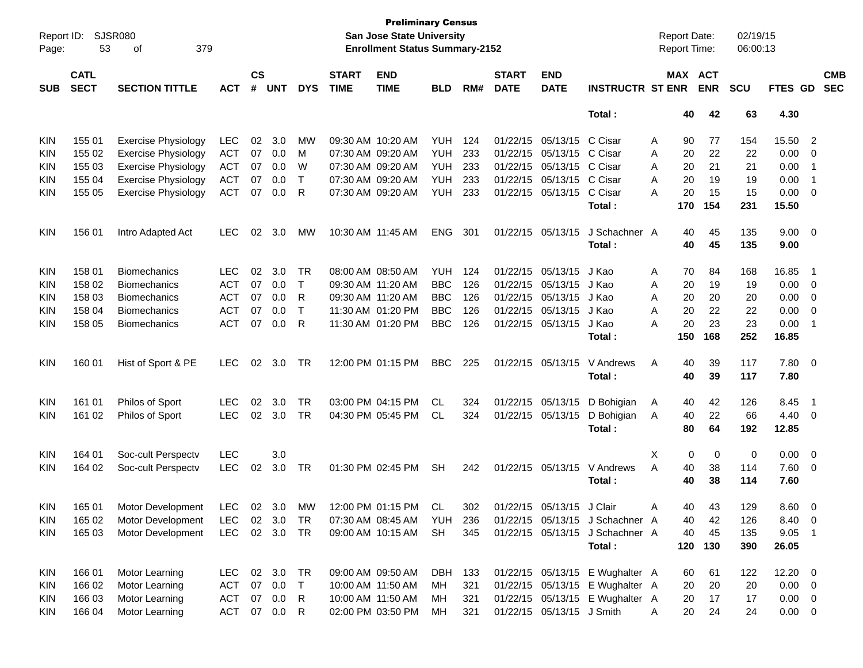| Report ID:<br>Page: | 53                         | <b>SJSR080</b><br>379<br>of |               |                    |            |              |                             | <b>Preliminary Census</b><br>San Jose State University<br><b>Enrollment Status Summary-2152</b> |            |       |                             |                           |                                 | <b>Report Date:</b><br><b>Report Time:</b> |           |                       | 02/19/15<br>06:00:13 |                |                          |                          |
|---------------------|----------------------------|-----------------------------|---------------|--------------------|------------|--------------|-----------------------------|-------------------------------------------------------------------------------------------------|------------|-------|-----------------------------|---------------------------|---------------------------------|--------------------------------------------|-----------|-----------------------|----------------------|----------------|--------------------------|--------------------------|
| <b>SUB</b>          | <b>CATL</b><br><b>SECT</b> | <b>SECTION TITTLE</b>       | <b>ACT</b>    | $\mathsf{cs}$<br># | <b>UNT</b> | <b>DYS</b>   | <b>START</b><br><b>TIME</b> | <b>END</b><br><b>TIME</b>                                                                       | <b>BLD</b> | RM#   | <b>START</b><br><b>DATE</b> | <b>END</b><br><b>DATE</b> | <b>INSTRUCTR ST ENR</b>         |                                            |           | MAX ACT<br><b>ENR</b> | <b>SCU</b>           | <b>FTES GD</b> |                          | <b>CMB</b><br><b>SEC</b> |
|                     |                            |                             |               |                    |            |              |                             |                                                                                                 |            |       |                             |                           | Total:                          |                                            | 40        | 42                    | 63                   | 4.30           |                          |                          |
| <b>KIN</b>          | 155 01                     | <b>Exercise Physiology</b>  | <b>LEC</b>    | 02                 | 3.0        | мw           |                             | 09:30 AM 10:20 AM                                                                               | YUH        | 124   |                             | 01/22/15 05/13/15 C Cisar |                                 | Α                                          | 90        | 77                    | 154                  | 15.50          | $\overline{\phantom{a}}$ |                          |
| KIN                 | 155 02                     | <b>Exercise Physiology</b>  | <b>ACT</b>    | 07                 | 0.0        | м            |                             | 07:30 AM 09:20 AM                                                                               | YUH        | 233   |                             | 01/22/15 05/13/15 C Cisar |                                 | A                                          | 20        | 22                    | 22                   | 0.00           | 0                        |                          |
| KIN                 | 155 03                     | <b>Exercise Physiology</b>  | <b>ACT</b>    | 07                 | 0.0        | W            |                             | 07:30 AM 09:20 AM                                                                               | YUH        | 233   |                             | 01/22/15 05/13/15 C Cisar |                                 | A                                          | 20        | 21                    | 21                   | 0.00           | -1                       |                          |
| KIN                 | 155 04                     | <b>Exercise Physiology</b>  | <b>ACT</b>    | 07                 | 0.0        | Т            |                             | 07:30 AM 09:20 AM                                                                               | YUH        | 233   |                             | 01/22/15 05/13/15 C Cisar |                                 | A                                          | 20        | 19                    | 19                   | 0.00           | -1                       |                          |
| <b>KIN</b>          | 155 05                     | <b>Exercise Physiology</b>  | <b>ACT</b>    | 07                 | 0.0        | R            |                             | 07:30 AM 09:20 AM                                                                               | YUH        | 233   |                             | 01/22/15 05/13/15 C Cisar |                                 | Α                                          | 20        | 15                    | 15                   | 0.00           | $\overline{\mathbf{0}}$  |                          |
|                     |                            |                             |               |                    |            |              |                             |                                                                                                 |            |       |                             |                           | Total :                         |                                            | 170       | 154                   | 231                  | 15.50          |                          |                          |
| <b>KIN</b>          | 156 01                     | Intro Adapted Act           | <b>LEC</b>    | 02                 | 3.0        | MW           |                             | 10:30 AM 11:45 AM                                                                               | <b>ENG</b> | 301   |                             | 01/22/15 05/13/15         | J Schachner A                   |                                            | 40        | 45                    | 135                  | $9.00 \t 0$    |                          |                          |
|                     |                            |                             |               |                    |            |              |                             |                                                                                                 |            |       |                             |                           | Total:                          |                                            | 40        | 45                    | 135                  | 9.00           |                          |                          |
| <b>KIN</b>          | 158 01                     | Biomechanics                | LEC           | 02                 | 3.0        | TR           |                             | 08:00 AM 08:50 AM                                                                               | <b>YUH</b> | 124   |                             | 01/22/15 05/13/15         | J Kao                           | Α                                          | 70        | 84                    | 168                  | 16.85          | -1                       |                          |
| KIN                 | 158 02                     | Biomechanics                | <b>ACT</b>    | 07                 | 0.0        | Τ            |                             | 09:30 AM 11:20 AM                                                                               | <b>BBC</b> | 126   |                             | 01/22/15 05/13/15         | J Kao                           | A                                          | 20        | 19                    | 19                   | 0.00           | $\overline{\mathbf{0}}$  |                          |
| KIN                 | 158 03                     | <b>Biomechanics</b>         | <b>ACT</b>    | 07                 | 0.0        | R            |                             | 09:30 AM 11:20 AM                                                                               | <b>BBC</b> | 126   |                             | 01/22/15 05/13/15         | J Kao                           | A                                          | 20        | 20                    | 20                   | 0.00           | $\overline{\mathbf{0}}$  |                          |
| KIN                 | 158 04                     | <b>Biomechanics</b>         | <b>ACT</b>    | 07                 | 0.0        | $\mathsf{T}$ |                             | 11:30 AM 01:20 PM                                                                               | <b>BBC</b> | 126   |                             | 01/22/15 05/13/15         | J Kao                           | A                                          | 20        | 22                    | 22                   | 0.00           | $\overline{\mathbf{0}}$  |                          |
| KIN                 | 158 05                     | <b>Biomechanics</b>         | <b>ACT</b>    | 07                 | 0.0        | R            |                             | 11:30 AM 01:20 PM                                                                               | <b>BBC</b> | 126   |                             | 01/22/15 05/13/15         | J Kao<br>Total :                | Α                                          | 20<br>150 | 23<br>168             | 23<br>252            | 0.00<br>16.85  | -1                       |                          |
| <b>KIN</b>          | 160 01                     | Hist of Sport & PE          | <b>LEC</b>    | 02                 | 3.0        | TR           |                             | 12:00 PM 01:15 PM                                                                               | <b>BBC</b> | 225   |                             | 01/22/15 05/13/15         | V Andrews<br>Total :            | Α                                          | 40<br>40  | 39<br>39              | 117<br>117           | 7.80 0<br>7.80 |                          |                          |
| <b>KIN</b>          | 161 01                     | Philos of Sport             | <b>LEC</b>    | 02                 | 3.0        | <b>TR</b>    |                             | 03:00 PM 04:15 PM                                                                               | <b>CL</b>  | 324   |                             | 01/22/15 05/13/15         | D Bohigian                      | A                                          | 40        | 42                    | 126                  | 8.45           | - 1                      |                          |
| <b>KIN</b>          | 161 02                     | Philos of Sport             | <b>LEC</b>    | 02 <sub>o</sub>    | 3.0        | <b>TR</b>    |                             | 04:30 PM 05:45 PM                                                                               | CL         | 324   |                             | 01/22/15 05/13/15         | D Bohigian                      | A                                          | 40        | 22                    | 66                   | 4.40           | $\overline{\mathbf{0}}$  |                          |
|                     |                            |                             |               |                    |            |              |                             |                                                                                                 |            |       |                             |                           | Total:                          |                                            | 80        | 64                    | 192                  | 12.85          |                          |                          |
| <b>KIN</b>          | 164 01                     | Soc-cult Perspectv          | <b>LEC</b>    |                    | 3.0        |              |                             |                                                                                                 |            |       |                             |                           |                                 | Χ                                          | 0         | 0                     | 0                    | 0.00           | $\overline{\phantom{0}}$ |                          |
| <b>KIN</b>          | 164 02                     | Soc-cult Perspectv          | <b>LEC</b>    | 02                 | 3.0        | TR           |                             | 01:30 PM 02:45 PM                                                                               | <b>SH</b>  | 242   |                             | 01/22/15 05/13/15         | V Andrews                       | A                                          | 40        | 38                    | 114                  | 7.60           | $\overline{\mathbf{0}}$  |                          |
|                     |                            |                             |               |                    |            |              |                             |                                                                                                 |            |       |                             |                           | Total :                         |                                            | 40        | 38                    | 114                  | 7.60           |                          |                          |
| <b>KIN</b>          | 165 01                     | Motor Development           | LEC 02 3.0    |                    |            | MW           |                             | 12:00 PM 01:15 PM                                                                               | .CL        | 302   |                             | 01/22/15 05/13/15 J Clair |                                 | A                                          | 40        | 43                    | 129                  | $8.60 \quad 0$ |                          |                          |
| <b>KIN</b>          | 165 02                     | Motor Development           | LEC.          |                    | 02 3.0     | TR           |                             | 07:30 AM 08:45 AM YUH                                                                           |            | 236   |                             |                           | 01/22/15 05/13/15 J Schachner A |                                            | 40        | 42                    | 126                  | 8.40 0         |                          |                          |
| KIN                 | 165 03                     | Motor Development           | LEC 02 3.0 TR |                    |            |              |                             | 09:00 AM 10:15 AM                                                                               | SH         | 345   |                             |                           | 01/22/15 05/13/15 J Schachner A |                                            | 40        | 45                    | 135                  | $9.05$ 1       |                          |                          |
|                     |                            |                             |               |                    |            |              |                             |                                                                                                 |            |       |                             |                           | Total:                          |                                            | 120       | 130                   | 390                  | 26.05          |                          |                          |
| KIN                 | 166 01                     | Motor Learning              | LEC.          |                    | 02 3.0     | TR           |                             | 09:00 AM 09:50 AM                                                                               | DBH        | - 133 |                             |                           | 01/22/15 05/13/15 E Wughalter A |                                            | 60        | 61                    | 122                  | $12.20 \t 0$   |                          |                          |
| <b>KIN</b>          | 166 02                     | Motor Learning              | <b>ACT</b>    | 07                 | 0.0        | $\top$       |                             | 10:00 AM 11:50 AM                                                                               | MН         | 321   |                             |                           | 01/22/15 05/13/15 E Wughalter A |                                            | 20        | 20                    | 20                   | $0.00 \t 0$    |                          |                          |
| <b>KIN</b>          | 166 03                     | Motor Learning              | <b>ACT</b>    | 07                 | 0.0        | R            |                             | 10:00 AM 11:50 AM                                                                               | МH         | 321   |                             |                           | 01/22/15 05/13/15 E Wughalter A |                                            | 20        | 17                    | 17                   | $0.00 \t 0$    |                          |                          |
| KIN                 | 166 04                     | Motor Learning              | <b>ACT</b>    |                    | 07  0.0  R |              |                             | 02:00 PM 03:50 PM                                                                               | МH         | 321   |                             | 01/22/15 05/13/15 J Smith |                                 | A                                          | 20        | 24                    | 24                   | $0.00 \t 0$    |                          |                          |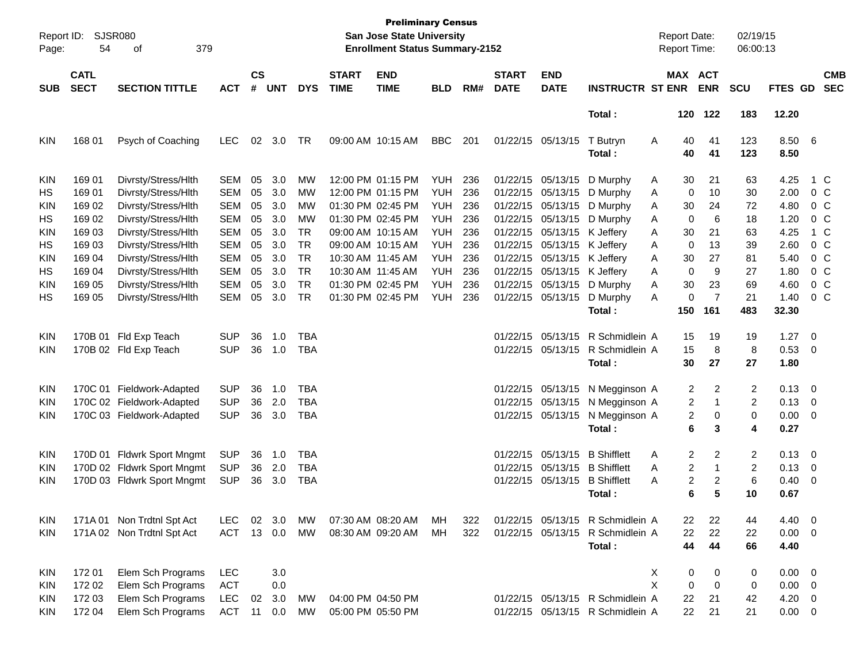| Report ID:<br>Page: | 54                         | <b>SJSR080</b><br>379<br>οf |            |                    |            |            |                             | <b>Preliminary Census</b><br><b>San Jose State University</b><br><b>Enrollment Status Summary-2152</b> |            |     |                             |                             |                                  |   | <b>Report Date:</b><br><b>Report Time:</b> |                | 02/19/15<br>06:00:13 |                |                          |                          |
|---------------------|----------------------------|-----------------------------|------------|--------------------|------------|------------|-----------------------------|--------------------------------------------------------------------------------------------------------|------------|-----|-----------------------------|-----------------------------|----------------------------------|---|--------------------------------------------|----------------|----------------------|----------------|--------------------------|--------------------------|
| <b>SUB</b>          | <b>CATL</b><br><b>SECT</b> | <b>SECTION TITTLE</b>       | <b>ACT</b> | $\mathsf{cs}$<br># | <b>UNT</b> | <b>DYS</b> | <b>START</b><br><b>TIME</b> | <b>END</b><br><b>TIME</b>                                                                              | <b>BLD</b> | RM# | <b>START</b><br><b>DATE</b> | <b>END</b><br><b>DATE</b>   | <b>INSTRUCTR ST ENR</b>          |   | MAX ACT                                    | <b>ENR</b>     | <b>SCU</b>           | <b>FTES GD</b> |                          | <b>CMB</b><br><b>SEC</b> |
|                     |                            |                             |            |                    |            |            |                             |                                                                                                        |            |     |                             |                             | Total:                           |   | 120                                        | 122            | 183                  | 12.20          |                          |                          |
| <b>KIN</b>          | 168 01                     | Psych of Coaching           | <b>LEC</b> | 02                 | 3.0        | TR         |                             | 09:00 AM 10:15 AM                                                                                      | <b>BBC</b> | 201 |                             | 01/22/15 05/13/15           | T Butryn<br>Total:               | Α | 40<br>40                                   | 41<br>41       | 123<br>123           | 8.50 6<br>8.50 |                          |                          |
| KIN                 | 169 01                     | Divrsty/Stress/Hlth         | <b>SEM</b> | 05                 | 3.0        | MW         |                             | 12:00 PM 01:15 PM                                                                                      | YUH        | 236 |                             |                             | 01/22/15 05/13/15 D Murphy       | A | 30                                         | 21             | 63                   | 4.25           |                          | 1 C                      |
| НS                  | 169 01                     | Divrsty/Stress/Hlth         | <b>SEM</b> | 05                 | 3.0        | <b>MW</b>  |                             | 12:00 PM 01:15 PM                                                                                      | YUH        | 236 |                             |                             | 01/22/15 05/13/15 D Murphy       | A | $\mathbf 0$                                | 10             | 30                   | 2.00           |                          | 0 C                      |
| KIN                 | 169 02                     | Divrsty/Stress/Hlth         | <b>SEM</b> | 05                 | 3.0        | MW         |                             | 01:30 PM 02:45 PM                                                                                      | <b>YUH</b> | 236 |                             |                             | 01/22/15 05/13/15 D Murphy       | A | 30                                         | 24             | 72                   | 4.80           |                          | 0 <sup>o</sup>           |
| HS                  | 169 02                     | Divrsty/Stress/Hlth         | <b>SEM</b> | 05                 | 3.0        | <b>MW</b>  |                             | 01:30 PM 02:45 PM                                                                                      | YUH        | 236 |                             |                             | 01/22/15 05/13/15 D Murphy       | A | $\mathbf 0$                                | 6              | 18                   | 1.20           |                          | 0 <sup>o</sup>           |
| <b>KIN</b>          | 169 03                     | Divrsty/Stress/Hlth         | <b>SEM</b> | 05                 | 3.0        | <b>TR</b>  |                             | 09:00 AM 10:15 AM                                                                                      | YUH        | 236 |                             | 01/22/15 05/13/15 K Jeffery |                                  | A | 30                                         | 21             | 63                   | 4.25           |                          | 1 C                      |
| HS                  | 169 03                     | Divrsty/Stress/Hlth         | <b>SEM</b> | 05                 | 3.0        | <b>TR</b>  |                             | 09:00 AM 10:15 AM                                                                                      | <b>YUH</b> | 236 |                             | 01/22/15 05/13/15 K Jeffery |                                  | A | $\mathbf 0$                                | 13             | 39                   | 2.60           |                          | 0 <sup>o</sup>           |
| <b>KIN</b>          | 169 04                     | Divrsty/Stress/Hlth         | <b>SEM</b> | 05                 | 3.0        | <b>TR</b>  | 10:30 AM 11:45 AM           |                                                                                                        | <b>YUH</b> | 236 |                             | 01/22/15 05/13/15 K Jeffery |                                  | A | 30                                         | 27             | 81                   | 5.40           |                          | 0 <sup>o</sup>           |
| HS                  | 169 04                     | Divrsty/Stress/Hlth         | <b>SEM</b> | 05                 | 3.0        | <b>TR</b>  | 10:30 AM 11:45 AM           |                                                                                                        | YUH        | 236 |                             | 01/22/15 05/13/15 K Jeffery |                                  | A | $\mathbf 0$                                | 9              | 27                   | 1.80           |                          | 0 <sup>o</sup>           |
| <b>KIN</b>          | 169 05                     | Divrsty/Stress/Hlth         | <b>SEM</b> | 05                 | 3.0        | <b>TR</b>  |                             | 01:30 PM 02:45 PM                                                                                      | <b>YUH</b> | 236 |                             |                             | 01/22/15 05/13/15 D Murphy       | A | 30                                         | 23             | 69                   | 4.60           |                          | 0 <sup>o</sup>           |
| НS                  | 169 05                     | Divrsty/Stress/Hlth         | <b>SEM</b> | 05                 | 3.0        | <b>TR</b>  |                             | 01:30 PM 02:45 PM                                                                                      | YUH        | 236 |                             | 01/22/15 05/13/15           | D Murphy                         | A | 0                                          | $\overline{7}$ | 21                   | 1.40           |                          | $0\,C$                   |
|                     |                            |                             |            |                    |            |            |                             |                                                                                                        |            |     |                             |                             | Total:                           |   | 150                                        | 161            | 483                  | 32.30          |                          |                          |
| KIN                 |                            | 170B 01 Fld Exp Teach       | <b>SUP</b> | 36                 | 1.0        | <b>TBA</b> |                             |                                                                                                        |            |     |                             |                             | 01/22/15 05/13/15 R Schmidlein A |   | 15                                         | 19             | 19                   | 1.27           | $\overline{\phantom{0}}$ |                          |
| <b>KIN</b>          |                            | 170B 02 Fld Exp Teach       | <b>SUP</b> | 36                 | 1.0        | <b>TBA</b> |                             |                                                                                                        |            |     |                             |                             | 01/22/15 05/13/15 R Schmidlein A |   | 15                                         | 8              | 8                    | 0.53           | $\overline{\phantom{0}}$ |                          |
|                     |                            |                             |            |                    |            |            |                             |                                                                                                        |            |     |                             |                             | Total:                           |   | 30                                         | 27             | 27                   | 1.80           |                          |                          |
| KIN                 |                            | 170C 01 Fieldwork-Adapted   | <b>SUP</b> | 36                 | 1.0        | <b>TBA</b> |                             |                                                                                                        |            |     |                             |                             | 01/22/15 05/13/15 N Megginson A  |   | 2                                          | 2              | 2                    | $0.13 \quad 0$ |                          |                          |
| <b>KIN</b>          |                            | 170C 02 Fieldwork-Adapted   | <b>SUP</b> | 36                 | 2.0        | <b>TBA</b> |                             |                                                                                                        |            |     |                             | 01/22/15 05/13/15           | N Megginson A                    |   | 2                                          | 1              | 2                    | 0.13           | $\overline{\phantom{0}}$ |                          |
| <b>KIN</b>          |                            | 170C 03 Fieldwork-Adapted   | <b>SUP</b> | 36                 | 3.0        | <b>TBA</b> |                             |                                                                                                        |            |     |                             | 01/22/15 05/13/15           | N Megginson A                    |   | 2                                          | 0              | 0                    | $0.00 \t 0$    |                          |                          |
|                     |                            |                             |            |                    |            |            |                             |                                                                                                        |            |     |                             |                             | Total:                           |   | 6                                          | 3              | 4                    | 0.27           |                          |                          |
| KIN                 |                            | 170D 01 Fldwrk Sport Mngmt  | <b>SUP</b> | 36                 | 1.0        | <b>TBA</b> |                             |                                                                                                        |            |     |                             | 01/22/15 05/13/15           | <b>B</b> Shifflett               | A | 2                                          | 2              | 2                    | $0.13 \ 0$     |                          |                          |
| KIN                 |                            | 170D 02 Fldwrk Sport Mngmt  | <b>SUP</b> | 36                 | 2.0        | <b>TBA</b> |                             |                                                                                                        |            |     |                             |                             | 01/22/15 05/13/15 B Shifflett    | A | $\overline{c}$                             | 1              | 2                    | 0.13           | $\overline{\phantom{0}}$ |                          |
| <b>KIN</b>          |                            | 170D 03 Fldwrk Sport Mngmt  | <b>SUP</b> | 36                 | 3.0        | <b>TBA</b> |                             |                                                                                                        |            |     |                             | 01/22/15 05/13/15           | <b>B</b> Shifflett               | A | 2                                          | $\overline{c}$ | 6                    | 0.40           | $\overline{\phantom{0}}$ |                          |
|                     |                            |                             |            |                    |            |            |                             |                                                                                                        |            |     |                             |                             | Total :                          |   | 6                                          | 5              | 10                   | 0.67           |                          |                          |
| KIN                 |                            | 171A 01 Non Trdtnl Spt Act  | LEC.       | 02                 | 3.0        | МW         |                             | 07:30 AM 08:20 AM                                                                                      | MН         | 322 |                             |                             | 01/22/15 05/13/15 R Schmidlein A |   | 22                                         | 22             | 44                   | 4.40 0         |                          |                          |
| <b>KIN</b>          |                            | 171A 02 Non Trdtnl Spt Act  | <b>ACT</b> |                    | 13 0.0     | MW         |                             | 08:30 AM 09:20 AM                                                                                      | МH         | 322 |                             |                             | 01/22/15 05/13/15 R Schmidlein A |   | 22                                         | 22             | 22                   | $0.00 \t 0$    |                          |                          |
|                     |                            |                             |            |                    |            |            |                             |                                                                                                        |            |     |                             |                             | Total:                           |   | 44                                         | 44             | 66                   | 4.40           |                          |                          |
| KIN                 | 172 01                     | Elem Sch Programs           | LEC        |                    | 3.0        |            |                             |                                                                                                        |            |     |                             |                             |                                  | X | 0                                          | 0              | 0                    | $0.00 \t 0$    |                          |                          |
| KIN                 | 172 02                     | Elem Sch Programs           | <b>ACT</b> |                    | 0.0        |            |                             |                                                                                                        |            |     |                             |                             |                                  | X | 0                                          | 0              | 0                    | $0.00 \t 0$    |                          |                          |
| KIN                 | 172 03                     | Elem Sch Programs           | <b>LEC</b> | 02                 | 3.0        | МW         |                             | 04:00 PM 04:50 PM                                                                                      |            |     |                             |                             | 01/22/15 05/13/15 R Schmidlein A |   | 22                                         | 21             | 42                   | $4.20 \ 0$     |                          |                          |
| <b>KIN</b>          | 172 04                     | Elem Sch Programs           | <b>ACT</b> | 11                 | 0.0        | <b>MW</b>  |                             | 05:00 PM 05:50 PM                                                                                      |            |     |                             |                             | 01/22/15 05/13/15 R Schmidlein A |   | 22                                         | 21             | 21                   | $0.00 \t 0$    |                          |                          |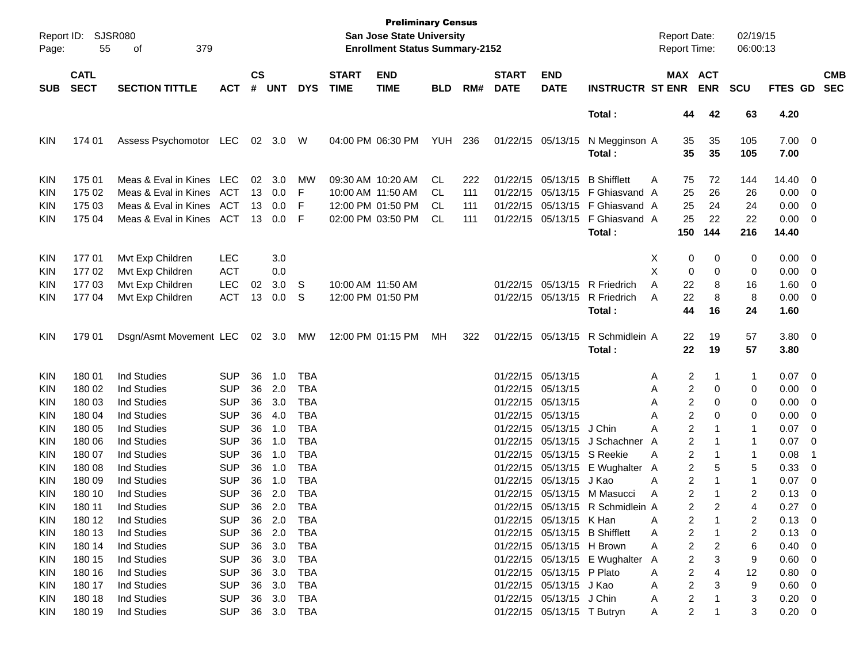| Page:      | Report ID: SJSR080<br>55   | 379<br>οf                        |                |                    |                |            |                             | <b>Preliminary Census</b><br>San Jose State University<br><b>Enrollment Status Summary-2152</b> |                |     |                             |                            |                                  | <b>Report Date:</b><br>Report Time: |                       | 02/19/15<br>06:00:13 |                     |                          |                          |
|------------|----------------------------|----------------------------------|----------------|--------------------|----------------|------------|-----------------------------|-------------------------------------------------------------------------------------------------|----------------|-----|-----------------------------|----------------------------|----------------------------------|-------------------------------------|-----------------------|----------------------|---------------------|--------------------------|--------------------------|
| <b>SUB</b> | <b>CATL</b><br><b>SECT</b> | <b>SECTION TITTLE</b>            | <b>ACT</b>     | $\mathsf{cs}$<br># | <b>UNT</b>     | <b>DYS</b> | <b>START</b><br><b>TIME</b> | <b>END</b><br><b>TIME</b>                                                                       | <b>BLD</b>     | RM# | <b>START</b><br><b>DATE</b> | <b>END</b><br><b>DATE</b>  | <b>INSTRUCTR ST ENR</b>          |                                     | MAX ACT<br><b>ENR</b> | <b>SCU</b>           | FTES GD             |                          | <b>CMB</b><br><b>SEC</b> |
|            |                            |                                  |                |                    |                |            |                             |                                                                                                 |                |     |                             |                            | Total:                           | 44                                  | 42                    | 63                   | 4.20                |                          |                          |
| <b>KIN</b> | 174 01                     | Assess Psychomotor LEC           |                |                    | 02 3.0 W       |            |                             | 04:00 PM 06:30 PM                                                                               | <b>YUH 236</b> |     |                             | 01/22/15 05/13/15          | N Megginson A<br>Total:          | 35<br>35                            | 35<br>35              | 105<br>105           | $7.00 \t 0$<br>7.00 |                          |                          |
| KIN        | 175 01                     | Meas & Eval in Kines LEC         |                |                    | $02 \quad 3.0$ | MW         | 09:30 AM 10:20 AM           |                                                                                                 | CL.            | 222 |                             | 01/22/15 05/13/15          | <b>B</b> Shifflett               | Α<br>75                             | 72                    | 144                  | 14.40 0             |                          |                          |
| KIN        | 175 02                     | Meas & Eval in Kines             | ACT            |                    | 13 0.0         | F          |                             | 10:00 AM 11:50 AM                                                                               | CL             | 111 |                             |                            | 01/22/15 05/13/15 F Ghiasvand A  | 25                                  | 26                    | 26                   | $0.00 \t 0$         |                          |                          |
| KIN        | 175 03                     | Meas & Eval in Kines             | ACT            | 13                 | 0.0            | F          |                             | 12:00 PM 01:50 PM                                                                               | CL             | 111 |                             |                            | 01/22/15 05/13/15 F Ghiasvand A  | 25                                  | 24                    | 24                   | 0.00                | $\overline{\phantom{0}}$ |                          |
| KIN        | 175 04                     | Meas & Eval in Kines             | ACT            | 13                 | 0.0            | F          |                             | 02:00 PM 03:50 PM                                                                               | CL             | 111 |                             |                            | 01/22/15 05/13/15 F Ghiasvand A  | 25                                  | 22                    | 22                   | $0.00 \t 0$         |                          |                          |
|            |                            |                                  |                |                    |                |            |                             |                                                                                                 |                |     |                             |                            | Total:                           | 150                                 | 144                   | 216                  | 14.40               |                          |                          |
| <b>KIN</b> | 17701                      | Mvt Exp Children                 | <b>LEC</b>     |                    | 3.0            |            |                             |                                                                                                 |                |     |                             |                            |                                  | X<br>0                              | 0                     | 0                    | $0.00 \t 0$         |                          |                          |
| KIN        | 17702                      | Mvt Exp Children                 | <b>ACT</b>     |                    | 0.0            |            |                             |                                                                                                 |                |     |                             |                            |                                  | X<br>0                              | 0                     | 0                    | 0.00                | $\overline{\phantom{0}}$ |                          |
| KIN        | 177 03                     | Mvt Exp Children                 | <b>LEC</b>     | 02                 | 3.0            | -S         | 10:00 AM 11:50 AM           |                                                                                                 |                |     |                             | 01/22/15 05/13/15          | R Friedrich                      | 22<br>A                             | 8                     | 16                   | $1.60 \t 0$         |                          |                          |
| KIN        | 17704                      | Mvt Exp Children                 | <b>ACT</b>     | 13                 | 0.0            | .S         |                             | 12:00 PM 01:50 PM                                                                               |                |     |                             | 01/22/15 05/13/15          | R Friedrich                      | 22<br>Α                             | 8                     | 8                    | $0.00 \t 0$         |                          |                          |
|            |                            |                                  |                |                    |                |            |                             |                                                                                                 |                |     |                             |                            | Total:                           | 44                                  | 16                    | 24                   | 1.60                |                          |                          |
| <b>KIN</b> | 179 01                     | Dsgn/Asmt Movement LEC 02 3.0 MW |                |                    |                |            | 12:00 PM 01:15 PM           |                                                                                                 | МH             | 322 |                             | 01/22/15 05/13/15          | R Schmidlein A<br>Total:         | 22<br>22                            | 19<br>19              | 57<br>57             | $3.80\ 0$<br>3.80   |                          |                          |
| <b>KIN</b> | 180 01                     | <b>Ind Studies</b>               | <b>SUP</b>     | 36                 | 1.0            | TBA        |                             |                                                                                                 |                |     |                             | 01/22/15 05/13/15          |                                  | 2<br>Α                              | 1                     | 1                    | $0.07$ 0            |                          |                          |
| KIN        | 180 02                     | <b>Ind Studies</b>               | <b>SUP</b>     | 36                 | 2.0            | TBA        |                             |                                                                                                 |                |     |                             | 01/22/15 05/13/15          |                                  | 2<br>Α                              | 0                     | 0                    | 0.00                | $\overline{\phantom{0}}$ |                          |
| KIN        | 180 03                     | <b>Ind Studies</b>               | <b>SUP</b>     | 36                 | 3.0            | TBA        |                             |                                                                                                 |                |     |                             | 01/22/15 05/13/15          |                                  | 2<br>Α                              | 0                     | 0                    | 0.00                | $\overline{\phantom{0}}$ |                          |
| KIN        | 180 04                     | <b>Ind Studies</b>               | <b>SUP</b>     | 36                 | 4.0            | TBA        |                             |                                                                                                 |                |     |                             | 01/22/15 05/13/15          |                                  | 2<br>Α                              | $\Omega$              | 0                    | 0.00                | $\overline{\phantom{0}}$ |                          |
| KIN        | 180 05                     | <b>Ind Studies</b>               | <b>SUP</b>     | 36                 | 1.0            | TBA        |                             |                                                                                                 |                |     |                             | 01/22/15 05/13/15 J Chin   |                                  | $\overline{2}$<br>Α                 |                       | 1                    | 0.07                | $\overline{\phantom{0}}$ |                          |
| KIN        | 180 06                     | <b>Ind Studies</b>               | <b>SUP</b>     | 36                 | 1.0            | TBA        |                             |                                                                                                 |                |     |                             |                            | 01/22/15 05/13/15 J Schachner    | 2<br>A                              |                       | 1                    | 0.07                | - 0                      |                          |
| KIN        | 180 07                     | <b>Ind Studies</b>               | <b>SUP</b>     | 36                 | 1.0            | <b>TBA</b> |                             |                                                                                                 |                |     |                             | 01/22/15 05/13/15 S Reekie |                                  | 2<br>Α                              | 1                     | 1                    | 0.08                | -1                       |                          |
| KIN        | 180 08                     | <b>Ind Studies</b>               | <b>SUP</b>     | 36                 | 1.0            | <b>TBA</b> |                             |                                                                                                 |                |     |                             |                            | 01/22/15 05/13/15 E Wughalter    | 2<br>A                              | 5                     | 5                    | 0.33                | $\overline{\mathbf{0}}$  |                          |
| KIN        | 180 09                     | Ind Studies                      | <b>SUP</b>     | 36                 | 1.0            | TBA        |                             |                                                                                                 |                |     |                             | 01/22/15 05/13/15          | J Kao                            | 2<br>Α                              |                       | 1                    | 0.07                | $\overline{\phantom{0}}$ |                          |
| KIN        | 180 10                     | <b>Ind Studies</b>               | <b>SUP</b>     | 36                 | 2.0            | <b>TBA</b> |                             |                                                                                                 |                |     |                             |                            | 01/22/15 05/13/15 M Masucci      | $\overline{2}$<br>Α                 |                       | $\overline{c}$       | 0.13                | $\overline{\phantom{0}}$ |                          |
| KIN        | 180 11                     | Ind Studies                      | <b>SUP</b>     |                    | 36 2.0         | <b>TBA</b> |                             |                                                                                                 |                |     |                             |                            | 01/22/15 05/13/15 R Schmidlein A | 2                                   |                       | 4                    | 0.27                | $\overline{0}$           |                          |
| <b>KIN</b> | 180 12                     | Ind Studies                      | <b>SUP</b>     |                    | 36 2.0 TBA     |            |                             |                                                                                                 |                |     |                             | 01/22/15 05/13/15 K Han    |                                  | 2<br>A                              |                       | 2                    | $0.13 \ 0$          |                          |                          |
| <b>KIN</b> | 180 13                     | <b>Ind Studies</b>               | <b>SUP</b>     |                    | 36 2.0         | TBA        |                             |                                                                                                 |                |     |                             |                            | 01/22/15 05/13/15 B Shifflett    | $\overline{\mathbf{c}}$<br>A        | 1                     | 2                    | $0.13 \ 0$          |                          |                          |
| <b>KIN</b> | 180 14                     | <b>Ind Studies</b>               | <b>SUP</b>     |                    | 36 3.0         | TBA        |                             |                                                                                                 |                |     |                             | 01/22/15 05/13/15 H Brown  |                                  | 2<br>A                              | 2                     | 6                    | $0.40 \ 0$          |                          |                          |
| <b>KIN</b> | 180 15                     | <b>Ind Studies</b>               | <b>SUP</b>     |                    | 36 3.0         | TBA        |                             |                                                                                                 |                |     |                             |                            | 01/22/15 05/13/15 E Wughalter A  | 2                                   | 3                     | 9                    | $0.60 \quad 0$      |                          |                          |
| <b>KIN</b> | 180 16                     | <b>Ind Studies</b>               | <b>SUP</b>     |                    | 36 3.0         | TBA        |                             |                                                                                                 |                |     |                             | 01/22/15 05/13/15 P Plato  |                                  | $\overline{\mathbf{c}}$<br>A        | 4                     | 12                   | 0.80 0              |                          |                          |
| KIN        | 180 17                     | <b>Ind Studies</b>               | <b>SUP</b>     |                    | 36 3.0         | TBA        |                             |                                                                                                 |                |     |                             | 01/22/15 05/13/15 J Kao    |                                  | $\overline{\mathbf{c}}$<br>A        | 3                     | 9                    | $0.60 \t 0$         |                          |                          |
| KIN        | 180 18                     | <b>Ind Studies</b>               | <b>SUP</b>     |                    | 36 3.0         | TBA        |                             |                                                                                                 |                |     |                             | 01/22/15 05/13/15 J Chin   |                                  | $\overline{\mathbf{c}}$<br>A        |                       | 3                    | $0.20 \ 0$          |                          |                          |
| <b>KIN</b> | 180 19                     | <b>Ind Studies</b>               | SUP 36 3.0 TBA |                    |                |            |                             |                                                                                                 |                |     |                             | 01/22/15 05/13/15 T Butryn |                                  | A                                   | 2<br>1                | 3                    | $0.20 \ 0$          |                          |                          |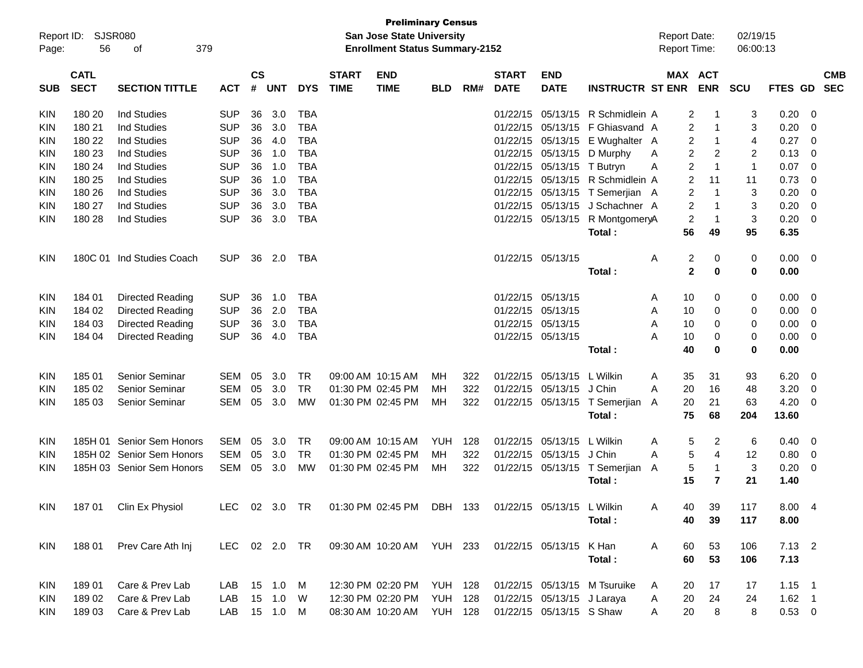| Report ID:<br>Page: | 56                         | <b>SJSR080</b><br>379<br>of |               |                    |            |            |                             | <b>Preliminary Census</b><br>San Jose State University<br><b>Enrollment Status Summary-2152</b> |                |     |                             |                            |                              | <b>Report Date:</b><br><b>Report Time:</b> |                       | 02/19/15<br>06:00:13 |             |                          |
|---------------------|----------------------------|-----------------------------|---------------|--------------------|------------|------------|-----------------------------|-------------------------------------------------------------------------------------------------|----------------|-----|-----------------------------|----------------------------|------------------------------|--------------------------------------------|-----------------------|----------------------|-------------|--------------------------|
| <b>SUB</b>          | <b>CATL</b><br><b>SECT</b> | <b>SECTION TITTLE</b>       | <b>ACT</b>    | $\mathsf{cs}$<br># | <b>UNT</b> | <b>DYS</b> | <b>START</b><br><b>TIME</b> | <b>END</b><br><b>TIME</b>                                                                       | <b>BLD</b>     | RM# | <b>START</b><br><b>DATE</b> | <b>END</b><br><b>DATE</b>  | <b>INSTRUCTR ST ENR</b>      |                                            | MAX ACT<br><b>ENR</b> | <b>SCU</b>           | FTES GD     | <b>CMB</b><br><b>SEC</b> |
| <b>KIN</b>          | 180 20                     | <b>Ind Studies</b>          | <b>SUP</b>    | 36                 | 3.0        | <b>TBA</b> |                             |                                                                                                 |                |     | 01/22/15                    | 05/13/15                   | R Schmidlein A               |                                            | $\overline{2}$<br>-1  | 3                    | 0.20        | - 0                      |
| KIN                 | 180 21                     | <b>Ind Studies</b>          | <b>SUP</b>    | 36                 | 3.0        | <b>TBA</b> |                             |                                                                                                 |                |     | 01/22/15                    | 05/13/15                   | F Ghiasvand A                |                                            | 2<br>$\mathbf{1}$     | 3                    | 0.20        | -0                       |
| KIN                 | 180 22                     | <b>Ind Studies</b>          | <b>SUP</b>    | 36                 | 4.0        | <b>TBA</b> |                             |                                                                                                 |                |     | 01/22/15                    | 05/13/15                   | E Wughalter A                | 2                                          | $\mathbf{1}$          | 4                    | 0.27        | $\overline{0}$           |
| KIN                 | 180 23                     | <b>Ind Studies</b>          | <b>SUP</b>    | 36                 | 1.0        | <b>TBA</b> |                             |                                                                                                 |                |     | 01/22/15                    | 05/13/15                   | D Murphy                     | A                                          | 2<br>2                | 2                    | 0.13        | -0                       |
| KIN                 | 180 24                     | <b>Ind Studies</b>          | <b>SUP</b>    | 36                 | 1.0        | <b>TBA</b> |                             |                                                                                                 |                |     | 01/22/15                    | 05/13/15                   | T Butryn                     | $\overline{c}$<br>A                        | $\mathbf{1}$          | $\mathbf{1}$         | 0.07        | -0                       |
| KIN                 | 180 25                     | <b>Ind Studies</b>          | <b>SUP</b>    | 36                 | 1.0        | <b>TBA</b> |                             |                                                                                                 |                |     | 01/22/15                    |                            | 05/13/15 R Schmidlein A      | $\overline{c}$                             | 11                    | 11                   | 0.73        | -0                       |
| KIN                 | 180 26                     | <b>Ind Studies</b>          | <b>SUP</b>    | 36                 | 3.0        | <b>TBA</b> |                             |                                                                                                 |                |     | 01/22/15                    | 05/13/15                   | T Semerjian A                | 2                                          | $\mathbf{1}$          | 3                    | 0.20        | $\overline{0}$           |
| KIN                 | 180 27                     | <b>Ind Studies</b>          | <b>SUP</b>    | 36                 | 3.0        | <b>TBA</b> |                             |                                                                                                 |                |     | 01/22/15                    | 05/13/15                   | J Schachner A                | 2                                          | $\mathbf 1$           | 3                    | 0.20        | $\overline{0}$           |
| <b>KIN</b>          | 180 28                     | <b>Ind Studies</b>          | <b>SUP</b>    | 36                 | 3.0        | <b>TBA</b> |                             |                                                                                                 |                |     | 01/22/15                    | 05/13/15                   | R MontgomeryA                | $\overline{c}$                             | $\mathbf{1}$          | 3                    | 0.20        | $\overline{0}$           |
|                     |                            |                             |               |                    |            |            |                             |                                                                                                 |                |     |                             |                            | Total:                       | 56                                         | 49                    | 95                   | 6.35        |                          |
| <b>KIN</b>          |                            | 180C 01 Ind Studies Coach   | <b>SUP</b>    |                    | 36 2.0     | <b>TBA</b> |                             |                                                                                                 |                |     |                             | 01/22/15 05/13/15          |                              | 2<br>Α                                     | 0                     | 0                    | $0.00 \t 0$ |                          |
|                     |                            |                             |               |                    |            |            |                             |                                                                                                 |                |     |                             |                            | Total:                       | $\mathbf{2}$                               | 0                     | 0                    | 0.00        |                          |
| <b>KIN</b>          | 184 01                     | Directed Reading            | <b>SUP</b>    | 36                 | 1.0        | <b>TBA</b> |                             |                                                                                                 |                |     | 01/22/15                    | 05/13/15                   |                              | 10<br>A                                    | 0                     | 0                    | 0.00        | - 0                      |
| <b>KIN</b>          | 184 02                     | Directed Reading            | <b>SUP</b>    | 36                 | 2.0        | <b>TBA</b> |                             |                                                                                                 |                |     | 01/22/15                    | 05/13/15                   |                              | Α<br>10                                    | 0                     | 0                    | 0.00        | - 0                      |
| <b>KIN</b>          | 184 03                     | Directed Reading            | <b>SUP</b>    | 36                 | 3.0        | <b>TBA</b> |                             |                                                                                                 |                |     | 01/22/15                    | 05/13/15                   |                              | A<br>10                                    | 0                     | 0                    | 0.00        | -0                       |
| <b>KIN</b>          | 184 04                     | Directed Reading            | <b>SUP</b>    | 36                 | 4.0        | <b>TBA</b> |                             |                                                                                                 |                |     |                             | 01/22/15 05/13/15          |                              | 10<br>Α                                    | 0                     | 0                    | 0.00        | $\overline{0}$           |
|                     |                            |                             |               |                    |            |            |                             |                                                                                                 |                |     |                             |                            | Total:                       | 40                                         | 0                     | 0                    | 0.00        |                          |
| <b>KIN</b>          | 185 01                     | Senior Seminar              | SEM           | 05                 | 3.0        | <b>TR</b>  |                             | 09:00 AM 10:15 AM                                                                               | MН             | 322 | 01/22/15                    | 05/13/15                   | L Wilkin                     | 35<br>Α                                    | 31                    | 93                   | 6.20        | - 0                      |
| KIN                 | 185 02                     | Senior Seminar              | <b>SEM</b>    | 05                 | 3.0        | <b>TR</b>  |                             | 01:30 PM 02:45 PM                                                                               | MН             | 322 | 01/22/15                    | 05/13/15                   | J Chin                       | 20<br>A                                    | 16                    | 48                   | 3.20        | -0                       |
| <b>KIN</b>          | 185 03                     | Senior Seminar              | <b>SEM</b>    | 05                 | 3.0        | <b>MW</b>  |                             | 01:30 PM 02:45 PM                                                                               | MН             | 322 | 01/22/15                    |                            | 05/13/15 T Semerjian         | 20<br>A                                    | 21                    | 63                   | 4.20        | - 0                      |
|                     |                            |                             |               |                    |            |            |                             |                                                                                                 |                |     |                             |                            | Total:                       | 75                                         | 68                    | 204                  | 13.60       |                          |
| <b>KIN</b>          |                            | 185H 01 Senior Sem Honors   | <b>SEM</b>    | 05                 | 3.0        | <b>TR</b>  |                             | 09:00 AM 10:15 AM                                                                               | <b>YUH</b>     | 128 | 01/22/15                    | 05/13/15                   | L Wilkin                     | 5<br>Α                                     | 2                     | 6                    | 0.40        | - 0                      |
| <b>KIN</b>          |                            | 185H 02 Senior Sem Honors   | <b>SEM</b>    | 05                 | 3.0        | <b>TR</b>  |                             | 01:30 PM 02:45 PM                                                                               | MН             | 322 | 01/22/15                    | 05/13/15                   | J Chin                       | 5<br>A                                     | $\overline{4}$        | 12                   | 0.80        | - 0                      |
| KIN                 |                            | 185H 03 Senior Sem Honors   | <b>SEM</b>    | 05                 | 3.0        | <b>MW</b>  |                             | 01:30 PM 02:45 PM                                                                               | МH             | 322 |                             | 01/22/15 05/13/15          | T Semerjian                  | 5<br>A                                     | $\mathbf{1}$          | 3                    | 0.20        | - 0                      |
|                     |                            |                             |               |                    |            |            |                             |                                                                                                 |                |     |                             |                            | Total:                       | 15                                         | 7                     | 21                   | 1.40        |                          |
| <b>KIN</b>          |                            | 187 01 Clin Ex Physiol      |               |                    |            |            |                             | LEC 02 3.0 TR  01:30 PM  02:45 PM  DBH  133  01/22/15  05/13/15  LWilkin                        |                |     |                             |                            |                              | 40<br>Α                                    | 39                    | 117                  | 8.00 4      |                          |
|                     |                            |                             |               |                    |            |            |                             |                                                                                                 |                |     |                             |                            | Total:                       | 40                                         | 39                    | 117                  | 8.00        |                          |
| <b>KIN</b>          | 18801                      | Prev Care Ath Inj           | LEC 02 2.0 TR |                    |            |            |                             | 09:30 AM 10:20 AM YUH 233                                                                       |                |     |                             | 01/22/15 05/13/15 K Han    |                              | A<br>60                                    | 53                    | 106                  | $7.13$ 2    |                          |
|                     |                            |                             |               |                    |            |            |                             |                                                                                                 |                |     |                             |                            | Total:                       | 60                                         | 53                    | 106                  | 7.13        |                          |
| KIN                 | 18901                      | Care & Prev Lab             | LAB.          |                    | 15 1.0     | M          |                             | 12:30 PM 02:20 PM YUH 128                                                                       |                |     |                             |                            | 01/22/15 05/13/15 M Tsuruike | 20<br>A                                    | 17                    | 17                   | $1.15$ 1    |                          |
| <b>KIN</b>          | 18902                      | Care & Prev Lab             | LAB           |                    | 15 1.0     | W          |                             | 12:30 PM 02:20 PM                                                                               | <b>YUH 128</b> |     |                             | 01/22/15 05/13/15 J Laraya |                              | $20\,$<br>A                                | 24                    | 24                   | $1.62$ 1    |                          |
| <b>KIN</b>          | 18903                      | Care & Prev Lab             | LAB           |                    | 15 1.0     | M          |                             | 08:30 AM 10:20 AM                                                                               | <b>YUH 128</b> |     |                             | 01/22/15 05/13/15 S Shaw   |                              | 20<br>A                                    | $\bf 8$               | 8                    | 0.53 0      |                          |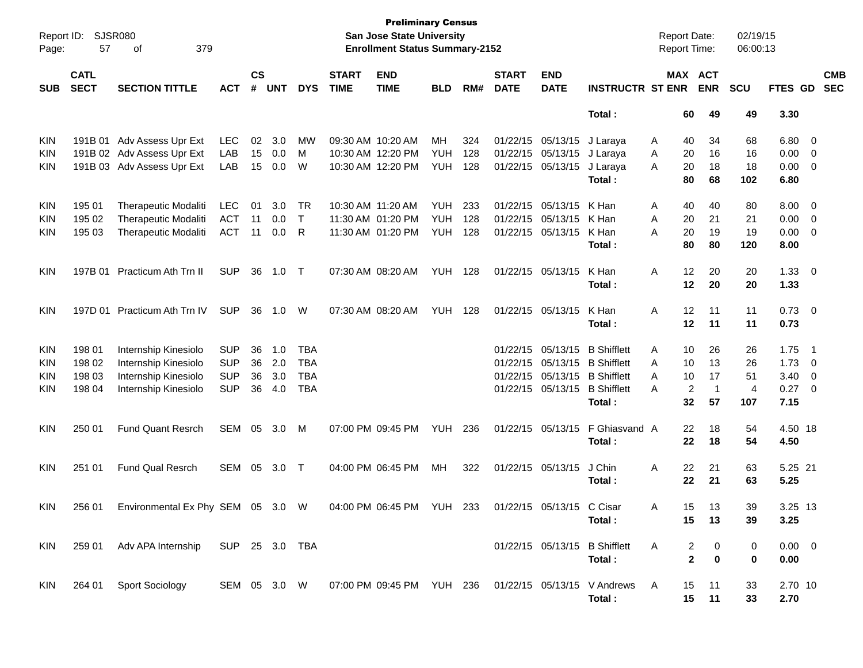| Report ID:<br>Page: | 57                         | <b>SJSR080</b><br>379<br>οf              |            |                    |            |            |                             | <b>Preliminary Census</b><br><b>San Jose State University</b><br><b>Enrollment Status Summary-2152</b> |                |     |                             |                           |                                                                    |   | <b>Report Date:</b><br><b>Report Time:</b> | 02/19/15<br>06:00:13 |                |                          |                          |
|---------------------|----------------------------|------------------------------------------|------------|--------------------|------------|------------|-----------------------------|--------------------------------------------------------------------------------------------------------|----------------|-----|-----------------------------|---------------------------|--------------------------------------------------------------------|---|--------------------------------------------|----------------------|----------------|--------------------------|--------------------------|
| <b>SUB</b>          | <b>CATL</b><br><b>SECT</b> | <b>SECTION TITTLE</b>                    | <b>ACT</b> | $\mathsf{cs}$<br># | <b>UNT</b> | <b>DYS</b> | <b>START</b><br><b>TIME</b> | <b>END</b><br><b>TIME</b>                                                                              | <b>BLD</b>     | RM# | <b>START</b><br><b>DATE</b> | <b>END</b><br><b>DATE</b> | <b>INSTRUCTR ST ENR</b>                                            |   | MAX ACT<br><b>ENR</b>                      | <b>SCU</b>           | FTES GD        |                          | <b>CMB</b><br><b>SEC</b> |
|                     |                            |                                          |            |                    |            |            |                             |                                                                                                        |                |     |                             |                           | Total:                                                             |   | 60<br>49                                   | 49                   | 3.30           |                          |                          |
| <b>KIN</b>          | 191B 01                    | Adv Assess Upr Ext                       | <b>LEC</b> | 02                 | 3.0        | MW         |                             | 09:30 AM 10:20 AM                                                                                      | МH             | 324 |                             | 01/22/15 05/13/15         | J Laraya                                                           | Α | 34<br>40                                   | 68                   | 6.80           | $\overline{\phantom{0}}$ |                          |
| <b>KIN</b>          |                            | 191B 02 Adv Assess Upr Ext               | LAB        | 15                 | 0.0        | M          |                             | 10:30 AM 12:20 PM                                                                                      | <b>YUH</b>     | 128 |                             | 01/22/15 05/13/15         | J Laraya                                                           | Α | 20<br>16                                   | 16                   | 0.00           | $\overline{\phantom{0}}$ |                          |
| <b>KIN</b>          |                            | 191B 03 Adv Assess Upr Ext               | LAB        | 15                 | 0.0        | W          |                             | 10:30 AM 12:20 PM                                                                                      | <b>YUH</b>     | 128 |                             | 01/22/15 05/13/15         | J Laraya                                                           | A | 20<br>18                                   | 18                   | 0.00           | $\overline{\phantom{0}}$ |                          |
|                     |                            |                                          |            |                    |            |            |                             |                                                                                                        |                |     |                             |                           | Total:                                                             |   | 80<br>68                                   | 102                  | 6.80           |                          |                          |
| <b>KIN</b>          | 195 01                     | <b>Therapeutic Modaliti</b>              | <b>LEC</b> | 01                 | 3.0        | TR         |                             | 10:30 AM 11:20 AM                                                                                      | <b>YUH</b>     | 233 |                             | 01/22/15 05/13/15         | K Han                                                              | Α | 40<br>40                                   | 80                   | 8.00           | $\overline{\phantom{0}}$ |                          |
| KIN                 | 195 02                     | <b>Therapeutic Modaliti</b>              | <b>ACT</b> | 11                 | 0.0        | $\top$     |                             | 11:30 AM 01:20 PM                                                                                      | <b>YUH</b>     | 128 |                             | 01/22/15 05/13/15         | K Han                                                              | Α | 21<br>20                                   | 21                   | 0.00           | $\overline{\mathbf{0}}$  |                          |
| <b>KIN</b>          | 195 03                     | <b>Therapeutic Modaliti</b>              | <b>ACT</b> | 11                 | 0.0        | R          |                             | 11:30 AM 01:20 PM                                                                                      | YUH            | 128 |                             | 01/22/15 05/13/15         | K Han                                                              | Α | 20<br>19                                   | 19                   | 0.00           | $\overline{\phantom{0}}$ |                          |
|                     |                            |                                          |            |                    |            |            |                             |                                                                                                        |                |     |                             |                           | Total:                                                             |   | 80<br>80                                   | 120                  | 8.00           |                          |                          |
| <b>KIN</b>          | 197B 01                    | Practicum Ath Trn II                     | <b>SUP</b> | 36                 | 1.0        | $\top$     |                             | 07:30 AM 08:20 AM                                                                                      | <b>YUH 128</b> |     |                             | 01/22/15 05/13/15         | K Han                                                              | A | 12<br>20                                   | 20                   | $1.33 \ 0$     |                          |                          |
|                     |                            |                                          |            |                    |            |            |                             |                                                                                                        |                |     |                             |                           | Total:                                                             |   | 12<br>20                                   | 20                   | 1.33           |                          |                          |
| <b>KIN</b>          |                            | 197D 01 Practicum Ath Trn IV             | <b>SUP</b> | 36                 | 1.0        | W          |                             | 07:30 AM 08:20 AM                                                                                      | <b>YUH 128</b> |     |                             | 01/22/15 05/13/15         | K Han                                                              | A | 12<br>11                                   | 11                   | $0.73 \quad 0$ |                          |                          |
|                     |                            |                                          |            |                    |            |            |                             |                                                                                                        |                |     |                             |                           | Total:                                                             |   | 12<br>11                                   | 11                   | 0.73           |                          |                          |
| <b>KIN</b>          | 198 01                     | Internship Kinesiolo                     | <b>SUP</b> | 36                 | 1.0        | <b>TBA</b> |                             |                                                                                                        |                |     |                             | 01/22/15 05/13/15         | <b>B</b> Shifflett                                                 | Α | 10<br>26                                   | 26                   | 1.75           | $\overline{\phantom{1}}$ |                          |
| KIN                 | 198 02                     | Internship Kinesiolo                     | <b>SUP</b> | 36                 | 2.0        | <b>TBA</b> |                             |                                                                                                        |                |     |                             | 01/22/15 05/13/15         | <b>B</b> Shifflett                                                 | A | 13<br>10                                   | 26                   | 1.73           | $\overline{\mathbf{0}}$  |                          |
| KIN                 | 198 03                     | Internship Kinesiolo                     | <b>SUP</b> | 36                 | 3.0        | <b>TBA</b> |                             |                                                                                                        |                |     |                             | 01/22/15 05/13/15         | <b>B</b> Shifflett                                                 | A | 10<br>17                                   | 51                   | 3.40           | $\overline{\mathbf{0}}$  |                          |
| <b>KIN</b>          | 198 04                     | Internship Kinesiolo                     | <b>SUP</b> | 36                 | 4.0        | <b>TBA</b> |                             |                                                                                                        |                |     |                             | 01/22/15 05/13/15         | <b>B</b> Shifflett                                                 | А | $\overline{2}$<br>$\mathbf{1}$             | 4                    | 0.27           | $\overline{\phantom{0}}$ |                          |
|                     |                            |                                          |            |                    |            |            |                             |                                                                                                        |                |     |                             |                           | Total:                                                             |   | 32<br>57                                   | 107                  | 7.15           |                          |                          |
| <b>KIN</b>          | 250 01                     | <b>Fund Quant Resrch</b>                 | SEM        | 05                 | 3.0        | M          |                             | 07:00 PM 09:45 PM                                                                                      | YUH            | 236 |                             | 01/22/15 05/13/15         | F Ghiasvand A                                                      |   | 22<br>18                                   | 54                   | 4.50 18        |                          |                          |
|                     |                            |                                          |            |                    |            |            |                             |                                                                                                        |                |     |                             |                           | Total:                                                             |   | 22<br>18                                   | 54                   | 4.50           |                          |                          |
| <b>KIN</b>          | 251 01                     | <b>Fund Qual Resrch</b>                  | SEM        | 05                 | 3.0        | $\top$     |                             | 04:00 PM 06:45 PM                                                                                      | МH             | 322 |                             | 01/22/15 05/13/15         | J Chin                                                             | A | 22<br>21                                   | 63                   | 5.25 21        |                          |                          |
|                     |                            |                                          |            |                    |            |            |                             |                                                                                                        |                |     |                             |                           | Total:                                                             |   | 22<br>21                                   | 63                   | 5.25           |                          |                          |
| KIN                 |                            | 256 01 Environmental Ex Phy SEM 05 3.0 W |            |                    |            |            |                             | 04:00 PM 06:45 PM YUH 233                                                                              |                |     |                             | 01/22/15 05/13/15 C Cisar |                                                                    | A | 15<br>13                                   | 39                   | 3.25 13        |                          |                          |
|                     |                            |                                          |            |                    |            |            |                             |                                                                                                        |                |     |                             |                           | Total :                                                            |   | 15<br>13                                   | 39                   | 3.25           |                          |                          |
| <b>KIN</b>          |                            | 259 01 Adv APA Internship SUP 25 3.0 TBA |            |                    |            |            |                             |                                                                                                        |                |     |                             |                           | 01/22/15 05/13/15 B Shifflett                                      | A | 2<br>0                                     | 0                    | $0.00 \t 0$    |                          |                          |
|                     |                            |                                          |            |                    |            |            |                             |                                                                                                        |                |     |                             |                           | Total:                                                             |   | $\mathbf{2}$<br>0                          | 0                    | 0.00           |                          |                          |
|                     |                            |                                          |            |                    |            |            |                             |                                                                                                        |                |     |                             |                           |                                                                    |   |                                            |                      |                |                          |                          |
| <b>KIN</b>          |                            | 264 01 Sport Sociology                   |            |                    |            |            |                             |                                                                                                        |                |     |                             |                           | SEM 05 3.0 W 07:00 PM 09:45 PM YUH 236 01/22/15 05/13/15 V Andrews | A | 15<br>11                                   | 33                   | 2.70 10        |                          |                          |
|                     |                            |                                          |            |                    |            |            |                             |                                                                                                        |                |     |                             |                           | Total:                                                             |   | 15<br>11                                   | 33                   | 2.70           |                          |                          |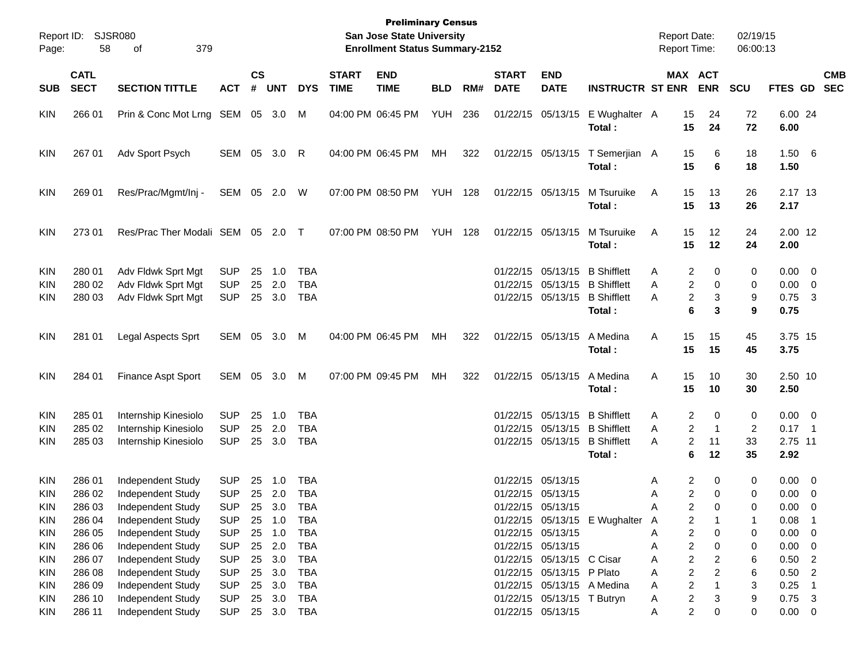| Report ID:<br>Page:                                                | 58                                             | <b>SJSR080</b><br>379<br>οf                                                                           |                                                                    |                    |                                                |                                                                    |                             | <b>Preliminary Census</b><br>San Jose State University<br><b>Enrollment Status Summary-2152</b> |                |     |                             |                                                                                                                                         |                               | <b>Report Date:</b><br>Report Time: |                                                                                                                                                         | 02/19/15<br>06:00:13       |                                                          |                           |
|--------------------------------------------------------------------|------------------------------------------------|-------------------------------------------------------------------------------------------------------|--------------------------------------------------------------------|--------------------|------------------------------------------------|--------------------------------------------------------------------|-----------------------------|-------------------------------------------------------------------------------------------------|----------------|-----|-----------------------------|-----------------------------------------------------------------------------------------------------------------------------------------|-------------------------------|-------------------------------------|---------------------------------------------------------------------------------------------------------------------------------------------------------|----------------------------|----------------------------------------------------------|---------------------------|
| <b>SUB</b>                                                         | <b>CATL</b><br><b>SECT</b>                     | <b>SECTION TITTLE</b>                                                                                 | <b>ACT</b>                                                         | $\mathsf{cs}$<br># | <b>UNT</b>                                     | <b>DYS</b>                                                         | <b>START</b><br><b>TIME</b> | <b>END</b><br><b>TIME</b>                                                                       | <b>BLD</b>     | RM# | <b>START</b><br><b>DATE</b> | <b>END</b><br><b>DATE</b>                                                                                                               | <b>INSTRUCTR ST ENR</b>       |                                     | MAX ACT<br><b>ENR</b>                                                                                                                                   | <b>SCU</b>                 |                                                          | <b>CMB</b><br>FTES GD SEC |
| <b>KIN</b>                                                         | 266 01                                         | Prin & Conc Mot Lrng SEM 05 3.0                                                                       |                                                                    |                    |                                                | M                                                                  |                             | 04:00 PM 06:45 PM                                                                               | YUH            | 236 |                             | 01/22/15 05/13/15                                                                                                                       | E Wughalter A<br>Total:       | 15<br>15                            | 24<br>24                                                                                                                                                | 72<br>72                   | 6.00 24<br>6.00                                          |                           |
| <b>KIN</b>                                                         | 267 01                                         | Adv Sport Psych                                                                                       | SEM 05 3.0                                                         |                    |                                                | R                                                                  |                             | 04:00 PM 06:45 PM                                                                               | МH             | 322 |                             | 01/22/15 05/13/15                                                                                                                       | T Semerjian A<br>Total:       | 15<br>15                            | 6<br>6                                                                                                                                                  | 18<br>18                   | 1.506<br>1.50                                            |                           |
| <b>KIN</b>                                                         | 269 01                                         | Res/Prac/Mgmt/Inj -                                                                                   | SEM 05 2.0                                                         |                    |                                                | W                                                                  |                             | 07:00 PM 08:50 PM                                                                               | <b>YUH 128</b> |     |                             | 01/22/15 05/13/15                                                                                                                       | M Tsuruike<br>Total:          | 15<br>A<br>15                       | 13<br>13                                                                                                                                                | 26<br>26                   | 2.17 13<br>2.17                                          |                           |
| <b>KIN</b>                                                         | 27301                                          | Res/Prac Ther Modali SEM 05 2.0 T                                                                     |                                                                    |                    |                                                |                                                                    |                             | 07:00 PM 08:50 PM                                                                               | YUH            | 128 |                             | 01/22/15 05/13/15                                                                                                                       | M Tsuruike<br>Total:          | 15<br>A<br>15                       | 12<br>12                                                                                                                                                | 24<br>24                   | 2.00 12<br>2.00                                          |                           |
| <b>KIN</b><br>KIN<br><b>KIN</b>                                    | 280 01<br>280 02<br>280 03                     | Adv Fldwk Sprt Mgt<br>Adv Fldwk Sprt Mgt<br>Adv Fldwk Sprt Mgt                                        | <b>SUP</b><br><b>SUP</b><br><b>SUP</b>                             | 25<br>25           | $-1.0$<br>2.0<br>25 3.0                        | <b>TBA</b><br><b>TBA</b><br><b>TBA</b>                             |                             |                                                                                                 |                |     |                             | 01/22/15 05/13/15 B Shifflett<br>01/22/15 05/13/15 B Shifflett<br>01/22/15 05/13/15 B Shifflett                                         | Total:                        | Α<br>Α<br>Α                         | 2<br>0<br>$\overline{\mathbf{c}}$<br>$\mathbf 0$<br>$\overline{\mathbf{c}}$<br>3<br>6<br>3                                                              | 0<br>0<br>9<br>9           | $0.00 \t 0$<br>$0.00 \t 0$<br>0.75<br>0.75               | $\overline{\mathbf{3}}$   |
| <b>KIN</b>                                                         | 281 01                                         | Legal Aspects Sprt                                                                                    | SEM 05 3.0                                                         |                    |                                                | M                                                                  |                             | 04:00 PM 06:45 PM                                                                               | МH             | 322 |                             | 01/22/15 05/13/15                                                                                                                       | A Medina<br>Total:            | 15<br>Α<br>15                       | 15<br>15                                                                                                                                                | 45<br>45                   | 3.75 15<br>3.75                                          |                           |
| <b>KIN</b>                                                         | 284 01                                         | Finance Aspt Sport                                                                                    | SEM 05 3.0                                                         |                    |                                                | M                                                                  |                             | 07:00 PM 09:45 PM                                                                               | МH             | 322 |                             | 01/22/15 05/13/15                                                                                                                       | A Medina<br>Total:            | 15<br>A<br>15                       | 10<br>10                                                                                                                                                | 30<br>30                   | 2.50 10<br>2.50                                          |                           |
| KIN<br>KIN<br><b>KIN</b>                                           | 285 01<br>285 02<br>285 03                     | Internship Kinesiolo<br>Internship Kinesiolo<br>Internship Kinesiolo                                  | <b>SUP</b><br><b>SUP</b><br><b>SUP</b>                             | 25<br>25           | 1.0<br>2.0<br>25 3.0                           | <b>TBA</b><br><b>TBA</b><br><b>TBA</b>                             |                             |                                                                                                 |                |     |                             | 01/22/15 05/13/15 B Shifflett<br>01/22/15 05/13/15 B Shifflett<br>01/22/15 05/13/15 B Shifflett                                         | Total:                        | Α<br>Α<br>Α                         | 2<br>0<br>$\overline{c}$<br>$\mathbf{1}$<br>$\overline{c}$<br>11<br>6<br>12                                                                             | 0<br>2<br>33<br>35         | $0.00 \t 0$<br>$0.17$ 1<br>2.75 11<br>2.92               |                           |
| KIN<br><b>KIN</b><br><b>KIN</b><br><b>KIN</b><br><b>KIN</b>        | 286 01<br>286 02<br>286 03<br>286 04<br>286 05 | Independent Study<br>Independent Study<br>Independent Study<br>Independent Study<br>Independent Study | <b>SUP</b><br><b>SUP</b><br><b>SUP</b><br><b>SUP</b><br><b>SUP</b> | 25<br>25<br>25     | - 1.0<br>25 2.0<br>3.0<br>1.0<br>25 1.0        | TBA<br><b>TBA</b><br><b>TBA</b><br><b>TBA</b><br><b>TBA</b>        |                             |                                                                                                 |                |     |                             | 01/22/15 05/13/15<br>01/22/15 05/13/15<br>01/22/15 05/13/15<br>01/22/15 05/13/15                                                        | 01/22/15 05/13/15 E Wughalter | Α<br>Α<br>Α<br>A<br>Α               | 2<br>0<br>$\overline{c}$<br>0<br>2<br>0<br>2<br>2<br>0                                                                                                  | $\mathbf 0$<br>0<br>0<br>0 | $0.00 \t 0$<br>$0.00 \ 0$<br>0.00<br>0.08<br>$0.00 \t 0$ | $\overline{\mathbf{0}}$   |
| <b>KIN</b><br><b>KIN</b><br><b>KIN</b><br><b>KIN</b><br><b>KIN</b> | 286 06<br>286 07<br>286 08<br>286 09<br>286 10 | Independent Study<br>Independent Study<br>Independent Study<br>Independent Study<br>Independent Study | <b>SUP</b><br><b>SUP</b><br><b>SUP</b><br><b>SUP</b><br><b>SUP</b> |                    | 25 2.0<br>25 3.0<br>25 3.0<br>25 3.0<br>25 3.0 | <b>TBA</b><br><b>TBA</b><br><b>TBA</b><br><b>TBA</b><br><b>TBA</b> |                             |                                                                                                 |                |     |                             | 01/22/15 05/13/15<br>01/22/15 05/13/15 C Cisar<br>01/22/15 05/13/15 P Plato<br>01/22/15 05/13/15 A Medina<br>01/22/15 05/13/15 T Butryn |                               | А<br>Α<br>Α<br>Α<br>Α               | $\overline{\mathbf{c}}$<br>0<br>$\overline{\mathbf{c}}$<br>2<br>$\overline{\mathbf{c}}$<br>2<br>$\overline{\mathbf{c}}$<br>$\overline{\mathbf{c}}$<br>3 | 0<br>6<br>6<br>3<br>9      | $0.00 \t 0$<br>$0.50$ 2<br>$0.50$ 2<br>0.25<br>$0.75$ 3  | $\overline{1}$            |
| KIN                                                                | 286 11                                         | Independent Study                                                                                     | <b>SUP</b>                                                         |                    |                                                | 25 3.0 TBA                                                         |                             |                                                                                                 |                |     |                             | 01/22/15 05/13/15                                                                                                                       |                               | Α                                   | $\overline{\mathbf{c}}$<br>0                                                                                                                            | 0                          | $0.00 \t 0$                                              |                           |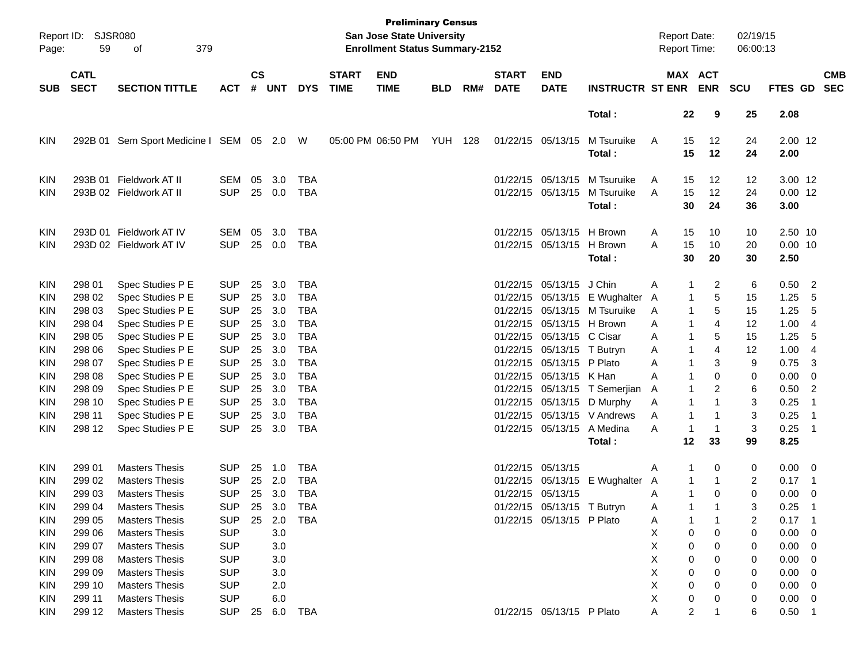| Page:      | Report ID: SJSR080<br>59   | 379<br>οf                       |                |                    |              |            |                             | <b>Preliminary Census</b><br>San Jose State University<br><b>Enrollment Status Summary-2152</b> |                |     |                             |                            |                               |   |                | <b>Report Date:</b><br><b>Report Time:</b> | 02/19/15<br>06:00:13 |                |                          |                          |
|------------|----------------------------|---------------------------------|----------------|--------------------|--------------|------------|-----------------------------|-------------------------------------------------------------------------------------------------|----------------|-----|-----------------------------|----------------------------|-------------------------------|---|----------------|--------------------------------------------|----------------------|----------------|--------------------------|--------------------------|
| <b>SUB</b> | <b>CATL</b><br><b>SECT</b> | <b>SECTION TITTLE</b>           | <b>ACT</b>     | $\mathsf{cs}$<br># | <b>UNT</b>   | <b>DYS</b> | <b>START</b><br><b>TIME</b> | <b>END</b><br><b>TIME</b>                                                                       | <b>BLD</b>     | RM# | <b>START</b><br><b>DATE</b> | <b>END</b><br><b>DATE</b>  | <b>INSTRUCTR ST ENR</b>       |   |                | MAX ACT<br><b>ENR</b>                      | <b>SCU</b>           | <b>FTES GD</b> |                          | <b>CMB</b><br><b>SEC</b> |
|            |                            |                                 |                |                    |              |            |                             |                                                                                                 |                |     |                             |                            | Total:                        |   | 22             | 9                                          | 25                   | 2.08           |                          |                          |
| <b>KIN</b> | 292B 01                    | Sem Sport Medicine I SEM 05 2.0 |                |                    |              | W          |                             | 05:00 PM 06:50 PM                                                                               | <b>YUH 128</b> |     | 01/22/15 05/13/15           |                            | M Tsuruike                    | A | 15             | 12                                         | 24                   | 2.00 12        |                          |                          |
|            |                            |                                 |                |                    |              |            |                             |                                                                                                 |                |     |                             |                            | Total:                        |   | 15             | 12                                         | 24                   | 2.00           |                          |                          |
| <b>KIN</b> | 293B 01                    | Fieldwork AT II                 | SEM            | 05                 | 3.0          | TBA        |                             |                                                                                                 |                |     |                             | 01/22/15 05/13/15          | M Tsuruike                    | A | 15             | 12                                         | 12                   | 3.00 12        |                          |                          |
| KIN        |                            | 293B 02 Fieldwork AT II         | <b>SUP</b>     |                    | 25 0.0       | TBA        |                             |                                                                                                 |                |     |                             | 01/22/15 05/13/15          | M Tsuruike                    | A | 15             | 12                                         | 24                   | $0.00$ 12      |                          |                          |
|            |                            |                                 |                |                    |              |            |                             |                                                                                                 |                |     |                             |                            | Total:                        |   | 30             | 24                                         | 36                   | 3.00           |                          |                          |
| <b>KIN</b> |                            | 293D 01 Fieldwork AT IV         | <b>SEM</b>     | 05                 | 3.0          | TBA        |                             |                                                                                                 |                |     |                             | 01/22/15 05/13/15 H Brown  |                               | A | 15             | 10                                         | 10                   | 2.50 10        |                          |                          |
| KIN        |                            | 293D 02 Fieldwork AT IV         | <b>SUP</b>     |                    | 25 0.0       | TBA        |                             |                                                                                                 |                |     |                             | 01/22/15 05/13/15          | H Brown                       | A | 15             | 10                                         | 20                   | $0.00$ 10      |                          |                          |
|            |                            |                                 |                |                    |              |            |                             |                                                                                                 |                |     |                             |                            | Total:                        |   | 30             | 20                                         | 30                   | 2.50           |                          |                          |
| <b>KIN</b> | 298 01                     | Spec Studies P E                | <b>SUP</b>     | 25                 | 3.0          | <b>TBA</b> |                             |                                                                                                 |                |     |                             | 01/22/15 05/13/15          | J Chin                        | A | 1              | $\overline{c}$                             | 6                    | 0.50           | $\overline{2}$           |                          |
| KIN        | 298 02                     | Spec Studies P E                | <b>SUP</b>     | 25                 | 3.0          | <b>TBA</b> |                             |                                                                                                 |                |     |                             |                            | 01/22/15 05/13/15 E Wughalter | A | 1              | 5                                          | 15                   | 1.25           | 5                        |                          |
| KIN        | 298 03                     | Spec Studies P E                | <b>SUP</b>     | 25                 | 3.0          | <b>TBA</b> |                             |                                                                                                 |                |     |                             |                            | 01/22/15 05/13/15 M Tsuruike  | A | 1              | 5                                          | 15                   | 1.25           | 5                        |                          |
| KIN        | 298 04                     | Spec Studies P E                | <b>SUP</b>     | 25                 | 3.0          | <b>TBA</b> |                             |                                                                                                 |                |     |                             | 01/22/15 05/13/15 H Brown  |                               | A | 1              | 4                                          | 12                   | 1.00           | 4                        |                          |
| KIN        | 298 05                     | Spec Studies P E                | <b>SUP</b>     | 25                 | 3.0          | <b>TBA</b> |                             |                                                                                                 |                |     |                             | 01/22/15 05/13/15 C Cisar  |                               | A | 1              | 5                                          | 15                   | 1.25           | 5                        |                          |
| KIN        | 298 06                     | Spec Studies P E                | <b>SUP</b>     | 25                 | 3.0          | <b>TBA</b> |                             |                                                                                                 |                |     |                             | 01/22/15 05/13/15 T Butryn |                               | A | 1              | 4                                          | 12                   | 1.00           | 4                        |                          |
| KIN        | 298 07                     | Spec Studies P E                | <b>SUP</b>     | 25                 | 3.0          | <b>TBA</b> |                             |                                                                                                 |                |     |                             | 01/22/15 05/13/15 P Plato  |                               | A | 1              | 3                                          | 9                    | 0.75           | -3                       |                          |
| KIN        | 298 08                     | Spec Studies P E                | <b>SUP</b>     | 25                 | 3.0          | <b>TBA</b> |                             |                                                                                                 |                |     |                             | 01/22/15 05/13/15 K Han    |                               | A | 1              | 0                                          | 0                    | 0.00           | 0                        |                          |
| KIN        | 298 09                     | Spec Studies P E                | <b>SUP</b>     | 25                 | 3.0          | <b>TBA</b> |                             |                                                                                                 |                |     |                             |                            | 01/22/15 05/13/15 T Semerjian | A | 1              | 2                                          | 6                    | 0.50           | $\overline{2}$           |                          |
| KIN        | 298 10                     | Spec Studies P E                | <b>SUP</b>     | 25                 | 3.0          | <b>TBA</b> |                             |                                                                                                 |                |     |                             |                            | 01/22/15 05/13/15 D Murphy    | A | 1              | 1                                          | 3                    | 0.25           | -1                       |                          |
| KIN        | 298 11                     | Spec Studies P E                | <b>SUP</b>     | 25                 | 3.0          | <b>TBA</b> |                             |                                                                                                 |                |     |                             |                            | 01/22/15 05/13/15 V Andrews   | A | 1              | -1                                         | 3                    | 0.25           | - 1                      |                          |
| KIN        | 298 12                     | Spec Studies P E                | <b>SUP</b>     | 25                 | 3.0          | TBA        |                             |                                                                                                 |                |     |                             | 01/22/15 05/13/15          | A Medina                      | A | 1              | -1                                         | 3                    | 0.25           | - 1                      |                          |
|            |                            |                                 |                |                    |              |            |                             |                                                                                                 |                |     |                             |                            | Total:                        |   | 12             | 33                                         | 99                   | 8.25           |                          |                          |
| <b>KIN</b> | 299 01                     | <b>Masters Thesis</b>           | <b>SUP</b>     | 25                 | 1.0          | <b>TBA</b> |                             |                                                                                                 |                |     | 01/22/15 05/13/15           |                            |                               | A | 1              | 0                                          | 0                    | 0.00           | $\overline{\phantom{0}}$ |                          |
| KIN        | 299 02                     | <b>Masters Thesis</b>           | <b>SUP</b>     | 25                 | 2.0          | <b>TBA</b> |                             |                                                                                                 |                |     |                             |                            | 01/22/15 05/13/15 E Wughalter | A | 1              | -1                                         | 2                    | 0.17           | $\overline{\phantom{1}}$ |                          |
| KIN        | 299 03                     | <b>Masters Thesis</b>           | <b>SUP</b>     | 25                 | 3.0          | <b>TBA</b> |                             |                                                                                                 |                |     | 01/22/15 05/13/15           |                            |                               | A | 1              | 0                                          | $\mathbf 0$          | 0.00           | - 0                      |                          |
| <b>KIN</b> | 299 04                     | <b>Masters Thesis</b>           | <b>SUP</b>     |                    | 25 3.0       | <b>TBA</b> |                             |                                                                                                 |                |     |                             | 01/22/15 05/13/15 T Butryn |                               | Α | 1              | 1                                          |                      | 0.25           | -1                       |                          |
| <b>KIN</b> | 299 05                     | <b>Masters Thesis</b>           | SUP            |                    | 25  2.0  TBA |            |                             |                                                                                                 |                |     |                             | 01/22/15 05/13/15 P Plato  |                               | A | 1              | $\mathbf{1}$                               | 2                    | $0.17$ 1       |                          |                          |
| KIN        | 299 06                     | <b>Masters Thesis</b>           | <b>SUP</b>     |                    | 3.0          |            |                             |                                                                                                 |                |     |                             |                            |                               | X | 0              | 0                                          | 0                    | $0.00 \t 0$    |                          |                          |
| <b>KIN</b> | 299 07                     | <b>Masters Thesis</b>           | <b>SUP</b>     |                    | 3.0          |            |                             |                                                                                                 |                |     |                             |                            |                               | X | 0              | 0                                          | 0                    | $0.00 \t 0$    |                          |                          |
| <b>KIN</b> | 299 08                     | <b>Masters Thesis</b>           | <b>SUP</b>     |                    | 3.0          |            |                             |                                                                                                 |                |     |                             |                            |                               | X | 0              | 0                                          | 0                    | $0.00 \t 0$    |                          |                          |
| KIN        | 299 09                     | <b>Masters Thesis</b>           | <b>SUP</b>     |                    | 3.0          |            |                             |                                                                                                 |                |     |                             |                            |                               | Х | 0              | 0                                          | 0                    | $0.00 \t 0$    |                          |                          |
| KIN        | 299 10                     | <b>Masters Thesis</b>           | <b>SUP</b>     |                    | 2.0          |            |                             |                                                                                                 |                |     |                             |                            |                               | Х | 0              | 0                                          | 0                    | $0.00 \t 0$    |                          |                          |
| KIN        | 299 11                     | <b>Masters Thesis</b>           | <b>SUP</b>     |                    | 6.0          |            |                             |                                                                                                 |                |     |                             |                            |                               | X | 0              | 0                                          | 0                    | $0.00 \t 0$    |                          |                          |
| KIN        | 299 12                     | <b>Masters Thesis</b>           | SUP 25 6.0 TBA |                    |              |            |                             |                                                                                                 |                |     |                             | 01/22/15 05/13/15 P Plato  |                               | A | $\overline{2}$ |                                            | 6                    | $0.50$ 1       |                          |                          |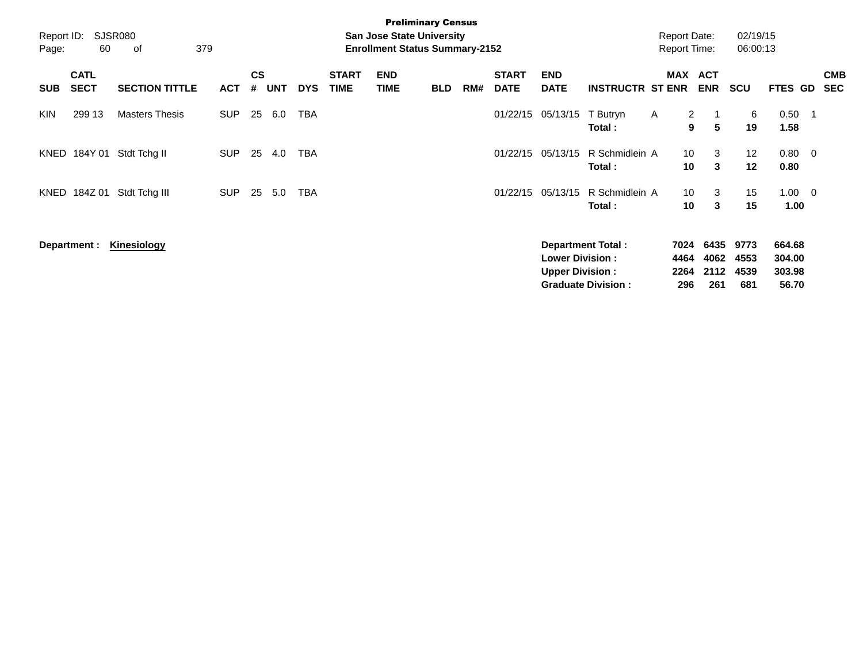| Report ID:<br>Page: | 60                         | SJSR080<br>379<br>οf  |            |                    |            |            |                             | <b>Preliminary Census</b><br><b>San Jose State University</b><br><b>Enrollment Status Summary-2152</b> |            |     |                             |                                                  |                           | <b>Report Date:</b><br><b>Report Time:</b> |                      | 02/19/15<br>06:00:13 |                            |            |            |
|---------------------|----------------------------|-----------------------|------------|--------------------|------------|------------|-----------------------------|--------------------------------------------------------------------------------------------------------|------------|-----|-----------------------------|--------------------------------------------------|---------------------------|--------------------------------------------|----------------------|----------------------|----------------------------|------------|------------|
| <b>SUB</b>          | <b>CATL</b><br><b>SECT</b> | <b>SECTION TITTLE</b> | <b>ACT</b> | $\mathsf{cs}$<br># | <b>UNT</b> | <b>DYS</b> | <b>START</b><br><b>TIME</b> | <b>END</b><br><b>TIME</b>                                                                              | <b>BLD</b> | RM# | <b>START</b><br><b>DATE</b> | <b>END</b><br><b>DATE</b>                        | <b>INSTRUCTR ST ENR</b>   | MAX ACT                                    | <b>ENR</b>           | <b>SCU</b>           | <b>FTES GD</b>             | <b>SEC</b> | <b>CMB</b> |
| <b>KIN</b>          | 299 13                     | <b>Masters Thesis</b> | <b>SUP</b> | 25                 | 6.0        | <b>TBA</b> |                             |                                                                                                        |            |     | 01/22/15                    | 05/13/15                                         | T Butryn<br>Total:        | $\overline{2}$<br>$\mathsf{A}$<br>9        | 5                    | 6<br>19              | 0.50<br>1.58               | - 1        |            |
| KNED                | 184Y 01                    | Stdt Tchg II          | <b>SUP</b> | 25                 | 4.0        | <b>TBA</b> |                             |                                                                                                        |            |     | 01/22/15                    | 05/13/15                                         | R Schmidlein A<br>Total : | 10<br>10                                   | 3<br>3               | 12<br>12             | $0.80 \quad 0$<br>0.80     |            |            |
| KNED                | 184Z 01                    | Stdt Tchg III         | <b>SUP</b> | 25                 | 5.0        | <b>TBA</b> |                             |                                                                                                        |            |     | 01/22/15                    | 05/13/15                                         | R Schmidlein A<br>Total:  | 10 <sup>°</sup><br>10                      | 3<br>3               | 15<br>15             | $1.00 \t 0$<br>1.00        |            |            |
|                     | Department :               | Kinesiology           |            |                    |            |            |                             |                                                                                                        |            |     |                             | <b>Lower Division:</b><br><b>Upper Division:</b> | <b>Department Total:</b>  | 7024<br>4464<br>2264                       | 6435<br>4062<br>2112 | 9773<br>4553<br>4539 | 664.68<br>304.00<br>303.98 |            |            |
|                     |                            |                       |            |                    |            |            |                             |                                                                                                        |            |     |                             |                                                  | <b>Graduate Division:</b> | 296                                        | 261                  | 681                  | 56.70                      |            |            |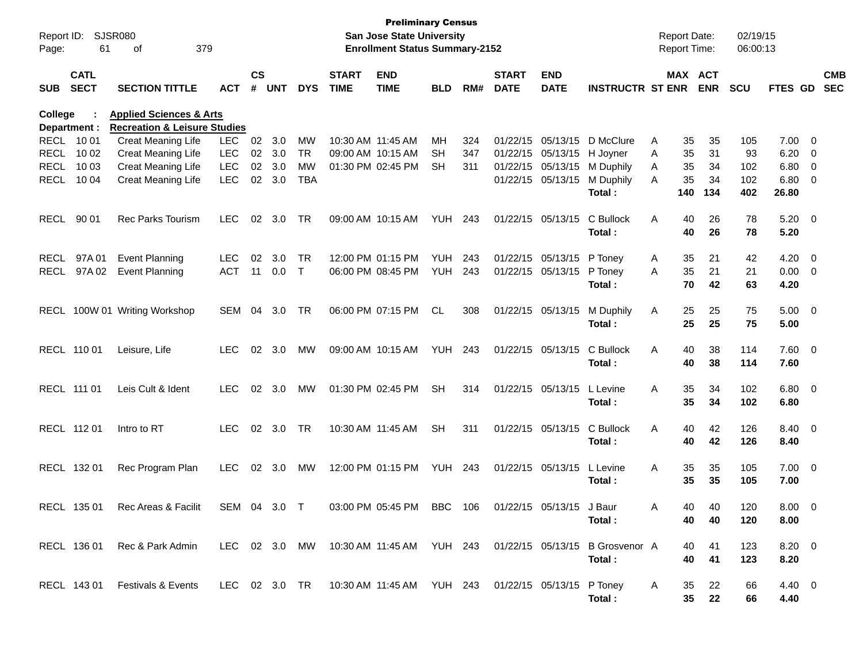| Report ID:<br>Page: | 61                         | <b>SJSR080</b><br>379<br>оf                                                   |              |                    |            |            |                             | <b>Preliminary Census</b><br><b>San Jose State University</b><br><b>Enrollment Status Summary-2152</b> |                |     |                             |                           |                                                                         |   | <b>Report Date:</b><br><b>Report Time:</b> |            | 02/19/15<br>06:00:13 |                |                          |                          |
|---------------------|----------------------------|-------------------------------------------------------------------------------|--------------|--------------------|------------|------------|-----------------------------|--------------------------------------------------------------------------------------------------------|----------------|-----|-----------------------------|---------------------------|-------------------------------------------------------------------------|---|--------------------------------------------|------------|----------------------|----------------|--------------------------|--------------------------|
| <b>SUB</b>          | <b>CATL</b><br><b>SECT</b> | <b>SECTION TITTLE</b>                                                         | <b>ACT</b>   | $\mathsf{cs}$<br># | <b>UNT</b> | <b>DYS</b> | <b>START</b><br><b>TIME</b> | <b>END</b><br><b>TIME</b>                                                                              | <b>BLD</b>     | RM# | <b>START</b><br><b>DATE</b> | <b>END</b><br><b>DATE</b> | <b>INSTRUCTR ST ENR</b>                                                 |   | MAX ACT                                    | <b>ENR</b> | <b>SCU</b>           | <b>FTES GD</b> |                          | <b>CMB</b><br><b>SEC</b> |
| College             | Department :               | <b>Applied Sciences &amp; Arts</b><br><b>Recreation &amp; Leisure Studies</b> |              |                    |            |            |                             |                                                                                                        |                |     |                             |                           |                                                                         |   |                                            |            |                      |                |                          |                          |
| RECL 10 01          |                            | <b>Creat Meaning Life</b>                                                     | <b>LEC</b>   | 02                 | 3.0        | MW         | 10:30 AM 11:45 AM           |                                                                                                        | MН             | 324 | 01/22/15                    | 05/13/15                  | D McClure                                                               | Α | 35                                         | 35         | 105                  | 7.00           | $\overline{\phantom{0}}$ |                          |
| <b>RECL</b>         | 10 02                      | <b>Creat Meaning Life</b>                                                     | <b>LEC</b>   | 02                 | 3.0        | <b>TR</b>  |                             | 09:00 AM 10:15 AM                                                                                      | <b>SH</b>      | 347 | 01/22/15 05/13/15           |                           | H Joyner                                                                | Α | 35                                         | 31         | 93                   | 6.20           | $\overline{\mathbf{0}}$  |                          |
| <b>RECL</b>         | 10 03                      | <b>Creat Meaning Life</b>                                                     | <b>LEC</b>   |                    | 02 3.0     | <b>MW</b>  |                             | 01:30 PM 02:45 PM                                                                                      | <b>SH</b>      | 311 | 01/22/15                    | 05/13/15                  | M Duphily                                                               | A | 35                                         | 34         | 102                  | 6.80           | $\overline{\phantom{0}}$ |                          |
| <b>RECL</b>         | 10 04                      | <b>Creat Meaning Life</b>                                                     | <b>LEC</b>   | 02                 | 3.0        | <b>TBA</b> |                             |                                                                                                        |                |     |                             | 01/22/15 05/13/15         | M Duphily<br>Total:                                                     | A | 35<br>140                                  | 34<br>134  | 102<br>402           | 6.80<br>26.80  | $\overline{\mathbf{0}}$  |                          |
| <b>RECL</b>         | 90 01                      | <b>Rec Parks Tourism</b>                                                      | <b>LEC</b>   | 02                 | 3.0        | TR.        |                             | 09:00 AM 10:15 AM                                                                                      | YUH            | 243 | 01/22/15 05/13/15           |                           | C Bullock<br>Total:                                                     | A | 40<br>40                                   | 26<br>26   | 78<br>78             | 5.20<br>5.20   | $\overline{\phantom{0}}$ |                          |
| <b>RECL</b>         | 97A01                      | <b>Event Planning</b>                                                         | <b>LEC</b>   | 02                 | 3.0        | <b>TR</b>  |                             | 12:00 PM 01:15 PM                                                                                      | YUH            | 243 | 01/22/15                    | 05/13/15                  | P Toney                                                                 | A | 35                                         | 21         | 42                   | 4.20           | $\overline{\mathbf{0}}$  |                          |
| <b>RECL</b>         | 97A 02                     | <b>Event Planning</b>                                                         | <b>ACT</b>   | 11                 | 0.0        | $\top$     |                             | 06:00 PM 08:45 PM                                                                                      | YUH            | 243 | 01/22/15 05/13/15           |                           | P Toney                                                                 | A | 35                                         | 21         | 21                   | $0.00 \t 0$    |                          |                          |
|                     |                            |                                                                               |              |                    |            |            |                             |                                                                                                        |                |     |                             |                           | Total:                                                                  |   | 70                                         | 42         | 63                   | 4.20           |                          |                          |
|                     |                            | RECL 100W 01 Writing Workshop                                                 | SEM          | 04                 | 3.0        | TR         |                             | 06:00 PM 07:15 PM                                                                                      | <b>CL</b>      | 308 | 01/22/15 05/13/15           |                           | M Duphily                                                               | A | 25                                         | 25         | 75                   | $5.00 \t 0$    |                          |                          |
|                     |                            |                                                                               |              |                    |            |            |                             |                                                                                                        |                |     |                             |                           | Total:                                                                  |   | 25                                         | 25         | 75                   | 5.00           |                          |                          |
|                     | RECL 110 01                | Leisure, Life                                                                 | <b>LEC</b>   | 02                 | 3.0        | MW         |                             | 09:00 AM 10:15 AM                                                                                      | YUH            | 243 | 01/22/15 05/13/15           |                           | C Bullock                                                               | A | 40                                         | 38         | 114                  | 7.60 0         |                          |                          |
|                     |                            |                                                                               |              |                    |            |            |                             |                                                                                                        |                |     |                             |                           | Total:                                                                  |   | 40                                         | 38         | 114                  | 7.60           |                          |                          |
| RECL 111 01         |                            | Leis Cult & Ident                                                             | <b>LEC</b>   | 02                 | 3.0        | <b>MW</b>  |                             | 01:30 PM 02:45 PM                                                                                      | <b>SH</b>      | 314 | 01/22/15 05/13/15           |                           | L Levine                                                                | A | 35                                         | 34         | 102                  | $6.80$ 0       |                          |                          |
|                     |                            |                                                                               |              |                    |            |            |                             |                                                                                                        |                |     |                             |                           | Total:                                                                  |   | 35                                         | 34         | 102                  | 6.80           |                          |                          |
|                     | RECL 112 01                | Intro to RT                                                                   | <b>LEC</b>   | 02                 | 3.0        | <b>TR</b>  |                             | 10:30 AM 11:45 AM                                                                                      | <b>SH</b>      | 311 | 01/22/15 05/13/15           |                           | C Bullock                                                               | A | 40                                         | 42         | 126                  | 8.40 0         |                          |                          |
|                     |                            |                                                                               |              |                    |            |            |                             |                                                                                                        |                |     |                             |                           | Total:                                                                  |   | 40                                         | 42         | 126                  | 8.40           |                          |                          |
|                     | RECL 132 01                | Rec Program Plan                                                              | <b>LEC</b>   | 02                 | 3.0        | MW         |                             | 12:00 PM 01:15 PM                                                                                      | <b>YUH 243</b> |     | 01/22/15 05/13/15           |                           | L Levine                                                                | A | 35                                         | 35         | 105                  | $7.00 \t 0$    |                          |                          |
|                     |                            |                                                                               |              |                    |            |            |                             |                                                                                                        |                |     |                             |                           | Total:                                                                  |   | 35                                         | 35         | 105                  | 7.00           |                          |                          |
|                     |                            | RECL 135 01 Rec Areas & Facilit                                               | SEM 04 3.0 T |                    |            |            |                             | 03:00 PM 05:45 PM BBC 106                                                                              |                |     |                             | 01/22/15 05/13/15 J Baur  |                                                                         | A | ⊿∩                                         | 40         | 120                  | 8.00 0         |                          |                          |
|                     |                            |                                                                               |              |                    |            |            |                             |                                                                                                        |                |     |                             |                           | Total :                                                                 |   | 40                                         | 40         | 120                  | 8.00           |                          |                          |
|                     |                            | RECL 136 01 Rec & Park Admin                                                  |              |                    |            |            |                             |                                                                                                        |                |     |                             |                           | LEC 02 3.0 MW 10:30 AM 11:45 AM YUH 243 01/22/15 05/13/15 B Grosvenor A |   | 40                                         | 41         | 123                  | 8.20 0         |                          |                          |
|                     |                            |                                                                               |              |                    |            |            |                             |                                                                                                        |                |     |                             |                           | Total:                                                                  |   | 40                                         | 41         | 123                  | 8.20           |                          |                          |
|                     |                            | RECL 143 01 Festivals & Events                                                |              |                    |            |            |                             | LEC 02 3.0 TR  10:30 AM 11:45 AM  YUH  243  01/22/15  05/13/15  P Toney                                |                |     |                             |                           |                                                                         | A | 35                                         | 22         | 66                   | 4.40 0         |                          |                          |
|                     |                            |                                                                               |              |                    |            |            |                             |                                                                                                        |                |     |                             |                           | Total:                                                                  |   |                                            | 35 22      | 66                   | 4.40           |                          |                          |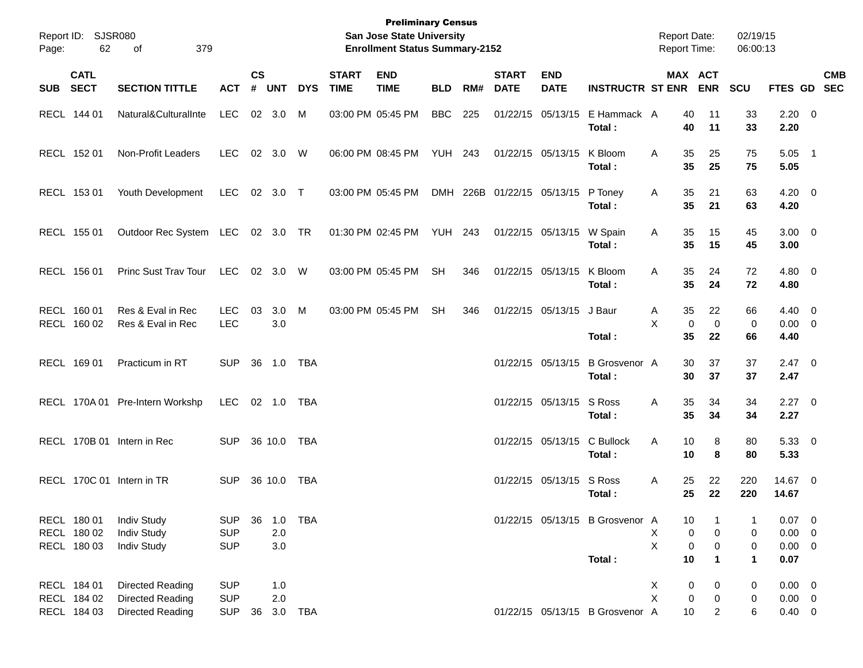| Page:    | Report ID: SJSR080<br>62                  | 379<br>of                                                              |                                        |                    |                |            |                             | <b>Preliminary Census</b><br><b>San Jose State University</b><br><b>Enrollment Status Summary-2152</b> |                |     |                             |                           |                                           | <b>Report Date:</b><br><b>Report Time:</b> |                                      |                         | 02/19/15<br>06:00:13 |                                                |            |
|----------|-------------------------------------------|------------------------------------------------------------------------|----------------------------------------|--------------------|----------------|------------|-----------------------------|--------------------------------------------------------------------------------------------------------|----------------|-----|-----------------------------|---------------------------|-------------------------------------------|--------------------------------------------|--------------------------------------|-------------------------|----------------------|------------------------------------------------|------------|
| SUB SECT | <b>CATL</b>                               | <b>SECTION TITTLE</b>                                                  | <b>ACT</b>                             | $\mathsf{cs}$<br># | <b>UNT</b>     | <b>DYS</b> | <b>START</b><br><b>TIME</b> | <b>END</b><br><b>TIME</b>                                                                              | <b>BLD</b>     | RM# | <b>START</b><br><b>DATE</b> | <b>END</b><br><b>DATE</b> | <b>INSTRUCTR ST ENR</b>                   |                                            |                                      | MAX ACT<br><b>ENR</b>   | <b>SCU</b>           | FTES GD SEC                                    | <b>CMB</b> |
|          | RECL 144 01                               | Natural&CulturalInte                                                   | <b>LEC</b>                             |                    | 02 3.0         | M          |                             | 03:00 PM 05:45 PM                                                                                      | <b>BBC</b>     | 225 |                             | 01/22/15 05/13/15         | E Hammack A<br>Total:                     |                                            | 40<br>40                             | 11<br>11                | 33<br>33             | $2.20 \t 0$<br>2.20                            |            |
|          | RECL 152 01                               | Non-Profit Leaders                                                     | LEC.                                   |                    | 02 3.0 W       |            |                             | 06:00 PM 08:45 PM                                                                                      | <b>YUH 243</b> |     |                             | 01/22/15 05/13/15         | K Bloom<br>Total:                         | A                                          | 35<br>35                             | 25<br>25                | 75<br>75             | $5.05$ 1<br>5.05                               |            |
|          | RECL 153 01                               | Youth Development                                                      | <b>LEC</b>                             |                    | 02 3.0 T       |            |                             | 03:00 PM 05:45 PM                                                                                      |                |     | DMH 226B 01/22/15 05/13/15  |                           | P Toney<br>Total:                         | A                                          | 35<br>35                             | 21<br>21                | 63<br>63             | $4.20 \ 0$<br>4.20                             |            |
|          | RECL 155 01                               | Outdoor Rec System LEC 02 3.0 TR                                       |                                        |                    |                |            |                             | 01:30 PM 02:45 PM                                                                                      | <b>YUH 243</b> |     |                             | 01/22/15 05/13/15         | W Spain<br>Total:                         | A                                          | 35<br>35                             | 15<br>15                | 45<br>45             | $3.00 \ 0$<br>3.00                             |            |
|          | RECL 156 01                               | Princ Sust Trav Tour                                                   | LEC                                    |                    | 02 3.0 W       |            |                             | 03:00 PM 05:45 PM                                                                                      | <b>SH</b>      | 346 |                             | 01/22/15 05/13/15         | K Bloom<br>Total:                         | A                                          | 35<br>35                             | 24<br>24                | 72<br>72             | $4.80$ 0<br>4.80                               |            |
|          | RECL 160 01<br>RECL 160 02                | Res & Eval in Rec<br>Res & Eval in Rec                                 | <b>LEC</b><br><b>LEC</b>               | 03                 | 3.0<br>3.0     | M          |                             | 03:00 PM 05:45 PM                                                                                      | <b>SH</b>      | 346 |                             | 01/22/15 05/13/15         | J Baur<br>Total:                          | A<br>X                                     | 35<br>$\mathbf 0$<br>35              | 22<br>$\mathbf 0$<br>22 | 66<br>0<br>66        | $4.40 \quad 0$<br>$0.00 \t 0$<br>4.40          |            |
|          | RECL 169 01                               | Practicum in RT                                                        | <b>SUP</b>                             |                    | 36 1.0         | TBA        |                             |                                                                                                        |                |     |                             | 01/22/15 05/13/15         | <b>B</b> Grosvenor A<br>Total :           |                                            | 30<br>30                             | 37<br>37                | 37<br>37             | $2.47 \t 0$<br>2.47                            |            |
|          |                                           | RECL 170A 01 Pre-Intern Workshp                                        | LEC.                                   |                    | 02 1.0         | TBA        |                             |                                                                                                        |                |     |                             | 01/22/15 05/13/15 S Ross  | Total :                                   | Α                                          | 35<br>35                             | 34<br>34                | 34<br>34             | $2.27$ 0<br>2.27                               |            |
|          |                                           | RECL 170B 01 Intern in Rec                                             | <b>SUP</b>                             |                    | 36 10.0        | TBA        |                             |                                                                                                        |                |     |                             | 01/22/15 05/13/15         | C Bullock<br>Total:                       | Α                                          | 10<br>10                             | 8<br>8                  | 80<br>80             | 5.33 0<br>5.33                                 |            |
|          |                                           | RECL 170C 01 Intern in TR                                              | <b>SUP</b>                             |                    | 36 10.0        | <b>TBA</b> |                             |                                                                                                        |                |     |                             | 01/22/15 05/13/15 S Ross  | Total :                                   | Α                                          | 25<br>25                             | 22<br>22                | 220<br>220           | 14.67 0<br>14.67                               |            |
|          | RECL 180 01<br>RECL 180 02<br>RECL 180 03 | <b>Indiv Study</b><br><b>Indiv Study</b><br><b>Indiv Study</b>         | <b>SUP</b><br><b>SUP</b><br><b>SUP</b> | 36                 | 2.0<br>$3.0\,$ | 1.0 TBA    |                             |                                                                                                        |                |     |                             |                           | 01/22/15 05/13/15 B Grosvenor A<br>Total: | X<br>X                                     | 10<br>$\pmb{0}$<br>$\mathbf 0$<br>10 | 0<br>0<br>$\mathbf 1$   | 0<br>0<br>1          | $0.07$ 0<br>$0.00 \t 0$<br>$0.00 \t 0$<br>0.07 |            |
|          | RECL 184 01<br>RECL 184 02<br>RECL 184 03 | Directed Reading<br><b>Directed Reading</b><br><b>Directed Reading</b> | <b>SUP</b><br><b>SUP</b><br><b>SUP</b> | 36                 | 1.0<br>2.0     | 3.0 TBA    |                             |                                                                                                        |                |     |                             |                           | 01/22/15 05/13/15 B Grosvenor A           | X<br>X                                     | 0<br>$\pmb{0}$<br>10                 | 0<br>0<br>2             | 0<br>0<br>6          | $0.00 \t 0$<br>$0.00 \t 0$<br>$0.40 \ 0$       |            |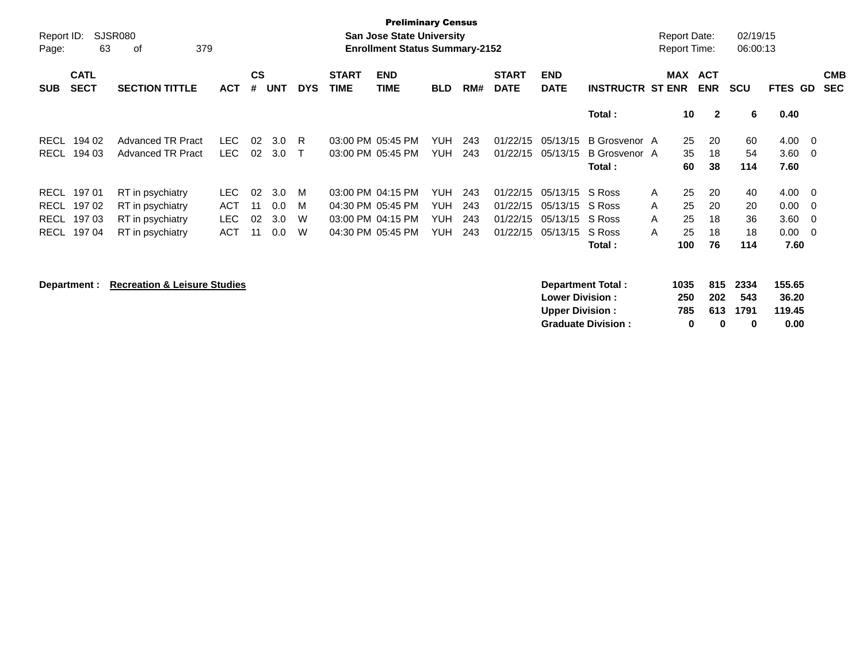| Report ID:<br>Page: | 63                         | <b>SJSR080</b><br>379<br>οf |            |                |     |              |                             | <b>Preliminary Census</b><br><b>San Jose State University</b><br><b>Enrollment Status Summary-2152</b> |            |     |                             |                           |                          | <b>Report Date:</b><br><b>Report Time:</b> |                          | 02/19/15<br>06:00:13 |                |                          |
|---------------------|----------------------------|-----------------------------|------------|----------------|-----|--------------|-----------------------------|--------------------------------------------------------------------------------------------------------|------------|-----|-----------------------------|---------------------------|--------------------------|--------------------------------------------|--------------------------|----------------------|----------------|--------------------------|
| <b>SUB</b>          | <b>CATL</b><br><b>SECT</b> | <b>SECTION TITTLE</b>       | <b>ACT</b> | <b>CS</b><br># | UNT | <b>DYS</b>   | <b>START</b><br><b>TIME</b> | <b>END</b><br><b>TIME</b>                                                                              | <b>BLD</b> | RM# | <b>START</b><br><b>DATE</b> | <b>END</b><br><b>DATE</b> | <b>INSTRUCTR ST ENR</b>  | MAX                                        | <b>ACT</b><br><b>ENR</b> | <b>SCU</b>           | <b>FTES GD</b> | <b>CMB</b><br><b>SEC</b> |
|                     |                            |                             |            |                |     |              |                             |                                                                                                        |            |     |                             |                           | Total:                   |                                            | 10<br>$\overline{2}$     | 6                    | 0.40           |                          |
| <b>RECL</b>         | 194 02                     | <b>Advanced TR Pract</b>    | LEC.       | 02             | 3.0 | R            |                             | 03:00 PM 05:45 PM                                                                                      | <b>YUH</b> | 243 |                             | 01/22/15 05/13/15         | B Grosvenor A            | 25                                         | 20                       | 60                   | $4.00 \t 0$    |                          |
| <b>RECL</b>         | 194 03                     | <b>Advanced TR Pract</b>    | LEC.       | 02             | 3.0 | $\mathsf{T}$ |                             | 03:00 PM 05:45 PM                                                                                      | <b>YUH</b> | 243 | 01/22/15                    | 05/13/15                  | B Grosvenor A<br>Total : | 35<br>60                                   | 18<br>38                 | 54<br>114            | 3.60<br>7.60   | $\overline{\phantom{0}}$ |
| RECL                | 19701                      | RT in psychiatry            | LEC.       | 02             | 3.0 | M            |                             | 03:00 PM 04:15 PM                                                                                      | <b>YUH</b> | 243 |                             | 01/22/15 05/13/15 S Ross  |                          | 25<br>A                                    | 20                       | 40                   | $4.00 \t 0$    |                          |
| <b>RECL</b>         | 19702                      | RT in psychiatry            | <b>ACT</b> | 11             | 0.0 | M            |                             | 04:30 PM 05:45 PM                                                                                      | <b>YUH</b> | 243 |                             | 01/22/15 05/13/15 S Ross  |                          | 25<br>A                                    | 20                       | 20                   | 0.00           | $\overline{\phantom{0}}$ |
| <b>RECL</b>         | 197 03                     | RT in psychiatry            | <b>LEC</b> | 02             | 3.0 | W            |                             | 03:00 PM 04:15 PM                                                                                      | <b>YUH</b> | 243 |                             | 01/22/15 05/13/15 S Ross  |                          | 25<br>A                                    | 18                       | 36                   | 3.60           | $\overline{\mathbf{0}}$  |
| <b>RECL</b>         | 19704                      | RT in psychiatry            | <b>ACT</b> | 11             | 0.0 | W            |                             | 04:30 PM 05:45 PM                                                                                      | <b>YUH</b> | 243 | 01/22/15                    | 05/13/15                  | S Ross                   | 25<br>A                                    | 18                       | 18                   | $0.00 \quad 0$ |                          |
|                     |                            |                             |            |                |     |              |                             |                                                                                                        |            |     |                             |                           | Total :                  | 100                                        | 76                       | 114                  | 7.60           |                          |
|                     |                            |                             |            |                |     |              |                             |                                                                                                        |            |     |                             |                           |                          |                                            |                          |                      |                |                          |

**Department : Recreation & Leisure Studies Department Total : 1035 815 2334 155.65 Lower Division : 250 202 543 36.20 Upper Division : 785 613 1791 119.45** Graduate Division : 0 0 0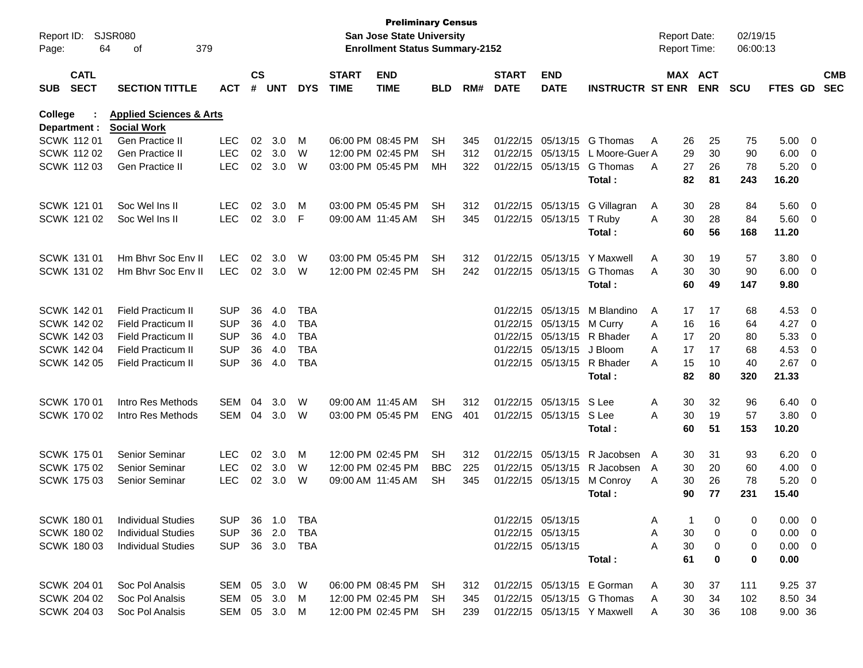| Report ID:<br>Page: | 64                         | <b>SJSR080</b><br>379<br>οf        |              |                    |            |            |                             | <b>Preliminary Census</b><br><b>San Jose State University</b><br><b>Enrollment Status Summary-2152</b> |            |     |                             |                           |                             |   | <b>Report Date:</b><br><b>Report Time:</b> |            | 02/19/15<br>06:00:13 |                |                          |                          |
|---------------------|----------------------------|------------------------------------|--------------|--------------------|------------|------------|-----------------------------|--------------------------------------------------------------------------------------------------------|------------|-----|-----------------------------|---------------------------|-----------------------------|---|--------------------------------------------|------------|----------------------|----------------|--------------------------|--------------------------|
| <b>SUB</b>          | <b>CATL</b><br><b>SECT</b> | <b>SECTION TITTLE</b>              | АСТ          | $\mathsf{cs}$<br># | <b>UNT</b> | <b>DYS</b> | <b>START</b><br><b>TIME</b> | <b>END</b><br><b>TIME</b>                                                                              | <b>BLD</b> | RM# | <b>START</b><br><b>DATE</b> | <b>END</b><br><b>DATE</b> | <b>INSTRUCTR ST ENR</b>     |   | MAX ACT                                    | <b>ENR</b> | <b>SCU</b>           | <b>FTES GD</b> |                          | <b>CMB</b><br><b>SEC</b> |
| College             |                            | <b>Applied Sciences &amp; Arts</b> |              |                    |            |            |                             |                                                                                                        |            |     |                             |                           |                             |   |                                            |            |                      |                |                          |                          |
|                     | Department :               | <b>Social Work</b>                 |              |                    |            |            |                             |                                                                                                        |            |     |                             |                           |                             |   |                                            |            |                      |                |                          |                          |
|                     | <b>SCWK 11201</b>          | Gen Practice II                    | <b>LEC</b>   | 02                 | 3.0        | M          |                             | 06:00 PM 08:45 PM                                                                                      | SH         | 345 | 01/22/15                    | 05/13/15                  | G Thomas                    | A | 26                                         | 25         | 75                   | 5.00           | $\overline{\mathbf{0}}$  |                          |
|                     | <b>SCWK 11202</b>          | <b>Gen Practice II</b>             | <b>LEC</b>   | 02                 | 3.0        | W          |                             | 12:00 PM 02:45 PM                                                                                      | SH         | 312 | 01/22/15                    | 05/13/15                  | L Moore-Guer A              |   | 29                                         | 30         | 90                   | 6.00           | $\overline{\mathbf{0}}$  |                          |
|                     | <b>SCWK 11203</b>          | <b>Gen Practice II</b>             | <b>LEC</b>   | 02                 | 3.0        | W          |                             | 03:00 PM 05:45 PM                                                                                      | MН         | 322 | 01/22/15                    | 05/13/15                  | G Thomas                    | A | 27                                         | 26         | 78                   | 5.20           | $\overline{0}$           |                          |
|                     |                            |                                    |              |                    |            |            |                             |                                                                                                        |            |     |                             |                           | Total:                      |   | 82                                         | 81         | 243                  | 16.20          |                          |                          |
|                     | <b>SCWK 121 01</b>         | Soc Wel Ins II                     | <b>LEC</b>   | 02                 | 3.0        | M          |                             | 03:00 PM 05:45 PM                                                                                      | SH         | 312 |                             | 01/22/15 05/13/15         | G Villagran                 | A | 30                                         | 28         | 84                   | 5.60           | $\overline{\mathbf{0}}$  |                          |
|                     | SCWK 121 02                | Soc Wel Ins II                     | <b>LEC</b>   | 02                 | 3.0        | F          |                             | 09:00 AM 11:45 AM                                                                                      | <b>SH</b>  | 345 | 01/22/15                    | 05/13/15                  | T Ruby                      | A | 30                                         | 28         | 84                   | 5.60           | - 0                      |                          |
|                     |                            |                                    |              |                    |            |            |                             |                                                                                                        |            |     |                             |                           | Total:                      |   | 60                                         | 56         | 168                  | 11.20          |                          |                          |
|                     | <b>SCWK 131 01</b>         | Hm Bhyr Soc Eny II                 | <b>LEC</b>   | 02                 | 3.0        | W          |                             | 03:00 PM 05:45 PM                                                                                      | SH         | 312 | 01/22/15                    | 05/13/15                  | Y Maxwell                   | Α | 30                                         | 19         | 57                   | 3.80           | $\overline{\mathbf{0}}$  |                          |
|                     | SCWK 131 02                | Hm Bhyr Soc Eny II                 | <b>LEC</b>   | 02                 | 3.0        | W          |                             | 12:00 PM 02:45 PM                                                                                      | <b>SH</b>  | 242 |                             | 01/22/15 05/13/15         | G Thomas                    | A | 30                                         | 30         | 90                   | 6.00           | $\overline{\mathbf{0}}$  |                          |
|                     |                            |                                    |              |                    |            |            |                             |                                                                                                        |            |     |                             |                           | Total:                      |   | 60                                         | 49         | 147                  | 9.80           |                          |                          |
|                     | <b>SCWK 14201</b>          | <b>Field Practicum II</b>          | <b>SUP</b>   | 36                 | 4.0        | <b>TBA</b> |                             |                                                                                                        |            |     | 01/22/15                    | 05/13/15                  | M Blandino                  | A | 17                                         | 17         | 68                   | 4.53           | $\overline{\mathbf{0}}$  |                          |
|                     | SCWK 142 02                | Field Practicum II                 | <b>SUP</b>   | 36                 | 4.0        | <b>TBA</b> |                             |                                                                                                        |            |     | 01/22/15                    | 05/13/15                  | M Curry                     | A | 16                                         | 16         | 64                   | 4.27           | $\overline{0}$           |                          |
|                     | SCWK 142 03                | Field Practicum II                 | <b>SUP</b>   | 36                 | 4.0        | <b>TBA</b> |                             |                                                                                                        |            |     | 01/22/15                    | 05/13/15                  | R Bhader                    | A | 17                                         | 20         | 80                   | 5.33           | 0                        |                          |
|                     | SCWK 142 04                | <b>Field Practicum II</b>          | <b>SUP</b>   | 36                 | 4.0        | <b>TBA</b> |                             |                                                                                                        |            |     |                             | 01/22/15 05/13/15         | J Bloom                     | A | 17                                         | 17         | 68                   | 4.53           | 0                        |                          |
|                     | <b>SCWK 14205</b>          | Field Practicum II                 | <b>SUP</b>   | 36                 | 4.0        | <b>TBA</b> |                             |                                                                                                        |            |     |                             | 01/22/15 05/13/15         | R Bhader                    | A | 15                                         | 10         | 40                   | 2.67           | $\overline{0}$           |                          |
|                     |                            |                                    |              |                    |            |            |                             |                                                                                                        |            |     |                             |                           | Total:                      |   | 82                                         | 80         | 320                  | 21.33          |                          |                          |
|                     | <b>SCWK 17001</b>          | Intro Res Methods                  | SEM          | 04                 | 3.0        | W          |                             | 09:00 AM 11:45 AM                                                                                      | <b>SH</b>  | 312 | 01/22/15                    | 05/13/15                  | S Lee                       | A | 30                                         | 32         | 96                   | 6.40           | $\overline{\mathbf{0}}$  |                          |
|                     | SCWK 170 02                | Intro Res Methods                  | SEM          | 04                 | 3.0        | W          |                             | 03:00 PM 05:45 PM                                                                                      | <b>ENG</b> | 401 | 01/22/15                    | 05/13/15                  | S Lee                       | A | 30                                         | 19         | 57                   | 3.80           | $\overline{0}$           |                          |
|                     |                            |                                    |              |                    |            |            |                             |                                                                                                        |            |     |                             |                           | Total:                      |   | 60                                         | 51         | 153                  | 10.20          |                          |                          |
|                     | <b>SCWK 17501</b>          | Senior Seminar                     | <b>LEC</b>   | 02                 | 3.0        | M          |                             | 12:00 PM 02:45 PM                                                                                      | SH         | 312 | 01/22/15                    | 05/13/15                  | R Jacobsen                  | A | 30                                         | 31         | 93                   | 6.20           | - 0                      |                          |
|                     | <b>SCWK 175 02</b>         | Senior Seminar                     | LEC          | 02                 | 3.0        | W          |                             | 12:00 PM 02:45 PM                                                                                      | BBC        | 225 | 01/22/15                    | 05/13/15                  | R Jacobsen                  | A | 30                                         | 20         | 60                   | 4.00           | $\overline{0}$           |                          |
|                     | <b>SCWK 17503</b>          | <b>Senior Seminar</b>              | <b>LEC</b>   | 02                 | 3.0        | W          |                             | 09:00 AM 11:45 AM                                                                                      | <b>SH</b>  | 345 | 01/22/15                    | 05/13/15                  | M Conroy                    | A | 30                                         | 26         | 78                   | 5.20           | $\overline{0}$           |                          |
|                     |                            |                                    |              |                    |            |            |                             |                                                                                                        |            |     |                             |                           | Total:                      |   | 90                                         | 77         | 231                  | 15.40          |                          |                          |
|                     | <b>SCWK 180 01</b>         | <b>Individual Studies</b>          | <b>SUP</b>   | 36                 | 1.0        | TBA        |                             |                                                                                                        |            |     |                             | 01/22/15 05/13/15         |                             | A | -1                                         | 0          | 0                    | 0.00           | $\overline{\phantom{0}}$ |                          |
|                     | SCWK 180 02                | <b>Individual Studies</b>          | <b>SUP</b>   | 36                 | 2.0        | TBA        |                             |                                                                                                        |            |     |                             | 01/22/15 05/13/15         |                             | Α | 30                                         | $\pmb{0}$  | 0                    | 0.00           | $\overline{\phantom{0}}$ |                          |
|                     | SCWK 180 03                | <b>Individual Studies</b>          | <b>SUP</b>   |                    | 36 3.0     | TBA        |                             |                                                                                                        |            |     |                             | 01/22/15 05/13/15         |                             | Α | 30                                         | 0          | 0                    | $0.00 \t 0$    |                          |                          |
|                     |                            |                                    |              |                    |            |            |                             |                                                                                                        |            |     |                             |                           | Total:                      |   | 61                                         | 0          | 0                    | 0.00           |                          |                          |
|                     | SCWK 204 01                | Soc Pol Analsis                    | SEM 05 3.0   |                    |            | W          |                             | 06:00 PM 08:45 PM                                                                                      | SH         | 312 |                             |                           | 01/22/15 05/13/15 E Gorman  | A | 30                                         | 37         | 111                  | 9.25 37        |                          |                          |
|                     | SCWK 204 02                | Soc Pol Analsis                    | SEM          | 05                 | 3.0        | M          |                             | 12:00 PM 02:45 PM                                                                                      | <b>SH</b>  | 345 |                             |                           | 01/22/15 05/13/15 G Thomas  | A | 30                                         | 34         | 102                  | 8.50 34        |                          |                          |
|                     | SCWK 204 03                | Soc Pol Analsis                    | SEM 05 3.0 M |                    |            |            |                             | 12:00 PM 02:45 PM                                                                                      | <b>SH</b>  | 239 |                             |                           | 01/22/15 05/13/15 Y Maxwell | A | 30                                         | 36         | 108                  | 9.00 36        |                          |                          |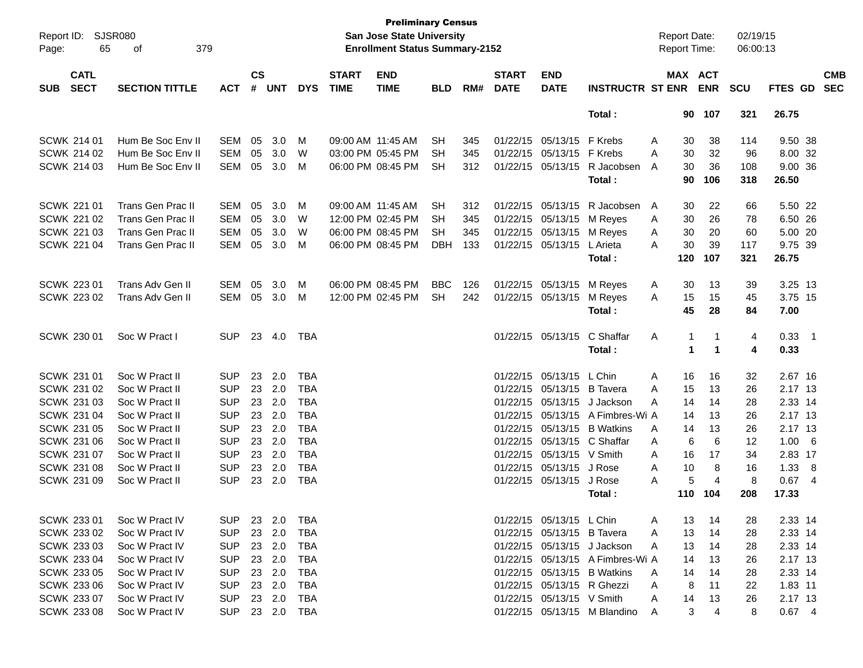| Report ID: SJSR080<br>65<br>Page:        | 379<br>of                |                |                |            |            |                             | <b>Preliminary Census</b><br><b>San Jose State University</b><br><b>Enrollment Status Summary-2152</b> |            |     |                             |                            |                                  | <b>Report Date:</b><br>Report Time: |                      |                | 02/19/15<br>06:00:13 |          |                 |                          |
|------------------------------------------|--------------------------|----------------|----------------|------------|------------|-----------------------------|--------------------------------------------------------------------------------------------------------|------------|-----|-----------------------------|----------------------------|----------------------------------|-------------------------------------|----------------------|----------------|----------------------|----------|-----------------|--------------------------|
| <b>CATL</b><br><b>SECT</b><br><b>SUB</b> | <b>SECTION TITTLE</b>    | <b>ACT</b>     | <b>CS</b><br># | <b>UNT</b> | <b>DYS</b> | <b>START</b><br><b>TIME</b> | <b>END</b><br><b>TIME</b>                                                                              | <b>BLD</b> | RM# | <b>START</b><br><b>DATE</b> | <b>END</b><br><b>DATE</b>  | <b>INSTRUCTR ST ENR</b>          | MAX ACT                             |                      | <b>ENR</b>     | <b>SCU</b>           | FTES GD  |                 | <b>CMB</b><br><b>SEC</b> |
|                                          |                          |                |                |            |            |                             |                                                                                                        |            |     |                             |                            | Total:                           |                                     | 90                   | 107            | 321                  | 26.75    |                 |                          |
| <b>SCWK 214 01</b>                       | Hum Be Soc Env II        | <b>SEM</b>     | 05             | 3.0        | M          |                             | 09:00 AM 11:45 AM                                                                                      | <b>SH</b>  | 345 |                             | 01/22/15 05/13/15 F Krebs  |                                  | Α                                   | 30                   | 38             | 114                  | 9.50 38  |                 |                          |
| SCWK 214 02                              | Hum Be Soc Env II        | <b>SEM</b>     | 05             | 3.0        | W          |                             | 03:00 PM 05:45 PM                                                                                      | SН         | 345 |                             | 01/22/15 05/13/15 F Krebs  |                                  | A                                   | 30                   | 32             | 96                   | 8.00 32  |                 |                          |
| <b>SCWK 214 03</b>                       | Hum Be Soc Env II        | <b>SEM</b>     | 05             | 3.0        | M          |                             | 06:00 PM 08:45 PM                                                                                      | SН         | 312 |                             | 01/22/15 05/13/15          | R Jacobsen                       | A                                   | 30                   | 36             | 108                  | 9.00 36  |                 |                          |
|                                          |                          |                |                |            |            |                             |                                                                                                        |            |     |                             |                            | Total:                           |                                     | 90                   | 106            | 318                  | 26.50    |                 |                          |
| SCWK 221 01                              | <b>Trans Gen Prac II</b> | <b>SEM</b>     | 05             | 3.0        | M          |                             | 09:00 AM 11:45 AM                                                                                      | <b>SH</b>  | 312 |                             | 01/22/15 05/13/15          | R Jacobsen                       | A                                   | 30                   | 22             | 66                   | 5.50 22  |                 |                          |
| SCWK 221 02                              | <b>Trans Gen Prac II</b> | <b>SEM</b>     | 05             | 3.0        | W          |                             | 12:00 PM 02:45 PM                                                                                      | SН         | 345 |                             | 01/22/15 05/13/15          | M Reyes                          | A                                   | 30                   | 26             | 78                   | 6.50 26  |                 |                          |
| <b>SCWK 221 03</b>                       | <b>Trans Gen Prac II</b> | <b>SEM</b>     | 05             | 3.0        | W          |                             | 06:00 PM 08:45 PM                                                                                      | SH         | 345 |                             | 01/22/15 05/13/15          | M Reyes                          | A                                   | 30                   | 20             | 60                   | 5.00 20  |                 |                          |
| <b>SCWK 221 04</b>                       | Trans Gen Prac II        | <b>SEM</b>     | 05             | 3.0        | M          |                             | 06:00 PM 08:45 PM                                                                                      | <b>DBH</b> | 133 |                             | 01/22/15 05/13/15          | L Arieta                         | A                                   | 30                   | 39             | 117                  | 9.75 39  |                 |                          |
|                                          |                          |                |                |            |            |                             |                                                                                                        |            |     |                             |                            | Total:                           | 120                                 |                      | 107            | 321                  | 26.75    |                 |                          |
| <b>SCWK 223 01</b>                       | Trans Adv Gen II         | <b>SEM</b>     | 05             | 3.0        | M          |                             | 06:00 PM 08:45 PM                                                                                      | <b>BBC</b> | 126 |                             | 01/22/15 05/13/15          | M Reyes                          | A                                   | 30                   | 13             | 39                   | 3.25 13  |                 |                          |
| <b>SCWK 223 02</b>                       | Trans Adv Gen II         | <b>SEM</b>     | 05             | 3.0        | M          |                             | 12:00 PM 02:45 PM                                                                                      | SH         | 242 |                             | 01/22/15 05/13/15          | M Reyes                          | A                                   | 15                   | 15             | 45                   | 3.75 15  |                 |                          |
|                                          |                          |                |                |            |            |                             |                                                                                                        |            |     |                             |                            | Total:                           |                                     | 45                   | 28             | 84                   | 7.00     |                 |                          |
| SCWK 230 01                              | Soc W Pract I            | <b>SUP</b>     |                | 23 4.0     | TBA        |                             |                                                                                                        |            |     |                             | 01/22/15 05/13/15          | C Shaffar                        | Α                                   | 1                    | -1             | 4                    | $0.33$ 1 |                 |                          |
|                                          |                          |                |                |            |            |                             |                                                                                                        |            |     |                             |                            | Total:                           |                                     | $\blacktriangleleft$ | $\mathbf{1}$   | 4                    | 0.33     |                 |                          |
| SCWK 231 01                              | Soc W Pract II           | <b>SUP</b>     | 23             | 2.0        | TBA        |                             |                                                                                                        |            |     |                             | 01/22/15 05/13/15 L Chin   |                                  | A                                   | 16                   | 16             | 32                   | 2.67 16  |                 |                          |
| SCWK 231 02                              | Soc W Pract II           | <b>SUP</b>     | 23             | 2.0        | <b>TBA</b> |                             |                                                                                                        |            |     |                             | 01/22/15 05/13/15          | <b>B</b> Tavera                  | A                                   | 15                   | 13             | 26                   | 2.17 13  |                 |                          |
| SCWK 231 03                              | Soc W Pract II           | <b>SUP</b>     | 23             | 2.0        | <b>TBA</b> |                             |                                                                                                        |            |     |                             | 01/22/15 05/13/15          | J Jackson                        | A                                   | 14                   | 14             | 28                   | 2.33 14  |                 |                          |
| <b>SCWK 231 04</b>                       | Soc W Pract II           | <b>SUP</b>     | 23             | 2.0        | <b>TBA</b> |                             |                                                                                                        |            |     |                             |                            | 01/22/15 05/13/15 A Fimbres-Wi A |                                     | 14                   | 13             | 26                   | 2.17 13  |                 |                          |
| <b>SCWK 231 05</b>                       | Soc W Pract II           | <b>SUP</b>     | 23             | 2.0        | <b>TBA</b> |                             |                                                                                                        |            |     |                             | 01/22/15 05/13/15          | <b>B</b> Watkins                 | A                                   | 14                   | 13             | 26                   | 2.17 13  |                 |                          |
| SCWK 231 06                              | Soc W Pract II           | <b>SUP</b>     | 23             | 2.0        | <b>TBA</b> |                             |                                                                                                        |            |     |                             |                            | 01/22/15 05/13/15 C Shaffar      | A                                   | 6                    | 6              | 12                   | 1.00     | $6\overline{6}$ |                          |
| <b>SCWK 231 07</b>                       | Soc W Pract II           | <b>SUP</b>     | 23             | 2.0        | <b>TBA</b> |                             |                                                                                                        |            |     |                             | 01/22/15 05/13/15 V Smith  |                                  | A                                   | 16                   | 17             | 34                   | 2.83 17  |                 |                          |
| <b>SCWK 231 08</b>                       | Soc W Pract II           | <b>SUP</b>     | 23             | 2.0        | <b>TBA</b> |                             |                                                                                                        |            |     |                             | 01/22/15 05/13/15 J Rose   |                                  | A                                   | 10                   | 8              | 16                   | 1.33     | 8               |                          |
| SCWK 231 09                              | Soc W Pract II           | <b>SUP</b>     | 23             | 2.0        | <b>TBA</b> |                             |                                                                                                        |            |     |                             | 01/22/15 05/13/15          | J Rose                           | A                                   | 5                    | $\overline{4}$ | 8                    | 0.674    |                 |                          |
|                                          |                          |                |                |            |            |                             |                                                                                                        |            |     |                             |                            | Total :                          | 110                                 |                      | 104            | 208                  | 17.33    |                 |                          |
| SCWK 233 01                              | Soc W Pract IV           | <b>SUP</b>     |                | 23 2.0     | TBA        |                             |                                                                                                        |            |     |                             | 01/22/15 05/13/15 L Chin   |                                  | A                                   | 13                   | 14             | 28                   | 2.33 14  |                 |                          |
| SCWK 233 02                              | Soc W Pract IV           | <b>SUP</b>     |                | 23 2.0     | TBA        |                             |                                                                                                        |            |     |                             | 01/22/15 05/13/15 B Tavera |                                  | Α                                   | 13                   | 14             | 28                   | 2.33 14  |                 |                          |
| SCWK 233 03                              | Soc W Pract IV           | <b>SUP</b>     |                | 23 2.0     | TBA        |                             |                                                                                                        |            |     |                             |                            | 01/22/15 05/13/15 J Jackson      | A                                   | 13                   | 14             | 28                   | 2.33 14  |                 |                          |
| SCWK 233 04                              | Soc W Pract IV           | <b>SUP</b>     |                | 23 2.0     | TBA        |                             |                                                                                                        |            |     |                             |                            | 01/22/15 05/13/15 A Fimbres-Wi A |                                     | 14                   | 13             | 26                   | 2.17 13  |                 |                          |
| SCWK 233 05                              | Soc W Pract IV           | <b>SUP</b>     |                | 23 2.0     | TBA        |                             |                                                                                                        |            |     |                             |                            | 01/22/15 05/13/15 B Watkins      | A                                   | 14                   | 14             | 28                   | 2.33 14  |                 |                          |
| <b>SCWK 233 06</b>                       | Soc W Pract IV           | <b>SUP</b>     |                | 23 2.0     | TBA        |                             |                                                                                                        |            |     |                             | 01/22/15 05/13/15 R Ghezzi |                                  | Α                                   | 8                    | 11             | 22                   | 1.83 11  |                 |                          |
| SCWK 233 07                              | Soc W Pract IV           | <b>SUP</b>     |                | 23 2.0     | TBA        |                             |                                                                                                        |            |     |                             | 01/22/15 05/13/15 V Smith  |                                  | A                                   | 14                   | 13             | 26                   | 2.17 13  |                 |                          |
| <b>SCWK 233 08</b>                       | Soc W Pract IV           | SUP 23 2.0 TBA |                |            |            |                             |                                                                                                        |            |     |                             |                            | 01/22/15 05/13/15 M Blandino     | A                                   | 3                    | 4              | 8                    | $0.67$ 4 |                 |                          |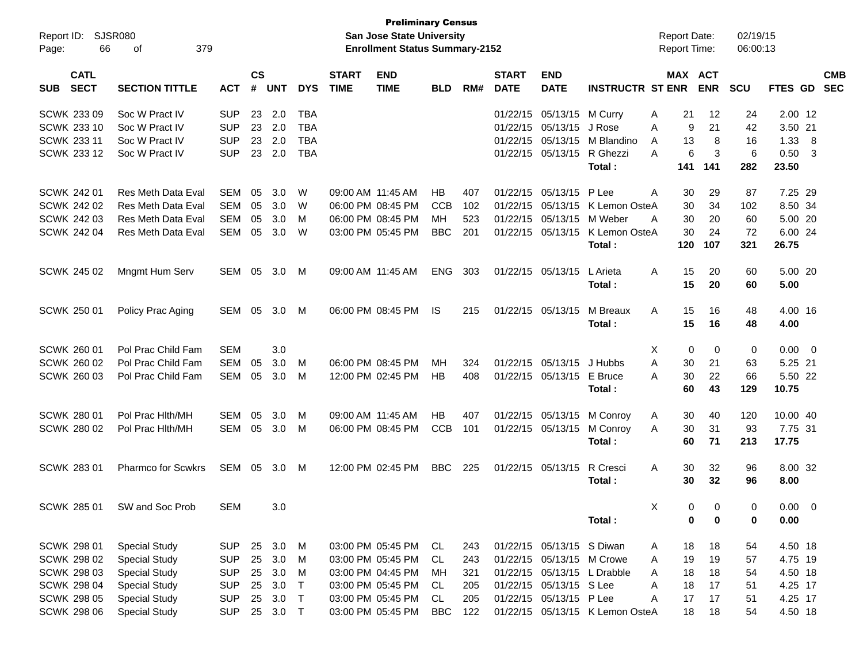| Report ID:<br>Page: | 66                 | SJSR080<br>379<br>оf      |            |               |            |              |                   | <b>Preliminary Census</b><br><b>San Jose State University</b><br><b>Enrollment Status Summary-2152</b> |            |     |              |                           |                                 | <b>Report Date:</b><br>Report Time: |               | 02/19/15<br>06:00:13 |             |                          |            |
|---------------------|--------------------|---------------------------|------------|---------------|------------|--------------|-------------------|--------------------------------------------------------------------------------------------------------|------------|-----|--------------|---------------------------|---------------------------------|-------------------------------------|---------------|----------------------|-------------|--------------------------|------------|
|                     | <b>CATL</b>        |                           |            | $\mathsf{cs}$ |            |              | <b>START</b>      | <b>END</b>                                                                                             |            |     | <b>START</b> | <b>END</b>                |                                 |                                     | MAX ACT       |                      |             |                          | <b>CMB</b> |
| <b>SUB</b>          | <b>SECT</b>        | <b>SECTION TITTLE</b>     | <b>ACT</b> | #             | <b>UNT</b> | <b>DYS</b>   | <b>TIME</b>       | <b>TIME</b>                                                                                            | <b>BLD</b> | RM# | <b>DATE</b>  | <b>DATE</b>               | <b>INSTRUCTR ST ENR</b>         |                                     | <b>ENR</b>    | <b>SCU</b>           | FTES GD     |                          | <b>SEC</b> |
|                     | SCWK 233 09        | Soc W Pract IV            | <b>SUP</b> | 23            | 2.0        | <b>TBA</b>   |                   |                                                                                                        |            |     |              | 01/22/15 05/13/15         | M Curry                         | 21<br>Α                             | 12            | 24                   | 2.00 12     |                          |            |
|                     | <b>SCWK 233 10</b> | Soc W Pract IV            | <b>SUP</b> | 23            | 2.0        | <b>TBA</b>   |                   |                                                                                                        |            |     |              | 01/22/15 05/13/15         | J Rose                          | Α                                   | 9<br>21       | 42                   | 3.50 21     |                          |            |
|                     | SCWK 233 11        | Soc W Pract IV            | <b>SUP</b> | 23            | 2.0        | <b>TBA</b>   |                   |                                                                                                        |            |     |              | 01/22/15 05/13/15         | M Blandino                      | 13<br>A                             | 8             | 16                   | 1.33        | - 8                      |            |
|                     | SCWK 233 12        | Soc W Pract IV            | <b>SUP</b> | 23            | 2.0        | <b>TBA</b>   |                   |                                                                                                        |            |     |              | 01/22/15 05/13/15         | R Ghezzi                        | A                                   | 6<br>3        | 6                    | 0.50        | - 3                      |            |
|                     |                    |                           |            |               |            |              |                   |                                                                                                        |            |     |              |                           | Total:                          | 141                                 | 141           | 282                  | 23.50       |                          |            |
|                     | SCWK 242 01        | <b>Res Meth Data Eval</b> | <b>SEM</b> | 05            | 3.0        | W            |                   | 09:00 AM 11:45 AM                                                                                      | HB         | 407 |              | 01/22/15 05/13/15         | P Lee                           | A<br>30                             | 29            | 87                   | 7.25 29     |                          |            |
|                     | SCWK 242 02        | <b>Res Meth Data Eval</b> | <b>SEM</b> | 05            | 3.0        | W            |                   | 06:00 PM 08:45 PM                                                                                      | <b>CCB</b> | 102 | 01/22/15     | 05/13/15                  | K Lemon OsteA                   | 30                                  | 34            | 102                  | 8.50 34     |                          |            |
|                     | <b>SCWK 242 03</b> | Res Meth Data Eval        | <b>SEM</b> | 05            | 3.0        | M            |                   | 06:00 PM 08:45 PM                                                                                      | MH         | 523 |              | 01/22/15 05/13/15         | M Weber                         | 30<br>A                             | 20            | 60                   | 5.00 20     |                          |            |
|                     | <b>SCWK 242 04</b> | <b>Res Meth Data Eval</b> | <b>SEM</b> | 05            | 3.0        | W            |                   | 03:00 PM 05:45 PM                                                                                      | <b>BBC</b> | 201 |              | 01/22/15 05/13/15         | K Lemon OsteA                   | 30                                  | 24            | 72                   | 6.00 24     |                          |            |
|                     |                    |                           |            |               |            |              |                   |                                                                                                        |            |     |              |                           | Total:                          | 120                                 | 107           | 321                  | 26.75       |                          |            |
|                     | SCWK 245 02        | Mngmt Hum Serv            | SEM        | 05            | 3.0        | M            | 09:00 AM 11:45 AM |                                                                                                        | <b>ENG</b> | 303 |              | 01/22/15 05/13/15         | L Arieta                        | 15<br>Α                             | 20            | 60                   | 5.00 20     |                          |            |
|                     |                    |                           |            |               |            |              |                   |                                                                                                        |            |     |              |                           | Total:                          | 15                                  | 20            | 60                   | 5.00        |                          |            |
|                     | <b>SCWK 250 01</b> | Policy Prac Aging         | SEM        | 05            | 3.0        | M            |                   | 06:00 PM 08:45 PM                                                                                      | <b>IS</b>  | 215 |              | 01/22/15 05/13/15         | M Breaux                        | 15<br>Α                             | 16            | 48                   | 4.00 16     |                          |            |
|                     |                    |                           |            |               |            |              |                   |                                                                                                        |            |     |              |                           | Total:                          | 15                                  | 16            | 48                   | 4.00        |                          |            |
|                     | SCWK 260 01        | Pol Prac Child Fam        | <b>SEM</b> |               | 3.0        |              |                   |                                                                                                        |            |     |              |                           |                                 | Χ                                   | 0<br>0        | 0                    | 0.00        | $\overline{\phantom{0}}$ |            |
|                     | SCWK 260 02        | Pol Prac Child Fam        | <b>SEM</b> | 05            | 3.0        | м            |                   | 06:00 PM 08:45 PM                                                                                      | MН         | 324 |              | 01/22/15 05/13/15         | J Hubbs                         | 30<br>A                             | 21            | 63                   | 5.25 21     |                          |            |
|                     | SCWK 260 03        | Pol Prac Child Fam        | <b>SEM</b> | 05            | 3.0        | м            |                   | 12:00 PM 02:45 PM                                                                                      | <b>HB</b>  | 408 |              | 01/22/15 05/13/15         | E Bruce                         | 30<br>Α                             | 22            | 66                   | 5.50 22     |                          |            |
|                     |                    |                           |            |               |            |              |                   |                                                                                                        |            |     |              |                           | Total:                          | 60                                  | 43            | 129                  | 10.75       |                          |            |
|                     |                    |                           |            |               |            |              |                   |                                                                                                        |            |     |              |                           |                                 |                                     |               |                      |             |                          |            |
|                     | <b>SCWK 280 01</b> | Pol Prac Hith/MH          | <b>SEM</b> | 05            | 3.0        | M            |                   | 09:00 AM 11:45 AM                                                                                      | <b>HB</b>  | 407 |              | 01/22/15 05/13/15         | M Conroy                        | 30<br>A                             | 40            | 120                  | 10.00 40    |                          |            |
|                     | SCWK 280 02        | Pol Prac Hith/MH          | SEM        | 05            | 3.0        | M            |                   | 06:00 PM 08:45 PM                                                                                      | <b>CCB</b> | 101 |              | 01/22/15 05/13/15         | M Conroy                        | 30<br>Α                             | 31            | 93                   | 7.75 31     |                          |            |
|                     |                    |                           |            |               |            |              |                   |                                                                                                        |            |     |              |                           | Total:                          | 60                                  | 71            | 213                  | 17.75       |                          |            |
|                     | SCWK 283 01        | <b>Pharmco for Scwkrs</b> | SEM        | 05            | 3.0        | M            |                   | 12:00 PM 02:45 PM                                                                                      | <b>BBC</b> | 225 |              | 01/22/15 05/13/15         | R Cresci                        | 30<br>Α                             | 32            | 96                   | 8.00 32     |                          |            |
|                     |                    |                           |            |               |            |              |                   |                                                                                                        |            |     |              |                           | Total:                          | 30                                  | 32            | 96                   | 8.00        |                          |            |
|                     | <b>SCWK 285 01</b> | SW and Soc Prob           | <b>SEM</b> |               | 3.0        |              |                   |                                                                                                        |            |     |              |                           |                                 | X                                   | 0<br>$\Omega$ | 0                    | $0.00 \t 0$ |                          |            |
|                     |                    |                           |            |               |            |              |                   |                                                                                                        |            |     |              |                           | Total:                          |                                     | 0<br>0        | 0                    | 0.00        |                          |            |
|                     |                    |                           |            |               |            |              |                   |                                                                                                        |            |     |              |                           |                                 |                                     |               |                      |             |                          |            |
|                     | SCWK 298 01        | <b>Special Study</b>      | <b>SUP</b> |               | 25 3.0     | M            |                   | 03:00 PM 05:45 PM                                                                                      | CL         | 243 |              | 01/22/15 05/13/15 S Diwan |                                 | 18<br>A                             | 18            | 54                   | 4.50 18     |                          |            |
|                     | <b>SCWK 298 02</b> | <b>Special Study</b>      | <b>SUP</b> | 25            | 3.0        | M            |                   | 03:00 PM 05:45 PM                                                                                      | CL         | 243 |              | 01/22/15 05/13/15 M Crowe |                                 | 19<br>Α                             | 19            | 57                   | 4.75 19     |                          |            |
|                     | <b>SCWK 298 03</b> | <b>Special Study</b>      | <b>SUP</b> |               | 25 3.0     | M            |                   | 03:00 PM 04:45 PM                                                                                      | MН         | 321 |              |                           | 01/22/15 05/13/15 L Drabble     | Α<br>18                             | 18            | 54                   | 4.50 18     |                          |            |
|                     | <b>SCWK 298 04</b> | <b>Special Study</b>      | <b>SUP</b> |               | 25 3.0     | $\mathsf{T}$ |                   | 03:00 PM 05:45 PM                                                                                      | CL         | 205 |              | 01/22/15 05/13/15 S Lee   |                                 | Α<br>18                             | 17            | 51                   | 4.25 17     |                          |            |
|                     | <b>SCWK 298 05</b> | <b>Special Study</b>      | <b>SUP</b> |               | 25 3.0     | $\top$       |                   | 03:00 PM 05:45 PM                                                                                      | CL         | 205 |              | 01/22/15 05/13/15 P Lee   |                                 | 17<br>Α                             | 17            | 51                   | 4.25 17     |                          |            |
|                     | <b>SCWK 298 06</b> | <b>Special Study</b>      | <b>SUP</b> |               | 25 3.0     | $\top$       |                   | 03:00 PM 05:45 PM                                                                                      | <b>BBC</b> | 122 |              |                           | 01/22/15 05/13/15 K Lemon OsteA | 18                                  | 18            | 54                   | 4.50 18     |                          |            |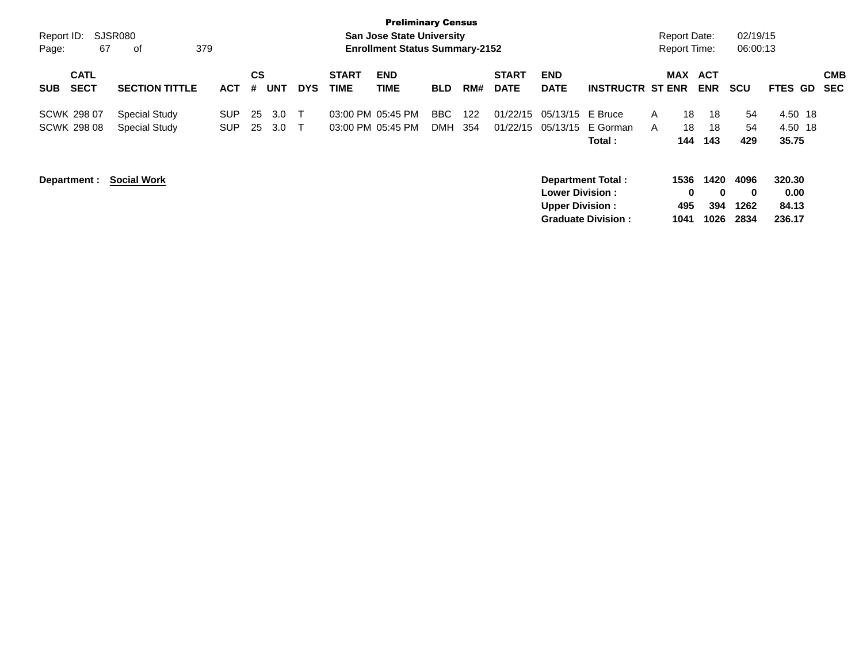|                    |                            |                       |            |                |            |            |                             | <b>Preliminary Census</b>             |            |     |                             |                                                  |                           |   |                     |                          |                          |                         |                          |
|--------------------|----------------------------|-----------------------|------------|----------------|------------|------------|-----------------------------|---------------------------------------|------------|-----|-----------------------------|--------------------------------------------------|---------------------------|---|---------------------|--------------------------|--------------------------|-------------------------|--------------------------|
| Report ID:         |                            | SJSR080               |            |                |            |            |                             | <b>San Jose State University</b>      |            |     |                             |                                                  |                           |   | <b>Report Date:</b> |                          | 02/19/15                 |                         |                          |
| Page:              | 67                         | 379<br>0f             |            |                |            |            |                             | <b>Enrollment Status Summary-2152</b> |            |     |                             |                                                  |                           |   | <b>Report Time:</b> |                          | 06:00:13                 |                         |                          |
| <b>SUB</b>         | <b>CATL</b><br><b>SECT</b> | <b>SECTION TITTLE</b> | <b>ACT</b> | <b>CS</b><br># | <b>UNT</b> | <b>DYS</b> | <b>START</b><br><b>TIME</b> | <b>END</b><br>TIME                    | <b>BLD</b> | RM# | <b>START</b><br><b>DATE</b> | <b>END</b><br><b>DATE</b>                        | <b>INSTRUCTR ST ENR</b>   |   | <b>MAX</b>          | <b>ACT</b><br><b>ENR</b> | <b>SCU</b>               | <b>FTES GD</b>          | <b>CMB</b><br><b>SEC</b> |
| <b>SCWK 298 07</b> |                            | <b>Special Study</b>  | <b>SUP</b> | 25             | 3.0        |            |                             | 03:00 PM 05:45 PM                     | BBC        | 122 | 01/22/15                    | 05/13/15 E Bruce                                 |                           | A | 18                  | 18                       | 54                       | 4.50 18                 |                          |
| <b>SCWK 298 08</b> |                            | Special Study         | <b>SUP</b> | 25             | 3.0        |            |                             | 03:00 PM 05:45 PM                     | <b>DMH</b> | 354 | 01/22/15                    | 05/13/15                                         | E Gorman                  | A | 18                  | 18                       | 54                       | 4.50 18                 |                          |
|                    |                            |                       |            |                |            |            |                             |                                       |            |     |                             |                                                  | Total :                   |   | 144                 | 143                      | 429                      | 35.75                   |                          |
| Department :       |                            | <b>Social Work</b>    |            |                |            |            |                             |                                       |            |     |                             | <b>Lower Division:</b><br><b>Upper Division:</b> | <b>Department Total:</b>  |   | 1536<br>0<br>495    | 1420<br>$\bf{0}$<br>394  | 4096<br>$\bf{0}$<br>1262 | 320.30<br>0.00<br>84.13 |                          |
|                    |                            |                       |            |                |            |            |                             |                                       |            |     |                             |                                                  |                           |   |                     |                          |                          |                         |                          |
|                    |                            |                       |            |                |            |            |                             |                                       |            |     |                             |                                                  | <b>Graduate Division:</b> |   | 1041                | 1026                     | 2834                     | 236.17                  |                          |